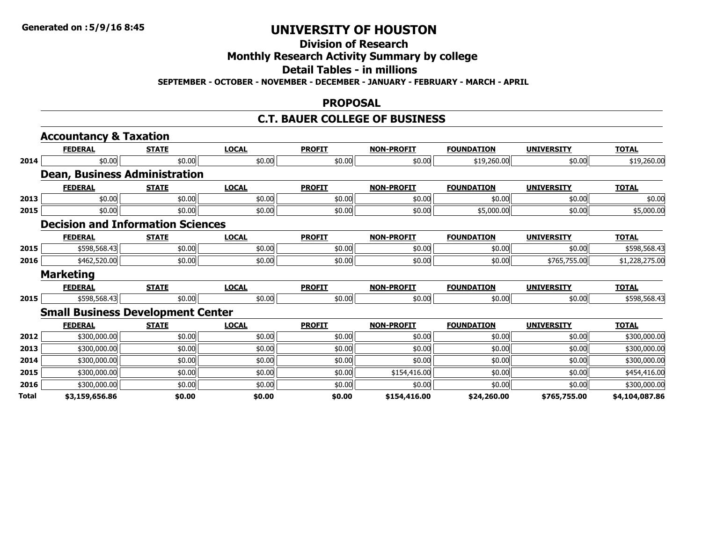# **Division of Research**

### **Monthly Research Activity Summary by college**

#### **Detail Tables - in millions**

**SEPTEMBER - OCTOBER - NOVEMBER - DECEMBER - JANUARY - FEBRUARY - MARCH - APRIL**

#### **PROPOSAL**

### **C.T. BAUER COLLEGE OF BUSINESS**

|       | <b>Accountancy &amp; Taxation</b>        |              |              |               |                   |                   |                   |                |
|-------|------------------------------------------|--------------|--------------|---------------|-------------------|-------------------|-------------------|----------------|
|       | <b>FEDERAL</b>                           | <b>STATE</b> | <b>LOCAL</b> | <b>PROFIT</b> | <b>NON-PROFIT</b> | <b>FOUNDATION</b> | <b>UNIVERSITY</b> | <b>TOTAL</b>   |
| 2014  | \$0.00                                   | \$0.00       | \$0.00       | \$0.00        | \$0.00            | \$19,260.00       | \$0.00            | \$19,260.00    |
|       | <b>Dean, Business Administration</b>     |              |              |               |                   |                   |                   |                |
|       | <b>FEDERAL</b>                           | <b>STATE</b> | <b>LOCAL</b> | <b>PROFIT</b> | <b>NON-PROFIT</b> | <b>FOUNDATION</b> | <b>UNIVERSITY</b> | <b>TOTAL</b>   |
| 2013  | \$0.00                                   | \$0.00       | \$0.00       | \$0.00        | \$0.00            | \$0.00            | \$0.00            | \$0.00         |
| 2015  | \$0.00                                   | \$0.00       | \$0.00       | \$0.00        | \$0.00            | \$5,000.00        | \$0.00            | \$5,000.00     |
|       | <b>Decision and Information Sciences</b> |              |              |               |                   |                   |                   |                |
|       | <b>FEDERAL</b>                           | <b>STATE</b> | <b>LOCAL</b> | <b>PROFIT</b> | <b>NON-PROFIT</b> | <b>FOUNDATION</b> | <b>UNIVERSITY</b> | <b>TOTAL</b>   |
| 2015  | \$598,568.43                             | \$0.00       | \$0.00       | \$0.00        | \$0.00            | \$0.00            | \$0.00            | \$598,568.43   |
| 2016  | \$462,520.00                             | \$0.00       | \$0.00       | \$0.00        | \$0.00            | \$0.00            | \$765,755.00      | \$1,228,275.00 |
|       | <b>Marketing</b>                         |              |              |               |                   |                   |                   |                |
|       | <b>FEDERAL</b>                           | <b>STATE</b> | <b>LOCAL</b> | <b>PROFIT</b> | <b>NON-PROFIT</b> | <b>FOUNDATION</b> | <b>UNIVERSITY</b> | <b>TOTAL</b>   |
| 2015  | \$598,568.43                             | \$0.00       | \$0.00       | \$0.00        | \$0.00            | \$0.00            | \$0.00            | \$598,568.43   |
|       | <b>Small Business Development Center</b> |              |              |               |                   |                   |                   |                |
|       | <b>FEDERAL</b>                           | <b>STATE</b> | <b>LOCAL</b> | <b>PROFIT</b> | <b>NON-PROFIT</b> | <b>FOUNDATION</b> | <b>UNIVERSITY</b> | <b>TOTAL</b>   |
| 2012  | \$300,000.00                             | \$0.00       | \$0.00       | \$0.00        | \$0.00            | \$0.00            | \$0.00            | \$300,000.00   |
| 2013  | \$300,000.00                             | \$0.00       | \$0.00       | \$0.00        | \$0.00            | \$0.00            | \$0.00            | \$300,000.00   |
| 2014  | \$300,000.00                             | \$0.00       | \$0.00       | \$0.00        | \$0.00            | \$0.00            | \$0.00            | \$300,000.00   |
| 2015  | \$300,000.00                             | \$0.00       | \$0.00       | \$0.00        | \$154,416.00      | \$0.00            | \$0.00            | \$454,416.00   |
| 2016  | \$300,000.00                             | \$0.00       | \$0.00       | \$0.00        | \$0.00            | \$0.00            | \$0.00            | \$300,000.00   |
| Total | \$3,159,656.86                           | \$0.00       | \$0.00       | \$0.00        | \$154,416.00      | \$24,260.00       | \$765,755.00      | \$4,104,087.86 |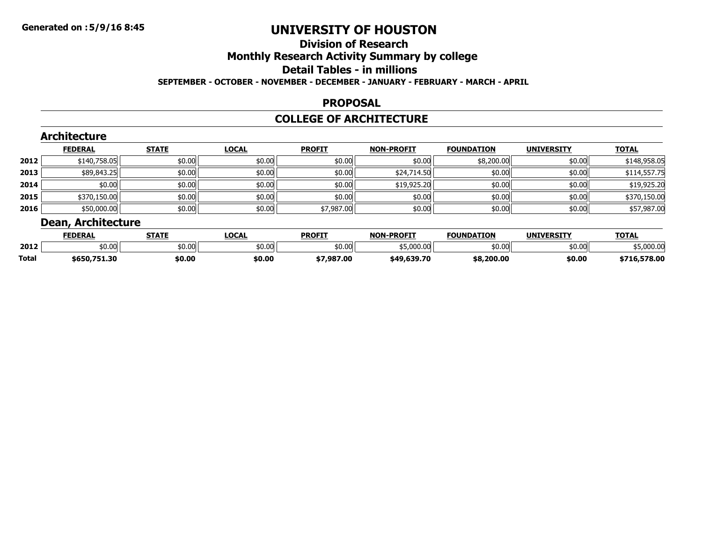### **Division of ResearchMonthly Research Activity Summary by college Detail Tables - in millions SEPTEMBER - OCTOBER - NOVEMBER - DECEMBER - JANUARY - FEBRUARY - MARCH - APRIL**

#### **PROPOSAL**

### **COLLEGE OF ARCHITECTURE**

|      | <b>FEDERAL</b> | <b>STATE</b> | <b>LOCAL</b> | <b>PROFIT</b> | <b>NON-PROFIT</b> | <b>FOUNDATION</b> | <b>UNIVERSITY</b> | <b>TOTAL</b> |
|------|----------------|--------------|--------------|---------------|-------------------|-------------------|-------------------|--------------|
| 2012 | \$140,758.05   | \$0.00       | \$0.00       | \$0.00        | \$0.00            | \$8,200.00        | \$0.00            | \$148,958.05 |
| 2013 | \$89,843.25    | \$0.00       | \$0.00       | \$0.00        | \$24,714.50       | \$0.00            | \$0.00            | \$114,557.75 |
| 2014 | \$0.00         | \$0.00       | \$0.00       | \$0.00        | \$19,925.20       | \$0.00            | \$0.00            | \$19,925.20  |
| 2015 | \$370,150.00   | \$0.00       | \$0.00       | \$0.00        | \$0.00            | \$0.00            | \$0.00            | \$370,150.00 |
| 2016 | \$50,000.00    | \$0.00       | \$0.00       | \$7,987.00    | \$0.00            | \$0.00            | \$0.00            | \$57,987.00  |

|       | __<br>------   |        |                     |               |                   |                   |                   |                |
|-------|----------------|--------|---------------------|---------------|-------------------|-------------------|-------------------|----------------|
|       | <b>FEDERAI</b> | TATE   | <b>OCAL</b><br>וועש | <b>PROFIT</b> | <b>NON-PROFIT</b> | <b>FOUNDATION</b> | <b>UNIVERSITY</b> | <b>TOTAL</b>   |
| 2012  | \$0.00         | \$0.00 | \$0.00              | \$0.00        | \$5,000.00        | _ ⊄በ በቦ<br>JU.UU  | \$0.00            | 5.000.00،      |
| Total | \$650,751.30   | \$0.00 | \$0.00              | \$7,987.00    | \$49,639.70       | \$8,200.00        | \$0.00            | 578.00<br>-711 |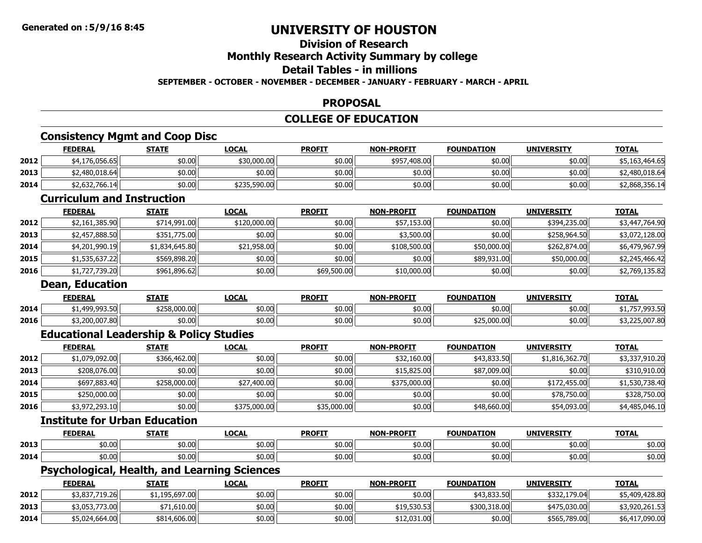# **Division of Research**

# **Monthly Research Activity Summary by college**

# **Detail Tables - in millions**

### **SEPTEMBER - OCTOBER - NOVEMBER - DECEMBER - JANUARY - FEBRUARY - MARCH - APRIL**

### **PROPOSAL**

### **COLLEGE OF EDUCATION**

### **Consistency Mgmt and Coop Disc**

|      | <b>FEDERAL</b> | <b>STATE</b> | <b>LOCAL</b> | <b>PROFIT</b> | <b>NON-PROFIT</b> | <b>FOUNDATION</b> | <b>UNIVERSITY</b> | <b>TOTAL</b>   |
|------|----------------|--------------|--------------|---------------|-------------------|-------------------|-------------------|----------------|
| 2012 | \$4,176,056.65 | \$0.00       | \$30,000.00  | \$0.00        | \$957,408.00      | \$0.00            | \$0.00            | \$5,163,464.65 |
| 2013 | \$2,480,018.64 | \$0.00       | \$0.00       | \$0.00        | \$0.00            | \$0.00            | \$0.00            | \$2,480.018.64 |
| 2014 | \$2,632,766.14 | \$0.00       | \$235,590.00 | \$0.00        | \$0.00            | \$0.00            | \$0.00            | \$2,868,356.14 |
|      |                |              |              |               |                   |                   |                   |                |

### **Curriculum and Instruction**

|      | <b>FEDERAL</b> | <b>STATE</b>   | <u>LOCAL</u> | <b>PROFIT</b> | <b>NON-PROFIT</b> | <b>FOUNDATION</b> | <b>UNIVERSITY</b> | <b>TOTAL</b>   |
|------|----------------|----------------|--------------|---------------|-------------------|-------------------|-------------------|----------------|
| 2012 | \$2,161,385.90 | \$714,991.00   | \$120,000.00 | \$0.00        | \$57,153.00       | \$0.00            | \$394,235.00      | \$3,447,764.90 |
| 2013 | \$2,457,888.50 | \$351,775.00   | \$0.00       | \$0.00        | \$3,500.00        | \$0.00            | \$258,964.50      | \$3,072,128.00 |
| 2014 | \$4,201,990.19 | \$1,834,645.80 | \$21,958.00  | \$0.00        | \$108,500.00      | \$50,000.00       | \$262,874.00      | \$6,479,967.99 |
| 2015 | \$1,535,637.22 | \$569,898.20   | \$0.00       | \$0.00        | \$0.00            | \$89,931.00       | \$50,000.00       | \$2,245,466.42 |
| 2016 | \$1,727,739.20 | \$961,896.62   | \$0.00       | \$69,500.00   | \$10,000.00       | \$0.00            | \$0.00            | \$2,769,135.82 |

#### **Dean, Education**

|      | <b>FEDERAL</b> | <b>STATE</b> | LOCAI  | <b>PROFIT</b> | -PROFIT<br>NIANI | <b>FOUNDATION</b> | <b>UNIVERSITY</b> | <b>TOTAL</b>    |
|------|----------------|--------------|--------|---------------|------------------|-------------------|-------------------|-----------------|
| 2014 | 400 003 50     | \$258,000.00 | \$0.00 | \$0.00        | \$0.00           | \$0.00            | \$0.00            | 0.02.5<br>,,,,, |
| 2016 | \$3,200,007.80 | \$0.00       | \$0.00 | \$0.00        | \$0.00           | \$25,000.00       | \$0.00            | 225,007.80      |

### **Educational Leadership & Policy Studies**

|      | <b>FEDERAL</b> | <b>STATE</b> | <b>LOCAL</b> | <b>PROFIT</b> | <b>NON-PROFIT</b> | <b>FOUNDATION</b> | <b>UNIVERSITY</b> | <b>TOTAL</b>   |
|------|----------------|--------------|--------------|---------------|-------------------|-------------------|-------------------|----------------|
| 2012 | \$1,079,092.00 | \$366,462.00 | \$0.00       | \$0.00        | \$32,160.00       | \$43,833.50       | \$1,816,362.70    | \$3,337,910.20 |
| 2013 | \$208,076.00   | \$0.00       | \$0.00       | \$0.00        | \$15,825.00       | \$87,009.00       | \$0.00            | \$310,910.00   |
| 2014 | \$697,883.40   | \$258,000.00 | \$27,400.00  | \$0.00        | \$375,000.00      | \$0.00            | \$172,455.00      | \$1,530,738.40 |
| 2015 | \$250,000.00   | \$0.00       | \$0.00       | \$0.00        | \$0.00            | \$0.00            | \$78,750.00       | \$328,750.00   |
| 2016 | \$3,972,293.10 | \$0.00       | \$375,000.00 | \$35,000.00   | \$0.00            | \$48,660.00       | \$54,093.00       | \$4,485,046.10 |

# **Institute for Urban Education**

|      | <b>FEDERAI</b> | <b>CTATE</b>     | $\sim$<br>LULAI  | <b>PROFIT</b>    | -PROFTT<br>NON. | <b>FOUNDATION</b>                                | <b>IINIVEDCTTV</b> | $T^{\sim}$ |
|------|----------------|------------------|------------------|------------------|-----------------|--------------------------------------------------|--------------------|------------|
| 2013 | \$0.00         | $+0.00$<br>טט.טע | \$0.00           | $+0.02$          | \$0.00          | $AD^{\prime}$<br>JU.UU                           | \$0.00             | \$0.00     |
| 2014 | \$0.00         | $+0.00$<br>וטיט  | \$0.00<br>$\sim$ | $+0.05$<br>JU.UU | \$0.00          | $\lambda$ $\Lambda$ $\Lambda$ $\Lambda$<br>JU.UU | \$0.00             | \$0.00     |

### **Psychological, Health, and Learning Sciences**

|      | <u>FEDERAL</u> | <b>STATE</b>   | <b>LOCAL</b> | <b>PROFIT</b> | <b>NON-PROFIT</b> | <b>FOUNDATION</b> | <b>UNIVERSITY</b> | <b>TOTAL</b>   |
|------|----------------|----------------|--------------|---------------|-------------------|-------------------|-------------------|----------------|
| 2012 | \$3,837,719.26 | \$1,195,697.00 | \$0.00       | \$0.00        | \$0.00            | \$43,833.50       | \$332,179.04      | \$5,409,428.80 |
| 2013 | \$3,053,773.00 | \$71,610.00    | \$0.00       | \$0.00        | \$19,530.53       | \$300,318,00      | \$475,030,00      | \$3,920,261.53 |
| 2014 | \$5,024,664.00 | \$814,606.00   | \$0.00       | \$0.00        | \$12,031.00       | \$0.00            | \$565,789.00      | \$6,417,090.00 |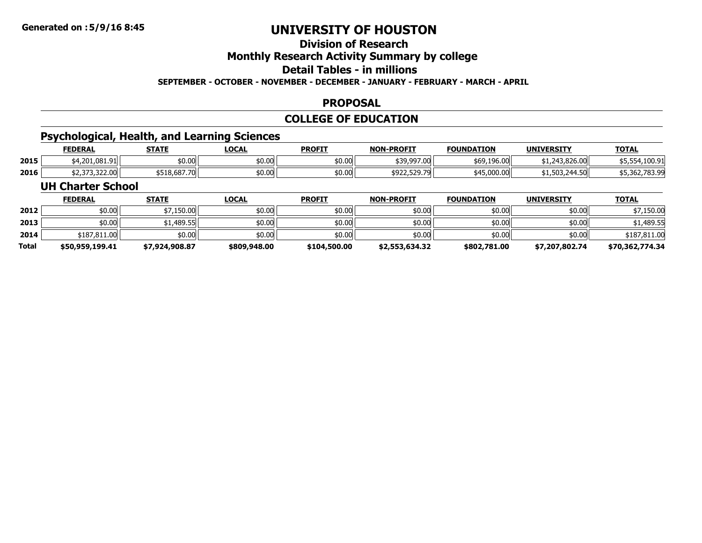# **Division of Research**

### **Monthly Research Activity Summary by college**

### **Detail Tables - in millions**

#### **SEPTEMBER - OCTOBER - NOVEMBER - DECEMBER - JANUARY - FEBRUARY - MARCH - APRIL**

### **PROPOSAL**

### **COLLEGE OF EDUCATION**

# **Psychological, Health, and Learning Sciences**

|      | <b>FEDERAL</b>               | STATE        | LOCAL               | <b>PROFIT</b> | <b>NON-PROFIT</b>                         | <b>FOUNDATION</b> | <b>UNIVERSITY</b> | <b>TOTAL</b>                    |
|------|------------------------------|--------------|---------------------|---------------|-------------------------------------------|-------------------|-------------------|---------------------------------|
| 2015 | \$4,201,081.91               | \$0.00       | $\sim$ 00<br>\$U.UU | \$0.00        | \$39,997.00                               | \$69,196.00       | \$1,243,826.00    | 4,100.91<br>,,,,,               |
| 2016 | $\sim$ 272.222.20 $^{\circ}$ | \$518,687.70 | ትስ ስስ<br>\$U.UU     | \$0.00        | $\sim$ $\sim$ $\sim$ $\sim$ $\sim$ $\sim$ | \$45,000.00       | \$1,503,244.50    | 45 367 783 00<br>\$5,302,783.YY |

#### **UH Charter School**

|              | <b>FEDERAL</b>  | <b>STATE</b>   | <u>LOCAL</u> | <b>PROFIT</b> | <b>NON-PROFIT</b> | <b>FOUNDATION</b> | <b>UNIVERSITY</b> | <b>TOTAL</b>    |
|--------------|-----------------|----------------|--------------|---------------|-------------------|-------------------|-------------------|-----------------|
| 2012         | \$0.00          | \$7,150.00     | \$0.00       | \$0.00        | \$0.00            | \$0.00            | \$0.00            | \$7,150.00      |
| 2013         | \$0.00          | √1,489.55،     | \$0.00       | \$0.00        | \$0.00            | \$0.00            | \$0.00            | \$1,489.55      |
| 2014         | \$187,811.00    | \$0.00         | \$0.00       | \$0.00        | \$0.00            | \$0.00            | \$0.00            | \$187,811.00    |
| <b>Total</b> | \$50,959,199.41 | \$7,924,908.87 | \$809,948.00 | \$104,500.00  | \$2,553,634.32    | \$802,781.00      | \$7,207,802,74    | \$70,362,774.34 |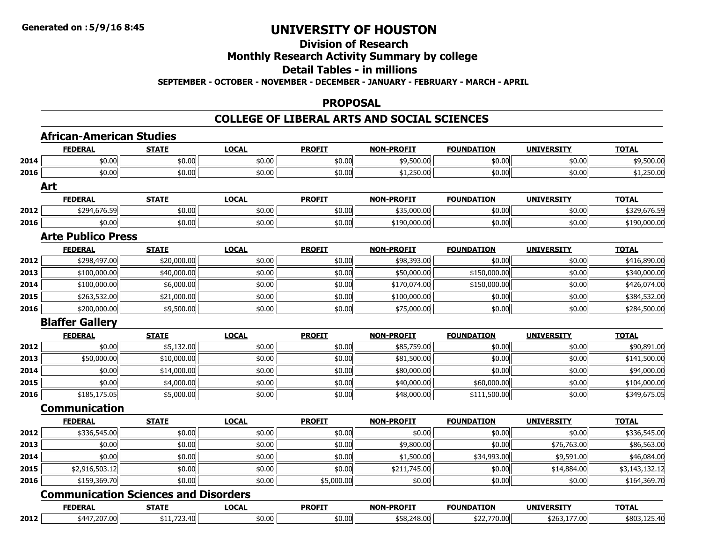# **Division of Research**

# **Monthly Research Activity Summary by college**

# **Detail Tables - in millions**

**SEPTEMBER - OCTOBER - NOVEMBER - DECEMBER - JANUARY - FEBRUARY - MARCH - APRIL**

#### **PROPOSAL**

# **COLLEGE OF LIBERAL ARTS AND SOCIAL SCIENCES**

|      | <b>African-American Studies</b>             |              |              |               |                   |                   |                   |                |
|------|---------------------------------------------|--------------|--------------|---------------|-------------------|-------------------|-------------------|----------------|
|      | <b>FEDERAL</b>                              | <b>STATE</b> | <b>LOCAL</b> | <b>PROFIT</b> | <b>NON-PROFIT</b> | <b>FOUNDATION</b> | <b>UNIVERSITY</b> | <b>TOTAL</b>   |
| 2014 | \$0.00                                      | \$0.00       | \$0.00       | \$0.00        | \$9,500.00        | \$0.00            | \$0.00            | \$9,500.00     |
| 2016 | \$0.00                                      | \$0.00       | \$0.00       | \$0.00        | \$1,250.00        | \$0.00            | \$0.00            | \$1,250.00     |
|      | Art                                         |              |              |               |                   |                   |                   |                |
|      | <b>FEDERAL</b>                              | <b>STATE</b> | <b>LOCAL</b> | <b>PROFIT</b> | <b>NON-PROFIT</b> | <b>FOUNDATION</b> | <b>UNIVERSITY</b> | <b>TOTAL</b>   |
| 2012 | \$294,676.59                                | \$0.00       | \$0.00       | \$0.00        | \$35,000.00       | \$0.00            | \$0.00            | \$329,676.59   |
| 2016 | \$0.00                                      | \$0.00       | \$0.00       | \$0.00        | \$190,000.00      | \$0.00            | \$0.00            | \$190,000.00   |
|      | <b>Arte Publico Press</b>                   |              |              |               |                   |                   |                   |                |
|      | <b>FEDERAL</b>                              | <b>STATE</b> | <b>LOCAL</b> | <b>PROFIT</b> | <b>NON-PROFIT</b> | <b>FOUNDATION</b> | <b>UNIVERSITY</b> | <b>TOTAL</b>   |
| 2012 | \$298,497.00                                | \$20,000.00  | \$0.00       | \$0.00        | \$98,393.00       | \$0.00            | \$0.00            | \$416,890.00   |
| 2013 | \$100,000.00                                | \$40,000.00  | \$0.00       | \$0.00        | \$50,000.00       | \$150,000.00      | \$0.00            | \$340,000.00   |
| 2014 | \$100,000.00                                | \$6,000.00   | \$0.00       | \$0.00        | \$170,074.00      | \$150,000.00      | \$0.00            | \$426,074.00   |
| 2015 | \$263,532.00                                | \$21,000.00  | \$0.00       | \$0.00        | \$100,000.00      | \$0.00            | \$0.00            | \$384,532.00   |
| 2016 | \$200,000.00                                | \$9,500.00   | \$0.00       | \$0.00        | \$75,000.00       | \$0.00            | \$0.00            | \$284,500.00   |
|      | <b>Blaffer Gallery</b>                      |              |              |               |                   |                   |                   |                |
|      | <b>FEDERAL</b>                              | <b>STATE</b> | <b>LOCAL</b> | <b>PROFIT</b> | <b>NON-PROFIT</b> | <b>FOUNDATION</b> | <b>UNIVERSITY</b> | <b>TOTAL</b>   |
| 2012 | \$0.00                                      | \$5,132.00   | \$0.00       | \$0.00        | \$85,759.00       | \$0.00            | \$0.00            | \$90,891.00    |
| 2013 | \$50,000.00                                 | \$10,000.00  | \$0.00       | \$0.00        | \$81,500.00       | \$0.00            | \$0.00            | \$141,500.00   |
| 2014 | \$0.00                                      | \$14,000.00  | \$0.00       | \$0.00        | \$80,000.00       | \$0.00            | \$0.00            | \$94,000.00    |
| 2015 | \$0.00                                      | \$4,000.00   | \$0.00       | \$0.00        | \$40,000.00       | \$60,000.00       | \$0.00            | \$104,000.00   |
| 2016 | \$185,175.05                                | \$5,000.00   | \$0.00       | \$0.00        | \$48,000.00       | \$111,500.00      | \$0.00            | \$349,675.05   |
|      | <b>Communication</b>                        |              |              |               |                   |                   |                   |                |
|      | <b>FEDERAL</b>                              | <b>STATE</b> | <b>LOCAL</b> | <b>PROFIT</b> | <b>NON-PROFIT</b> | <b>FOUNDATION</b> | <b>UNIVERSITY</b> | <b>TOTAL</b>   |
| 2012 | \$336,545.00                                | \$0.00       | \$0.00       | \$0.00        | \$0.00            | \$0.00            | \$0.00            | \$336,545.00   |
| 2013 | \$0.00                                      | \$0.00       | \$0.00       | \$0.00        | \$9,800.00        | \$0.00            | \$76,763.00       | \$86,563.00    |
| 2014 | \$0.00                                      | \$0.00       | \$0.00       | \$0.00        | \$1,500.00        | \$34,993.00       | \$9,591.00        | \$46,084.00    |
| 2015 | \$2,916,503.12                              | \$0.00       | \$0.00       | \$0.00        | \$211,745.00      | \$0.00            | \$14,884.00       | \$3,143,132.12 |
| 2016 | \$159,369.70                                | \$0.00       | \$0.00       | \$5,000.00    | \$0.00            | \$0.00            | \$0.00            | \$164,369.70   |
|      | <b>Communication Sciences and Disorders</b> |              |              |               |                   |                   |                   |                |
|      | <b>FEDERAL</b>                              | <b>STATE</b> | <b>LOCAL</b> | <b>PROFIT</b> | <b>NON-PROFIT</b> | <b>FOUNDATION</b> | <b>UNIVERSITY</b> | <b>TOTAL</b>   |
| 2012 | \$447,207.00                                | \$11,723.40  | \$0.00       | \$0.00        | \$58,248.00       | \$22,770.00       | \$263,177.00      | \$803,125.40   |

\$447,207.00 \$11,723.40 \$0.00 \$0.00 \$58,248.00 \$22,770.00 \$263,177.00 \$803,125.40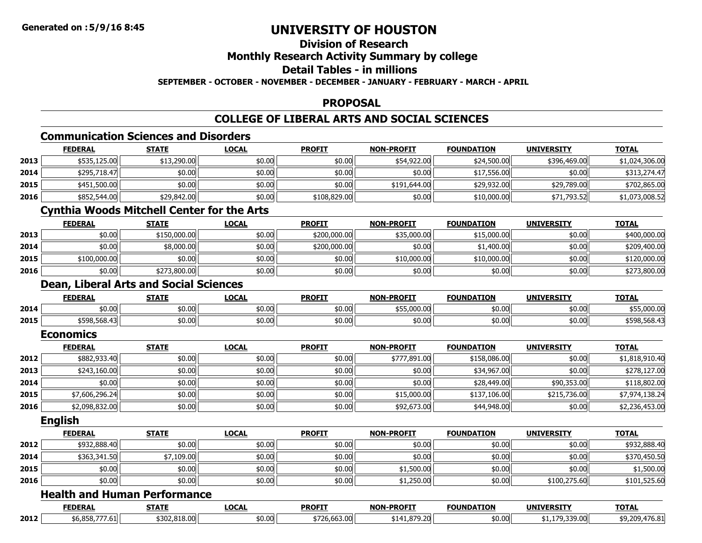### **Division of ResearchMonthly Research Activity Summary by college Detail Tables - in millionsSEPTEMBER - OCTOBER - NOVEMBER - DECEMBER - JANUARY - FEBRUARY - MARCH - APRIL**

### **PROPOSAL**

### **COLLEGE OF LIBERAL ARTS AND SOCIAL SCIENCES**

# **Communication Sciences and Disorders**

**Dean, Liberal Arts and Social Sciences**

|      | <b>FEDERAL</b> | <b>STATE</b>                                      | <b>LOCAL</b> | <b>PROFIT</b> | <b>NON-PROFIT</b> | <b>FOUNDATION</b> | <b>UNIVERSITY</b> | <b>TOTAL</b>   |
|------|----------------|---------------------------------------------------|--------------|---------------|-------------------|-------------------|-------------------|----------------|
| 2013 | \$535,125.00   | \$13,290.00                                       | \$0.00       | \$0.00        | \$54,922.00       | \$24,500.00       | \$396,469.00      | \$1,024,306.00 |
| 2014 | \$295,718.47   | \$0.00                                            | \$0.00       | \$0.00        | \$0.00            | \$17,556.00       | \$0.00            | \$313,274.47   |
| 2015 | \$451,500.00   | \$0.00                                            | \$0.00       | \$0.00        | \$191,644.00      | \$29,932.00       | \$29,789.00       | \$702,865.00   |
| 2016 | \$852,544.00   | \$29,842.00                                       | \$0.00       | \$108,829.00  | \$0.00            | \$10,000.00       | \$71,793.52       | \$1,073,008.52 |
|      |                | <b>Cynthia Woods Mitchell Center for the Arts</b> |              |               |                   |                   |                   |                |
|      | <b>FEDERAL</b> | <b>STATE</b>                                      | <b>LOCAL</b> | <b>PROFIT</b> | <b>NON-PROFIT</b> | <b>FOUNDATION</b> | <b>UNIVERSITY</b> | <b>TOTAL</b>   |
| 2013 | \$0.00         | \$150,000.00                                      | \$0.00       | \$200,000.00  | \$35,000.00       | \$15,000.00       | \$0.00            | \$400,000.00   |
| 2014 | \$0.00         | \$8,000.00                                        | \$0.00       | \$200,000.00  | \$0.00            | \$1,400.00        | \$0.00            | \$209,400.00   |

\$100,000.00 \$0.00 \$0.00 \$0.00 \$10,000.00 \$10,000.00 \$0.00 \$120,000.00

6 \$0.00 \$0.00 \$0.00 \$0.00 \$0.00 \$0.00 \$0.00 \$0.00 \$0.00 \$0.00 \$0.00 \$0.00 \$0.00 \$0.00 \$0.00 \$273,800.00

|      | <b>FEDERAL</b>   | <b>STATE</b> | <b>LOCAL</b> | <b>PROFIT</b> | <b>NON-PROFIT</b> | <b>FOUNDATION</b> | <b>UNIVERSITY</b> | <b>TOTAL</b>   |
|------|------------------|--------------|--------------|---------------|-------------------|-------------------|-------------------|----------------|
| 2014 | \$0.00           | \$0.00       | \$0.00       | \$0.00        | \$55,000.00       | \$0.00            | \$0.00            | \$55,000.00    |
| 2015 | \$598,568.43     | \$0.00       | \$0.00       | \$0.00        | \$0.00            | \$0.00            | \$0.00            | \$598,568.43   |
|      | <b>Economics</b> |              |              |               |                   |                   |                   |                |
|      | <b>FEDERAL</b>   |              |              |               | <b>NON-PROFIT</b> | <b>FOUNDATION</b> | <b>UNIVERSITY</b> |                |
|      |                  | <b>STATE</b> | <b>LOCAL</b> | <b>PROFIT</b> |                   |                   |                   | <b>TOTAL</b>   |
| 2012 | \$882,933.40     | \$0.00       | \$0.00       | \$0.00        | \$777,891.00      | \$158,086.00      | \$0.00            | \$1,818,910.40 |
| 2013 | \$243,160.00     | \$0.00       | \$0.00       | \$0.00        | \$0.00            | \$34,967.00       | \$0.00            | \$278,127.00   |

\$7,606,296.24 \$0.00 \$0.00 \$0.00 \$15,000.00 \$137,106.00 \$215,736.00 \$7,974,138.24

**2016** $\textbf{6} \quad | \quad \textbf{2},098,832.00 | \quad \textbf{3},0.00 | \quad \textbf{4},0.00 | \quad \textbf{5},0.00 | \quad \textbf{6},0.00 | \quad \textbf{5},0.00 | \quad \textbf{6},0.00 | \quad \textbf{7},0.00 | \quad \textbf{8},0.00 | \quad \textbf{8},0.00 | \quad \textbf{9},0.00 | \quad \textbf{10},0.00 | \quad \textbf{11},0.00 | \quad \textbf{12},0.00 | \quad \textbf{13},0.00 | \quad \textbf{$ **English**

**2015**

**2016**

**2015**

|      | <b>FEDERAL</b> | <b>STATE</b> | <u>LOCAL</u> | <b>PROFIT</b> | <b>NON-PROFIT</b> | <b>FOUNDATION</b> | <b>UNIVERSITY</b> | <b>TOTAL</b> |
|------|----------------|--------------|--------------|---------------|-------------------|-------------------|-------------------|--------------|
| 2012 | \$932,888.40   | \$0.00       | \$0.00       | \$0.00        | \$0.00            | \$0.00            | \$0.00            | \$932,888.40 |
| 2014 | \$363,341.50   | \$7,109.00   | \$0.00       | \$0.00        | \$0.00            | \$0.00            | \$0.00            | \$370,450.50 |
| 2015 | \$0.00         | \$0.00       | \$0.00       | \$0.00        | \$1,500.00        | \$0.00            | \$0.00            | \$1,500.00   |
| 2016 | \$0.00         | \$0.00       | \$0.00       | \$0.00        | \$1,250.00        | \$0.00            | \$100,275.60      | \$101,525.60 |

### **Health and Human Performance**

|      | <b>FEDERAL</b> | -----            | LOCAI<br>- - | <b>PROFIT</b> | <b>-PROFT</b><br>NON. | <b>FOUNDATION</b> | <b>UNIVERSIT</b> | TOTAL<br>אוטי |
|------|----------------|------------------|--------------|---------------|-----------------------|-------------------|------------------|---------------|
| 2012 | '.oı           | 818.00<br>$\sim$ | 0.00         | $\sim$        | - 11<br>.<br>.        | \$0.00            | 9,339.00         | , v.v.        |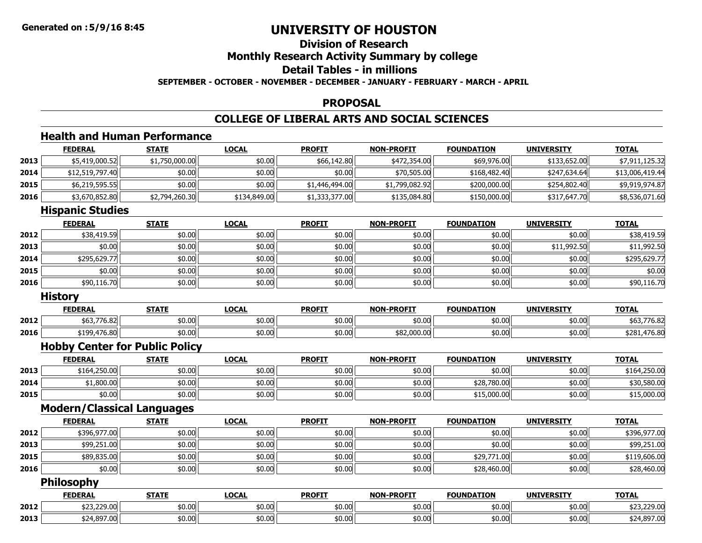### **Division of ResearchMonthly Research Activity Summary by college Detail Tables - in millionsSEPTEMBER - OCTOBER - NOVEMBER - DECEMBER - JANUARY - FEBRUARY - MARCH - APRIL**

#### **PROPOSAL**

# **COLLEGE OF LIBERAL ARTS AND SOCIAL SCIENCES**

# **Health and Human Performance**

|      | <b>FEDERAL</b>                        | <b>STATE</b>   | <b>LOCAL</b> | <b>PROFIT</b>  | <b>NON-PROFIT</b> | <b>FOUNDATION</b> | <b>UNIVERSITY</b> | <b>TOTAL</b>    |
|------|---------------------------------------|----------------|--------------|----------------|-------------------|-------------------|-------------------|-----------------|
| 2013 | \$5,419,000.52                        | \$1,750,000.00 | \$0.00       | \$66,142.80    | \$472,354.00      | \$69,976.00       | \$133,652.00      | \$7,911,125.32  |
| 2014 | \$12,519,797.40                       | \$0.00         | \$0.00       | \$0.00         | \$70,505.00       | \$168,482.40      | \$247,634.64      | \$13,006,419.44 |
| 2015 | \$6,219,595.55                        | \$0.00         | \$0.00       | \$1,446,494.00 | \$1,799,082.92    | \$200,000.00      | \$254,802.40      | \$9,919,974.87  |
| 2016 | \$3,670,852.80                        | \$2,794,260.30 | \$134,849.00 | \$1,333,377.00 | \$135,084.80      | \$150,000.00      | \$317,647.70      | \$8,536,071.60  |
|      | <b>Hispanic Studies</b>               |                |              |                |                   |                   |                   |                 |
|      | <b>FEDERAL</b>                        | <b>STATE</b>   | <b>LOCAL</b> | <b>PROFIT</b>  | <b>NON-PROFIT</b> | <b>FOUNDATION</b> | <b>UNIVERSITY</b> | <b>TOTAL</b>    |
| 2012 | \$38,419.59                           | \$0.00         | \$0.00       | \$0.00         | \$0.00            | \$0.00            | \$0.00            | \$38,419.59     |
| 2013 | \$0.00                                | \$0.00         | \$0.00       | \$0.00         | \$0.00            | \$0.00            | \$11,992.50       | \$11,992.50     |
| 2014 | \$295,629.77                          | \$0.00         | \$0.00       | \$0.00         | \$0.00            | \$0.00            | \$0.00            | \$295,629.77    |
| 2015 | \$0.00                                | \$0.00         | \$0.00       | \$0.00         | \$0.00            | \$0.00            | \$0.00            | \$0.00          |
| 2016 | \$90,116.70                           | \$0.00         | \$0.00       | \$0.00         | \$0.00            | \$0.00            | \$0.00            | \$90,116.70     |
|      | <b>History</b>                        |                |              |                |                   |                   |                   |                 |
|      | <b>FEDERAL</b>                        | <b>STATE</b>   | <b>LOCAL</b> | <b>PROFIT</b>  | <b>NON-PROFIT</b> | <b>FOUNDATION</b> | <b>UNIVERSITY</b> | <b>TOTAL</b>    |
| 2012 | \$63,776.82                           | \$0.00         | \$0.00       | \$0.00         | \$0.00            | \$0.00            | \$0.00            | \$63,776.82     |
| 2016 | \$199,476.80                          | \$0.00         | \$0.00       | \$0.00         | \$82,000.00       | \$0.00            | \$0.00            | \$281,476.80    |
|      | <b>Hobby Center for Public Policy</b> |                |              |                |                   |                   |                   |                 |
|      | <b>FEDERAL</b>                        | <b>STATE</b>   | <b>LOCAL</b> | <b>PROFIT</b>  | <b>NON-PROFIT</b> | <b>FOUNDATION</b> | <b>UNIVERSITY</b> | <b>TOTAL</b>    |
| 2013 | \$164,250.00                          | \$0.00         | \$0.00       | \$0.00         | \$0.00            | \$0.00            | \$0.00            | \$164,250.00    |
| 2014 | \$1,800.00                            | \$0.00         | \$0.00       | \$0.00         | \$0.00            | \$28,780.00       | \$0.00            | \$30,580.00     |
| 2015 | \$0.00                                | \$0.00         | \$0.00       | \$0.00         | \$0.00            | \$15,000.00       | \$0.00            | \$15,000.00     |
|      | <b>Modern/Classical Languages</b>     |                |              |                |                   |                   |                   |                 |
|      | <b>FEDERAL</b>                        | <b>STATE</b>   | <b>LOCAL</b> | <b>PROFIT</b>  | <b>NON-PROFIT</b> | <b>FOUNDATION</b> | <b>UNIVERSITY</b> | <b>TOTAL</b>    |
| 2012 | \$396,977.00                          | \$0.00         | \$0.00       | \$0.00         | \$0.00            | \$0.00            | \$0.00            | \$396,977.00    |
| 2013 | \$99,251.00                           | \$0.00         | \$0.00       | \$0.00         | \$0.00            | \$0.00            | \$0.00            | \$99,251.00     |
| 2015 | \$89,835.00                           | \$0.00         | \$0.00       | \$0.00         | \$0.00            | \$29,771.00       | \$0.00            | \$119,606.00    |
| 2016 | \$0.00                                | \$0.00         | \$0.00       | \$0.00         | \$0.00            | \$28,460.00       | \$0.00            | \$28,460.00     |
|      | <b>Philosophy</b>                     |                |              |                |                   |                   |                   |                 |
|      | <b>FEDERAL</b>                        | <b>STATE</b>   | <b>LOCAL</b> | <b>PROFIT</b>  | <b>NON-PROFIT</b> | <b>FOUNDATION</b> | <b>UNIVERSITY</b> | <b>TOTAL</b>    |
| 2012 | \$23,229.00                           | \$0.00         | \$0.00       | \$0.00         | \$0.00            | \$0.00            | \$0.00            | \$23,229.00     |
| 2013 | \$24,897.00                           | \$0.00         | \$0.00       | \$0.00         | \$0.00            | \$0.00            | \$0.00            | \$24,897.00     |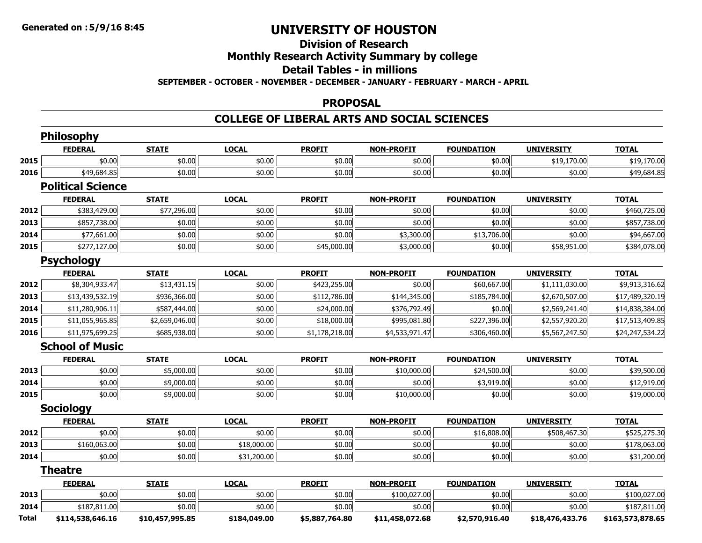# **Division of ResearchMonthly Research Activity Summary by college Detail Tables - in millions**

**SEPTEMBER - OCTOBER - NOVEMBER - DECEMBER - JANUARY - FEBRUARY - MARCH - APRIL**

#### **PROPOSAL**

#### **COLLEGE OF LIBERAL ARTS AND SOCIAL SCIENCES**

|       | <b>Philosophy</b>        |                 |              |                |                   |                   |                   |                  |
|-------|--------------------------|-----------------|--------------|----------------|-------------------|-------------------|-------------------|------------------|
|       | <b>FEDERAL</b>           | <b>STATE</b>    | <b>LOCAL</b> | <b>PROFIT</b>  | <b>NON-PROFIT</b> | <b>FOUNDATION</b> | <b>UNIVERSITY</b> | <b>TOTAL</b>     |
| 2015  | \$0.00                   | \$0.00          | \$0.00       | \$0.00         | \$0.00            | \$0.00            | \$19,170.00       | \$19,170.00      |
| 2016  | \$49,684.85              | \$0.00          | \$0.00       | \$0.00         | \$0.00            | \$0.00            | \$0.00            | \$49,684.85      |
|       | <b>Political Science</b> |                 |              |                |                   |                   |                   |                  |
|       | <b>FEDERAL</b>           | <b>STATE</b>    | <b>LOCAL</b> | <b>PROFIT</b>  | <b>NON-PROFIT</b> | <b>FOUNDATION</b> | <b>UNIVERSITY</b> | <b>TOTAL</b>     |
| 2012  | \$383,429.00             | \$77,296.00     | \$0.00       | \$0.00         | \$0.00            | \$0.00            | \$0.00            | \$460,725.00     |
| 2013  | \$857,738.00             | \$0.00          | \$0.00       | \$0.00         | \$0.00            | \$0.00            | \$0.00            | \$857,738.00     |
| 2014  | \$77,661.00              | \$0.00          | \$0.00       | \$0.00         | \$3,300.00        | \$13,706.00       | \$0.00            | \$94,667.00      |
| 2015  | \$277,127.00             | \$0.00          | \$0.00       | \$45,000.00    | \$3,000.00        | \$0.00            | \$58,951.00       | \$384,078.00     |
|       | <b>Psychology</b>        |                 |              |                |                   |                   |                   |                  |
|       | <b>FEDERAL</b>           | <b>STATE</b>    | <b>LOCAL</b> | <b>PROFIT</b>  | <b>NON-PROFIT</b> | <b>FOUNDATION</b> | <b>UNIVERSITY</b> | <b>TOTAL</b>     |
| 2012  | \$8,304,933.47           | \$13,431.15     | \$0.00       | \$423,255.00   | \$0.00            | \$60,667.00       | \$1,111,030.00    | \$9,913,316.62   |
| 2013  | \$13,439,532.19          | \$936,366.00    | \$0.00       | \$112,786.00   | \$144,345.00      | \$185,784.00      | \$2,670,507.00    | \$17,489,320.19  |
| 2014  | \$11,280,906.11          | \$587,444.00    | \$0.00       | \$24,000.00    | \$376,792.49      | \$0.00            | \$2,569,241.40    | \$14,838,384.00  |
| 2015  | \$11,055,965.85          | \$2,659,046.00  | \$0.00       | \$18,000.00    | \$995,081.80      | \$227,396.00      | \$2,557,920.20    | \$17,513,409.85  |
| 2016  | \$11,975,699.25          | \$685,938.00    | \$0.00       | \$1,178,218.00 | \$4,533,971.47    | \$306,460.00      | \$5,567,247.50    | \$24,247,534.22  |
|       | <b>School of Music</b>   |                 |              |                |                   |                   |                   |                  |
|       | <b>FEDERAL</b>           | <b>STATE</b>    | <b>LOCAL</b> | <b>PROFIT</b>  | <b>NON-PROFIT</b> | <b>FOUNDATION</b> | <b>UNIVERSITY</b> | <b>TOTAL</b>     |
| 2013  | \$0.00                   | \$5,000.00      | \$0.00       | \$0.00         | \$10,000.00       | \$24,500.00       | \$0.00            | \$39,500.00      |
| 2014  | \$0.00                   | \$9,000.00      | \$0.00       | \$0.00         | \$0.00            | \$3,919.00        | \$0.00            | \$12,919.00      |
| 2015  | \$0.00                   | \$9,000.00      | \$0.00       | \$0.00         | \$10,000.00       | \$0.00            | \$0.00            | \$19,000.00      |
|       | <b>Sociology</b>         |                 |              |                |                   |                   |                   |                  |
|       | <b>FEDERAL</b>           | <b>STATE</b>    | <b>LOCAL</b> | <b>PROFIT</b>  | <b>NON-PROFIT</b> | <b>FOUNDATION</b> | <b>UNIVERSITY</b> | <b>TOTAL</b>     |
| 2012  | \$0.00                   | \$0.00          | \$0.00       | \$0.00         | \$0.00            | \$16,808.00       | \$508,467.30      | \$525,275.30     |
| 2013  | \$160,063.00             | \$0.00          | \$18,000.00  | \$0.00         | \$0.00            | \$0.00            | \$0.00            | \$178,063.00     |
| 2014  | \$0.00                   | \$0.00          | \$31,200.00  | \$0.00         | \$0.00            | \$0.00            | \$0.00            | \$31,200.00      |
|       | <b>Theatre</b>           |                 |              |                |                   |                   |                   |                  |
|       | <b>FEDERAL</b>           | <b>STATE</b>    | <b>LOCAL</b> | <b>PROFIT</b>  | <b>NON-PROFIT</b> | <b>FOUNDATION</b> | <b>UNIVERSITY</b> | <b>TOTAL</b>     |
| 2013  | \$0.00                   | \$0.00          | \$0.00       | \$0.00         | \$100,027.00      | \$0.00            | \$0.00            | \$100,027.00     |
| 2014  | \$187,811.00             | \$0.00          | \$0.00       | \$0.00         | \$0.00            | \$0.00            | \$0.00            | \$187,811.00     |
| Total | \$114,538,646.16         | \$10,457,995.85 | \$184,049.00 | \$5,887,764.80 | \$11,458,072.68   | \$2,570,916.40    | \$18,476,433.76   | \$163,573,878.65 |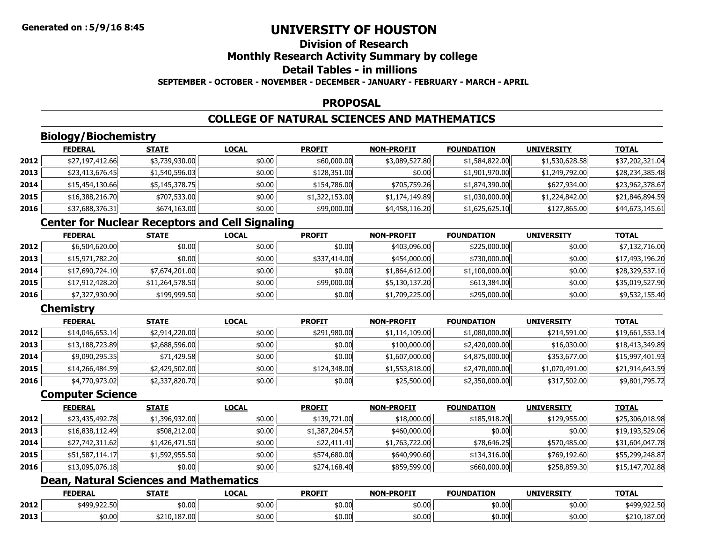### **Division of ResearchMonthly Research Activity Summary by college Detail Tables - in millionsSEPTEMBER - OCTOBER - NOVEMBER - DECEMBER - JANUARY - FEBRUARY - MARCH - APRIL**

### **PROPOSAL**

### **COLLEGE OF NATURAL SCIENCES AND MATHEMATICS**

# **Biology/Biochemistry**

|      | <b>FEDERAL</b>  | <b>STATE</b>   | <b>LOCAL</b> | <b>PROFIT</b>  | <b>NON-PROFIT</b> | <b>FOUNDATION</b> | <b>UNIVERSITY</b> | <b>TOTAL</b>    |
|------|-----------------|----------------|--------------|----------------|-------------------|-------------------|-------------------|-----------------|
| 2012 | \$27,197,412.66 | \$3,739,930.00 | \$0.00       | \$60,000.00    | \$3,089,527.80    | \$1,584,822.00    | \$1,530,628.58    | \$37,202,321.04 |
| 2013 | \$23,413,676.45 | \$1,540,596.03 | \$0.00       | \$128,351.00   | \$0.00            | \$1,901,970.00    | \$1,249,792.00    | \$28,234,385.48 |
| 2014 | \$15,454,130.66 | \$5,145,378.75 | \$0.00       | \$154,786.00   | \$705,759.26      | \$1,874,390.00    | \$627,934.00      | \$23,962,378.67 |
| 2015 | \$16,388,216.70 | \$707,533.00   | \$0.00       | \$1,322,153.00 | \$1,174,149.89    | \$1,030,000.00    | \$1,224,842.00    | \$21,846,894.59 |
| 2016 | \$37,688,376.31 | \$674,163.00   | \$0.00       | \$99,000.00    | \$4,458,116.20    | \$1,625,625.10    | \$127,865.00      | \$44,673,145.61 |

# **Center for Nuclear Receptors and Cell Signaling**

|      | <b>FEDERAL</b>  | <b>STATE</b>    | <b>LOCAL</b> | <b>PROFIT</b> | <b>NON-PROFIT</b> | <b>FOUNDATION</b> | <b>UNIVERSITY</b> | <b>TOTAL</b>    |
|------|-----------------|-----------------|--------------|---------------|-------------------|-------------------|-------------------|-----------------|
| 2012 | \$6,504,620.00  | \$0.00          | \$0.00       | \$0.00        | \$403,096.00      | \$225,000.00      | \$0.00            | \$7,132,716.00  |
| 2013 | \$15,971,782.20 | \$0.00 l        | \$0.00       | \$337,414.00  | \$454,000.00      | \$730,000.00      | \$0.00            | \$17,493,196.20 |
| 2014 | \$17,690,724.10 | \$7,674,201.00  | \$0.00       | \$0.00        | \$1,864,612.00    | \$1,100,000.00    | \$0.00            | \$28,329,537.10 |
| 2015 | \$17,912,428.20 | \$11,264,578.50 | \$0.00       | \$99,000.00   | \$5,130,137.20    | \$613,384.00      | \$0.00            | \$35,019,527.90 |
| 2016 | \$7,327,930.90  | \$199,999.50    | \$0.00       | \$0.00        | \$1,709,225.00    | \$295,000.00      | \$0.00            | \$9,532,155.40  |

# **Chemistry**

|      | <b>FEDERAL</b>  | <b>STATE</b>   | <b>LOCAL</b> | <b>PROFIT</b> | <b>NON-PROFIT</b> | <b>FOUNDATION</b> | <b>UNIVERSITY</b> | <b>TOTAL</b>    |
|------|-----------------|----------------|--------------|---------------|-------------------|-------------------|-------------------|-----------------|
| 2012 | \$14,046,653.14 | \$2,914,220.00 | \$0.00       | \$291,980.00  | \$1,114,109.00    | \$1,080,000.00    | \$214,591.00      | \$19,661,553.14 |
| 2013 | \$13,188,723.89 | \$2,688,596.00 | \$0.00       | \$0.00        | \$100,000.00      | \$2,420,000.00    | \$16,030.00       | \$18,413,349.89 |
| 2014 | \$9,090,295.35  | \$71,429.58    | \$0.00       | \$0.00        | \$1,607,000.00    | \$4,875,000.00    | \$353,677.00      | \$15,997,401.93 |
| 2015 | \$14,266,484.59 | \$2,429,502.00 | \$0.00       | \$124,348.00  | \$1,553,818.00    | \$2,470,000.00    | \$1,070,491.00    | \$21,914,643.59 |
| 2016 | \$4,770,973.02  | \$2,337,820.70 | \$0.00       | \$0.00        | \$25,500.00       | \$2,350,000.00    | \$317,502.00      | \$9,801,795.72  |

### **Computer Science**

|      | <b>FEDERAL</b>  | <b>STATE</b>   | <b>LOCAL</b> | <b>PROFIT</b>  | <b>NON-PROFIT</b> | <b>FOUNDATION</b> | <b>UNIVERSITY</b> | <b>TOTAL</b>    |
|------|-----------------|----------------|--------------|----------------|-------------------|-------------------|-------------------|-----------------|
| 2012 | \$23,435,492.78 | \$1,396,932.00 | \$0.00       | \$139,721.00   | \$18,000.00       | \$185,918.20      | \$129,955.00      | \$25,306,018.98 |
| 2013 | \$16,838,112.49 | \$508,212.00   | \$0.00       | \$1,387,204.57 | \$460,000.00      | \$0.00            | \$0.00            | \$19,193,529.06 |
| 2014 | \$27,742,311.62 | \$1,426,471.50 | \$0.00       | \$22,411.41    | \$1,763,722.00    | \$78,646.25       | \$570,485.00      | \$31,604,047.78 |
| 2015 | \$51,587,114.17 | \$1,592,955.50 | \$0.00       | \$574,680.00   | \$640,990.60      | \$134,316.00      | \$769,192.60      | \$55,299,248.87 |
| 2016 | \$13,095,076.18 | \$0.00         | \$0.00       | \$274,168.40   | \$859,599.00      | \$660,000.00      | \$258,859.30      | \$15,147,702.88 |

### **Dean, Natural Sciences and Mathematics**

|      | <b>FEDERAL</b>                              | <b>STATE</b>        | LOCAL  | <b>PROFIT</b> | <b>NON-PROFIT</b> | <b>FOUNDATION</b>                                | <b>UNIVERSITY</b> | <b>TOTAL</b>                       |
|------|---------------------------------------------|---------------------|--------|---------------|-------------------|--------------------------------------------------|-------------------|------------------------------------|
| 2012 | $0.400$ 022 50<br>, , , , , , , , , , , , , | \$0.00              | \$0.00 | \$0.00        | \$0.00            | $\uparrow$ $\uparrow$ $\uparrow$<br><b>DU.UU</b> | \$0.00            | 0.22.5<br>40c<br><b>TJJ.JZZ.JU</b> |
| 2013 | nn n<br>DU.UG                               | 107.0<br>210.107.00 | \$0.00 | \$0.00        | \$0.00            | $+0.00$<br><b>DU.UU</b>                          | \$0.00            | \$210,187.00                       |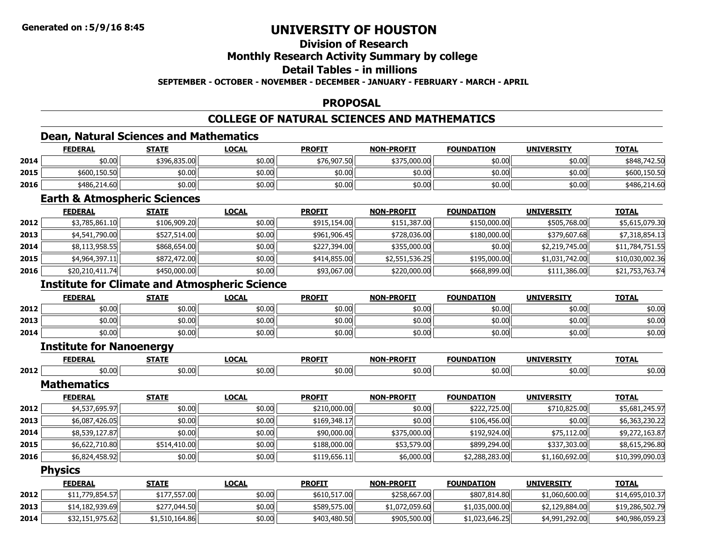# **Division of Research**

### **Monthly Research Activity Summary by college**

### **Detail Tables - in millions**

### **SEPTEMBER - OCTOBER - NOVEMBER - DECEMBER - JANUARY - FEBRUARY - MARCH - APRIL**

### **PROPOSAL**

### **COLLEGE OF NATURAL SCIENCES AND MATHEMATICS**

<u> 1989 - Johann Stoff, deutscher Stoff, der Stoff, der Stoff, der Stoff, der Stoff, der Stoff, der Stoff, der S</u>

### **Dean, Natural Sciences and Mathematics**

|      | <b>FEDERAL</b> | <b>STATE</b> | <u>LOCAL</u> | <b>PROFIT</b> | <b>NON-PROFIT</b> | <b>FOUNDATION</b> | <b>UNIVERSITY</b> | <b>TOTAL</b> |
|------|----------------|--------------|--------------|---------------|-------------------|-------------------|-------------------|--------------|
| 2014 | \$0.00         | \$396,835,00 | \$0.00       | \$76,907.50   | \$375,000.00      | \$0.00            | \$0.00            | \$848,742.50 |
| 2015 | \$600,150.50   | \$0.00       | \$0.00       | \$0.00        | \$0.00            | \$0.00            | ا00.00            | \$600,150.50 |
| 2016 | \$486,214.60   | \$0.00       | \$0.00       | \$0.00        | \$0.00            | \$0.00            | ا00.00            | \$486,214.60 |

### **Earth & Atmospheric Sciences**

|      | <b>FEDERAL</b>  | <b>STATE</b> | <b>LOCAL</b> | <b>PROFIT</b> | <b>NON-PROFIT</b> | <b>FOUNDATION</b> | <b>UNIVERSITY</b> | <b>TOTAL</b>    |
|------|-----------------|--------------|--------------|---------------|-------------------|-------------------|-------------------|-----------------|
| 2012 | \$3,785,861.10  | \$106,909.20 | \$0.00       | \$915,154,00  | \$151,387.00      | \$150,000.00      | \$505,768.00      | \$5,615,079.30  |
| 2013 | \$4,541,790.00  | \$527,514.00 | \$0.00       | \$961,906.45  | \$728,036.00      | \$180,000.00      | \$379,607.68      | \$7,318,854.13  |
| 2014 | \$8,113,958.55  | \$868,654.00 | \$0.00       | \$227,394.00  | \$355,000.00      | \$0.00            | \$2,219,745.00    | \$11,784,751.55 |
| 2015 | \$4,964,397.11  | \$872,472.00 | \$0.00       | \$414,855.00  | \$2,551,536.25    | \$195,000.00      | \$1,031,742.00    | \$10,030,002.36 |
| 2016 | \$20,210,411.74 | \$450,000.00 | \$0.00       | \$93,067.00   | \$220,000.00      | \$668,899.00      | \$111,386.00      | \$21,753,763.74 |

### **Institute for Climate and Atmospheric Science**

|      | <b>FEDERAL</b> | <b>STATE</b> | <u>LOCAL</u> | <b>PROFIT</b> | <b>NON-PROFIT</b> | <b>FOUNDATION</b> | <b>UNIVERSITY</b> | <b>TOTAL</b> |
|------|----------------|--------------|--------------|---------------|-------------------|-------------------|-------------------|--------------|
| 2012 | \$0.00         | \$0.00       | \$0.00       | \$0.00        | \$0.00            | \$0.00            | \$0.00            | \$0.00       |
| 2013 | \$0.00         | \$0.00       | \$0.00       | \$0.00        | \$0.00            | \$0.00            | \$0.00            | \$0.00       |
| 2014 | \$0.00         | \$0.00       | \$0.00       | \$0.00        | \$0.00            | \$0.00            | \$0.00            | \$0.00       |

### **Institute for Nanoenergy**

|      | <b>CENED!</b><br>- 53 | $- - - -$      | $\sim$ | <b>PROFIT</b>         | <b>N-PROFT</b><br>ผกม | <br>тог  | IINT<br>.                     | $T^{\sim}$      |
|------|-----------------------|----------------|--------|-----------------------|-----------------------|----------|-------------------------------|-----------------|
| 2012 | 0.005                 | $+0.05$<br>טיש | 0.00٪  | - - -<br>ሖጠ<br>ັນບ.ບບ | \$0.00                | ,,,,,,,, | $\sim$ $\sim$ $\sim$<br>,,,,, | $\sim$<br>⊅∪.∪u |

#### **Mathematics**

|      | <b>FEDERAL</b> | <b>STATE</b> | <b>LOCAL</b> | <b>PROFIT</b> | <b>NON-PROFIT</b> | <b>FOUNDATION</b> | <b>UNIVERSITY</b> | <b>TOTAL</b>    |
|------|----------------|--------------|--------------|---------------|-------------------|-------------------|-------------------|-----------------|
| 2012 | \$4,537,695.97 | \$0.00       | \$0.00       | \$210,000.00  | \$0.00            | \$222,725.00      | \$710,825.00      | \$5,681,245.97  |
| 2013 | \$6,087,426.05 | \$0.00       | \$0.00       | \$169,348.17  | \$0.00            | \$106,456,00      | \$0.00            | \$6,363,230.22  |
| 2014 | \$8,539,127.87 | \$0.00       | \$0.00       | \$90,000.00   | \$375,000.00      | \$192,924,00      | \$75,112.00       | \$9,272,163.87  |
| 2015 | \$6,622,710.80 | \$514,410.00 | \$0.00       | \$188,000.00  | \$53,579.00       | \$899,294.00      | \$337,303.00      | \$8,615,296.80  |
| 2016 | \$6,824,458.92 | \$0.00       | \$0.00       | \$119,656.11  | \$6,000.00        | \$2,288,283.00    | \$1,160,692.00    | \$10,399,090.03 |

#### **Physics**

|      | <b>FEDERAL</b>  | <b>STATE</b>   | <b>LOCAL</b> | <b>PROFIT</b> | <b>NON-PROFIT</b> | <b>FOUNDATION</b> | <b>UNIVERSITY</b> | <b>TOTAL</b>    |
|------|-----------------|----------------|--------------|---------------|-------------------|-------------------|-------------------|-----------------|
| 2012 | \$11,779,854.57 | \$177,557.00   | \$0.00       | \$610,517.00  | \$258,667,00      | \$807,814.80      | \$1,060,600.00    | \$14,695,010.37 |
| 2013 | \$14,182,939.69 | \$277,044.50   | \$0.00       | \$589,575.00  | \$1,072,059.60    | ا1,035,000.00 د   | \$2,129,884.00    | \$19,286,502.79 |
| 2014 | \$32,151,975.62 | \$1,510,164.86 | \$0.00       | \$403,480.50  | \$905,500.00      | \$1,023,646.25    | \$4,991,292.00    | \$40,986,059.23 |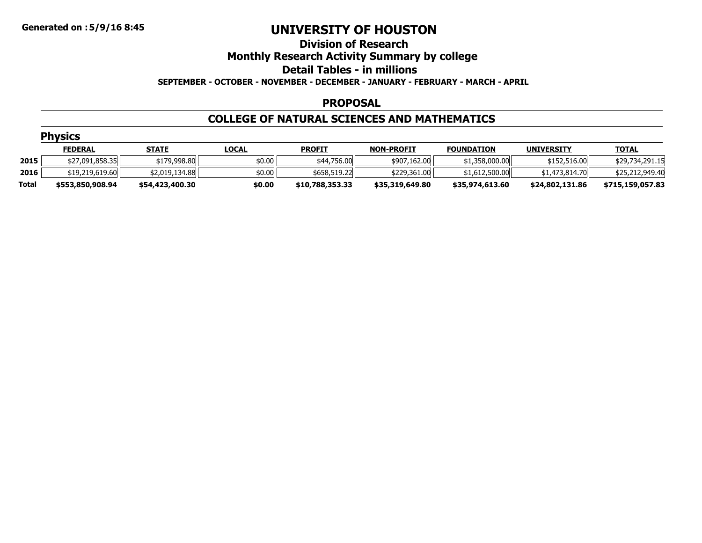### **Division of ResearchMonthly Research Activity Summary by college Detail Tables - in millions SEPTEMBER - OCTOBER - NOVEMBER - DECEMBER - JANUARY - FEBRUARY - MARCH - APRIL**

### **PROPOSAL**

### **COLLEGE OF NATURAL SCIENCES AND MATHEMATICS**

|       | <b>Physics</b>   |                 |              |                 |                   |                   |                   |                  |  |  |  |  |  |
|-------|------------------|-----------------|--------------|-----------------|-------------------|-------------------|-------------------|------------------|--|--|--|--|--|
|       | <b>FEDERAL</b>   | <u>STATE</u>    | <b>LOCAL</b> | <b>PROFIT</b>   | <b>NON-PROFIT</b> | <b>FOUNDATION</b> | <b>UNIVERSITY</b> | <b>TOTAL</b>     |  |  |  |  |  |
| 2015  | \$27,091,858.35  | \$179,998.80    | \$0.00       | \$44,756.00     | \$907,162.00      | \$1,358,000.00    | \$152,516.00      | \$29,734,291.15  |  |  |  |  |  |
| 2016  | \$19,219,619.60  | \$2,019,134.88  | \$0.00       | \$658,519.22    | \$229,361,00      | \$1,612,500.00    | \$1,473,814.70    | \$25,212,949.40  |  |  |  |  |  |
| Total | \$553,850,908.94 | \$54,423,400.30 | \$0.00       | \$10,788,353.33 | \$35,319,649.80   | \$35,974,613.60   | \$24,802,131.86   | \$715,159,057.83 |  |  |  |  |  |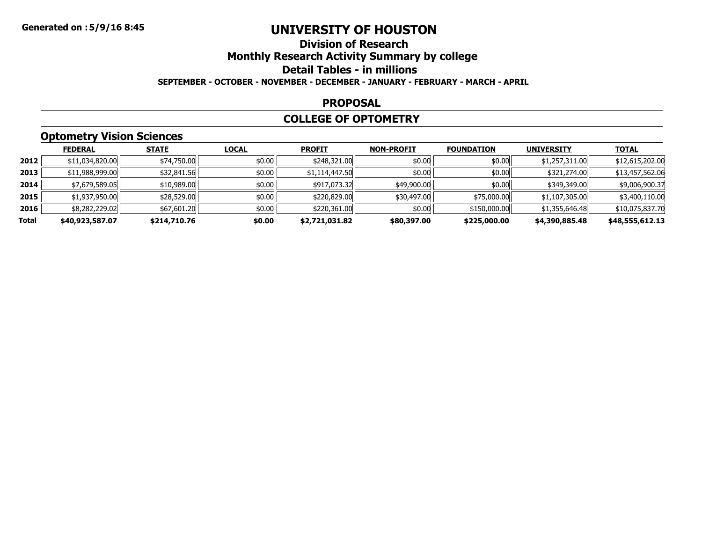### **Division of ResearchMonthly Research Activity Summary by college Detail Tables - in millions SEPTEMBER - OCTOBER - NOVEMBER - DECEMBER - JANUARY - FEBRUARY - MARCH - APRIL**

#### **PROPOSAL**

### **COLLEGE OF OPTOMETRY**

# **Optometry Vision Sciences**

|       | <b>FEDERAL</b>  | <b>STATE</b> | <b>LOCAL</b> | <b>PROFIT</b>  | <b>NON-PROFIT</b> | <b>FOUNDATION</b> | <b>UNIVERSITY</b> | <b>TOTAL</b>    |
|-------|-----------------|--------------|--------------|----------------|-------------------|-------------------|-------------------|-----------------|
| 2012  | \$11,034,820.00 | \$74,750.00  | \$0.00       | \$248,321.00   | \$0.00            | \$0.00            | \$1,257,311.00    | \$12,615,202.00 |
| 2013  | \$11,988,999.00 | \$32,841.56  | \$0.00       | \$1,114,447.50 | \$0.00            | \$0.00            | \$321,274.00      | \$13,457,562.06 |
| 2014  | \$7,679,589.05  | \$10,989.00  | \$0.00       | \$917,073.32   | \$49,900.00       | \$0.00            | \$349,349.00      | \$9,006,900.37  |
| 2015  | \$1,937,950.00  | \$28,529.00  | \$0.00       | \$220,829.00   | \$30,497.00       | \$75,000.00       | \$1,107,305.00    | \$3,400,110.00  |
| 2016  | \$8,282,229.02  | \$67,601.20  | \$0.00       | \$220,361.00   | \$0.00            | \$150,000.00      | \$1,355,646.48    | \$10,075,837.70 |
| Total | \$40,923,587.07 | \$214,710.76 | \$0.00       | \$2,721,031.82 | \$80,397.00       | \$225,000.00      | \$4,390,885.48    | \$48,555,612.13 |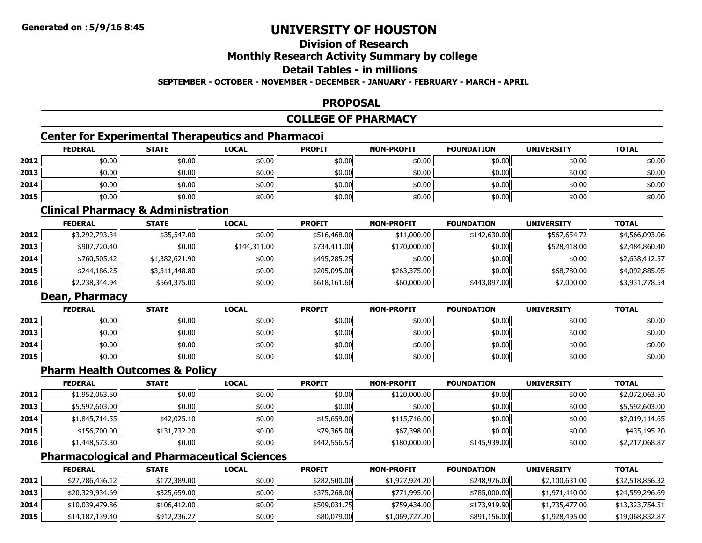# **Division of Research**

### **Monthly Research Activity Summary by college**

### **Detail Tables - in millions**

### **SEPTEMBER - OCTOBER - NOVEMBER - DECEMBER - JANUARY - FEBRUARY - MARCH - APRIL**

### **PROPOSAL**

### **COLLEGE OF PHARMACY**

# **Center for Experimental Therapeutics and Pharmacoi**

|      | <b>FEDERAL</b> | <b>STATE</b> | <b>LOCAL</b> | <b>PROFIT</b> | <b>NON-PROFIT</b> | <b>FOUNDATION</b> | <b>UNIVERSITY</b> | <u>TOTAL</u> |
|------|----------------|--------------|--------------|---------------|-------------------|-------------------|-------------------|--------------|
| 2012 | \$0.00         | \$0.00       | \$0.00       | \$0.00        | \$0.00            | \$0.00            | \$0.00            | \$0.00       |
| 2013 | \$0.00         | \$0.00       | \$0.00       | \$0.00        | \$0.00            | \$0.00            | \$0.00            | \$0.00       |
| 2014 | \$0.00         | \$0.00       | \$0.00       | \$0.00        | \$0.00            | \$0.00            | \$0.00            | \$0.00       |
| 2015 | \$0.00         | \$0.00       | \$0.00       | \$0.00        | \$0.00            | \$0.00            | \$0.00            | \$0.00       |

### **Clinical Pharmacy & Administration**

|      | <b>FEDERAL</b> | <b>STATE</b>   | <b>LOCAL</b> | <b>PROFIT</b> | <b>NON-PROFIT</b> | <b>FOUNDATION</b> | <b>UNIVERSITY</b> | <b>TOTAL</b>   |
|------|----------------|----------------|--------------|---------------|-------------------|-------------------|-------------------|----------------|
| 2012 | \$3,292,793.34 | \$35,547.00    | \$0.00       | \$516,468.00  | \$11,000.00       | \$142,630.00      | \$567,654.72      | \$4,566,093.06 |
| 2013 | \$907,720,40   | \$0.00         | \$144,311,00 | \$734,411,00  | \$170,000.00      | \$0.00            | \$528,418.00      | \$2,484,860.40 |
| 2014 | \$760,505.42   | \$1,382,621.90 | \$0.00       | \$495,285.25  | \$0.00            | \$0.00            | \$0.00            | \$2,638,412.57 |
| 2015 | \$244,186.25   | \$3,311,448.80 | \$0.00       | \$205,095.00  | \$263,375,00      | \$0.00            | \$68,780.00       | \$4,092,885.05 |
| 2016 | \$2,238,344.94 | \$564,375.00   | \$0.00       | \$618,161.60  | \$60,000.00       | \$443,897.00      | \$7,000.00        | \$3,931,778.54 |

### **Dean, Pharmacy**

|      | <b>FEDERAL</b> | <b>STATE</b> | <u>LOCAL</u> | <b>PROFIT</b> | <b>NON-PROFIT</b> | <b>FOUNDATION</b> | <b>UNIVERSITY</b> | <b>TOTAL</b> |
|------|----------------|--------------|--------------|---------------|-------------------|-------------------|-------------------|--------------|
| 2012 | \$0.00         | \$0.00       | \$0.00       | \$0.00        | \$0.00            | \$0.00            | \$0.00            | \$0.00       |
| 2013 | \$0.00         | \$0.00       | \$0.00       | \$0.00        | \$0.00            | \$0.00            | \$0.00            | \$0.00       |
| 2014 | \$0.00         | \$0.00       | \$0.00       | \$0.00        | \$0.00            | \$0.00            | \$0.00            | \$0.00       |
| 2015 | \$0.00         | \$0.00       | \$0.00       | \$0.00        | \$0.00            | \$0.00            | \$0.00            | \$0.00       |

# **Pharm Health Outcomes & Policy**

|      | <b>FEDERAL</b> | <b>STATE</b> | <u>LOCAL</u> | <b>PROFIT</b> | <b>NON-PROFIT</b> | <b>FOUNDATION</b> | <b>UNIVERSITY</b> | <b>TOTAL</b>   |
|------|----------------|--------------|--------------|---------------|-------------------|-------------------|-------------------|----------------|
| 2012 | \$1,952,063.50 | \$0.00       | \$0.00       | \$0.00        | \$120,000.00      | \$0.00            | \$0.00            | \$2,072,063.50 |
| 2013 | \$5,592,603.00 | \$0.00       | \$0.00       | \$0.00        | \$0.00            | \$0.00            | \$0.00            | \$5,592,603.00 |
| 2014 | \$1,845,714.55 | \$42,025.10  | \$0.00       | \$15,659.00   | \$115,716.00      | \$0.00            | \$0.00            | \$2,019,114.65 |
| 2015 | \$156,700.00   | \$131,732.20 | \$0.00       | \$79,365.00   | \$67,398.00       | \$0.00            | \$0.00            | \$435,195.20   |
| 2016 | \$1,448,573.30 | \$0.00       | \$0.00       | \$442,556.57  | \$180,000.00      | \$145,939.00      | \$0.00            | \$2,217,068.87 |

# **Pharmacological and Pharmaceutical Sciences**

|      | <b>FEDERAL</b>  | <b>STATE</b> | <u>LOCAL</u> | <b>PROFIT</b> | <b>NON-PROFIT</b> | <b>FOUNDATION</b> | <b>UNIVERSITY</b> | <b>TOTAL</b>    |
|------|-----------------|--------------|--------------|---------------|-------------------|-------------------|-------------------|-----------------|
| 2012 | \$27,786,436.12 | \$172,389.00 | \$0.00       | \$282,500.00  | \$1,927,924.20    | \$248,976,00      | \$2,100,631.00    | \$32,518,856.32 |
| 2013 | \$20,329,934.69 | \$325,659.00 | \$0.00       | \$375,268,00  | \$771,995,00      | \$785,000.00      | \$1,971,440.00    | \$24,559,296.69 |
| 2014 | \$10,039,479.86 | \$106,412.00 | \$0.00       | \$509,031.75  | \$759,434,00      | \$173,919,90      | \$1,735,477.00    | \$13,323,754.51 |
| 2015 | \$14,187,139.40 | \$912,236.27 | \$0.00       | \$80,079.00   | \$1,069,727.20    | \$891,156.00      | \$1,928,495.00    | \$19,068,832.87 |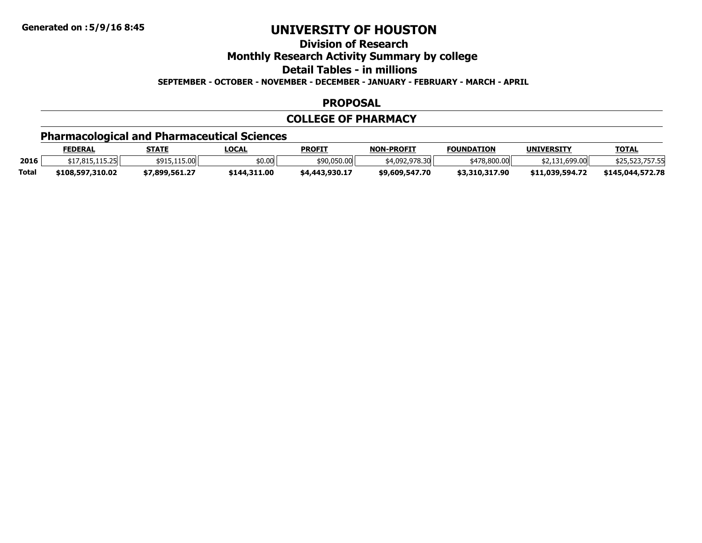**Division of Research**

**Monthly Research Activity Summary by college**

**Detail Tables - in millions**

**SEPTEMBER - OCTOBER - NOVEMBER - DECEMBER - JANUARY - FEBRUARY - MARCH - APRIL**

### **PROPOSAL**

### **COLLEGE OF PHARMACY**

# **Pharmacological and Pharmaceutical Sciences**

|              | <b>FEDERAL</b>   | STATE          | <u>LOCAL</u> | <b>PROFIT</b>  | <b>NON-PROFIT</b> | <b>FOUNDATION</b> | <b>UNIVERSITY</b> | <b>TOTAL</b>     |
|--------------|------------------|----------------|--------------|----------------|-------------------|-------------------|-------------------|------------------|
| 2016         | 17 915 115 75    | \$915.115.00   | \$0.00       | \$90,050.00    | 54.092.978.30     | \$478.800.00      | \$2,131,699.00    | \$25,325,757.331 |
| <b>Total</b> | \$108,597,310.02 | \$7.899.561.27 | \$144,311,00 | \$4,443,930.17 | \$9,609,547.70    | \$3,310,317.90    | \$11,039,594.72   | \$145,044,572,78 |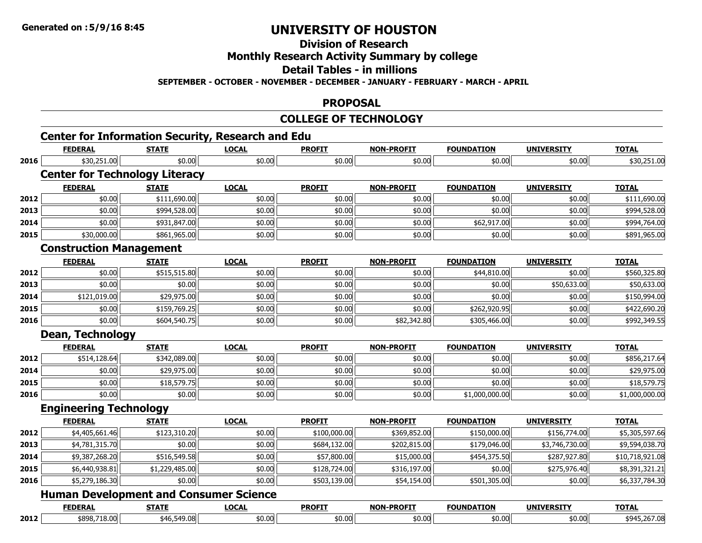**Division of Research**

**Monthly Research Activity Summary by college**

**Detail Tables - in millions**

**SEPTEMBER - OCTOBER - NOVEMBER - DECEMBER - JANUARY - FEBRUARY - MARCH - APRIL**

### **PROPOSAL**

### **COLLEGE OF TECHNOLOGY**

# **Center for Information Security, Research and Edu**

|      | <b>FEDERAL</b>                                | <b>STATE</b>   | <b>LOCAL</b> | <b>PROFIT</b> | <b>NON-PROFIT</b> | <b>FOUNDATION</b> | <b>UNIVERSITY</b> | <b>TOTAL</b>    |
|------|-----------------------------------------------|----------------|--------------|---------------|-------------------|-------------------|-------------------|-----------------|
| 2016 | \$30,251.00                                   | \$0.00         | \$0.00       | \$0.00        | \$0.00            | \$0.00            | \$0.00            | \$30,251.00     |
|      | <b>Center for Technology Literacy</b>         |                |              |               |                   |                   |                   |                 |
|      | <b>FEDERAL</b>                                | <b>STATE</b>   | <b>LOCAL</b> | <b>PROFIT</b> | <b>NON-PROFIT</b> | <b>FOUNDATION</b> | <b>UNIVERSITY</b> | <b>TOTAL</b>    |
| 2012 | \$0.00                                        | \$111,690.00   | \$0.00       | \$0.00        | \$0.00            | \$0.00            | \$0.00            | \$111,690.00    |
| 2013 | \$0.00                                        | \$994,528.00   | \$0.00       | \$0.00        | \$0.00            | \$0.00            | \$0.00            | \$994,528.00    |
| 2014 | \$0.00                                        | \$931,847.00   | \$0.00       | \$0.00        | \$0.00            | \$62,917.00       | \$0.00            | \$994,764.00    |
| 2015 | \$30,000.00                                   | \$861,965.00   | \$0.00       | \$0.00        | \$0.00            | \$0.00            | \$0.00            | \$891,965.00    |
|      | <b>Construction Management</b>                |                |              |               |                   |                   |                   |                 |
|      | <b>FEDERAL</b>                                | <b>STATE</b>   | <b>LOCAL</b> | <b>PROFIT</b> | <b>NON-PROFIT</b> | <b>FOUNDATION</b> | <b>UNIVERSITY</b> | <b>TOTAL</b>    |
| 2012 | \$0.00                                        | \$515,515.80   | \$0.00       | \$0.00        | \$0.00            | \$44,810.00       | \$0.00            | \$560,325.80    |
| 2013 | \$0.00                                        | \$0.00         | \$0.00       | \$0.00        | \$0.00            | \$0.00            | \$50,633.00       | \$50,633.00     |
| 2014 | \$121,019.00                                  | \$29,975.00    | \$0.00       | \$0.00        | \$0.00            | \$0.00            | \$0.00            | \$150,994.00    |
| 2015 | \$0.00                                        | \$159,769.25   | \$0.00       | \$0.00        | \$0.00            | \$262,920.95      | \$0.00            | \$422,690.20    |
| 2016 | \$0.00                                        | \$604,540.75   | \$0.00       | \$0.00        | \$82,342.80       | \$305,466.00      | \$0.00            | \$992,349.55    |
|      | <b>Dean, Technology</b>                       |                |              |               |                   |                   |                   |                 |
|      | <b>FEDERAL</b>                                | <b>STATE</b>   | <b>LOCAL</b> | <b>PROFIT</b> | <b>NON-PROFIT</b> | <b>FOUNDATION</b> | <b>UNIVERSITY</b> | <b>TOTAL</b>    |
| 2012 | \$514,128.64                                  | \$342,089.00   | \$0.00       | \$0.00        | \$0.00            | \$0.00            | \$0.00            | \$856,217.64    |
| 2014 | \$0.00                                        | \$29,975.00    | \$0.00       | \$0.00        | \$0.00            | \$0.00            | \$0.00            | \$29,975.00     |
| 2015 | \$0.00                                        | \$18,579.75    | \$0.00       | \$0.00        | \$0.00            | \$0.00            | \$0.00            | \$18,579.75     |
| 2016 | \$0.00                                        | \$0.00         | \$0.00       | \$0.00        | \$0.00            | \$1,000,000.00    | \$0.00            | \$1,000,000.00  |
|      | <b>Engineering Technology</b>                 |                |              |               |                   |                   |                   |                 |
|      | <b>FEDERAL</b>                                | <b>STATE</b>   | <b>LOCAL</b> | <b>PROFIT</b> | <b>NON-PROFIT</b> | <b>FOUNDATION</b> | <b>UNIVERSITY</b> | <b>TOTAL</b>    |
| 2012 | \$4,405,661.46                                | \$123,310.20   | \$0.00       | \$100,000.00  | \$369,852.00      | \$150,000.00      | \$156,774.00      | \$5,305,597.66  |
| 2013 | \$4,781,315.70                                | \$0.00         | \$0.00       | \$684,132.00  | \$202,815.00      | \$179,046.00      | \$3,746,730.00    | \$9,594,038.70  |
| 2014 | \$9,387,268.20                                | \$516,549.58   | \$0.00       | \$57,800.00   | \$15,000.00       | \$454,375.50      | \$287,927.80      | \$10,718,921.08 |
| 2015 | \$6,440,938.81                                | \$1,229,485.00 | \$0.00       | \$128,724.00  | \$316,197.00      | \$0.00            | \$275,976.40      | \$8,391,321.21  |
| 2016 | \$5,279,186.30                                | \$0.00         | \$0.00       | \$503,139.00  | \$54,154.00       | \$501,305.00      | \$0.00            | \$6,337,784.30  |
|      | <b>Human Development and Consumer Science</b> |                |              |               |                   |                   |                   |                 |
|      | <b>FEDERAL</b>                                | <b>STATE</b>   | <b>LOCAL</b> | <b>PROFIT</b> | <b>NON-PROFIT</b> | <b>FOUNDATION</b> | <b>UNIVERSITY</b> | <b>TOTAL</b>    |
| 2012 | \$898,718.00                                  | \$46,549.08    | \$0.00       | \$0.00        | \$0.00            | \$0.00            | \$0.00            | \$945,267.08    |

\$898,718.00 \$46,549.08 \$0.00 \$0.00 \$0.00 \$0.00 \$0.00 \$945,267.08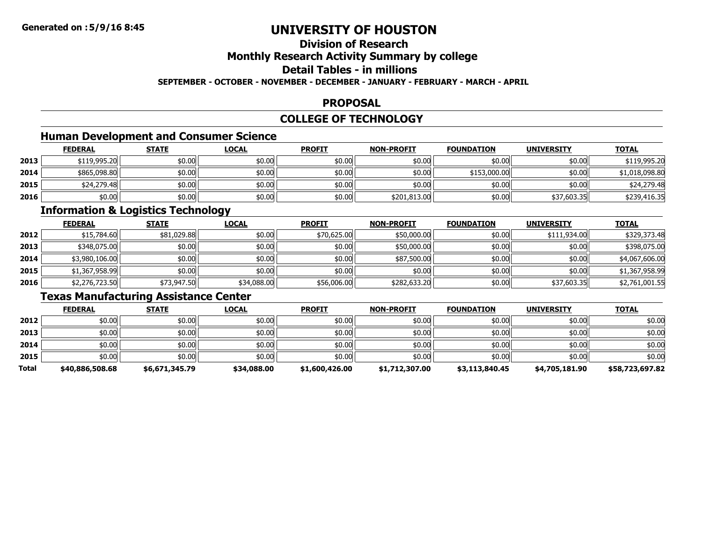# **Division of ResearchMonthly Research Activity Summary by college Detail Tables - in millions**

**SEPTEMBER - OCTOBER - NOVEMBER - DECEMBER - JANUARY - FEBRUARY - MARCH - APRIL**

### **PROPOSAL**

### **COLLEGE OF TECHNOLOGY**

# **Human Development and Consumer Science**

|      | <b>FEDERAL</b> | <b>STATE</b> | <u>LOCAL</u> | <b>PROFIT</b> | <b>NON-PROFIT</b> | <b>FOUNDATION</b> | <b>UNIVERSITY</b> | <b>TOTAL</b>   |
|------|----------------|--------------|--------------|---------------|-------------------|-------------------|-------------------|----------------|
| 2013 | \$119,995.20   | \$0.00       | \$0.00       | \$0.00        | \$0.00            | \$0.00            | \$0.00            | \$119,995.20   |
| 2014 | \$865,098.80   | \$0.00       | \$0.00       | \$0.00        | \$0.00            | \$153,000.00      | \$0.00            | \$1,018,098.80 |
| 2015 | \$24,279.48    | \$0.00       | \$0.00       | \$0.00        | \$0.00            | \$0.00            | \$0.00            | \$24,279.48    |
| 2016 | \$0.00         | \$0.00       | \$0.00       | \$0.00        | \$201,813.00      | \$0.00            | \$37,603.35       | \$239,416.35   |

### **Information & Logistics Technology**

|      | <b>FEDERAL</b> | <b>STATE</b> | <b>LOCAL</b> | <b>PROFIT</b> | <b>NON-PROFIT</b> | <b>FOUNDATION</b> | <b>UNIVERSITY</b> | <b>TOTAL</b>   |
|------|----------------|--------------|--------------|---------------|-------------------|-------------------|-------------------|----------------|
| 2012 | \$15,784.60    | \$81,029.88  | \$0.00       | \$70,625.00   | \$50,000.00       | \$0.00            | \$111,934.00      | \$329,373.48   |
| 2013 | \$348,075.00   | \$0.00       | \$0.00       | \$0.00        | \$50,000.00       | \$0.00            | \$0.00            | \$398,075.00   |
| 2014 | \$3,980,106.00 | \$0.00       | \$0.00       | \$0.00        | \$87,500.00       | \$0.00            | \$0.00            | \$4,067,606.00 |
| 2015 | \$1,367,958.99 | \$0.00∥      | \$0.00       | \$0.00        | \$0.00            | \$0.00            | \$0.00            | \$1,367,958.99 |
| 2016 | \$2,276,723.50 | \$73,947.50  | \$34,088.00  | \$56,006.00   | \$282,633.20      | \$0.00            | \$37,603.35       | \$2,761,001.55 |

### **Texas Manufacturing Assistance Center**

|       | <b>FEDERAL</b>  | <b>STATE</b>   | <b>LOCAL</b> | <b>PROFIT</b>  | <b>NON-PROFIT</b> | <b>FOUNDATION</b> | <b>UNIVERSITY</b> | <b>TOTAL</b>    |
|-------|-----------------|----------------|--------------|----------------|-------------------|-------------------|-------------------|-----------------|
| 2012  | \$0.00          | \$0.00         | \$0.00       | \$0.00         | \$0.00            | \$0.00            | \$0.00            | \$0.00          |
| 2013  | \$0.00          | \$0.00         | \$0.00       | \$0.00         | \$0.00            | \$0.00            | \$0.00            | \$0.00          |
| 2014  | ا so.oo         | \$0.00         | \$0.00       | \$0.00         | \$0.00            | \$0.00            | \$0.00            | \$0.00          |
| 2015  | \$0.00          | \$0.00         | \$0.00       | \$0.00         | \$0.00            | \$0.00            | \$0.00            | \$0.00          |
| Total | \$40,886,508.68 | \$6,671,345.79 | \$34,088.00  | \$1,600,426.00 | \$1,712,307.00    | \$3,113,840.45    | \$4,705,181.90    | \$58,723,697.82 |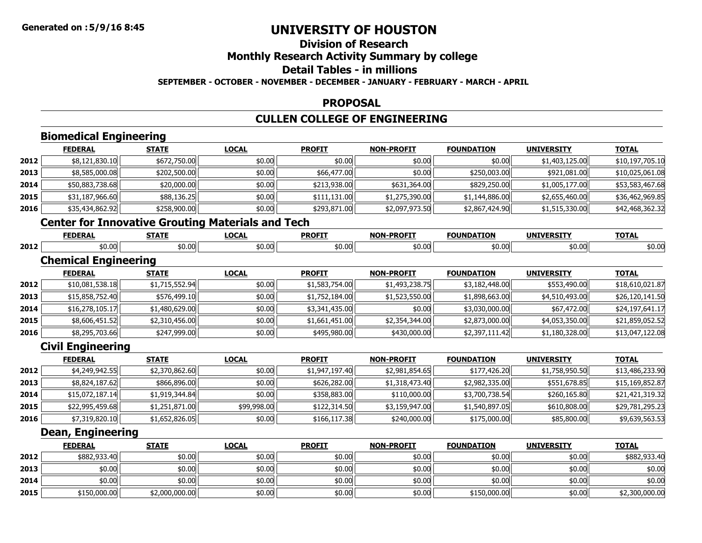**2015**

# **UNIVERSITY OF HOUSTON**

# **Division of Research**

# **Monthly Research Activity Summary by college**

#### **Detail Tables - in millions**

#### **SEPTEMBER - OCTOBER - NOVEMBER - DECEMBER - JANUARY - FEBRUARY - MARCH - APRIL**

#### **PROPOSAL**

# **CULLEN COLLEGE OF ENGINEERING**

|      | <b>Biomedical Engineering</b>                            |                |              |                |                   |                   |                   |                 |
|------|----------------------------------------------------------|----------------|--------------|----------------|-------------------|-------------------|-------------------|-----------------|
|      | <b>FEDERAL</b>                                           | <b>STATE</b>   | <b>LOCAL</b> | <b>PROFIT</b>  | <b>NON-PROFIT</b> | <b>FOUNDATION</b> | <b>UNIVERSITY</b> | <b>TOTAL</b>    |
| 2012 | \$8,121,830.10                                           | \$672,750.00   | \$0.00       | \$0.00         | \$0.00            | \$0.00            | \$1,403,125.00    | \$10,197,705.10 |
| 2013 | \$8,585,000.08                                           | \$202,500.00   | \$0.00       | \$66,477.00    | \$0.00            | \$250,003.00      | \$921,081.00      | \$10,025,061.08 |
| 2014 | \$50,883,738.68                                          | \$20,000.00    | \$0.00       | \$213,938.00   | \$631,364.00      | \$829,250.00      | \$1,005,177.00    | \$53,583,467.68 |
| 2015 | \$31,187,966.60                                          | \$88,136.25    | \$0.00       | \$111,131.00   | \$1,275,390.00    | \$1,144,886.00    | \$2,655,460.00    | \$36,462,969.85 |
| 2016 | \$35,434,862.92                                          | \$258,900.00   | \$0.00       | \$293,871.00   | \$2,097,973.50    | \$2,867,424.90    | \$1,515,330.00    | \$42,468,362.32 |
|      | <b>Center for Innovative Grouting Materials and Tech</b> |                |              |                |                   |                   |                   |                 |
|      | <b>FEDERAL</b>                                           | <b>STATE</b>   | <b>LOCAL</b> | <b>PROFIT</b>  | <b>NON-PROFIT</b> | <b>FOUNDATION</b> | <b>UNIVERSITY</b> | <b>TOTAL</b>    |
| 2012 | \$0.00                                                   | \$0.00         | \$0.00       | \$0.00         | \$0.00            | \$0.00            | \$0.00            | \$0.00          |
|      | <b>Chemical Engineering</b>                              |                |              |                |                   |                   |                   |                 |
|      | <b>FEDERAL</b>                                           | <b>STATE</b>   | <b>LOCAL</b> | <b>PROFIT</b>  | <b>NON-PROFIT</b> | <b>FOUNDATION</b> | <b>UNIVERSITY</b> | <b>TOTAL</b>    |
| 2012 | \$10,081,538.18                                          | \$1,715,552.94 | \$0.00       | \$1,583,754.00 | \$1,493,238.75    | \$3,182,448.00    | \$553,490.00      | \$18,610,021.87 |
| 2013 | \$15,858,752.40                                          | \$576,499.10   | \$0.00       | \$1,752,184.00 | \$1,523,550.00    | \$1,898,663.00    | \$4,510,493.00    | \$26,120,141.50 |
| 2014 | \$16,278,105.17                                          | \$1,480,629.00 | \$0.00       | \$3,341,435.00 | \$0.00            | \$3,030,000.00    | \$67,472.00       | \$24,197,641.17 |
| 2015 | \$8,606,451.52                                           | \$2,310,456.00 | \$0.00       | \$1,661,451.00 | \$2,354,344.00    | \$2,873,000.00    | \$4,053,350.00    | \$21,859,052.52 |
| 2016 | \$8,295,703.66                                           | \$247,999.00   | \$0.00       | \$495,980.00   | \$430,000.00      | \$2,397,111.42    | \$1,180,328.00    | \$13,047,122.08 |
|      | <b>Civil Engineering</b>                                 |                |              |                |                   |                   |                   |                 |
|      | <b>FEDERAL</b>                                           | <b>STATE</b>   | <b>LOCAL</b> | <b>PROFIT</b>  | <b>NON-PROFIT</b> | <b>FOUNDATION</b> | <b>UNIVERSITY</b> | <b>TOTAL</b>    |
| 2012 | \$4,249,942.55                                           | \$2,370,862.60 | \$0.00       | \$1,947,197.40 | \$2,981,854.65    | \$177,426.20      | \$1,758,950.50    | \$13,486,233.90 |
| 2013 | \$8,824,187.62                                           | \$866,896.00   | \$0.00       | \$626,282.00   | \$1,318,473.40    | \$2,982,335.00    | \$551,678.85      | \$15,169,852.87 |
| 2014 | \$15,072,187.14                                          | \$1,919,344.84 | \$0.00       | \$358,883.00   | \$110,000.00      | \$3,700,738.54    | \$260,165.80      | \$21,421,319.32 |
| 2015 | \$22,995,459.68                                          | \$1,251,871.00 | \$99,998.00  | \$122,314.50   | \$3,159,947.00    | \$1,540,897.05    | \$610,808.00      | \$29,781,295.23 |
| 2016 | \$7,319,820.10                                           | \$1,652,826.05 | \$0.00       | \$166,117.38   | \$240,000.00      | \$175,000.00      | \$85,800.00       | \$9,639,563.53  |
|      | <b>Dean, Engineering</b>                                 |                |              |                |                   |                   |                   |                 |
|      | <b>FEDERAL</b>                                           | <b>STATE</b>   | <b>LOCAL</b> | <b>PROFIT</b>  | <b>NON-PROFIT</b> | <b>FOUNDATION</b> | <b>UNIVERSITY</b> | <b>TOTAL</b>    |
| 2012 | \$882,933.40                                             | \$0.00         | \$0.00       | \$0.00         | \$0.00            | \$0.00            | \$0.00            | \$882,933.40    |
| 2013 | \$0.00                                                   | \$0.00         | \$0.00       | \$0.00         | \$0.00            | \$0.00            | \$0.00            | \$0.00          |
| 2014 | \$0.00                                                   | \$0.00         | \$0.00       | \$0.00         | \$0.00            | \$0.00            | \$0.00            | \$0.00          |

\$150,000.00 \$2,000,000.00 \$0.00 \$0.00 \$0.00 \$150,000.00 \$0.00 \$2,300,000.00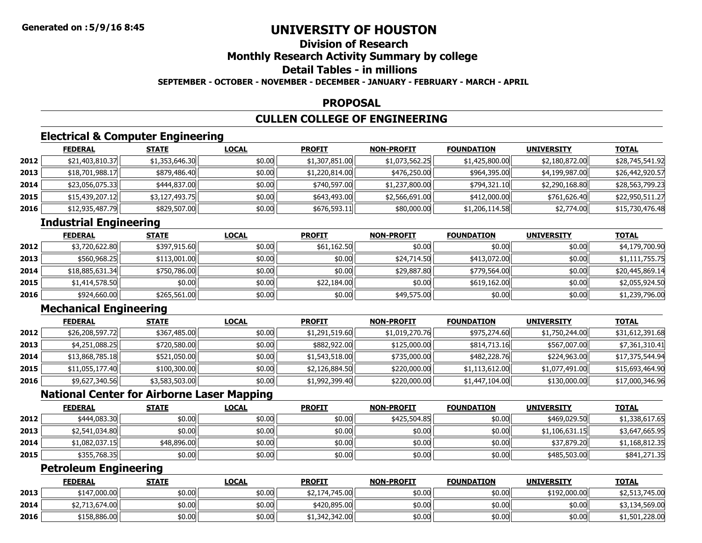### **Division of ResearchMonthly Research Activity Summary by college Detail Tables - in millionsSEPTEMBER - OCTOBER - NOVEMBER - DECEMBER - JANUARY - FEBRUARY - MARCH - APRIL**

### **PROPOSAL**

### **CULLEN COLLEGE OF ENGINEERING**

### **Electrical & Computer Engineering**

|      | <b>FEDERAL</b>  | <b>STATE</b>   | <u>LOCAL</u> | <b>PROFIT</b>  | <b>NON-PROFIT</b> | <b>FOUNDATION</b> | <b>UNIVERSITY</b> | <b>TOTAL</b>    |
|------|-----------------|----------------|--------------|----------------|-------------------|-------------------|-------------------|-----------------|
| 2012 | \$21,403,810.37 | \$1,353,646.30 | \$0.00       | \$1,307,851.00 | \$1,073,562.25    | \$1,425,800.00    | \$2,180,872.00    | \$28,745,541.92 |
| 2013 | \$18,701,988.17 | \$879,486.40   | \$0.00       | \$1,220,814.00 | \$476,250.00      | \$964,395.00      | \$4,199,987.00    | \$26,442,920.57 |
| 2014 | \$23,056,075.33 | \$444,837.00   | \$0.00       | \$740,597.00   | \$1,237,800.00    | \$794,321.10      | \$2,290,168.80    | \$28,563,799.23 |
| 2015 | \$15,439,207.12 | \$3,127,493.75 | \$0.00       | \$643,493.00   | \$2,566,691.00    | \$412,000.00      | \$761,626.40      | \$22,950,511.27 |
| 2016 | \$12,935,487.79 | \$829,507.00   | \$0.00       | \$676,593.11   | \$80,000.00       | \$1,206,114.58    | \$2,774.00        | \$15,730,476.48 |

# **Industrial Engineering**

|      | <b>FEDERAL</b>  | <b>STATE</b> | <b>LOCAL</b> | <b>PROFIT</b> | <b>NON-PROFIT</b> | <b>FOUNDATION</b> | <b>UNIVERSITY</b> | <b>TOTAL</b>    |
|------|-----------------|--------------|--------------|---------------|-------------------|-------------------|-------------------|-----------------|
| 2012 | \$3,720,622.80  | \$397,915,60 | \$0.00       | \$61,162.50   | \$0.00            | \$0.00 l          | \$0.00            | \$4,179,700.90  |
| 2013 | \$560,968.25    | \$113,001.00 | \$0.00       | \$0.00        | \$24,714.50       | \$413,072.00      | \$0.00            | \$1,111,755.75  |
| 2014 | \$18,885,631.34 | \$750,786.00 | \$0.00       | \$0.00        | \$29,887.80       | \$779,564.00      | \$0.00            | \$20,445,869.14 |
| 2015 | \$1,414,578.50  | \$0.00       | \$0.00       | \$22,184.00   | \$0.00            | \$619,162.00      | \$0.00            | \$2,055,924.50  |
| 2016 | \$924,660.00    | \$265,561.00 | \$0.00       | \$0.00        | \$49,575.00       | \$0.00            | \$0.00            | \$1,239,796.00  |

# **Mechanical Engineering**

|      | <b>FEDERAL</b>  | <b>STATE</b>   | <b>LOCAL</b> | <b>PROFIT</b>  | <b>NON-PROFIT</b> | <b>FOUNDATION</b> | <b>UNIVERSITY</b> | <b>TOTAL</b>    |
|------|-----------------|----------------|--------------|----------------|-------------------|-------------------|-------------------|-----------------|
| 2012 | \$26,208,597.72 | \$367,485.00   | \$0.00       | \$1,291,519.60 | \$1,019,270.76    | \$975,274.60      | \$1,750,244.00    | \$31,612,391.68 |
| 2013 | \$4,251,088.25  | \$720,580.00   | \$0.00       | \$882,922.00   | \$125,000.00      | \$814,713.16      | \$567,007.00      | \$7,361,310.41  |
| 2014 | \$13,868,785.18 | \$521,050.00   | \$0.00       | \$1,543,518.00 | \$735,000.00      | \$482,228.76      | \$224,963.00      | \$17,375,544.94 |
| 2015 | \$11,055,177.40 | \$100,300.00   | \$0.00       | \$2,126,884.50 | \$220,000.00      | \$1,113,612.00    | \$1,077,491.00    | \$15,693,464.90 |
| 2016 | \$9,627,340.56  | \$3,583,503.00 | \$0.00       | \$1,992,399.40 | \$220,000.00      | \$1,447,104.00    | \$130,000.00      | \$17,000,346.96 |

# **National Center for Airborne Laser Mapping**

|      | <b>FEDERAL</b> | <b>STATE</b> | <b>LOCAL</b> | <b>PROFIT</b> | <b>NON-PROFIT</b> | <b>FOUNDATION</b> | <b>UNIVERSITY</b> | <b>TOTAL</b>   |
|------|----------------|--------------|--------------|---------------|-------------------|-------------------|-------------------|----------------|
| 2012 | \$444,083,30   | \$0.00       | \$0.00       | \$0.00        | \$425,504.85      | \$0.00            | \$469,029.50      | \$1,338,617.65 |
| 2013 | \$2,541,034.80 | \$0.00       | \$0.00       | \$0.00        | \$0.00            | \$0.00            | \$1,106,631.15    | \$3,647,665.95 |
| 2014 | \$1,082,037.15 | \$48,896.00  | \$0.00       | \$0.00        | \$0.00            | \$0.00            | \$37,879.20       | \$1,168,812.35 |
| 2015 | \$355,768.35   | \$0.00       | \$0.00       | \$0.00        | \$0.00            | \$0.00            | \$485,503.00      | \$841,271.35   |

### **Petroleum Engineering**

|      | <b>FEDERAL</b> | <b>STATE</b> | <b>LOCAL</b> | <b>PROFIT</b>        | <b>NON-PROFIT</b> | <b>FOUNDATION</b> | <b>UNIVERSITY</b> | <b>TOTAL</b>   |
|------|----------------|--------------|--------------|----------------------|-------------------|-------------------|-------------------|----------------|
| 2013 | \$147,000.00   | \$0.00       | \$0.00       | ,174,745.00<br>DZ, L | \$0.00            | \$0.00            | \$192,000.00      | \$2,513,745.00 |
| 2014 | \$2,713,674.00 | \$0.00       | \$0.00       | \$420,895,00         | \$0.00            | \$0.00            | \$0.00            | \$3,134,569.00 |
| 2016 | \$158,886.00   | \$0.00       | \$0.00       | \$1,342,342.00       | \$0.00            | \$0.00            | \$0.00            | \$1,501,228.00 |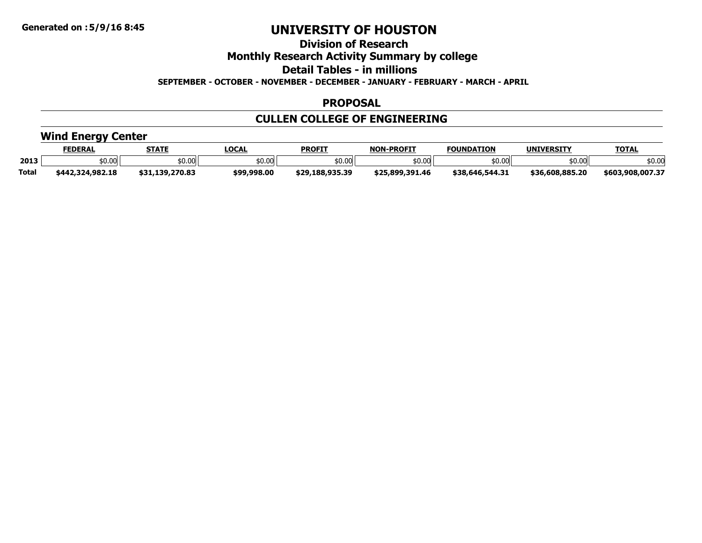**Division of Research**

**Monthly Research Activity Summary by college**

**Detail Tables - in millions**

**SEPTEMBER - OCTOBER - NOVEMBER - DECEMBER - JANUARY - FEBRUARY - MARCH - APRIL**

### **PROPOSAL**

# **CULLEN COLLEGE OF ENGINEERING**

# **Wind Energy Center**

|              | <b>FEDERAL</b>   | <b>STATE</b>    | <b>LOCAL</b> | <b>PROFIT</b>   | <b>NON</b><br><b>-PROFIT</b> | <b>FOUNDATION</b> | <b>UNIVERSITY</b> | <b>TOTAL</b>     |
|--------------|------------------|-----------------|--------------|-----------------|------------------------------|-------------------|-------------------|------------------|
| 2013         | ትስ ስስ<br>JU.UU   | \$0.00          | \$0.00       | \$0.00          | \$0.00                       | :0.00             | \$0.00            | \$0.00           |
| <b>Total</b> | \$442,324,982.18 | \$31,139,270.83 | \$99,998.00  | \$29.188.935.39 | \$25,899,391.46              | \$38,646,544.31   | \$36.608.885.20   | \$603,908,007.37 |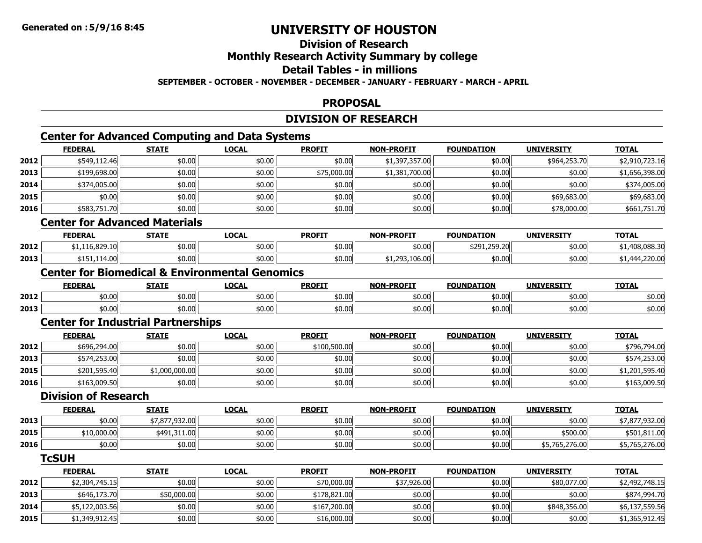# **Division of Research**

### **Monthly Research Activity Summary by college**

### **Detail Tables - in millions**

#### **SEPTEMBER - OCTOBER - NOVEMBER - DECEMBER - JANUARY - FEBRUARY - MARCH - APRIL**

#### **PROPOSAL**

### **DIVISION OF RESEARCH**

# **Center for Advanced Computing and Data Systems**

|      | <b>FEDERAL</b> | <b>STATE</b> | <b>LOCAL</b> | <b>PROFIT</b> | <b>NON-PROFIT</b> | <b>FOUNDATION</b> | <b>UNIVERSITY</b> | <b>TOTAL</b>   |
|------|----------------|--------------|--------------|---------------|-------------------|-------------------|-------------------|----------------|
| 2012 | \$549,112.46   | \$0.00       | \$0.00       | \$0.00        | \$1,397,357.00    | \$0.00            | \$964,253.70      | \$2,910,723.16 |
| 2013 | \$199,698.00   | \$0.00       | \$0.00       | \$75,000.00   | \$1,381,700.00    | \$0.00            | \$0.00            | \$1,656,398.00 |
| 2014 | \$374,005.00   | \$0.00       | \$0.00       | \$0.00        | \$0.00            | \$0.00            | \$0.00            | \$374,005.00   |
| 2015 | \$0.00         | \$0.00       | \$0.00       | \$0.00        | \$0.00            | \$0.00            | \$69,683.00       | \$69,683.00    |
| 2016 | \$583,751.70   | \$0.00       | \$0.00       | \$0.00        | \$0.00            | \$0.00            | \$78,000.00       | \$661,751.70   |
|      | ----<br>- - -  | .            |              |               |                   |                   |                   |                |

#### **Center for Advanced Materials**

|      | <b>FEDERAL</b>                          | <b>STATE</b> | LOCAL  | <b>PROFIT</b> | <b>NON-PROFIT</b> | <b>FOUNDATION</b>                           | <b>UNIVERSITY</b> | <b>TOTAL</b>     |
|------|-----------------------------------------|--------------|--------|---------------|-------------------|---------------------------------------------|-------------------|------------------|
| 2012 | $\sim$ 0.30 $\pm$ 0.<br>,,<br>10.029.10 | \$0.00       | \$0.00 | \$0.00        | \$0.00            | 250.20<br>t 291<br><b>11</b><br>9291.299.20 | 50.00 l           | 108.088.30       |
| 2013 | \$151.114.00                            | \$0.00       | \$0.00 | \$0.00        | ال0.001,393,د ب   | \$0.00                                      | 10.00             | 4,220.00<br>. ۲۵ |

#### **Center for Biomedical & Environmental Genomics**

|      | <b>FEDERAI</b> | <br>,,,,,,       | LOCAI  | <b>PROFIT</b> | <b>NON-PROFIT</b> | <b>TON</b><br><b>FOUNDA</b> | UNIVERSITY | <b>TAT</b><br>UIAI                                       |
|------|----------------|------------------|--------|---------------|-------------------|-----------------------------|------------|----------------------------------------------------------|
| 2012 | \$0.00         | $+0.00$<br>JU.UU | \$0.00 | \$0.00        | \$0.00            | \$0.00                      | \$0.00     | $\triangle$ $\triangle$ $\triangle$ $\triangle$<br>⊅∪.∪ບ |
| 2013 | \$0.00         | $+0.00$<br>טט.טע | \$0.00 | \$0.00        | \$0.00            | 50.00                       | \$0.00     | $\sim$ $\sim$<br>50.UU                                   |

### **Center for Industrial Partnerships**

|      | <b>FEDERAL</b> | <b>STATE</b>   | <u>LOCAL</u> | <b>PROFIT</b> | <b>NON-PROFIT</b> | <b>FOUNDATION</b> | <b>UNIVERSITY</b> | <b>TOTAL</b>   |
|------|----------------|----------------|--------------|---------------|-------------------|-------------------|-------------------|----------------|
| 2012 | \$696,294.00   | \$0.00         | \$0.00       | \$100,500.00  | \$0.00            | \$0.00            | \$0.00            | \$796,794.00   |
| 2013 | \$574,253.00   | \$0.00         | \$0.00       | \$0.00        | \$0.00            | \$0.00            | \$0.00            | \$574,253.00   |
| 2015 | \$201,595.40   | \$1,000,000.00 | \$0.00       | \$0.00        | \$0.00            | \$0.00            | \$0.00            | \$1,201,595.40 |
| 2016 | \$163,009.50   | \$0.00         | \$0.00       | \$0.00        | \$0.00            | \$0.00            | \$0.00            | \$163,009.50   |

#### **Division of Research**

|      | <b>FEDERAL</b> | <b>STATE</b>   | LOCAL  | <b>PROFIT</b> | <b>NON-PROFIT</b> | <b>FOUNDATION</b> | <b>UNIVERSITY</b> | <b>TOTAL</b>   |
|------|----------------|----------------|--------|---------------|-------------------|-------------------|-------------------|----------------|
| 2013 | \$0.00         | \$7,877,932.00 | \$0.00 | \$0.00        | \$0.00            | \$0.00            | \$0.00            | \$7,877,932.00 |
| 2015 | \$10,000.00    | \$491,311.00   | \$0.00 | \$0.00        | \$0.00            | \$0.00            | \$500.00          | \$501,811.00   |
| 2016 | \$0.00         | \$0.00         | \$0.00 | \$0.00        | \$0.00            | \$0.00            | \$5,765,276.00    | \$5,765,276.00 |

#### **TcSUH**

|      | <b>FEDERAL</b> | <b>STATE</b> | <u>LOCAL</u> | <b>PROFIT</b> | <b>NON-PROFIT</b> | <b>FOUNDATION</b> | <b>UNIVERSITY</b> | <b>TOTAL</b>   |
|------|----------------|--------------|--------------|---------------|-------------------|-------------------|-------------------|----------------|
| 2012 | \$2,304,745.15 | \$0.00       | \$0.00       | \$70,000.00   | \$37,926.00       | \$0.00            | \$80,077.00       | \$2,492,748.15 |
| 2013 | \$646,173.70   | \$50,000.00  | \$0.00       | \$178,821.00  | \$0.00            | \$0.00            | \$0.00            | \$874,994.70   |
| 2014 | \$5,122,003.56 | \$0.00       | \$0.00       | \$167,200.00  | \$0.00            | \$0.00            | \$848,356.00      | \$6,137,559.56 |
| 2015 | \$1,349,912.45 | \$0.00       | \$0.00       | \$16,000.00   | \$0.00            | \$0.00            | \$0.00            | \$1,365,912.45 |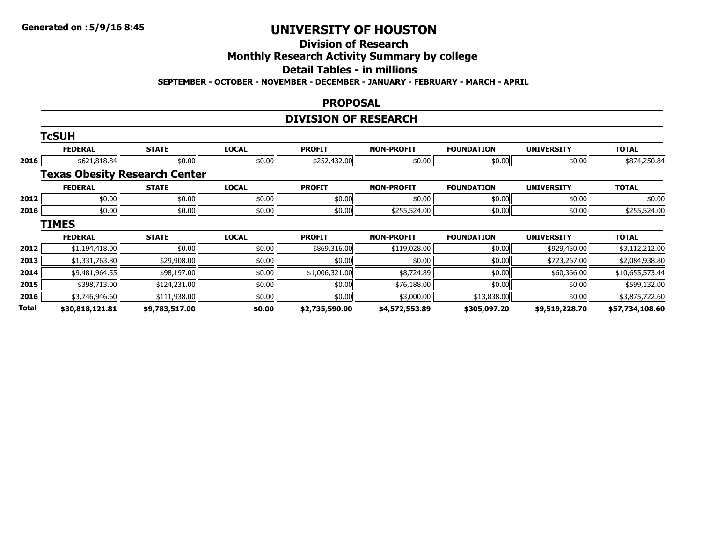# **Division of Research**

### **Monthly Research Activity Summary by college**

### **Detail Tables - in millions**

**SEPTEMBER - OCTOBER - NOVEMBER - DECEMBER - JANUARY - FEBRUARY - MARCH - APRIL**

#### **PROPOSAL**

# **DIVISION OF RESEARCH**

|       | <b>TcSUH</b>                         |                |              |                |                   |                   |                   |                 |
|-------|--------------------------------------|----------------|--------------|----------------|-------------------|-------------------|-------------------|-----------------|
|       | <b>FEDERAL</b>                       | <b>STATE</b>   | <b>LOCAL</b> | <b>PROFIT</b>  | <b>NON-PROFIT</b> | <b>FOUNDATION</b> | <b>UNIVERSITY</b> | <b>TOTAL</b>    |
| 2016  | \$621,818.84                         | \$0.00         | \$0.00       | \$252,432.00   | \$0.00            | \$0.00            | \$0.00            | \$874,250.84    |
|       | <b>Texas Obesity Research Center</b> |                |              |                |                   |                   |                   |                 |
|       | <b>FEDERAL</b>                       | <b>STATE</b>   | <b>LOCAL</b> | <b>PROFIT</b>  | <b>NON-PROFIT</b> | <b>FOUNDATION</b> | <b>UNIVERSITY</b> | <b>TOTAL</b>    |
| 2012  | \$0.00                               | \$0.00         | \$0.00       | \$0.00         | \$0.00            | \$0.00            | \$0.00            | \$0.00          |
| 2016  | \$0.00                               | \$0.00         | \$0.00       | \$0.00         | \$255,524.00      | \$0.00            | \$0.00            | \$255,524.00    |
|       | <b>TIMES</b>                         |                |              |                |                   |                   |                   |                 |
|       | <b>FEDERAL</b>                       | <b>STATE</b>   | <b>LOCAL</b> | <b>PROFIT</b>  | <b>NON-PROFIT</b> | <b>FOUNDATION</b> | <b>UNIVERSITY</b> | <b>TOTAL</b>    |
| 2012  | \$1,194,418.00                       | \$0.00         | \$0.00       | \$869,316.00   | \$119,028.00      | \$0.00            | \$929,450.00      | \$3,112,212.00  |
| 2013  | \$1,331,763.80                       | \$29,908.00    | \$0.00       | \$0.00         | \$0.00            | \$0.00            | \$723,267.00      | \$2,084,938.80  |
| 2014  | \$9,481,964.55                       | \$98,197.00    | \$0.00       | \$1,006,321.00 | \$8,724.89        | \$0.00            | \$60,366.00       | \$10,655,573.44 |
| 2015  | \$398,713.00                         | \$124,231.00   | \$0.00       | \$0.00         | \$76,188.00       | \$0.00            | \$0.00            | \$599,132.00    |
| 2016  | \$3,746,946.60                       | \$111,938.00   | \$0.00       | \$0.00         | \$3,000.00        | \$13,838.00       | \$0.00            | \$3,875,722.60  |
| Total | \$30,818,121.81                      | \$9,783,517.00 | \$0.00       | \$2,735,590.00 | \$4,572,553.89    | \$305,097.20      | \$9,519,228.70    | \$57,734,108.60 |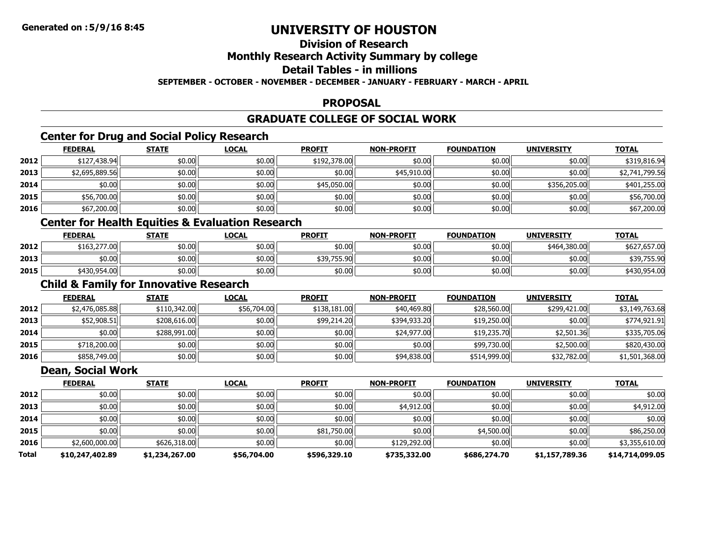# **Division of Research**

### **Monthly Research Activity Summary by college**

# **Detail Tables - in millions**

### **SEPTEMBER - OCTOBER - NOVEMBER - DECEMBER - JANUARY - FEBRUARY - MARCH - APRIL**

#### **PROPOSAL**

### **GRADUATE COLLEGE OF SOCIAL WORK**

### **Center for Drug and Social Policy Research**

|      | <b>FEDERAL</b> | <b>STATE</b> | <b>LOCAL</b> | <b>PROFIT</b> | <b>NON-PROFIT</b> | <b>FOUNDATION</b> | <b>UNIVERSITY</b> | <u>TOTAL</u>   |
|------|----------------|--------------|--------------|---------------|-------------------|-------------------|-------------------|----------------|
| 2012 | \$127,438.94   | \$0.00       | \$0.00       | \$192,378.00  | \$0.00            | \$0.00            | \$0.00            | \$319,816.94   |
| 2013 | \$2,695,889.56 | \$0.00       | \$0.00       | \$0.00        | \$45,910.00       | \$0.00            | \$0.00            | \$2,741,799.56 |
| 2014 | \$0.00         | \$0.00       | \$0.00       | \$45,050.00   | \$0.00            | \$0.00            | \$356,205.00      | \$401,255.00   |
| 2015 | \$56,700.00    | \$0.00       | \$0.00       | \$0.00        | \$0.00            | \$0.00            | \$0.00            | \$56,700.00    |
| 2016 | \$67,200.00    | \$0.00       | \$0.00       | \$0.00        | \$0.00            | \$0.00            | \$0.00            | \$67,200.00    |

# **Center for Health Equities & Evaluation Research**

|      | <b>FEDERAL</b> | <b>STATE</b> | <u>LOCAL</u> | <b>PROFIT</b> | <b>NON-PROFIT</b> | <b>FOUNDATION</b> | <b>UNIVERSITY</b> | <b>TOTAL</b> |
|------|----------------|--------------|--------------|---------------|-------------------|-------------------|-------------------|--------------|
| 2012 | \$163,277.00   | \$0.00       | \$0.00       | \$0.00        | \$0.00            | \$0.00            | \$464,380,00      | \$627,657,00 |
| 2013 | \$0.00         | \$0.00       | \$0.00       | \$39,755.90   | \$0.00            | \$0.00            | ا00.00            | \$39,755.90  |
| 2015 | \$430,954.00   | \$0.00       | \$0.00       | \$0.00        | \$0.00            | \$0.00            | ا00.00            | \$430,954.00 |

# **Child & Family for Innovative Research**

|      | <b>FEDERAL</b> | <b>STATE</b> | <b>LOCAL</b> | <b>PROFIT</b> | <b>NON-PROFIT</b> | <b>FOUNDATION</b> | <b>UNIVERSITY</b> | <b>TOTAL</b>   |
|------|----------------|--------------|--------------|---------------|-------------------|-------------------|-------------------|----------------|
| 2012 | \$2,476,085.88 | \$110,342.00 | \$56,704.00  | \$138,181.00  | \$40,469.80       | \$28,560.00       | \$299,421.00      | \$3,149,763.68 |
| 2013 | \$52,908.51    | \$208,616.00 | \$0.00       | \$99,214.20   | \$394,933.20      | \$19,250.00       | \$0.00            | \$774,921.91   |
| 2014 | \$0.00         | \$288,991.00 | \$0.00       | \$0.00        | \$24,977.00       | \$19,235.70       | \$2,501.36        | \$335,705.06   |
| 2015 | \$718,200.00   | \$0.00       | \$0.00       | \$0.00        | \$0.00            | \$99,730.00       | \$2,500.00        | \$820,430.00   |
| 2016 | \$858,749.00   | \$0.00       | \$0.00       | \$0.00        | \$94,838.00       | \$514,999.00      | \$32,782.00       | \$1,501,368.00 |

#### **Dean, Social Work**

|       | <b>FEDERAL</b>  | <b>STATE</b>   | <b>LOCAL</b> | <b>PROFIT</b> | <b>NON-PROFIT</b> | <b>FOUNDATION</b> | <b>UNIVERSITY</b> | <b>TOTAL</b>    |
|-------|-----------------|----------------|--------------|---------------|-------------------|-------------------|-------------------|-----------------|
| 2012  | \$0.00          | \$0.00         | \$0.00       | \$0.00        | \$0.00            | \$0.00            | \$0.00            | \$0.00          |
| 2013  | \$0.00          | \$0.00         | \$0.00       | \$0.00        | \$4,912.00        | \$0.00            | \$0.00            | \$4,912.00      |
| 2014  | \$0.00          | \$0.00         | \$0.00       | \$0.00        | \$0.00            | \$0.00            | \$0.00            | \$0.00          |
| 2015  | \$0.00          | \$0.00         | \$0.00       | \$81,750.00   | \$0.00            | \$4,500.00        | \$0.00            | \$86,250.00     |
| 2016  | \$2,600,000.00  | \$626,318.00   | \$0.00       | \$0.00        | \$129,292.00      | \$0.00            | \$0.00            | \$3,355,610.00  |
| Total | \$10,247,402.89 | \$1,234,267.00 | \$56,704.00  | \$596,329.10  | \$735,332.00      | \$686,274.70      | \$1,157,789.36    | \$14,714,099.05 |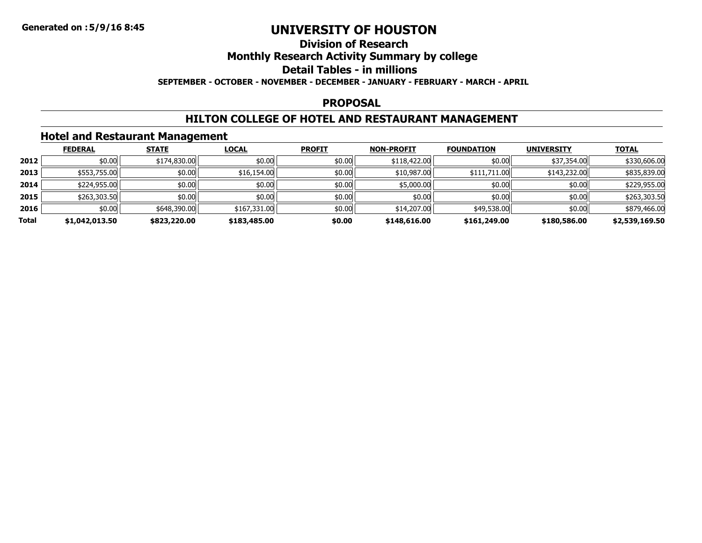### **Division of ResearchMonthly Research Activity Summary by college Detail Tables - in millions SEPTEMBER - OCTOBER - NOVEMBER - DECEMBER - JANUARY - FEBRUARY - MARCH - APRIL**

### **PROPOSAL**

### **HILTON COLLEGE OF HOTEL AND RESTAURANT MANAGEMENT**

### **Hotel and Restaurant Management**

|       | <b>FEDERAL</b> | <b>STATE</b> | <b>LOCAL</b> | <b>PROFIT</b> | <b>NON-PROFIT</b> | <b>FOUNDATION</b> | <b>UNIVERSITY</b> | <b>TOTAL</b>   |
|-------|----------------|--------------|--------------|---------------|-------------------|-------------------|-------------------|----------------|
| 2012  | \$0.00         | \$174,830.00 | \$0.00       | \$0.00        | \$118,422.00      | \$0.00            | \$37,354.00       | \$330,606.00   |
| 2013  | \$553,755.00   | \$0.00       | \$16,154.00  | \$0.00        | \$10,987.00       | \$111,711.00      | \$143,232.00      | \$835,839.00   |
| 2014  | \$224,955.00   | \$0.00       | \$0.00       | \$0.00        | \$5,000.00        | \$0.00            | \$0.00            | \$229,955.00   |
| 2015  | \$263,303.50   | \$0.00       | \$0.00       | \$0.00        | \$0.00            | \$0.00            | \$0.00            | \$263,303.50   |
| 2016  | \$0.00         | \$648,390.00 | \$167,331.00 | \$0.00        | \$14,207.00       | \$49,538.00       | \$0.00            | \$879,466.00   |
| Total | \$1,042,013.50 | \$823,220.00 | \$183,485.00 | \$0.00        | \$148,616.00      | \$161,249.00      | \$180,586,00      | \$2,539,169.50 |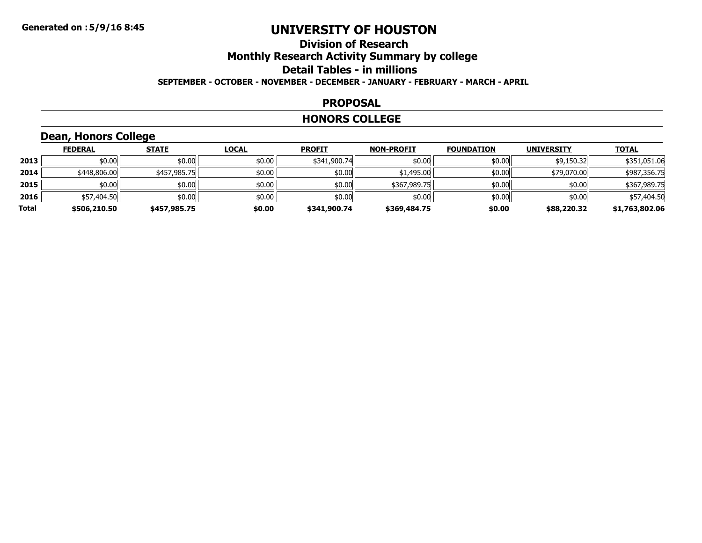### **Division of ResearchMonthly Research Activity Summary by college Detail Tables - in millions SEPTEMBER - OCTOBER - NOVEMBER - DECEMBER - JANUARY - FEBRUARY - MARCH - APRIL**

#### **PROPOSAL**

#### **HONORS COLLEGE**

# **Dean, Honors College**

|       | <b>FEDERAL</b> | <b>STATE</b> | <b>LOCAL</b> | <b>PROFIT</b> | <b>NON-PROFIT</b> | <b>FOUNDATION</b> | <b>UNIVERSITY</b> | <b>TOTAL</b>   |
|-------|----------------|--------------|--------------|---------------|-------------------|-------------------|-------------------|----------------|
| 2013  | \$0.00         | \$0.00       | \$0.00       | \$341,900.74  | \$0.00            | \$0.00            | \$9,150.32        | \$351,051.06   |
| 2014  | \$448,806.00   | \$457,985.75 | \$0.00       | \$0.00        | \$1,495.00        | \$0.00            | \$79,070.00       | \$987,356.75   |
| 2015  | \$0.00         | \$0.00       | \$0.00       | \$0.00        | \$367,989.75      | \$0.00            | \$0.00            | \$367,989.75   |
| 2016  | \$57,404.50    | \$0.00       | \$0.00       | \$0.00        | \$0.00            | \$0.00            | \$0.00            | \$57,404.50    |
| Total | \$506,210.50   | \$457,985.75 | \$0.00       | \$341,900.74  | \$369,484.75      | \$0.00            | \$88,220.32       | \$1,763,802.06 |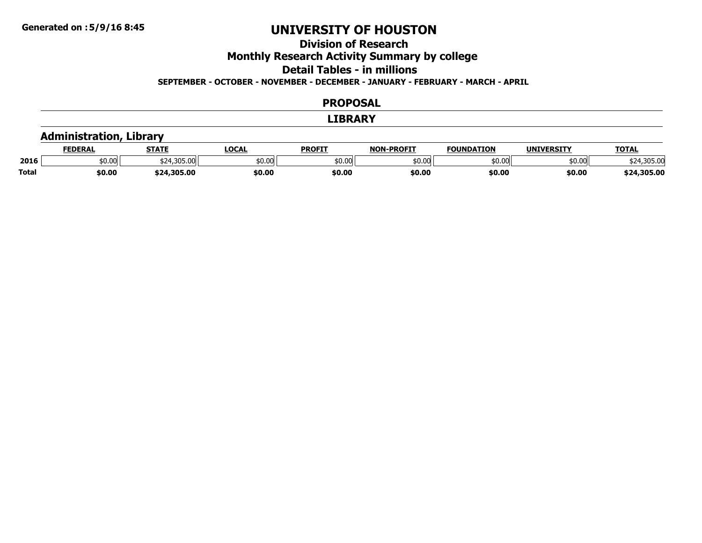### **Division of ResearchMonthly Research Activity Summary by college Detail Tables - in millionsSEPTEMBER - OCTOBER - NOVEMBER - DECEMBER - JANUARY - FEBRUARY - MARCH - APRIL**

#### **PROPOSAL**

#### **LIBRARY**

### **Administration, Library**

|              | <b>FEDERAL</b> | <b>STATE</b> | <b>LOCAL</b> | <b>PROFIT</b> | <b>-PROFIT</b><br><b>NON</b> | <b>FOUNDATION</b>  | <b>UNIVERSITY</b> | <b>TOTAL</b>     |
|--------------|----------------|--------------|--------------|---------------|------------------------------|--------------------|-------------------|------------------|
| 2016         | \$0.00         | \$24,305.00  | \$0.00       | \$0.00        | 50.00                        | $\sim$ 00<br>טע.טע | \$0.00            | \$24,305.00      |
| <b>Total</b> | \$0.00         | \$24,305.00  | \$0.00       | \$0.00        | \$0.00                       | \$0.00             | \$0.00            | ,305.00<br>\$24. |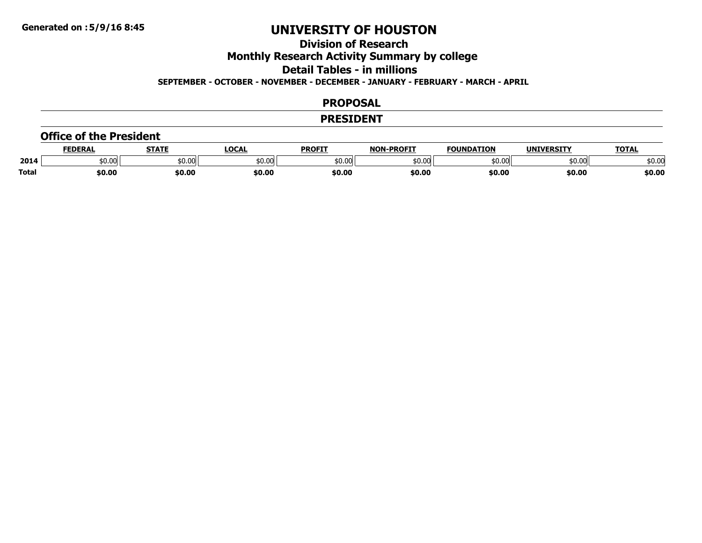# **Division of Research**

**Monthly Research Activity Summary by college**

**Detail Tables - in millions**

**SEPTEMBER - OCTOBER - NOVEMBER - DECEMBER - JANUARY - FEBRUARY - MARCH - APRIL**

### **PROPOSAL**

#### **PRESIDENT**

#### **Office of the President**

|              | <b>FEDERAI</b> | -----  | LOCA           | <b>PROFIT</b> | -PROFIT<br><b>NIANI</b> | ΓΤΩΝ<br><b>FAULURAT</b> | UNIVERSITY | <b>TOTAL</b> |
|--------------|----------------|--------|----------------|---------------|-------------------------|-------------------------|------------|--------------|
| 2014         | 60.00          | 50.00  | ተሰ ሰሮ<br>טט.טע | \$0.00        | \$0.00                  | \$0.00                  | \$0.00     | \$0.00       |
| <b>Total</b> | \$0.00         | \$0.00 | \$0.00         | \$0.00        | \$0.00                  | \$0.00                  | \$0.00     | \$0.00       |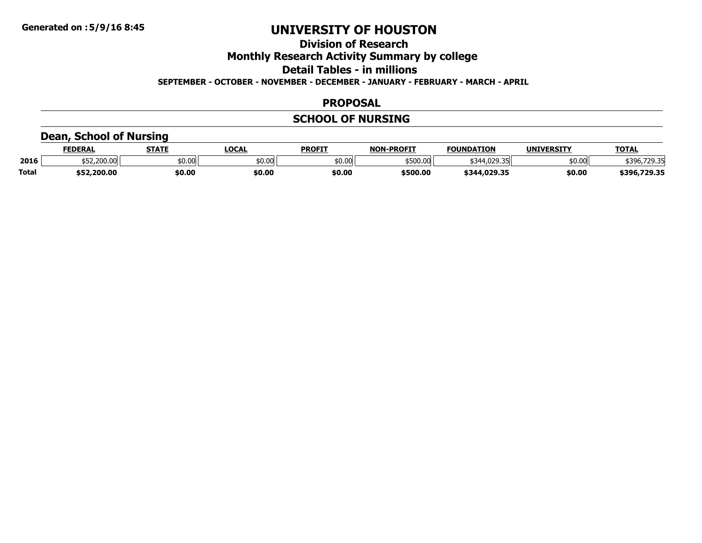# **Division of Research**

### **Monthly Research Activity Summary by college**

**Detail Tables - in millions**

**SEPTEMBER - OCTOBER - NOVEMBER - DECEMBER - JANUARY - FEBRUARY - MARCH - APRIL**

### **PROPOSAL**

# **SCHOOL OF NURSING**

### **Dean, School of Nursing**

|              | <b>FEDERAL</b> | <b>STATE</b> | <b>LOCAL</b> | <b>PROFIT</b> | -PROFIT<br><b>NON</b> | <b>FOUNDATION</b> | <b>UNIVERSITY</b> | <b>TOTAL</b>       |
|--------------|----------------|--------------|--------------|---------------|-----------------------|-------------------|-------------------|--------------------|
| 2016         | \$52,200.00    | \$0.00       | \$0.00       | \$0.00        | \$500.00              | \$344,029.35      | \$0.00            | 720.31<br>,,,,,,,, |
| <b>Total</b> | \$52,200.00    | \$0.00       | \$0.00       | \$0.00        | \$500.00              | \$344,029.35      | \$0.00            | ,729.35<br>`396,   |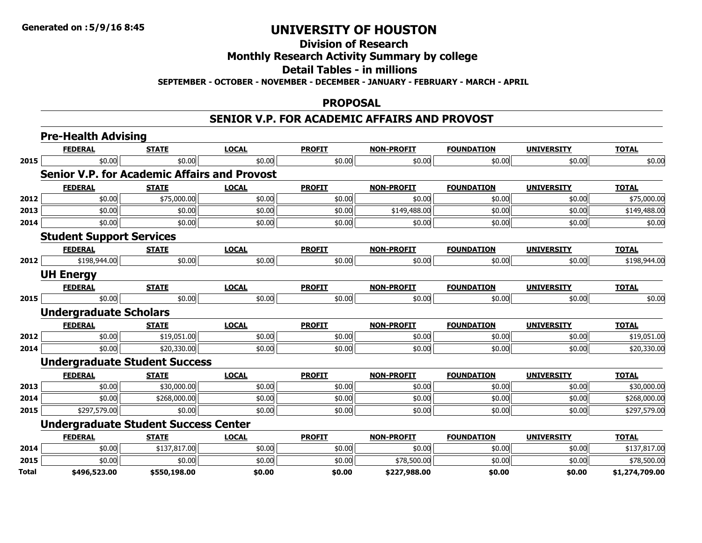# **Division of Research**

### **Monthly Research Activity Summary by college**

### **Detail Tables - in millions**

**SEPTEMBER - OCTOBER - NOVEMBER - DECEMBER - JANUARY - FEBRUARY - MARCH - APRIL**

#### **PROPOSAL**

### **SENIOR V.P. FOR ACADEMIC AFFAIRS AND PROVOST**

|              | <b>Pre-Health Advising</b>                          |              |              |               |                   |                   |                   |                |
|--------------|-----------------------------------------------------|--------------|--------------|---------------|-------------------|-------------------|-------------------|----------------|
|              | <b>FEDERAL</b>                                      | <b>STATE</b> | <b>LOCAL</b> | <b>PROFIT</b> | <b>NON-PROFIT</b> | <b>FOUNDATION</b> | <b>UNIVERSITY</b> | <b>TOTAL</b>   |
| 2015         | \$0.00                                              | \$0.00       | \$0.00       | \$0.00        | \$0.00            | \$0.00            | \$0.00            | \$0.00         |
|              | <b>Senior V.P. for Academic Affairs and Provost</b> |              |              |               |                   |                   |                   |                |
|              | <b>FEDERAL</b>                                      | <b>STATE</b> | <b>LOCAL</b> | <b>PROFIT</b> | <b>NON-PROFIT</b> | <b>FOUNDATION</b> | <b>UNIVERSITY</b> | <b>TOTAL</b>   |
| 2012         | \$0.00                                              | \$75,000.00  | \$0.00       | \$0.00        | \$0.00            | \$0.00            | \$0.00            | \$75,000.00    |
| 2013         | \$0.00                                              | \$0.00       | \$0.00       | \$0.00        | \$149,488.00      | \$0.00            | \$0.00            | \$149,488.00   |
| 2014         | \$0.00                                              | \$0.00       | \$0.00       | \$0.00        | \$0.00            | \$0.00            | \$0.00            | \$0.00         |
|              | <b>Student Support Services</b>                     |              |              |               |                   |                   |                   |                |
|              | <b>FEDERAL</b>                                      | <b>STATE</b> | <b>LOCAL</b> | <b>PROFIT</b> | <b>NON-PROFIT</b> | <b>FOUNDATION</b> | <b>UNIVERSITY</b> | <b>TOTAL</b>   |
| 2012         | \$198,944.00                                        | \$0.00       | \$0.00       | \$0.00        | \$0.00            | \$0.00            | \$0.00            | \$198,944.00   |
|              | <b>UH Energy</b>                                    |              |              |               |                   |                   |                   |                |
|              | <b>FEDERAL</b>                                      | <b>STATE</b> | <b>LOCAL</b> | <b>PROFIT</b> | <b>NON-PROFIT</b> | <b>FOUNDATION</b> | <b>UNIVERSITY</b> | <b>TOTAL</b>   |
| 2015         | \$0.00                                              | \$0.00       | \$0.00       | \$0.00        | \$0.00            | \$0.00            | \$0.00            | \$0.00         |
|              | <b>Undergraduate Scholars</b>                       |              |              |               |                   |                   |                   |                |
|              | <b>FEDERAL</b>                                      | <b>STATE</b> | <b>LOCAL</b> | <b>PROFIT</b> | <b>NON-PROFIT</b> | <b>FOUNDATION</b> | <b>UNIVERSITY</b> | <b>TOTAL</b>   |
| 2012         | \$0.00                                              | \$19,051.00  | \$0.00       | \$0.00        | \$0.00            | \$0.00            | \$0.00            | \$19,051.00    |
| 2014         | \$0.00                                              | \$20,330.00  | \$0.00       | \$0.00        | \$0.00            | \$0.00            | \$0.00            | \$20,330.00    |
|              | <b>Undergraduate Student Success</b>                |              |              |               |                   |                   |                   |                |
|              | <b>FEDERAL</b>                                      | <b>STATE</b> | <b>LOCAL</b> | <b>PROFIT</b> | <b>NON-PROFIT</b> | <b>FOUNDATION</b> | <b>UNIVERSITY</b> | <b>TOTAL</b>   |
| 2013         | \$0.00                                              | \$30,000.00  | \$0.00       | \$0.00        | \$0.00            | \$0.00            | \$0.00            | \$30,000.00    |
| 2014         | \$0.00                                              | \$268,000.00 | \$0.00       | \$0.00        | \$0.00            | \$0.00            | \$0.00            | \$268,000.00   |
| 2015         | \$297,579.00                                        | \$0.00       | \$0.00       | \$0.00        | \$0.00            | \$0.00            | \$0.00            | \$297,579.00   |
|              | <b>Undergraduate Student Success Center</b>         |              |              |               |                   |                   |                   |                |
|              | <b>FEDERAL</b>                                      | <b>STATE</b> | <b>LOCAL</b> | <b>PROFIT</b> | <b>NON-PROFIT</b> | <b>FOUNDATION</b> | <b>UNIVERSITY</b> | <b>TOTAL</b>   |
| 2014         | \$0.00                                              | \$137,817.00 | \$0.00       | \$0.00        | \$0.00            | \$0.00            | \$0.00            | \$137,817.00   |
| 2015         | \$0.00                                              | \$0.00       | \$0.00       | \$0.00        | \$78,500.00       | \$0.00            | \$0.00            | \$78,500.00    |
| <b>Total</b> | \$496.523.00                                        | \$550.198.00 | \$0.00       | \$0.00        | \$227.988.00      | \$0.00            | \$0.00            | \$1.274.709.00 |

**\$496,523.00 \$550,198.00 \$0.00 \$0.00 \$227,988.00 \$0.00 \$0.00 \$1,274,709.00**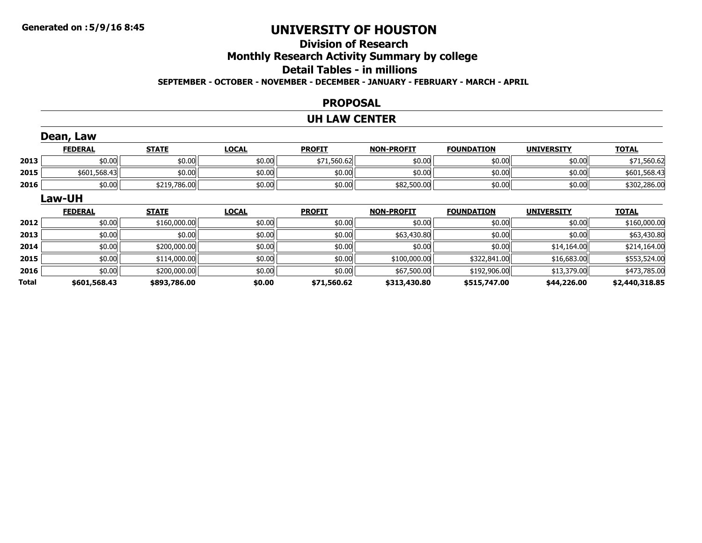### **Division of ResearchMonthly Research Activity Summary by college Detail Tables - in millionsSEPTEMBER - OCTOBER - NOVEMBER - DECEMBER - JANUARY - FEBRUARY - MARCH - APRIL**

#### **PROPOSAL**

#### **UH LAW CENTER**

|       | Dean, Law      |              |              |               |                   |                   |                   |                |
|-------|----------------|--------------|--------------|---------------|-------------------|-------------------|-------------------|----------------|
|       | <b>FEDERAL</b> | <b>STATE</b> | <b>LOCAL</b> | <b>PROFIT</b> | <b>NON-PROFIT</b> | <b>FOUNDATION</b> | <b>UNIVERSITY</b> | <b>TOTAL</b>   |
| 2013  | \$0.00         | \$0.00       | \$0.00       | \$71,560.62   | \$0.00            | \$0.00            | \$0.00            | \$71,560.62    |
| 2015  | \$601,568.43   | \$0.00       | \$0.00       | \$0.00        | \$0.00            | \$0.00            | \$0.00            | \$601,568.43   |
| 2016  | \$0.00         | \$219,786.00 | \$0.00       | \$0.00        | \$82,500.00       | \$0.00            | \$0.00            | \$302,286.00   |
|       | Law-UH         |              |              |               |                   |                   |                   |                |
|       | <b>FEDERAL</b> | <b>STATE</b> | <b>LOCAL</b> | <b>PROFIT</b> | <b>NON-PROFIT</b> | <b>FOUNDATION</b> | <b>UNIVERSITY</b> | <b>TOTAL</b>   |
| 2012  | \$0.00         | \$160,000.00 | \$0.00       | \$0.00        | \$0.00            | \$0.00            | \$0.00            | \$160,000.00   |
| 2013  | \$0.00         | \$0.00       | \$0.00       | \$0.00        | \$63,430.80       | \$0.00            | \$0.00            | \$63,430.80    |
| 2014  | \$0.00         | \$200,000.00 | \$0.00       | \$0.00        | \$0.00            | \$0.00            | \$14,164.00       | \$214,164.00   |
| 2015  | \$0.00         | \$114,000.00 | \$0.00       | \$0.00        | \$100,000.00      | \$322,841.00      | \$16,683.00       | \$553,524.00   |
| 2016  | \$0.00         | \$200,000.00 | \$0.00       | \$0.00        | \$67,500.00       | \$192,906.00      | \$13,379.00       | \$473,785.00   |
| Total | \$601,568.43   | \$893,786.00 | \$0.00       | \$71,560.62   | \$313,430.80      | \$515,747.00      | \$44,226.00       | \$2,440,318.85 |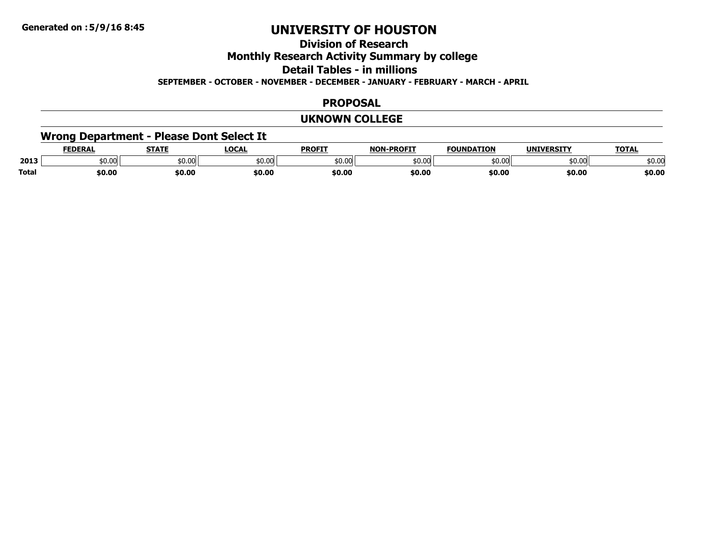# **Division of Research**

### **Monthly Research Activity Summary by college**

**Detail Tables - in millions**

**SEPTEMBER - OCTOBER - NOVEMBER - DECEMBER - JANUARY - FEBRUARY - MARCH - APRIL**

### **PROPOSAL**

#### **UKNOWN COLLEGE**

### **Wrong Department - Please Dont Select It**

|              | <b>FEDERAL</b> | <b>STATE</b> | LOCA   | <b>PROFIT</b> | <b>NON-PROFIT</b>  | <b>EQUINDATION</b> | <b>IINIVEDCTTV</b> | TOTA.  |
|--------------|----------------|--------------|--------|---------------|--------------------|--------------------|--------------------|--------|
| 2013         | \$0.00         | \$0.00       | 50.00  | \$0.00        | $\sim$ 00<br>DU.UU | \$0.00             | \$0.00             | \$0.00 |
| <b>Total</b> | \$0.00         | \$0.00       | \$0.00 | \$0.00        | \$0.00             | \$0.00             | \$0.00             | \$0.00 |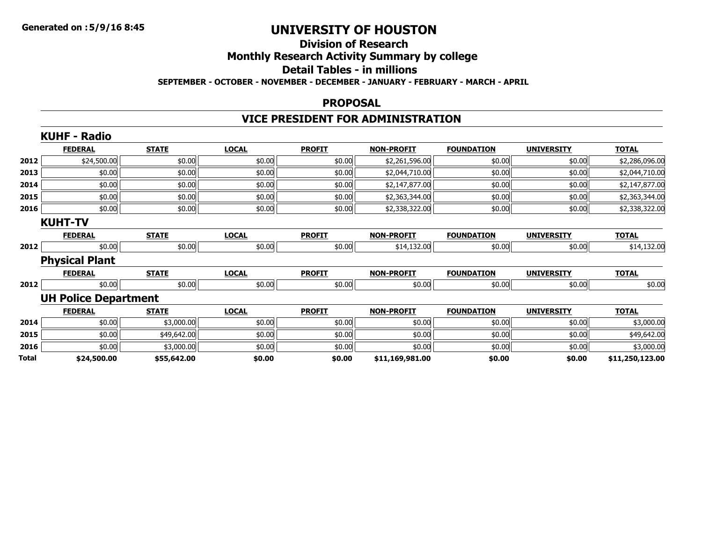### **Division of ResearchMonthly Research Activity Summary by college Detail Tables - in millions SEPTEMBER - OCTOBER - NOVEMBER - DECEMBER - JANUARY - FEBRUARY - MARCH - APRIL**

#### **PROPOSAL**

# **VICE PRESIDENT FOR ADMINISTRATION**

|       | <b>KUHF - Radio</b>         |              |              |               |                   |                   |                   |                 |
|-------|-----------------------------|--------------|--------------|---------------|-------------------|-------------------|-------------------|-----------------|
|       | <b>FEDERAL</b>              | <b>STATE</b> | <b>LOCAL</b> | <b>PROFIT</b> | <b>NON-PROFIT</b> | <b>FOUNDATION</b> | <b>UNIVERSITY</b> | <b>TOTAL</b>    |
| 2012  | \$24,500.00                 | \$0.00       | \$0.00       | \$0.00        | \$2,261,596.00    | \$0.00            | \$0.00            | \$2,286,096.00  |
| 2013  | \$0.00                      | \$0.00       | \$0.00       | \$0.00        | \$2,044,710.00    | \$0.00            | \$0.00            | \$2,044,710.00  |
| 2014  | \$0.00                      | \$0.00       | \$0.00       | \$0.00        | \$2,147,877.00    | \$0.00            | \$0.00            | \$2,147,877.00  |
| 2015  | \$0.00                      | \$0.00       | \$0.00       | \$0.00        | \$2,363,344.00    | \$0.00            | \$0.00            | \$2,363,344.00  |
| 2016  | \$0.00                      | \$0.00       | \$0.00       | \$0.00        | \$2,338,322.00    | \$0.00            | \$0.00            | \$2,338,322.00  |
|       | <b>KUHT-TV</b>              |              |              |               |                   |                   |                   |                 |
|       | <b>FEDERAL</b>              | <b>STATE</b> | <b>LOCAL</b> | <b>PROFIT</b> | <b>NON-PROFIT</b> | <b>FOUNDATION</b> | <b>UNIVERSITY</b> | <b>TOTAL</b>    |
| 2012  | \$0.00                      | \$0.00       | \$0.00       | \$0.00        | \$14,132.00       | \$0.00            | \$0.00            | \$14,132.00     |
|       | <b>Physical Plant</b>       |              |              |               |                   |                   |                   |                 |
|       | <b>FEDERAL</b>              | <b>STATE</b> | <b>LOCAL</b> | <b>PROFIT</b> | <b>NON-PROFIT</b> | <b>FOUNDATION</b> | <b>UNIVERSITY</b> | <b>TOTAL</b>    |
| 2012  | \$0.00                      | \$0.00       | \$0.00       | \$0.00        | \$0.00            | \$0.00            | \$0.00            | \$0.00          |
|       | <b>UH Police Department</b> |              |              |               |                   |                   |                   |                 |
|       | <b>FEDERAL</b>              | <b>STATE</b> | <b>LOCAL</b> | <b>PROFIT</b> | <b>NON-PROFIT</b> | <b>FOUNDATION</b> | <b>UNIVERSITY</b> | <b>TOTAL</b>    |
| 2014  | \$0.00                      | \$3,000.00   | \$0.00       | \$0.00        | \$0.00            | \$0.00            | \$0.00            | \$3,000.00      |
| 2015  | \$0.00                      | \$49,642.00  | \$0.00       | \$0.00        | \$0.00            | \$0.00            | \$0.00            | \$49,642.00     |
| 2016  | \$0.00                      | \$3,000.00   | \$0.00       | \$0.00        | \$0.00            | \$0.00            | \$0.00            | \$3,000.00      |
| Total | \$24,500.00                 | \$55,642.00  | \$0.00       | \$0.00        | \$11,169,981.00   | \$0.00            | \$0.00            | \$11,250,123.00 |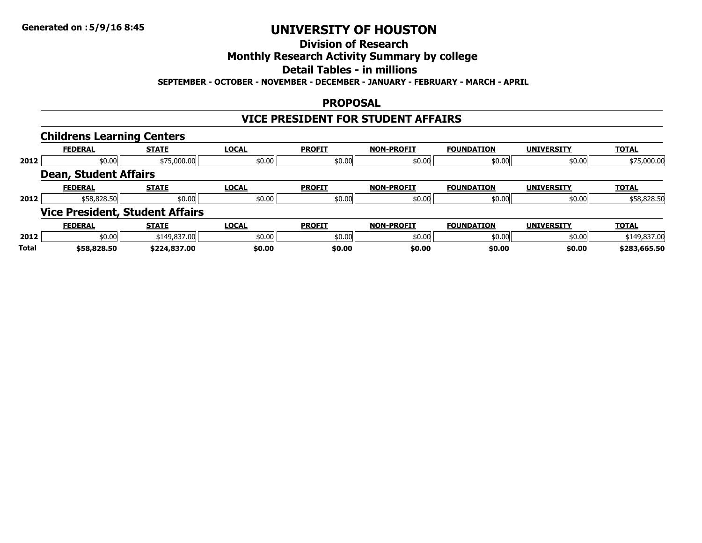# **Division of Research**

### **Monthly Research Activity Summary by college**

# **Detail Tables - in millions**

#### **SEPTEMBER - OCTOBER - NOVEMBER - DECEMBER - JANUARY - FEBRUARY - MARCH - APRIL**

### **PROPOSAL**

### **VICE PRESIDENT FOR STUDENT AFFAIRS**

|       | <b>Childrens Learning Centers</b>      |              |              |               |                   |                   |                   |              |
|-------|----------------------------------------|--------------|--------------|---------------|-------------------|-------------------|-------------------|--------------|
|       | <b>FEDERAL</b>                         | <b>STATE</b> | <b>LOCAL</b> | <b>PROFIT</b> | <b>NON-PROFIT</b> | <b>FOUNDATION</b> | <b>UNIVERSITY</b> | <b>TOTAL</b> |
| 2012  | \$75,000.00<br>\$0.00                  |              | \$0.00       | \$0.00        | \$0.00            | \$0.00            | \$0.00            | \$75,000.00  |
|       | <b>Dean, Student Affairs</b>           |              |              |               |                   |                   |                   |              |
|       | <b>FEDERAL</b>                         | <b>STATE</b> | <b>LOCAL</b> | <b>PROFIT</b> | <b>NON-PROFIT</b> | <b>FOUNDATION</b> | <b>UNIVERSITY</b> | <b>TOTAL</b> |
| 2012  | \$58,828.50                            | \$0.00       | \$0.00       | \$0.00        | \$0.00            | \$0.00            | \$0.00            | \$58,828.50  |
|       | <b>Vice President, Student Affairs</b> |              |              |               |                   |                   |                   |              |
|       | <b>FEDERAL</b>                         | <b>STATE</b> | <b>LOCAL</b> | <b>PROFIT</b> | <b>NON-PROFIT</b> | <b>FOUNDATION</b> | <b>UNIVERSITY</b> | <b>TOTAL</b> |
| 2012  | \$0.00                                 | \$149,837.00 | \$0.00       | \$0.00        | \$0.00            | \$0.00            | \$0.00            | \$149,837.00 |
| Total | \$58,828.50                            | \$224,837.00 | \$0.00       | \$0.00        | \$0.00            | \$0.00            | \$0.00            | \$283,665.50 |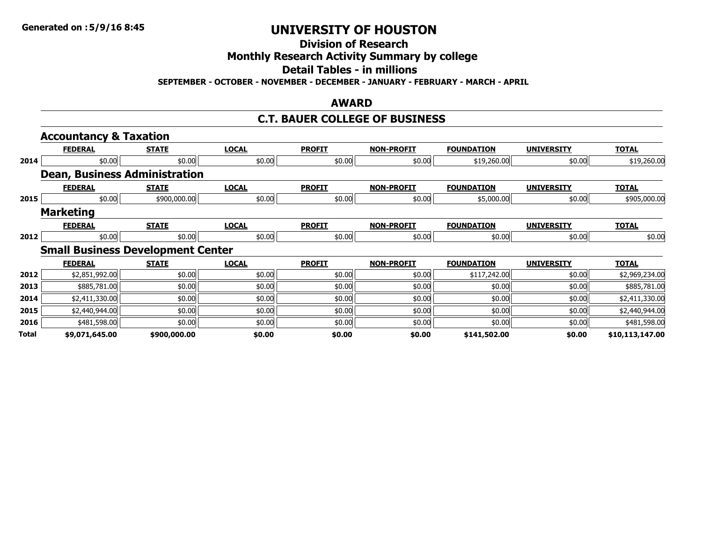**Division of Research**

**Monthly Research Activity Summary by college**

**Detail Tables - in millions**

**SEPTEMBER - OCTOBER - NOVEMBER - DECEMBER - JANUARY - FEBRUARY - MARCH - APRIL**

### **AWARD**

### **C.T. BAUER COLLEGE OF BUSINESS**

|              | <b>Accountancy &amp; Taxation</b>        |              |              |               |                   |                   |                   |                 |
|--------------|------------------------------------------|--------------|--------------|---------------|-------------------|-------------------|-------------------|-----------------|
|              | <b>FEDERAL</b>                           | <b>STATE</b> | <b>LOCAL</b> | <b>PROFIT</b> | <b>NON-PROFIT</b> | <b>FOUNDATION</b> | <b>UNIVERSITY</b> | <b>TOTAL</b>    |
| 2014         | \$0.00                                   | \$0.00       | \$0.00       | \$0.00        | \$0.00            | \$19,260.00       | \$0.00            | \$19,260.00     |
|              | <b>Dean, Business Administration</b>     |              |              |               |                   |                   |                   |                 |
|              | <b>FEDERAL</b>                           | <b>STATE</b> | <b>LOCAL</b> | <b>PROFIT</b> | <b>NON-PROFIT</b> | <b>FOUNDATION</b> | <b>UNIVERSITY</b> | <b>TOTAL</b>    |
| 2015         | \$0.00                                   | \$900,000.00 | \$0.00       | \$0.00        | \$0.00            | \$5,000.00        | \$0.00            | \$905,000.00    |
|              | <b>Marketing</b>                         |              |              |               |                   |                   |                   |                 |
|              | <b>FEDERAL</b>                           | <b>STATE</b> | <b>LOCAL</b> | <b>PROFIT</b> | <b>NON-PROFIT</b> | <b>FOUNDATION</b> | <b>UNIVERSITY</b> | <b>TOTAL</b>    |
| 2012         | \$0.00                                   | \$0.00       | \$0.00       | \$0.00        | \$0.00            | \$0.00            | \$0.00            | \$0.00          |
|              | <b>Small Business Development Center</b> |              |              |               |                   |                   |                   |                 |
|              | <b>FEDERAL</b>                           | <b>STATE</b> | <b>LOCAL</b> | <b>PROFIT</b> | <b>NON-PROFIT</b> | <b>FOUNDATION</b> | <b>UNIVERSITY</b> | <b>TOTAL</b>    |
| 2012         | \$2,851,992.00                           | \$0.00       | \$0.00       | \$0.00        | \$0.00            | \$117,242.00      | \$0.00            | \$2,969,234.00  |
| 2013         | \$885,781.00                             | \$0.00       | \$0.00       | \$0.00        | \$0.00            | \$0.00            | \$0.00            | \$885,781.00    |
| 2014         | \$2,411,330.00                           | \$0.00       | \$0.00       | \$0.00        | \$0.00            | \$0.00            | \$0.00            | \$2,411,330.00  |
| 2015         | \$2,440,944.00                           | \$0.00       | \$0.00       | \$0.00        | \$0.00            | \$0.00            | \$0.00            | \$2,440,944.00  |
| 2016         | \$481,598.00                             | \$0.00       | \$0.00       | \$0.00        | \$0.00            | \$0.00            | \$0.00            | \$481,598.00    |
| <b>Total</b> | \$9,071,645.00                           | \$900,000.00 | \$0.00       | \$0.00        | \$0.00            | \$141,502.00      | \$0.00            | \$10,113,147.00 |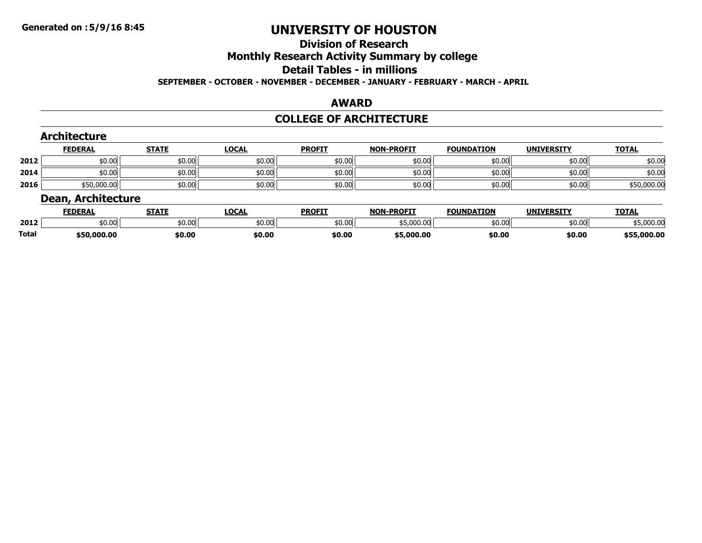# **Division of Research**

# **Monthly Research Activity Summary by college**

#### **Detail Tables - in millions**

#### **SEPTEMBER - OCTOBER - NOVEMBER - DECEMBER - JANUARY - FEBRUARY - MARCH - APRIL**

#### **AWARD**

#### **COLLEGE OF ARCHITECTURE**

|      | <b>Architecture</b>       |              |              |               |                   |                   |                   |              |
|------|---------------------------|--------------|--------------|---------------|-------------------|-------------------|-------------------|--------------|
|      | <b>FEDERAL</b>            | <b>STATE</b> | <b>LOCAL</b> | <b>PROFIT</b> | <b>NON-PROFIT</b> | <b>FOUNDATION</b> | <b>UNIVERSITY</b> | <b>TOTAL</b> |
| 2012 | \$0.00                    | \$0.00       | \$0.00       | \$0.00        | \$0.00            | \$0.00            | \$0.00            | \$0.00       |
| 2014 | \$0.00                    | \$0.00       | \$0.00       | \$0.00        | \$0.00            | \$0.00            | \$0.00            | \$0.00       |
| 2016 | \$50,000.00               | \$0.00       | \$0.00       | \$0.00        | \$0.00            | \$0.00            | \$0.00            | \$50,000.00  |
|      | <b>Dean, Architecture</b> |              |              |               |                   |                   |                   |              |
|      | <b>FEDERAL</b>            | <b>STATE</b> | <b>LOCAL</b> | <b>PROFIT</b> | <b>NON-PROFIT</b> | <b>FOUNDATION</b> | <b>UNIVERSITY</b> | <b>TOTAL</b> |

|       | FEDERAL     | SIAIL  | LULAL              | <b>PRUFI</b> | NUN-PRUFII | <b>FUUNDAI LUN</b> | UNIVERSITI | <u>IUIAL</u> |
|-------|-------------|--------|--------------------|--------------|------------|--------------------|------------|--------------|
| 2012  | \$0.00      | \$0.00 | $\sim$ 00<br>JU.UU | \$0.00       | \$5,000.00 | 50.00              | 50.00      | 55,000.00    |
| Total | \$50,000.00 | \$0.00 | \$0.00             | \$0.00       | \$5,000.00 | \$0.00             | \$0.00     | \$55,000.00  |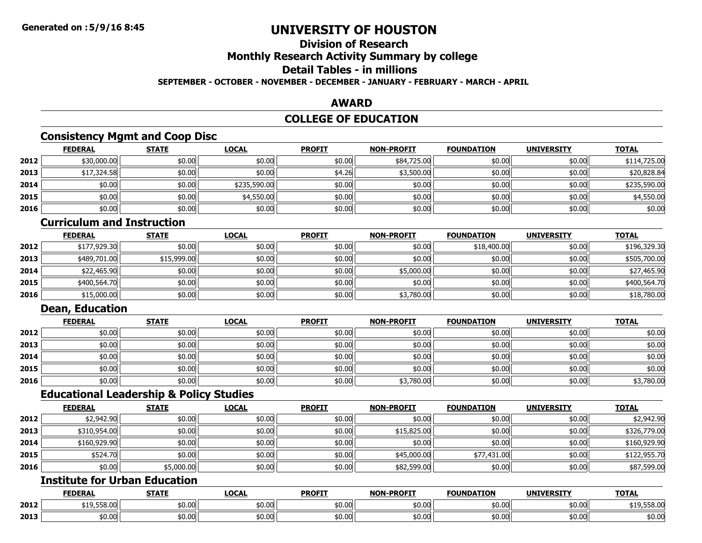### **Division of ResearchMonthly Research Activity Summary by college**

### **Detail Tables - in millions**

**SEPTEMBER - OCTOBER - NOVEMBER - DECEMBER - JANUARY - FEBRUARY - MARCH - APRIL**

### **AWARD**

### **COLLEGE OF EDUCATION**

### **Consistency Mgmt and Coop Disc**

|      | <b>FEDERAL</b> | <b>STATE</b> | <b>LOCAL</b> | <b>PROFIT</b> | <b>NON-PROFIT</b> | <b>FOUNDATION</b> | <b>UNIVERSITY</b> | <b>TOTAL</b> |
|------|----------------|--------------|--------------|---------------|-------------------|-------------------|-------------------|--------------|
| 2012 | \$30,000.00    | \$0.00       | \$0.00       | \$0.00        | \$84,725.00       | \$0.00            | \$0.00            | \$114,725.00 |
| 2013 | \$17,324.58    | \$0.00       | \$0.00       | \$4.26        | \$3,500.00        | \$0.00            | \$0.00            | \$20,828.84  |
| 2014 | \$0.00         | \$0.00       | \$235,590.00 | \$0.00        | \$0.00            | \$0.00            | \$0.00            | \$235,590.00 |
| 2015 | \$0.00         | \$0.00       | \$4,550.00   | \$0.00        | \$0.00            | \$0.00            | \$0.00            | \$4,550.00   |
| 2016 | \$0.00         | \$0.00       | \$0.00       | \$0.00        | \$0.00            | \$0.00            | \$0.00            | \$0.00       |

### **Curriculum and Instruction**

|      | <b>FEDERAL</b> | <b>STATE</b> | <u>LOCAL</u> | <b>PROFIT</b> | <b>NON-PROFIT</b> | <b>FOUNDATION</b> | <b>UNIVERSITY</b> | <b>TOTAL</b> |
|------|----------------|--------------|--------------|---------------|-------------------|-------------------|-------------------|--------------|
| 2012 | \$177,929.30   | \$0.00       | \$0.00       | \$0.00        | \$0.00            | \$18,400.00       | \$0.00            | \$196,329.30 |
| 2013 | \$489,701.00   | \$15,999.00  | \$0.00       | \$0.00        | \$0.00            | \$0.00            | \$0.00            | \$505,700.00 |
| 2014 | \$22,465.90    | \$0.00       | \$0.00       | \$0.00        | \$5,000.00        | \$0.00            | \$0.00            | \$27,465.90  |
| 2015 | \$400,564.70   | \$0.00       | \$0.00       | \$0.00        | \$0.00            | \$0.00            | \$0.00            | \$400,564.70 |
| 2016 | \$15,000.00    | \$0.00       | \$0.00       | \$0.00        | \$3,780.00        | \$0.00            | \$0.00            | \$18,780.00  |

# **Dean, Education**

|      | <u>FEDERAL</u> | <b>STATE</b> | <b>LOCAL</b> | <b>PROFIT</b> | <b>NON-PROFIT</b> | <b>FOUNDATION</b> | <b>UNIVERSITY</b> | <b>TOTAL</b> |
|------|----------------|--------------|--------------|---------------|-------------------|-------------------|-------------------|--------------|
| 2012 | \$0.00         | \$0.00       | \$0.00       | \$0.00        | \$0.00            | \$0.00            | \$0.00            | \$0.00       |
| 2013 | \$0.00         | \$0.00       | \$0.00       | \$0.00        | \$0.00            | \$0.00            | \$0.00            | \$0.00       |
| 2014 | \$0.00         | \$0.00       | \$0.00       | \$0.00        | \$0.00            | \$0.00 l          | \$0.00            | \$0.00       |
| 2015 | \$0.00         | \$0.00       | \$0.00       | \$0.00        | \$0.00            | \$0.00 l          | \$0.00            | \$0.00       |
| 2016 | \$0.00         | \$0.00       | \$0.00       | \$0.00        | \$3,780.00        | \$0.00            | \$0.00            | \$3,780.00   |

### **Educational Leadership & Policy Studies**

|      | <b>FEDERAL</b> | <b>STATE</b> | <b>LOCAL</b> | <b>PROFIT</b> | <b>NON-PROFIT</b> | <b>FOUNDATION</b> | <b>UNIVERSITY</b> | <b>TOTAL</b> |
|------|----------------|--------------|--------------|---------------|-------------------|-------------------|-------------------|--------------|
| 2012 | \$2,942.90     | \$0.00       | \$0.00       | \$0.00        | \$0.00            | \$0.00            | \$0.00            | \$2,942.90   |
| 2013 | \$310,954.00   | \$0.00       | \$0.00       | \$0.00        | \$15,825.00       | \$0.00            | \$0.00            | \$326,779.00 |
| 2014 | \$160,929.90   | \$0.00       | \$0.00       | \$0.00        | \$0.00            | \$0.00            | \$0.00            | \$160,929.90 |
| 2015 | \$524.70       | \$0.00       | \$0.00       | \$0.00        | \$45,000.00       | \$77,431.00       | \$0.00            | \$122,955.70 |
| 2016 | \$0.00         | \$5,000.00   | \$0.00       | \$0.00        | \$82,599.00       | \$0.00            | \$0.00            | \$87,599.00  |

# **Institute for Urban Education**

|      | <b>FEDERAI</b>                    | <b>STATE</b>                       | LOCAI  | <b>PROFIT</b> | <b>NON-PROFIT</b> | <b>FOUNDATION</b> | <b>UNIVERSITY</b> | <b>TOTAL</b> |
|------|-----------------------------------|------------------------------------|--------|---------------|-------------------|-------------------|-------------------|--------------|
| 2012 | $+40$ FFO 00<br>.<br>,,,,,,,,,,,, | $\epsilon$ n c<br>וטיט             | 0.00 ن | \$0.00        | \$0.00            | \$0.00            | \$0.00            | \$19,558.00  |
| 2013 | \$0.00                            | $\uparrow$ 0.0 $\uparrow$<br>טט.טע | √0.00ء | \$0.00        | \$0.00            | \$0.00            | \$0.00            | \$0.00       |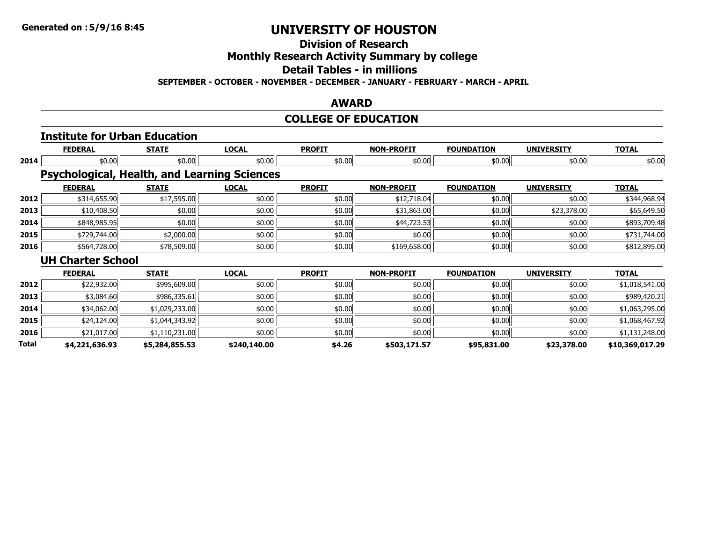**Division of Research**

**Monthly Research Activity Summary by college**

**Detail Tables - in millions**

**SEPTEMBER - OCTOBER - NOVEMBER - DECEMBER - JANUARY - FEBRUARY - MARCH - APRIL**

### **AWARD**

# **COLLEGE OF EDUCATION**

|       |                          | <b>Institute for Urban Education</b> |                                                     |               |                   |                   |                   |                 |
|-------|--------------------------|--------------------------------------|-----------------------------------------------------|---------------|-------------------|-------------------|-------------------|-----------------|
|       | <b>FEDERAL</b>           | <b>STATE</b>                         | <b>LOCAL</b>                                        | <b>PROFIT</b> | <b>NON-PROFIT</b> | <b>FOUNDATION</b> | <b>UNIVERSITY</b> | <b>TOTAL</b>    |
| 2014  | \$0.00                   | \$0.00                               | \$0.00                                              | \$0.00        | \$0.00            | \$0.00            | \$0.00            | \$0.00          |
|       |                          |                                      | <b>Psychological, Health, and Learning Sciences</b> |               |                   |                   |                   |                 |
|       | <b>FEDERAL</b>           | <b>STATE</b>                         | <b>LOCAL</b>                                        | <b>PROFIT</b> | <b>NON-PROFIT</b> | <b>FOUNDATION</b> | <b>UNIVERSITY</b> | <b>TOTAL</b>    |
| 2012  | \$314,655.90             | \$17,595.00                          | \$0.00                                              | \$0.00        | \$12,718.04       | \$0.00            | \$0.00            | \$344,968.94    |
| 2013  | \$10,408.50              | \$0.00                               | \$0.00                                              | \$0.00        | \$31,863.00       | \$0.00            | \$23,378.00       | \$65,649.50     |
| 2014  | \$848,985.95             | \$0.00                               | \$0.00                                              | \$0.00        | \$44,723.53       | \$0.00            | \$0.00            | \$893,709.48    |
| 2015  | \$729,744.00             | \$2,000.00                           | \$0.00                                              | \$0.00        | \$0.00            | \$0.00            | \$0.00            | \$731,744.00    |
| 2016  | \$564,728.00             | \$78,509.00                          | \$0.00                                              | \$0.00        | \$169,658.00      | \$0.00            | \$0.00            | \$812,895.00    |
|       | <b>UH Charter School</b> |                                      |                                                     |               |                   |                   |                   |                 |
|       | <b>FEDERAL</b>           | <b>STATE</b>                         | <b>LOCAL</b>                                        | <b>PROFIT</b> | <b>NON-PROFIT</b> | <b>FOUNDATION</b> | <b>UNIVERSITY</b> | <b>TOTAL</b>    |
| 2012  | \$22,932.00              | \$995,609.00                         | \$0.00                                              | \$0.00        | \$0.00            | \$0.00            | \$0.00            | \$1,018,541.00  |
| 2013  | \$3,084.60               | \$986,335.61                         | \$0.00                                              | \$0.00        | \$0.00            | \$0.00            | \$0.00            | \$989,420.21    |
| 2014  | \$34,062.00              | \$1,029,233.00                       | \$0.00                                              | \$0.00        | \$0.00            | \$0.00            | \$0.00            | \$1,063,295.00  |
| 2015  | \$24,124.00              | \$1,044,343.92                       | \$0.00                                              | \$0.00        | \$0.00            | \$0.00            | \$0.00            | \$1,068,467.92  |
| 2016  | \$21,017.00              | \$1,110,231.00                       | \$0.00                                              | \$0.00        | \$0.00            | \$0.00            | \$0.00            | \$1,131,248.00  |
| Total | \$4,221,636.93           | \$5,284,855.53                       | \$240,140.00                                        | \$4.26        | \$503,171.57      | \$95,831.00       | \$23,378.00       | \$10,369,017.29 |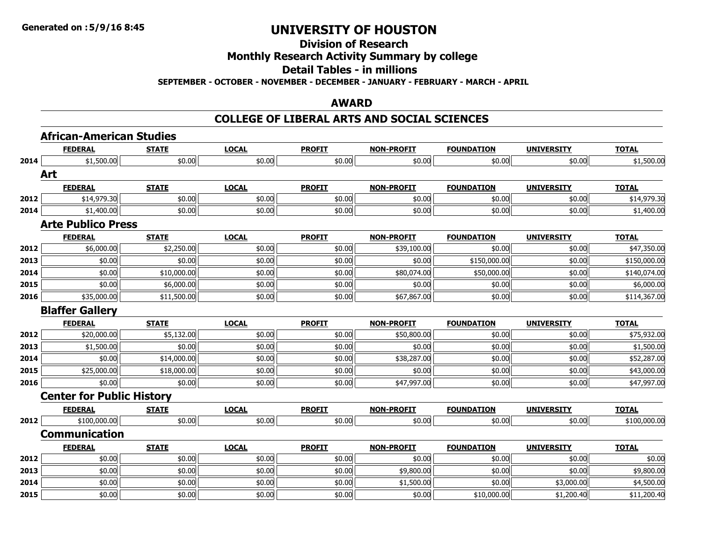# **Division of Research**

# **Monthly Research Activity Summary by college**

#### **Detail Tables - in millions**

**SEPTEMBER - OCTOBER - NOVEMBER - DECEMBER - JANUARY - FEBRUARY - MARCH - APRIL**

#### **AWARD**

#### **COLLEGE OF LIBERAL ARTS AND SOCIAL SCIENCES**

|      | <b>African-American Studies</b>  |              |              |               |                   |                   |                   |              |
|------|----------------------------------|--------------|--------------|---------------|-------------------|-------------------|-------------------|--------------|
|      | <b>FEDERAL</b>                   | <b>STATE</b> | <b>LOCAL</b> | <b>PROFIT</b> | <b>NON-PROFIT</b> | <b>FOUNDATION</b> | <b>UNIVERSITY</b> | <b>TOTAL</b> |
| 2014 | \$1,500.00                       | \$0.00       | \$0.00       | \$0.00        | \$0.00            | \$0.00            | \$0.00            | \$1,500.00   |
|      | Art                              |              |              |               |                   |                   |                   |              |
|      | <b>FEDERAL</b>                   | <b>STATE</b> | <b>LOCAL</b> | <b>PROFIT</b> | <b>NON-PROFIT</b> | <b>FOUNDATION</b> | <b>UNIVERSITY</b> | <b>TOTAL</b> |
| 2012 | \$14,979.30                      | \$0.00       | \$0.00       | \$0.00        | \$0.00            | \$0.00            | \$0.00            | \$14,979.30  |
| 2014 | \$1,400.00                       | \$0.00       | \$0.00       | \$0.00        | \$0.00            | \$0.00            | \$0.00            | \$1,400.00   |
|      | <b>Arte Publico Press</b>        |              |              |               |                   |                   |                   |              |
|      | <b>FEDERAL</b>                   | <b>STATE</b> | <b>LOCAL</b> | <b>PROFIT</b> | <b>NON-PROFIT</b> | <b>FOUNDATION</b> | <b>UNIVERSITY</b> | <b>TOTAL</b> |
| 2012 | \$6,000.00                       | \$2,250.00   | \$0.00       | \$0.00        | \$39,100.00       | \$0.00            | \$0.00            | \$47,350.00  |
| 2013 | \$0.00                           | \$0.00       | \$0.00       | \$0.00        | \$0.00            | \$150,000.00      | \$0.00            | \$150,000.00 |
| 2014 | \$0.00                           | \$10,000.00  | \$0.00       | \$0.00        | \$80,074.00       | \$50,000.00       | \$0.00            | \$140,074.00 |
| 2015 | \$0.00                           | \$6,000.00   | \$0.00       | \$0.00        | \$0.00            | \$0.00            | \$0.00            | \$6,000.00   |
| 2016 | \$35,000.00                      | \$11,500.00  | \$0.00       | \$0.00        | \$67,867.00       | \$0.00            | \$0.00            | \$114,367.00 |
|      | <b>Blaffer Gallery</b>           |              |              |               |                   |                   |                   |              |
|      | <b>FEDERAL</b>                   | <b>STATE</b> | <b>LOCAL</b> | <b>PROFIT</b> | <b>NON-PROFIT</b> | <b>FOUNDATION</b> | <b>UNIVERSITY</b> | <b>TOTAL</b> |
| 2012 | \$20,000.00                      | \$5,132.00   | \$0.00       | \$0.00        | \$50,800.00       | \$0.00            | \$0.00            | \$75,932.00  |
| 2013 | \$1,500.00                       | \$0.00       | \$0.00       | \$0.00        | \$0.00            | \$0.00            | \$0.00            | \$1,500.00   |
| 2014 | \$0.00                           | \$14,000.00  | \$0.00       | \$0.00        | \$38,287.00       | \$0.00            | \$0.00            | \$52,287.00  |
| 2015 | \$25,000.00                      | \$18,000.00  | \$0.00       | \$0.00        | \$0.00            | \$0.00            | \$0.00            | \$43,000.00  |
| 2016 | \$0.00                           | \$0.00       | \$0.00       | \$0.00        | \$47,997.00       | \$0.00            | \$0.00            | \$47,997.00  |
|      | <b>Center for Public History</b> |              |              |               |                   |                   |                   |              |
|      | <b>FEDERAL</b>                   | <b>STATE</b> | <b>LOCAL</b> | <b>PROFIT</b> | <b>NON-PROFIT</b> | <b>FOUNDATION</b> | <b>UNIVERSITY</b> | <b>TOTAL</b> |
| 2012 | \$100,000.00                     | \$0.00       | \$0.00       | \$0.00        | \$0.00            | \$0.00            | \$0.00            | \$100,000.00 |
|      | <b>Communication</b>             |              |              |               |                   |                   |                   |              |
|      | <b>FEDERAL</b>                   | <b>STATE</b> | <b>LOCAL</b> | <b>PROFIT</b> | <b>NON-PROFIT</b> | <b>FOUNDATION</b> | <b>UNIVERSITY</b> | <b>TOTAL</b> |
| 2012 | \$0.00                           | \$0.00       | \$0.00       | \$0.00        | \$0.00            | \$0.00            | \$0.00            | \$0.00       |
| 2013 | \$0.00                           | \$0.00       | \$0.00       | \$0.00        | \$9,800.00        | \$0.00            | \$0.00            | \$9,800.00   |
| 2014 | \$0.00                           | \$0.00       | \$0.00       | \$0.00        | \$1,500.00        | \$0.00            | \$3,000.00        | \$4,500.00   |
| 2015 | \$0.00                           | \$0.00       | \$0.00       | \$0.00        | \$0.00            | \$10,000.00       | \$1,200.40        | \$11,200.40  |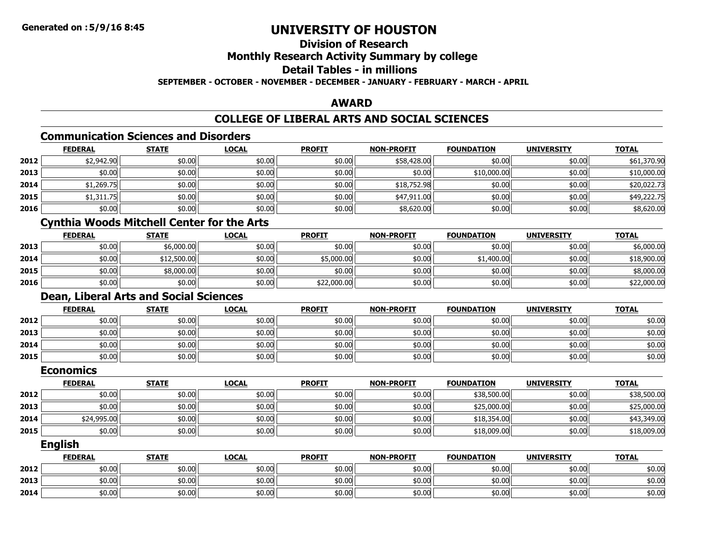### **Division of ResearchMonthly Research Activity Summary by college Detail Tables - in millionsSEPTEMBER - OCTOBER - NOVEMBER - DECEMBER - JANUARY - FEBRUARY - MARCH - APRIL**

### **AWARD**

# **COLLEGE OF LIBERAL ARTS AND SOCIAL SCIENCES**

### **Communication Sciences and Disorders**

|      | <b>FEDERAL</b> | <b>STATE</b> | <b>LOCAL</b> | <b>PROFIT</b> | <b>NON-PROFIT</b> | <b>FOUNDATION</b> | <b>UNIVERSITY</b> | <b>TOTAL</b> |
|------|----------------|--------------|--------------|---------------|-------------------|-------------------|-------------------|--------------|
| 2012 | \$2,942.90     | \$0.00       | \$0.00       | \$0.00        | \$58,428.00       | \$0.00            | \$0.00            | \$61,370.90  |
| 2013 | \$0.00         | \$0.00       | \$0.00       | \$0.00        | \$0.00            | \$10,000.00       | \$0.00            | \$10,000.00  |
| 2014 | \$1,269.75     | \$0.00       | \$0.00       | \$0.00        | \$18,752.98       | \$0.00            | \$0.00            | \$20,022.73  |
| 2015 | \$1,311.75     | \$0.00       | \$0.00       | \$0.00        | \$47,911.00       | \$0.00            | \$0.00            | \$49,222.75  |
| 2016 | \$0.00         | \$0.00       | \$0.00       | \$0.00        | \$8,620.00        | \$0.00            | \$0.00            | \$8,620.00   |

# **Cynthia Woods Mitchell Center for the Arts**

|      | <b>FEDERAL</b> | <b>STATE</b> | <u>LOCAL</u> | <b>PROFIT</b> | <b>NON-PROFIT</b> | <b>FOUNDATION</b> | <b>UNIVERSITY</b> | <b>TOTAL</b> |
|------|----------------|--------------|--------------|---------------|-------------------|-------------------|-------------------|--------------|
| 2013 | \$0.00         | \$6,000.00   | \$0.00       | \$0.00        | \$0.00            | \$0.00            | \$0.00            | \$6,000.00   |
| 2014 | \$0.00         | \$12,500.00  | \$0.00       | \$5,000.00    | \$0.00            | \$1,400.00        | \$0.00            | \$18,900.00  |
| 2015 | \$0.00         | \$8,000.00   | \$0.00       | \$0.00        | \$0.00            | \$0.00            | \$0.00            | \$8,000.00   |
| 2016 | \$0.00         | \$0.00       | \$0.00       | \$22,000.00   | \$0.00            | \$0.00            | \$0.00            | \$22,000.00  |

# **Dean, Liberal Arts and Social Sciences**

|      | <b>FEDERAL</b> | <b>STATE</b> | <u>LOCAL</u> | <b>PROFIT</b> | <b>NON-PROFIT</b> | <b>FOUNDATION</b> | <b>UNIVERSITY</b> | <b>TOTAL</b> |
|------|----------------|--------------|--------------|---------------|-------------------|-------------------|-------------------|--------------|
| 2012 | \$0.00         | \$0.00       | \$0.00       | \$0.00        | \$0.00            | \$0.00            | \$0.00            | \$0.00       |
| 2013 | \$0.00         | \$0.00       | \$0.00       | \$0.00        | \$0.00            | \$0.00            | \$0.00            | \$0.00       |
| 2014 | \$0.00         | \$0.00       | \$0.00       | \$0.00        | \$0.00            | \$0.00            | \$0.00            | \$0.00       |
| 2015 | \$0.00         | \$0.00       | \$0.00       | \$0.00        | \$0.00            | \$0.00            | \$0.00            | \$0.00       |

#### **Economics**

|      | <b>FEDERAL</b> | <b>STATE</b> | <b>LOCAL</b> | <b>PROFIT</b> | <b>NON-PROFIT</b> | <b>FOUNDATION</b> | <b>UNIVERSITY</b> | <b>TOTAL</b> |
|------|----------------|--------------|--------------|---------------|-------------------|-------------------|-------------------|--------------|
| 2012 | \$0.00         | \$0.00       | \$0.00       | \$0.00        | \$0.00            | \$38,500.00       | \$0.00            | \$38,500.00  |
| 2013 | \$0.00         | \$0.00       | \$0.00       | \$0.00        | \$0.00            | \$25,000.00       | \$0.00            | \$25,000.00  |
| 2014 | \$24,995.00    | \$0.00       | \$0.00       | \$0.00        | \$0.00            | \$18,354.00       | \$0.00            | \$43,349.00  |
| 2015 | \$0.00         | \$0.00       | \$0.00       | \$0.00        | \$0.00            | \$18,009.00       | \$0.00            | \$18,009.00  |

**English**

|      | <b>FEDERAL</b> | <b>STATE</b> | <u>LOCAL</u> | <b>PROFIT</b> | <b>NON-PROFIT</b> | <b>FOUNDATION</b> | <b>UNIVERSITY</b> | <b>TOTAL</b> |
|------|----------------|--------------|--------------|---------------|-------------------|-------------------|-------------------|--------------|
| 2012 | \$0.00         | \$0.00       | \$0.00       | \$0.00        | \$0.00            | \$0.00            | \$0.00            | \$0.00       |
| 2013 | \$0.00         | \$0.00       | \$0.00       | \$0.00        | \$0.00            | \$0.00            | \$0.00            | \$0.00       |
| 2014 | \$0.00         | \$0.00       | \$0.00       | \$0.00        | \$0.00            | \$0.00            | \$0.00            | \$0.00       |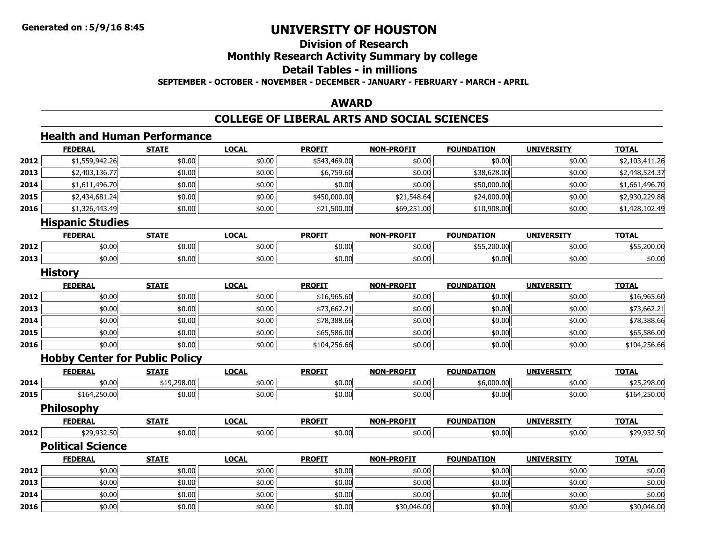### **Division of ResearchMonthly Research Activity Summary by college Detail Tables - in millionsSEPTEMBER - OCTOBER - NOVEMBER - DECEMBER - JANUARY - FEBRUARY - MARCH - APRIL**

#### **AWARD**

# **COLLEGE OF LIBERAL ARTS AND SOCIAL SCIENCES**

# **Health and Human Performance**

|      | <b>FEDERAL</b>                        | <b>STATE</b> | <b>LOCAL</b> | <b>PROFIT</b> | <b>NON-PROFIT</b> | <b>FOUNDATION</b> | <b>UNIVERSITY</b> | <b>TOTAL</b>   |
|------|---------------------------------------|--------------|--------------|---------------|-------------------|-------------------|-------------------|----------------|
| 2012 | \$1,559,942.26                        | \$0.00       | \$0.00       | \$543,469.00  | \$0.00            | \$0.00            | \$0.00            | \$2,103,411.26 |
| 2013 | \$2,403,136.77                        | \$0.00       | \$0.00       | \$6,759.60    | \$0.00            | \$38,628.00       | \$0.00            | \$2,448,524.37 |
| 2014 | \$1,611,496.70                        | \$0.00       | \$0.00       | \$0.00        | \$0.00            | \$50,000.00       | \$0.00            | \$1,661,496.70 |
| 2015 | \$2,434,681.24                        | \$0.00       | \$0.00       | \$450,000.00  | \$21,548.64       | \$24,000.00       | \$0.00            | \$2,930,229.88 |
| 2016 | \$1,326,443.49                        | \$0.00       | \$0.00       | \$21,500.00   | \$69,251.00       | \$10,908.00       | \$0.00            | \$1,428,102.49 |
|      | <b>Hispanic Studies</b>               |              |              |               |                   |                   |                   |                |
|      | <b>FEDERAL</b>                        | <b>STATE</b> | <b>LOCAL</b> | <b>PROFIT</b> | <b>NON-PROFIT</b> | <b>FOUNDATION</b> | <b>UNIVERSITY</b> | <b>TOTAL</b>   |
| 2012 | \$0.00                                | \$0.00       | \$0.00       | \$0.00        | \$0.00            | \$55,200.00       | \$0.00            | \$55,200.00    |
| 2013 | \$0.00                                | \$0.00       | \$0.00       | \$0.00        | \$0.00            | \$0.00            | \$0.00            | \$0.00         |
|      | <b>History</b>                        |              |              |               |                   |                   |                   |                |
|      | <b>FEDERAL</b>                        | <b>STATE</b> | <b>LOCAL</b> | <b>PROFIT</b> | <b>NON-PROFIT</b> | <b>FOUNDATION</b> | <b>UNIVERSITY</b> | <b>TOTAL</b>   |
| 2012 | \$0.00                                | \$0.00       | \$0.00       | \$16,965.60   | \$0.00            | \$0.00            | \$0.00            | \$16,965.60    |
| 2013 | \$0.00                                | \$0.00       | \$0.00       | \$73,662.21   | \$0.00            | \$0.00            | \$0.00            | \$73,662.21    |
| 2014 | \$0.00                                | \$0.00       | \$0.00       | \$78,388.66   | \$0.00            | \$0.00            | \$0.00            | \$78,388.66    |
| 2015 | \$0.00                                | \$0.00       | \$0.00       | \$65,586.00   | \$0.00            | \$0.00            | \$0.00            | \$65,586.00    |
| 2016 | \$0.00                                | \$0.00       | \$0.00       | \$104,256.66  | \$0.00            | \$0.00            | \$0.00            | \$104,256.66   |
|      | <b>Hobby Center for Public Policy</b> |              |              |               |                   |                   |                   |                |
|      | <b>FEDERAL</b>                        | <b>STATE</b> | <b>LOCAL</b> | <b>PROFIT</b> | <b>NON-PROFIT</b> | <b>FOUNDATION</b> | <b>UNIVERSITY</b> | <b>TOTAL</b>   |
| 2014 | \$0.00                                | \$19,298.00  | \$0.00       | \$0.00        | \$0.00            | \$6,000.00        | \$0.00            | \$25,298.00    |
| 2015 | \$164,250.00                          | \$0.00       | \$0.00       | \$0.00        | \$0.00            | \$0.00            | \$0.00            | \$164,250.00   |
|      | <b>Philosophy</b>                     |              |              |               |                   |                   |                   |                |
|      | <b>FEDERAL</b>                        | <b>STATE</b> | <b>LOCAL</b> | <b>PROFIT</b> | <b>NON-PROFIT</b> | <b>FOUNDATION</b> | <b>UNIVERSITY</b> | <b>TOTAL</b>   |
| 2012 | \$29,932.50                           | \$0.00       | \$0.00       | \$0.00        | \$0.00            | \$0.00            | \$0.00            | \$29,932.50    |
|      | <b>Political Science</b>              |              |              |               |                   |                   |                   |                |
|      | <b>FEDERAL</b>                        | <b>STATE</b> | <b>LOCAL</b> | <b>PROFIT</b> | <b>NON-PROFIT</b> | <b>FOUNDATION</b> | <b>UNIVERSITY</b> | <b>TOTAL</b>   |
| 2012 | \$0.00                                | \$0.00       | \$0.00       | \$0.00        | \$0.00            | \$0.00            | \$0.00            | \$0.00         |
| 2013 | \$0.00                                | \$0.00       | \$0.00       | \$0.00        | \$0.00            | \$0.00            | \$0.00            | \$0.00         |
| 2014 | \$0.00                                | \$0.00       | \$0.00       | \$0.00        | \$0.00            | \$0.00            | \$0.00            | \$0.00         |
| 2016 | \$0.00                                | \$0.00       | \$0.00       | \$0.00        | \$30,046.00       | \$0.00            | \$0.00            | \$30,046.00    |

6 \$0.00 \$0.00 \$0.00 \$0.00 \$0.00 \$0.00 \$0.00 \$0.00 \$0.00 \$30,046.00 \$30,046.00 \$0.00 \$0.00 \$0.00 \$30,046.00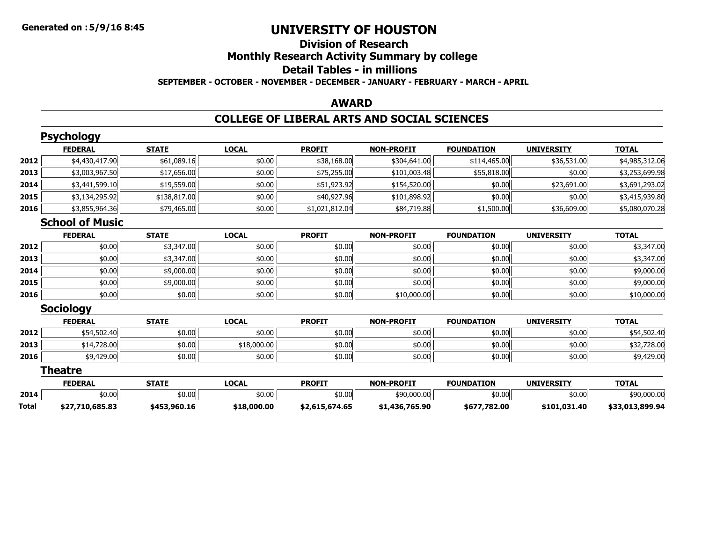# **Division of ResearchMonthly Research Activity Summary by college Detail Tables - in millionsSEPTEMBER - OCTOBER - NOVEMBER - DECEMBER - JANUARY - FEBRUARY - MARCH - APRIL**

#### **AWARD**

### **COLLEGE OF LIBERAL ARTS AND SOCIAL SCIENCES**

|              | <b>Psychology</b>      |              |              |                |                   |                   |                   |                 |
|--------------|------------------------|--------------|--------------|----------------|-------------------|-------------------|-------------------|-----------------|
|              | <b>FEDERAL</b>         | <b>STATE</b> | <b>LOCAL</b> | <b>PROFIT</b>  | <b>NON-PROFIT</b> | <b>FOUNDATION</b> | <b>UNIVERSITY</b> | <b>TOTAL</b>    |
| 2012         | \$4,430,417.90         | \$61,089.16  | \$0.00       | \$38,168.00    | \$304,641.00      | \$114,465.00      | \$36,531.00       | \$4,985,312.06  |
| 2013         | \$3,003,967.50         | \$17,656.00  | \$0.00       | \$75,255.00    | \$101,003.48      | \$55,818.00       | \$0.00            | \$3,253,699.98  |
| 2014         | \$3,441,599.10         | \$19,559.00  | \$0.00       | \$51,923.92    | \$154,520.00      | \$0.00            | \$23,691.00       | \$3,691,293.02  |
| 2015         | \$3,134,295.92         | \$138,817.00 | \$0.00       | \$40,927.96    | \$101,898.92      | \$0.00            | \$0.00            | \$3,415,939.80  |
| 2016         | \$3,855,964.36         | \$79,465.00  | \$0.00       | \$1,021,812.04 | \$84,719.88       | \$1,500.00        | \$36,609.00       | \$5,080,070.28  |
|              | <b>School of Music</b> |              |              |                |                   |                   |                   |                 |
|              | <b>FEDERAL</b>         | <b>STATE</b> | <b>LOCAL</b> | <b>PROFIT</b>  | <b>NON-PROFIT</b> | <b>FOUNDATION</b> | <b>UNIVERSITY</b> | <b>TOTAL</b>    |
| 2012         | \$0.00                 | \$3,347.00   | \$0.00       | \$0.00         | \$0.00            | \$0.00            | \$0.00            | \$3,347.00      |
| 2013         | \$0.00                 | \$3,347.00   | \$0.00       | \$0.00         | \$0.00            | \$0.00            | \$0.00            | \$3,347.00      |
| 2014         | \$0.00                 | \$9,000.00   | \$0.00       | \$0.00         | \$0.00            | \$0.00            | \$0.00            | \$9,000.00      |
| 2015         | \$0.00                 | \$9,000.00   | \$0.00       | \$0.00         | \$0.00            | \$0.00            | \$0.00            | \$9,000.00      |
| 2016         | \$0.00                 | \$0.00       | \$0.00       | \$0.00         | \$10,000.00       | \$0.00            | \$0.00            | \$10,000.00     |
|              | <b>Sociology</b>       |              |              |                |                   |                   |                   |                 |
|              | <b>FEDERAL</b>         | <b>STATE</b> | <b>LOCAL</b> | <b>PROFIT</b>  | <b>NON-PROFIT</b> | <b>FOUNDATION</b> | <b>UNIVERSITY</b> | <b>TOTAL</b>    |
| 2012         | \$54,502.40            | \$0.00       | \$0.00       | \$0.00         | \$0.00            | \$0.00            | \$0.00            | \$54,502.40     |
| 2013         | \$14,728.00            | \$0.00       | \$18,000.00  | \$0.00         | \$0.00            | \$0.00            | \$0.00            | \$32,728.00     |
| 2016         | \$9,429.00             | \$0.00       | \$0.00       | \$0.00         | \$0.00            | \$0.00            | \$0.00            | \$9,429.00      |
|              | <b>Theatre</b>         |              |              |                |                   |                   |                   |                 |
|              | <b>FEDERAL</b>         | <b>STATE</b> | <b>LOCAL</b> | <b>PROFIT</b>  | <b>NON-PROFIT</b> | <b>FOUNDATION</b> | <b>UNIVERSITY</b> | <b>TOTAL</b>    |
| 2014         | \$0.00                 | \$0.00       | \$0.00       | \$0.00         | \$90,000.00       | \$0.00            | \$0.00            | \$90,000.00     |
| <b>Total</b> | \$27,710,685.83        | \$453,960.16 | \$18,000.00  | \$2,615,674.65 | \$1,436,765.90    | \$677,782.00      | \$101,031.40      | \$33,013,899.94 |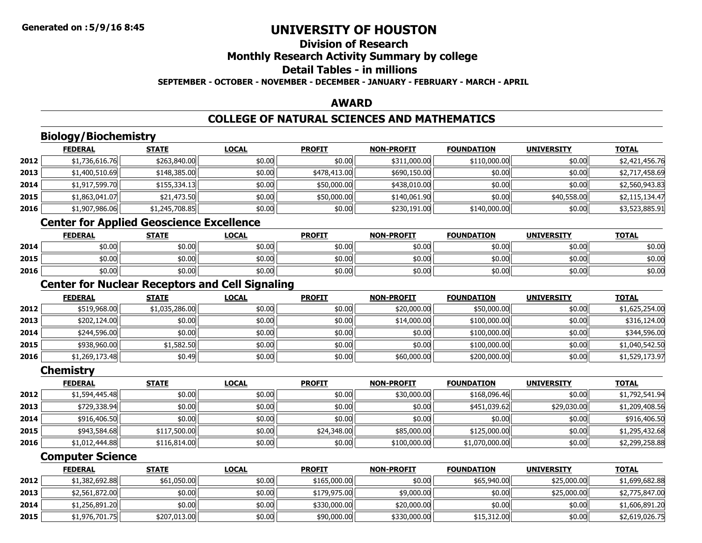### **Division of ResearchMonthly Research Activity Summary by college Detail Tables - in millionsSEPTEMBER - OCTOBER - NOVEMBER - DECEMBER - JANUARY - FEBRUARY - MARCH - APRIL**

#### **AWARD**

# **COLLEGE OF NATURAL SCIENCES AND MATHEMATICS**

# **Biology/Biochemistry**

|      | <b>FEDERAL</b> | <b>STATE</b>   | <b>LOCAL</b> | <b>PROFIT</b> | <b>NON-PROFIT</b> | <b>FOUNDATION</b> | <b>UNIVERSITY</b> | <b>TOTAL</b>   |
|------|----------------|----------------|--------------|---------------|-------------------|-------------------|-------------------|----------------|
| 2012 | \$1,736,616.76 | \$263,840.00   | \$0.00       | \$0.00        | \$311,000.00      | \$110,000.00      | \$0.00            | \$2,421,456.76 |
| 2013 | \$1,400,510.69 | \$148,385.00   | \$0.00       | \$478,413.00  | \$690,150.00      | \$0.00            | \$0.00            | \$2,717,458.69 |
| 2014 | \$1,917,599.70 | \$155,334.13   | \$0.00       | \$50,000.00   | \$438,010.00      | \$0.00            | \$0.00            | \$2,560,943.83 |
| 2015 | \$1,863,041.07 | \$21,473.50    | \$0.00       | \$50,000.00   | \$140,061.90      | \$0.00            | \$40,558.00       | \$2,115,134.47 |
| 2016 | \$1,907,986.06 | \$1,245,708.85 | \$0.00       | \$0.00        | \$230,191.00      | \$140,000.00      | \$0.00            | \$3,523,885.91 |

# **Center for Applied Geoscience Excellence**

|      | <b>FEDERAL</b> | <b>STATE</b> | LOCAL  | <b>PROFIT</b> | <b>NON-PROFIT</b> | <b>FOUNDATION</b> | <b>UNIVERSITY</b> | <b>TOTAL</b> |
|------|----------------|--------------|--------|---------------|-------------------|-------------------|-------------------|--------------|
| 2014 | \$0.00         | \$0.00       | \$0.00 | \$0.00        | \$0.00            | \$0.00            | \$0.00            | \$0.00       |
| 2015 | \$0.00         | \$0.00       | \$0.00 | \$0.00        | \$0.00            | \$0.00            | \$0.00            | \$0.00       |
| 2016 | \$0.00         | \$0.00       | \$0.00 | \$0.00        | \$0.00            | \$0.00            | \$0.00            | \$0.00       |

# **Center for Nuclear Receptors and Cell Signaling**

|      | <b>FEDERAL</b> | <b>STATE</b>   | <b>LOCAL</b> | <b>PROFIT</b> | <b>NON-PROFIT</b> | <b>FOUNDATION</b> | <b>UNIVERSITY</b> | <b>TOTAL</b>   |
|------|----------------|----------------|--------------|---------------|-------------------|-------------------|-------------------|----------------|
| 2012 | \$519,968.00   | \$1,035,286.00 | \$0.00       | \$0.00        | \$20,000.00       | \$50,000.00       | \$0.00            | \$1,625,254.00 |
| 2013 | \$202,124.00   | \$0.00         | \$0.00       | \$0.00        | \$14,000.00       | \$100,000.00      | \$0.00            | \$316,124.00   |
| 2014 | \$244,596.00   | \$0.00         | \$0.00       | \$0.00        | \$0.00            | \$100,000.00      | \$0.00            | \$344,596.00   |
| 2015 | \$938,960.00   | \$1,582.50     | \$0.00       | \$0.00        | \$0.00            | \$100,000.00      | \$0.00            | \$1,040,542.50 |
| 2016 | \$1,269,173.48 | \$0.49         | \$0.00       | \$0.00        | \$60,000.00       | \$200,000.00      | \$0.00            | \$1,529,173.97 |

#### **Chemistry**

|      | <b>FEDERAL</b> | <b>STATE</b> | <b>LOCAL</b> | <b>PROFIT</b> | <b>NON-PROFIT</b> | <b>FOUNDATION</b> | <b>UNIVERSITY</b> | <b>TOTAL</b>   |
|------|----------------|--------------|--------------|---------------|-------------------|-------------------|-------------------|----------------|
| 2012 | \$1,594,445.48 | \$0.00       | \$0.00       | \$0.00        | \$30,000.00       | \$168,096,46      | \$0.00            | \$1,792,541.94 |
| 2013 | \$729,338.94   | \$0.00       | \$0.00       | \$0.00        | \$0.00            | \$451,039.62      | \$29,030.00       | \$1,209,408.56 |
| 2014 | \$916,406.50   | \$0.00       | \$0.00       | \$0.00        | \$0.00            | \$0.00            | \$0.00            | \$916,406.50   |
| 2015 | \$943,584.68   | \$117,500.00 | \$0.00       | \$24,348.00   | \$85,000.00       | \$125,000.00      | \$0.00            | \$1,295,432.68 |
| 2016 | \$1,012,444.88 | \$116,814.00 | \$0.00       | \$0.00        | \$100,000.00      | \$1,070,000.00    | \$0.00            | \$2,299,258.88 |

# **Computer Science**

|      | <b>FEDERAL</b> | <b>STATE</b> | <b>LOCAL</b> | <b>PROFIT</b> | <b>NON-PROFIT</b> | <b>FOUNDATION</b> | <b>UNIVERSITY</b> | <b>TOTAL</b>   |
|------|----------------|--------------|--------------|---------------|-------------------|-------------------|-------------------|----------------|
| 2012 | \$1,382,692.88 | \$61,050.00  | \$0.00       | \$165,000.00  | \$0.00            | \$65,940.00       | \$25,000.00       | \$1,699,682.88 |
| 2013 | \$2,561,872.00 | \$0.00       | \$0.00       | \$179,975,00  | \$9,000.00        | \$0.00            | \$25,000,00       | \$2,775,847.00 |
| 2014 | \$1,256,891.20 | \$0.00       | \$0.00       | \$330,000.00  | \$20,000.00       | \$0.00            | \$0.00            | \$1,606,891.20 |
| 2015 | \$1,976,701.75 | \$207,013.00 | \$0.00       | \$90,000.00   | \$330,000.00      | \$15,312,00       | \$0.00            | \$2,619,026.75 |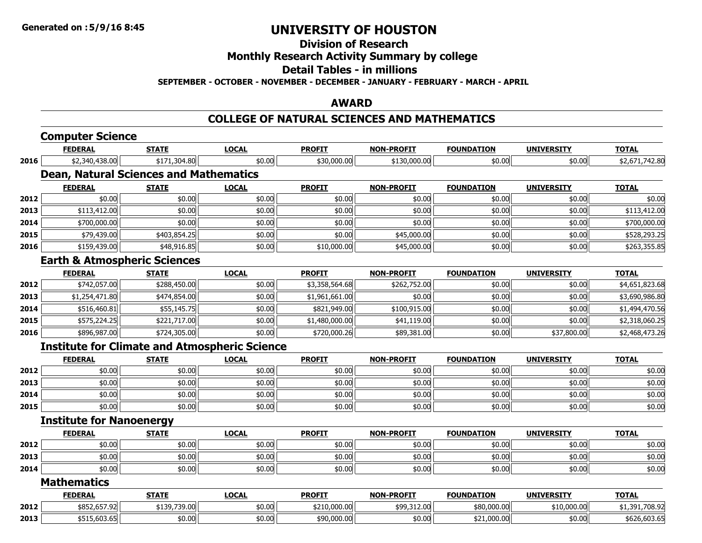# **Division of Research**

# **Monthly Research Activity Summary by college**

#### **Detail Tables - in millions**

**SEPTEMBER - OCTOBER - NOVEMBER - DECEMBER - JANUARY - FEBRUARY - MARCH - APRIL**

#### **AWARD**

#### **COLLEGE OF NATURAL SCIENCES AND MATHEMATICS**

| <b>FEDERAL</b>     | <b>STATE</b>   | <b>LOCAL</b>                                                                                                          | <b>PROFIT</b>                                                 | <b>NON-PROFIT</b>                                                     | <b>FOUNDATION</b> | <b>UNIVERSITY</b> | <b>TOTAL</b>      |
|--------------------|----------------|-----------------------------------------------------------------------------------------------------------------------|---------------------------------------------------------------|-----------------------------------------------------------------------|-------------------|-------------------|-------------------|
| \$2,340,438.00     | \$171,304.80   | \$0.00                                                                                                                | \$30,000.00                                                   | \$130,000.00                                                          | \$0.00            | \$0.00            | \$2,671,742.80    |
|                    |                |                                                                                                                       |                                                               |                                                                       |                   |                   |                   |
| <b>FEDERAL</b>     | <b>STATE</b>   | <b>LOCAL</b>                                                                                                          | <b>PROFIT</b>                                                 | <b>NON-PROFIT</b>                                                     | <b>FOUNDATION</b> | <b>UNIVERSITY</b> | <b>TOTAL</b>      |
| \$0.00             | \$0.00         | \$0.00                                                                                                                | \$0.00                                                        | \$0.00                                                                | \$0.00            | \$0.00            | \$0.00            |
| \$113,412.00       | \$0.00         | \$0.00                                                                                                                | \$0.00                                                        | \$0.00                                                                | \$0.00            | \$0.00            | \$113,412.00      |
| \$700,000.00       | \$0.00         | \$0.00                                                                                                                | \$0.00                                                        | \$0.00                                                                | \$0.00            | \$0.00            | \$700,000.00      |
| \$79,439.00        | \$403,854.25   | \$0.00                                                                                                                | \$0.00                                                        | \$45,000.00                                                           | \$0.00            | \$0.00            | \$528,293.25      |
| \$159,439.00       | \$48,916.85    | \$0.00                                                                                                                | \$10,000.00                                                   | \$45,000.00                                                           | \$0.00            | \$0.00            | \$263,355.85      |
|                    |                |                                                                                                                       |                                                               |                                                                       |                   |                   |                   |
| <b>FEDERAL</b>     | <b>STATE</b>   | <b>LOCAL</b>                                                                                                          | <b>PROFIT</b>                                                 | <b>NON-PROFIT</b>                                                     | <b>FOUNDATION</b> | <b>UNIVERSITY</b> | <b>TOTAL</b>      |
| \$742,057.00       | \$288,450.00   | \$0.00                                                                                                                | \$3,358,564.68                                                | \$262,752.00                                                          | \$0.00            | \$0.00            | \$4,651,823.68    |
| \$1,254,471.80     | \$474,854.00   | \$0.00                                                                                                                | \$1,961,661.00                                                | \$0.00                                                                | \$0.00            | \$0.00            | \$3,690,986.80    |
| \$516,460.81       | \$55,145.75    | \$0.00                                                                                                                | \$821,949.00                                                  | \$100,915.00                                                          | \$0.00            | \$0.00            | \$1,494,470.56    |
| \$575,224.25       | \$221,717.00   | \$0.00                                                                                                                | \$1,480,000.00                                                | \$41,119.00                                                           | \$0.00            | \$0.00            | \$2,318,060.25    |
| \$896,987.00       | \$724,305.00   | \$0.00                                                                                                                | \$720,000.26                                                  | \$89,381.00                                                           | \$0.00            | \$37,800.00       | \$2,468,473.26    |
|                    |                |                                                                                                                       |                                                               |                                                                       |                   |                   |                   |
| <b>FEDERAL</b>     | <b>STATE</b>   | <b>LOCAL</b>                                                                                                          | <b>PROFIT</b>                                                 | <b>NON-PROFIT</b>                                                     | <b>FOUNDATION</b> | <b>UNIVERSITY</b> | <b>TOTAL</b>      |
| \$0.00             | \$0.00         | \$0.00                                                                                                                | \$0.00                                                        | \$0.00                                                                | \$0.00            | \$0.00            | \$0.00            |
| \$0.00             | \$0.00         | \$0.00                                                                                                                | \$0.00                                                        | \$0.00                                                                | \$0.00            | \$0.00            | \$0.00            |
| \$0.00             | \$0.00         | \$0.00                                                                                                                | \$0.00                                                        | \$0.00                                                                | \$0.00            | \$0.00            | \$0.00            |
| \$0.00             | \$0.00         | \$0.00                                                                                                                | \$0.00                                                        | \$0.00                                                                | \$0.00            | \$0.00            | \$0.00            |
|                    |                |                                                                                                                       |                                                               |                                                                       |                   |                   |                   |
| <b>FEDERAL</b>     | <b>STATE</b>   | <b>LOCAL</b>                                                                                                          | <b>PROFIT</b>                                                 | <b>NON-PROFIT</b>                                                     | <b>FOUNDATION</b> | <b>UNIVERSITY</b> | <b>TOTAL</b>      |
| \$0.00             | \$0.00         | \$0.00                                                                                                                | \$0.00                                                        | \$0.00                                                                | \$0.00            | \$0.00            | \$0.00            |
| \$0.00             | \$0.00         | \$0.00                                                                                                                | \$0.00                                                        | \$0.00                                                                | \$0.00            | \$0.00            | \$0.00            |
| \$0.00             | \$0.00         | \$0.00                                                                                                                | \$0.00                                                        | \$0.00                                                                | \$0.00            | \$0.00            | \$0.00            |
| <b>Mathematics</b> |                |                                                                                                                       |                                                               |                                                                       |                   |                   |                   |
|                    |                |                                                                                                                       |                                                               |                                                                       |                   |                   | <b>TOTAL</b>      |
| \$852,657.92       | \$139,739.00   | \$0.00                                                                                                                | \$210,000.00                                                  | \$99,312.00                                                           | \$80,000.00       | \$10,000.00       | \$1,391,708.92    |
| \$515,603.65       | \$0.00         | \$0.00                                                                                                                | \$90,000.00                                                   | \$0.00                                                                | \$21,000.00       | \$0.00            | \$626,603.65      |
|                    | <b>FEDERAL</b> | <b>Computer Science</b><br><b>Earth &amp; Atmospheric Sciences</b><br><b>Institute for Nanoenergy</b><br><b>STATE</b> | <b>Dean, Natural Sciences and Mathematics</b><br><b>LOCAL</b> | <b>Institute for Climate and Atmospheric Science</b><br><b>PROFIT</b> | <b>NON-PROFIT</b> | <b>FOUNDATION</b> | <b>UNIVERSITY</b> |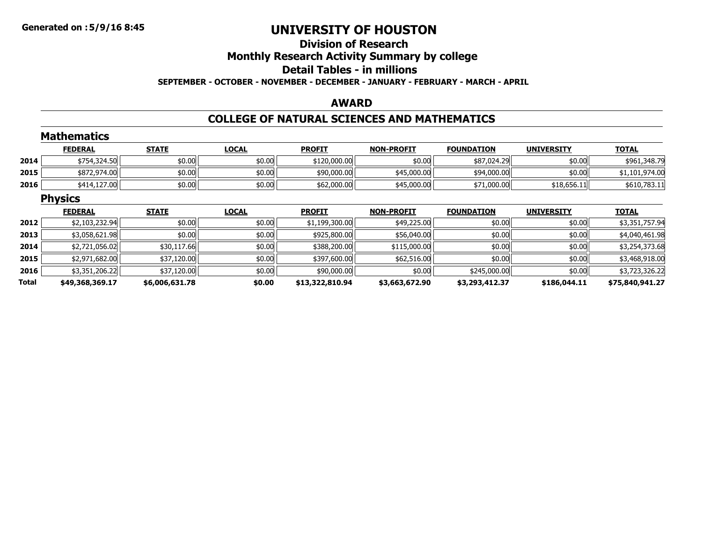# **Division of ResearchMonthly Research Activity Summary by college Detail Tables - in millionsSEPTEMBER - OCTOBER - NOVEMBER - DECEMBER - JANUARY - FEBRUARY - MARCH - APRIL**

#### **AWARD**

### **COLLEGE OF NATURAL SCIENCES AND MATHEMATICS**

|       | <b>Mathematics</b> |                |              |                 |                   |                   |                   |                 |
|-------|--------------------|----------------|--------------|-----------------|-------------------|-------------------|-------------------|-----------------|
|       | <b>FEDERAL</b>     | <b>STATE</b>   | <b>LOCAL</b> | <b>PROFIT</b>   | <b>NON-PROFIT</b> | <b>FOUNDATION</b> | <b>UNIVERSITY</b> | <b>TOTAL</b>    |
| 2014  | \$754,324.50       | \$0.00         | \$0.00       | \$120,000.00    | \$0.00            | \$87,024.29       | \$0.00            | \$961,348.79    |
| 2015  | \$872,974.00       | \$0.00         | \$0.00       | \$90,000.00     | \$45,000.00       | \$94,000.00       | \$0.00            | \$1,101,974.00  |
| 2016  | \$414,127.00       | \$0.00         | \$0.00       | \$62,000.00     | \$45,000.00       | \$71,000.00       | \$18,656.11       | \$610,783.11    |
|       | <b>Physics</b>     |                |              |                 |                   |                   |                   |                 |
|       | <b>FEDERAL</b>     | <b>STATE</b>   | <b>LOCAL</b> | <b>PROFIT</b>   | <b>NON-PROFIT</b> | <b>FOUNDATION</b> | <b>UNIVERSITY</b> | <b>TOTAL</b>    |
| 2012  | \$2,103,232.94     | \$0.00         | \$0.00       | \$1,199,300.00  | \$49,225.00       | \$0.00            | \$0.00            | \$3,351,757.94  |
| 2013  | \$3,058,621.98     | \$0.00         | \$0.00       | \$925,800.00    | \$56,040.00       | \$0.00            | \$0.00            | \$4,040,461.98  |
| 2014  | \$2,721,056.02     | \$30,117.66    | \$0.00       | \$388,200.00    | \$115,000.00      | \$0.00            | \$0.00            | \$3,254,373.68  |
| 2015  | \$2,971,682.00     | \$37,120.00    | \$0.00       | \$397,600.00    | \$62,516.00       | \$0.00            | \$0.00            | \$3,468,918.00  |
| 2016  | \$3,351,206.22     | \$37,120.00    | \$0.00       | \$90,000.00     | \$0.00            | \$245,000.00      | \$0.00            | \$3,723,326.22  |
| Total | \$49,368,369.17    | \$6,006,631.78 | \$0.00       | \$13,322,810.94 | \$3,663,672.90    | \$3,293,412.37    | \$186,044.11      | \$75,840,941.27 |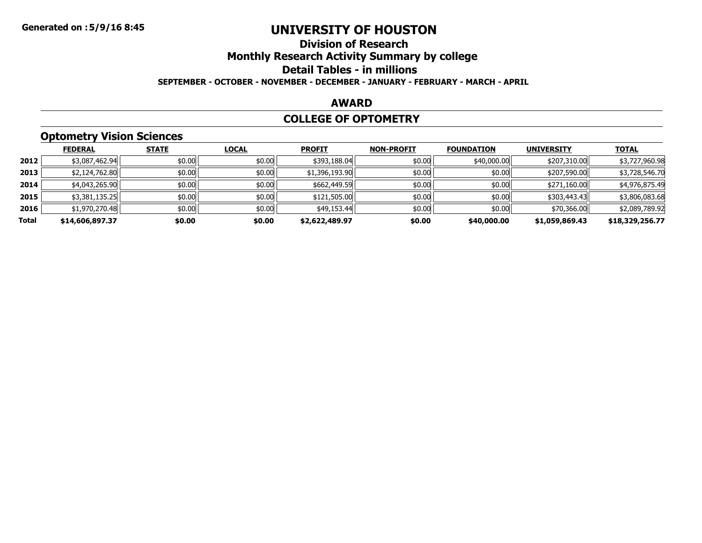### **Division of ResearchMonthly Research Activity Summary by college Detail Tables - in millions SEPTEMBER - OCTOBER - NOVEMBER - DECEMBER - JANUARY - FEBRUARY - MARCH - APRIL**

#### **AWARD**

#### **COLLEGE OF OPTOMETRY**

# **Optometry Vision Sciences**

|       | <b>FEDERAL</b>  | <b>STATE</b> | <b>LOCAL</b> | <b>PROFIT</b>  | <b>NON-PROFIT</b> | <b>FOUNDATION</b> | <b>UNIVERSITY</b> | <b>TOTAL</b>    |
|-------|-----------------|--------------|--------------|----------------|-------------------|-------------------|-------------------|-----------------|
| 2012  | \$3,087,462.94  | \$0.00       | \$0.00       | \$393,188.04   | \$0.00            | \$40,000.00       | \$207,310.00      | \$3,727,960.98  |
| 2013  | \$2,124,762.80  | \$0.00       | \$0.00       | \$1,396,193.90 | \$0.00            | \$0.00            | \$207,590.00      | \$3,728,546.70  |
| 2014  | \$4,043,265.90  | \$0.00       | \$0.00       | \$662,449.59   | \$0.00            | \$0.00            | \$271,160.00      | \$4,976,875.49  |
| 2015  | \$3,381,135.25  | \$0.00       | \$0.00       | \$121,505.00   | \$0.00            | \$0.00            | \$303,443.43      | \$3,806,083.68  |
| 2016  | \$1,970,270.48  | \$0.00       | \$0.00       | \$49,153.44    | \$0.00            | \$0.00            | \$70,366.00       | \$2,089,789.92  |
| Total | \$14,606,897.37 | \$0.00       | \$0.00       | \$2,622,489.97 | \$0.00            | \$40,000.00       | \$1,059,869.43    | \$18,329,256.77 |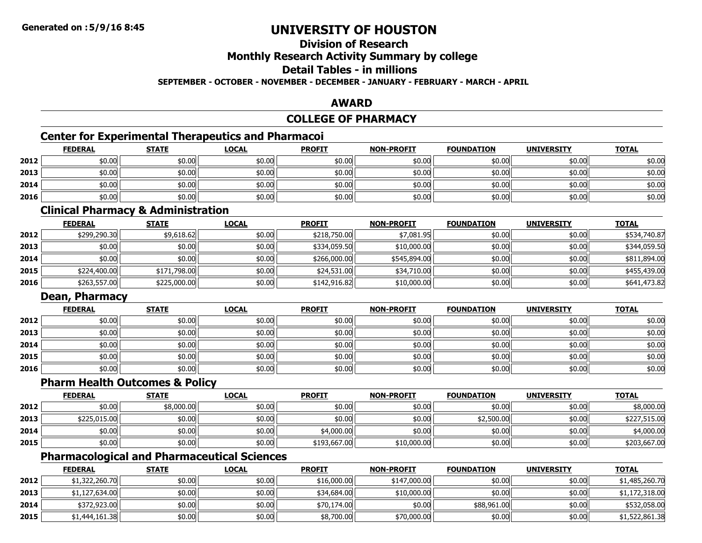# **Division of Research**

# **Monthly Research Activity Summary by college**

#### **Detail Tables - in millions**

#### **SEPTEMBER - OCTOBER - NOVEMBER - DECEMBER - JANUARY - FEBRUARY - MARCH - APRIL**

#### **AWARD**

### **COLLEGE OF PHARMACY**

# **Center for Experimental Therapeutics and Pharmacoi**

|      | <b>FEDERAL</b> | <b>STATE</b> | <u>LOCAL</u> | <b>PROFIT</b> | <b>NON-PROFIT</b> | <b>FOUNDATION</b> | <b>UNIVERSITY</b> | <b>TOTAL</b> |
|------|----------------|--------------|--------------|---------------|-------------------|-------------------|-------------------|--------------|
| 2012 | \$0.00         | \$0.00       | \$0.00       | \$0.00        | \$0.00            | \$0.00            | \$0.00            | \$0.00       |
| 2013 | \$0.00         | \$0.00       | \$0.00       | \$0.00        | \$0.00            | \$0.00            | \$0.00            | \$0.00       |
| 2014 | \$0.00         | \$0.00       | \$0.00       | \$0.00        | \$0.00            | \$0.00            | \$0.00            | \$0.00       |
| 2016 | \$0.00         | \$0.00       | \$0.00       | \$0.00        | \$0.00            | \$0.00            | \$0.00            | \$0.00       |

#### **Clinical Pharmacy & Administration**

|      | <b>FEDERAL</b> | <b>STATE</b> | <b>LOCAL</b> | <b>PROFIT</b> | <b>NON-PROFIT</b> | <b>FOUNDATION</b> | <b>UNIVERSITY</b> | <b>TOTAL</b> |
|------|----------------|--------------|--------------|---------------|-------------------|-------------------|-------------------|--------------|
| 2012 | \$299,290.30   | \$9,618.62   | \$0.00       | \$218,750.00  | \$7,081.95        | \$0.00            | \$0.00            | \$534,740.87 |
| 2013 | \$0.00         | \$0.00       | \$0.00       | \$334,059.50  | \$10,000.00       | \$0.00            | \$0.00            | \$344,059.50 |
| 2014 | \$0.00         | \$0.00       | \$0.00       | \$266,000,00  | \$545,894.00      | \$0.00            | \$0.00            | \$811,894.00 |
| 2015 | \$224,400.00   | \$171,798.00 | \$0.00       | \$24,531.00   | \$34,710.00       | \$0.00            | \$0.00            | \$455,439.00 |
| 2016 | \$263,557.00   | \$225,000.00 | \$0.00       | \$142,916.82  | \$10,000.00       | \$0.00            | \$0.00            | \$641,473.82 |

### **Dean, Pharmacy**

|      | <b>FEDERAL</b> | <b>STATE</b> | <b>LOCAL</b> | <b>PROFIT</b> | <b>NON-PROFIT</b> | <b>FOUNDATION</b> | <b>UNIVERSITY</b> | <b>TOTAL</b> |
|------|----------------|--------------|--------------|---------------|-------------------|-------------------|-------------------|--------------|
| 2012 | \$0.00         | \$0.00       | \$0.00       | \$0.00        | \$0.00            | \$0.00            | \$0.00            | \$0.00       |
| 2013 | \$0.00         | \$0.00       | \$0.00       | \$0.00        | \$0.00            | \$0.00            | \$0.00            | \$0.00       |
| 2014 | \$0.00         | \$0.00       | \$0.00       | \$0.00        | \$0.00            | \$0.00            | \$0.00            | \$0.00       |
| 2015 | \$0.00         | \$0.00       | \$0.00       | \$0.00        | \$0.00            | \$0.00            | \$0.00            | \$0.00       |
| 2016 | \$0.00         | \$0.00       | \$0.00       | \$0.00        | \$0.00            | \$0.00            | \$0.00            | \$0.00       |

### **Pharm Health Outcomes & Policy**

|      | <u>FEDERAL</u> | <u>STATE</u> | <u>LOCAL</u> | <b>PROFIT</b> | <b>NON-PROFIT</b> | <b>FOUNDATION</b> | <b>UNIVERSITY</b> | <b>TOTAL</b> |
|------|----------------|--------------|--------------|---------------|-------------------|-------------------|-------------------|--------------|
| 2012 | \$0.00         | \$8,000.00   | \$0.00       | \$0.00        | \$0.00            | \$0.00            | \$0.00            | \$8,000.00   |
| 2013 | \$225,015.00   | \$0.00       | \$0.00       | \$0.00        | \$0.00            | \$2,500.00        | \$0.00            | \$227,515.00 |
| 2014 | \$0.00         | \$0.00       | \$0.00       | \$4,000.00    | \$0.00            | \$0.00            | \$0.00            | \$4,000.00   |
| 2015 | \$0.00         | \$0.00       | \$0.00       | \$193,667.00  | \$10,000.00       | \$0.00            | \$0.00            | \$203,667.00 |

# **Pharmacological and Pharmaceutical Sciences**

|      | <b>FEDERAL</b> | <b>STATE</b> | <b>LOCAL</b> | <b>PROFIT</b> | <b>NON-PROFIT</b> | <b>FOUNDATION</b> | <b>UNIVERSITY</b> | <b>TOTAL</b>   |
|------|----------------|--------------|--------------|---------------|-------------------|-------------------|-------------------|----------------|
| 2012 | \$1,322,260.70 | \$0.00       | \$0.00       | \$16,000.00   | \$147,000.00      | \$0.00            | \$0.00            | \$1,485,260.70 |
| 2013 | \$1,127,634.00 | \$0.00       | \$0.00       | \$34,684.00   | \$10,000.00       | \$0.00            | \$0.00            | \$1,172,318.00 |
| 2014 | \$372,923.00   | \$0.00       | \$0.00       | \$70,174.00   | \$0.00            | \$88,961.00       | \$0.00            | \$532,058.00   |
| 2015 | \$1,444,161.38 | \$0.00       | \$0.00       | \$8,700.00    | \$70,000.00       | \$0.00            | \$0.00            | \$1,522,861.38 |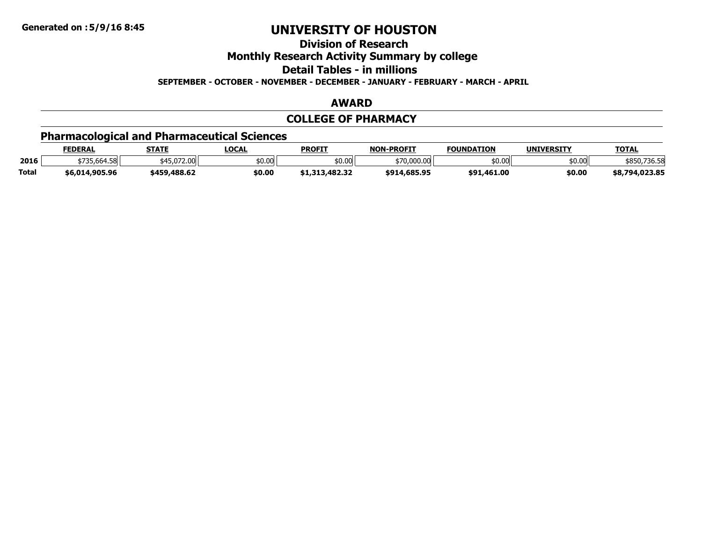**Division of Research**

**Monthly Research Activity Summary by college**

**Detail Tables - in millions**

**SEPTEMBER - OCTOBER - NOVEMBER - DECEMBER - JANUARY - FEBRUARY - MARCH - APRIL**

### **AWARD**

# **COLLEGE OF PHARMACY**

# **Pharmacological and Pharmaceutical Sciences**

|              | <b>FEDERAL</b>                       | <u>STATE</u>                    | <b>LOCAL</b> | <b>PROFIT</b>  | <b>NON</b><br><b>J-PROFIT</b> | <b>FOUNDATION</b>   | <b>UNIVERSITY</b> | <b>TOTAL</b>   |
|--------------|--------------------------------------|---------------------------------|--------------|----------------|-------------------------------|---------------------|-------------------|----------------|
| 2016         | $+72E$ CCA CO.<br>733.004.381        | + 1 = 0 - 7 0<br>ഹ<br>45.072.00 | \$0.00       | \$0.00         | \$70.000.00                   | $\sim$ 00<br>וטט.טע | \$0.00            | סכ.טכ ו        |
| <b>Total</b> | 14.905.96<br>$^{\circ}$ 6.014 $\sim$ | \$459,488.62                    | \$0.00       | \$1,313,482.32 | \$914,685.95                  | \$91,461.00         | \$0.00            | \$8,794,023.85 |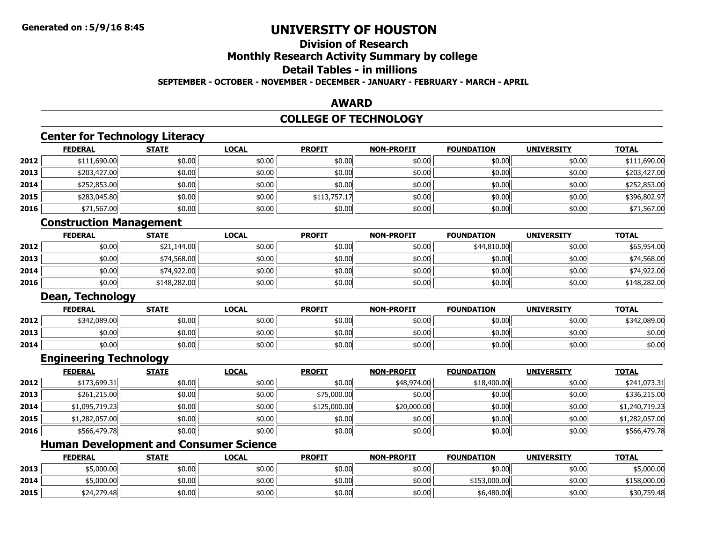### **Division of ResearchMonthly Research Activity Summary by college Detail Tables - in millionsSEPTEMBER - OCTOBER - NOVEMBER - DECEMBER - JANUARY - FEBRUARY - MARCH - APRIL**

# **AWARD**

#### **COLLEGE OF TECHNOLOGY**

# **Center for Technology Literacy**

|      | <b>FEDERAL</b> | <b>STATE</b> | <b>LOCAL</b> | <b>PROFIT</b> | <b>NON-PROFIT</b> | <b>FOUNDATION</b> | <b>UNIVERSITY</b> | <b>TOTAL</b> |
|------|----------------|--------------|--------------|---------------|-------------------|-------------------|-------------------|--------------|
| 2012 | \$111,690.00   | \$0.00       | \$0.00       | \$0.00        | \$0.00            | \$0.00            | \$0.00            | \$111,690.00 |
| 2013 | \$203,427.00   | \$0.00       | \$0.00       | \$0.00        | \$0.00            | \$0.00            | \$0.00            | \$203,427.00 |
| 2014 | \$252,853.00   | \$0.00       | \$0.00       | \$0.00        | \$0.00            | \$0.00            | \$0.00            | \$252,853.00 |
| 2015 | \$283,045.80   | \$0.00       | \$0.00       | \$113,757.17  | \$0.00            | \$0.00            | \$0.00            | \$396,802.97 |
| 2016 | \$71,567.00    | \$0.00       | \$0.00       | \$0.00        | \$0.00            | \$0.00            | \$0.00            | \$71,567.00  |

### **Construction Management**

|      | <b>FEDERAL</b> | <b>STATE</b> | <b>LOCAL</b> | <b>PROFIT</b> | <b>NON-PROFIT</b> | <b>FOUNDATION</b> | <b>UNIVERSITY</b> | <b>TOTAL</b> |
|------|----------------|--------------|--------------|---------------|-------------------|-------------------|-------------------|--------------|
| 2012 | \$0.00         | \$21,144.00  | \$0.00       | \$0.00        | \$0.00            | \$44,810.00       | \$0.00            | \$65,954.00  |
| 2013 | \$0.00         | \$74,568.00  | \$0.00       | \$0.00        | \$0.00            | \$0.00            | \$0.00            | \$74,568.00  |
| 2014 | \$0.00         | \$74,922,00  | \$0.00       | \$0.00        | \$0.00            | \$0.00            | \$0.00            | \$74,922.00  |
| 2016 | \$0.00         | \$148,282.00 | \$0.00       | \$0.00        | \$0.00            | \$0.00            | \$0.00            | \$148,282.00 |

#### **Dean, Technology**

|      | <b>FEDERAL</b> | <b>STATE</b> | <u>LOCAL</u> | <b>PROFIT</b> | <b>NON-PROFIT</b> | <b>FOUNDATION</b> | <b>UNIVERSITY</b> | <b>TOTAL</b> |
|------|----------------|--------------|--------------|---------------|-------------------|-------------------|-------------------|--------------|
| 2012 | \$342,089.00   | \$0.00       | \$0.00       | \$0.00        | \$0.00            | \$0.00            | \$0.00            | \$342,089.00 |
| 2013 | \$0.00         | \$0.00       | \$0.00       | \$0.00        | \$0.00            | \$0.00            | \$0.00            | \$0.00       |
| 2014 | \$0.00         | \$0.00       | \$0.00       | \$0.00        | \$0.00            | \$0.00            | \$0.00            | \$0.00       |

#### **Engineering Technology**

|      | <b>FEDERAL</b> | <b>STATE</b> | <u>LOCAL</u> | <b>PROFIT</b> | <b>NON-PROFIT</b> | <b>FOUNDATION</b> | <b>UNIVERSITY</b> | <b>TOTAL</b>   |
|------|----------------|--------------|--------------|---------------|-------------------|-------------------|-------------------|----------------|
| 2012 | \$173,699.31   | \$0.00       | \$0.00       | \$0.00        | \$48,974.00       | \$18,400.00       | \$0.00            | \$241,073.31   |
| 2013 | \$261,215.00   | \$0.00       | \$0.00       | \$75,000.00   | \$0.00            | \$0.00            | \$0.00            | \$336,215.00   |
| 2014 | \$1,095,719.23 | \$0.00       | \$0.00       | \$125,000.00  | \$20,000.00       | \$0.00            | \$0.00            | \$1,240,719.23 |
| 2015 | \$1,282,057.00 | \$0.00       | \$0.00       | \$0.00        | \$0.00            | \$0.00            | \$0.00            | \$1,282,057.00 |
| 2016 | \$566,479.78   | \$0.00       | \$0.00       | \$0.00        | \$0.00            | \$0.00            | \$0.00            | \$566,479.78   |

### **Human Development and Consumer Science**

|      | <b>FEDERAL</b> | <b>STATE</b> | <u>LOCAL</u> | <b>PROFIT</b> | <b>NON-PROFIT</b> | <b>FOUNDATION</b> | <b>UNIVERSITY</b> | <b>TOTAL</b> |
|------|----------------|--------------|--------------|---------------|-------------------|-------------------|-------------------|--------------|
| 2013 | \$5,000.00     | \$0.00       | \$0.00       | \$0.00        | \$0.00            | \$0.00            | \$0.00 l          | \$5,000.00   |
| 2014 | \$5,000.00     | \$0.00       | \$0.00       | \$0.00        | \$0.00            | \$153,000.00      | \$0.00 l          | \$158,000.00 |
| 2015 | \$24,279.48    | \$0.00       | \$0.00       | \$0.00        | \$0.00            | \$6,480.00        | \$0.00 l          | \$30,759.48  |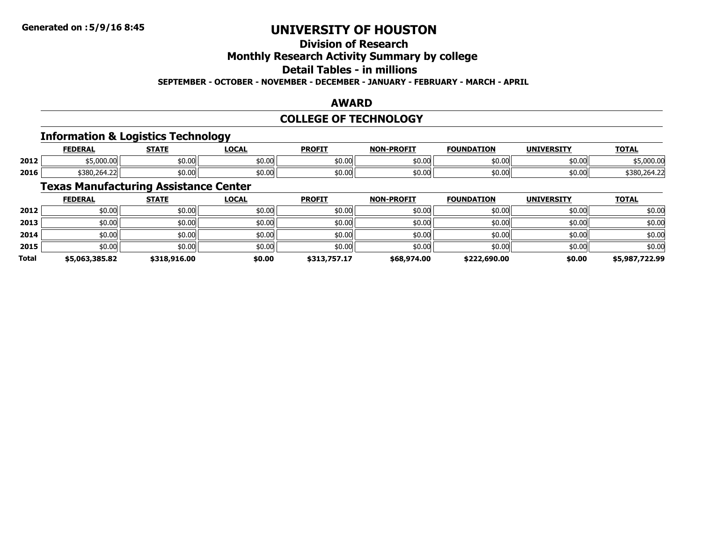# **Division of Research**

# **Monthly Research Activity Summary by college**

# **Detail Tables - in millions**

#### **SEPTEMBER - OCTOBER - NOVEMBER - DECEMBER - JANUARY - FEBRUARY - MARCH - APRIL**

#### **AWARD**

### **COLLEGE OF TECHNOLOGY**

# **Information & Logistics Technology**

|      | <b>FEDERAL</b>                              | 678 TE | <b>OCAL</b> | <b>PROFIT</b> | -PROFTT<br>NON. | <b>FOUNDATION</b>     | LINITY/FBCTTY  | <b>TOTAL</b> |
|------|---------------------------------------------|--------|-------------|---------------|-----------------|-----------------------|----------------|--------------|
| 2012 | \$5.000.00                                  | \$0.00 | 0.00 ه      | \$0.00        | \$0.00          | <b>مم مد</b><br>טט.טע | ትስ ስስ<br>JU.UU | 5.000.00     |
| 2016 | $\lambda$ 300 364.33 $\pm$<br>الے2،94،280،2 | \$0.00 | 50.00       | \$0.00        | \$0.00          | $\sim$ 00<br>טט.טע    | \$0.00         | \$380,264.22 |

# **Texas Manufacturing Assistance Center**

|              | <b>FEDERAL</b> | <b>STATE</b> | <b>LOCAL</b> | <b>PROFIT</b> | <b>NON-PROFIT</b> | <b>FOUNDATION</b> | <b>UNIVERSITY</b> | <b>TOTAL</b>   |
|--------------|----------------|--------------|--------------|---------------|-------------------|-------------------|-------------------|----------------|
| 2012         | \$0.00         | \$0.00       | \$0.00       | \$0.00        | \$0.00            | \$0.00            | \$0.00            | \$0.00         |
| 2013         | \$0.00         | \$0.00       | \$0.00       | \$0.00        | \$0.00            | \$0.00            | \$0.00            | \$0.00         |
| 2014         | \$0.00         | \$0.00       | \$0.00       | \$0.00        | \$0.00            | \$0.00            | \$0.00            | \$0.00         |
| 2015         | \$0.00         | \$0.00       | \$0.00       | \$0.00        | \$0.00            | \$0.00            | \$0.00            | \$0.00         |
| <b>Total</b> | \$5,063,385.82 | \$318,916.00 | \$0.00       | \$313,757.17  | \$68,974.00       | \$222,690.00      | \$0.00            | \$5,987,722.99 |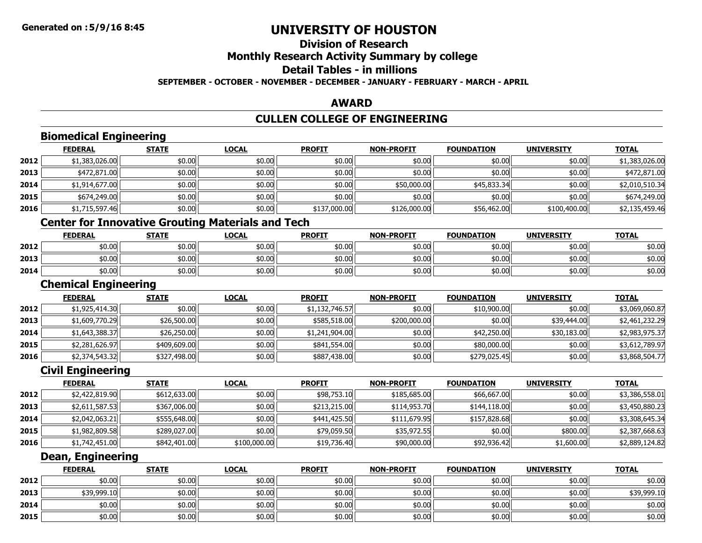# **Division of Research**

# **Monthly Research Activity Summary by college**

#### **Detail Tables - in millions**

**SEPTEMBER - OCTOBER - NOVEMBER - DECEMBER - JANUARY - FEBRUARY - MARCH - APRIL**

### **AWARD**

# **CULLEN COLLEGE OF ENGINEERING**

|      | <b>FEDERAL</b>                                           | <b>STATE</b> | <b>LOCAL</b> | <b>PROFIT</b>  | <b>NON-PROFIT</b> | <b>FOUNDATION</b> | <b>UNIVERSITY</b> | <b>TOTAL</b>   |
|------|----------------------------------------------------------|--------------|--------------|----------------|-------------------|-------------------|-------------------|----------------|
| 2012 | \$1,383,026.00                                           | \$0.00       | \$0.00       | \$0.00         | \$0.00            | \$0.00            | \$0.00            | \$1,383,026.00 |
| 2013 | \$472,871.00                                             | \$0.00       | \$0.00       | \$0.00         | \$0.00            | \$0.00            | \$0.00            | \$472,871.00   |
| 2014 | \$1,914,677.00                                           | \$0.00       | \$0.00       | \$0.00         | \$50,000.00       | \$45,833.34       | \$0.00            | \$2,010,510.34 |
| 2015 | \$674,249.00                                             | \$0.00       | \$0.00       | \$0.00         | \$0.00            | \$0.00            | \$0.00            | \$674,249.00   |
| 2016 | \$1,715,597.46                                           | \$0.00       | \$0.00       | \$137,000.00   | \$126,000.00      | \$56,462.00       | \$100,400.00      | \$2,135,459.46 |
|      | <b>Center for Innovative Grouting Materials and Tech</b> |              |              |                |                   |                   |                   |                |
|      | <b>FEDERAL</b>                                           | <b>STATE</b> | <b>LOCAL</b> | <b>PROFIT</b>  | <b>NON-PROFIT</b> | <b>FOUNDATION</b> | <b>UNIVERSITY</b> | <b>TOTAL</b>   |
| 2012 | \$0.00                                                   | \$0.00       | \$0.00       | \$0.00         | \$0.00            | \$0.00            | \$0.00            | \$0.00         |
| 2013 | \$0.00                                                   | \$0.00       | \$0.00       | \$0.00         | \$0.00            | \$0.00            | \$0.00            | \$0.00         |
| 2014 | \$0.00                                                   | \$0.00       | \$0.00       | \$0.00         | \$0.00            | \$0.00            | \$0.00            | \$0.00         |
|      | <b>Chemical Engineering</b>                              |              |              |                |                   |                   |                   |                |
|      | <b>FEDERAL</b>                                           | <b>STATE</b> | <b>LOCAL</b> | <b>PROFIT</b>  | <b>NON-PROFIT</b> | <b>FOUNDATION</b> | <b>UNIVERSITY</b> | <b>TOTAL</b>   |
| 2012 | \$1,925,414.30                                           | \$0.00       | \$0.00       | \$1,132,746.57 | \$0.00            | \$10,900.00       | \$0.00            | \$3,069,060.87 |
| 2013 | \$1,609,770.29                                           | \$26,500.00  | \$0.00       | \$585,518.00   | \$200,000.00      | \$0.00            | \$39,444.00       | \$2,461,232.29 |
| 2014 | \$1,643,388.37                                           | \$26,250.00  | \$0.00       | \$1,241,904.00 | \$0.00            | \$42,250.00       | \$30,183.00       | \$2,983,975.37 |
| 2015 | \$2,281,626.97                                           | \$409,609.00 | \$0.00       | \$841,554.00   | \$0.00            | \$80,000.00       | \$0.00            | \$3,612,789.97 |
| 2016 | \$2,374,543.32                                           | \$327,498.00 | \$0.00       | \$887,438.00   | \$0.00            | \$279,025.45      | \$0.00            | \$3,868,504.77 |
|      | <b>Civil Engineering</b>                                 |              |              |                |                   |                   |                   |                |
|      | <b>FEDERAL</b>                                           | <b>STATE</b> | <b>LOCAL</b> | <b>PROFIT</b>  | <b>NON-PROFIT</b> | <b>FOUNDATION</b> | <b>UNIVERSITY</b> | <b>TOTAL</b>   |
| 2012 | \$2,422,819.90                                           | \$612,633.00 | \$0.00       | \$98,753.10    | \$185,685.00      | \$66,667.00       | \$0.00            | \$3,386,558.01 |
| 2013 | \$2,611,587.53                                           | \$367,006.00 | \$0.00       | \$213,215.00   | \$114,953.70      | \$144,118.00      | \$0.00            | \$3,450,880.23 |
| 2014 | \$2,042,063.21                                           | \$555,648.00 | \$0.00       | \$441,425.50   | \$111,679.95      | \$157,828.68      | \$0.00            | \$3,308,645.34 |
| 2015 | \$1,982,809.58                                           | \$289,027.00 | \$0.00       | \$79,059.50    | \$35,972.55       | \$0.00            | \$800.00          | \$2,387,668.63 |
| 2016 | \$1,742,451.00                                           | \$842,401.00 | \$100,000.00 | \$19,736.40    | \$90,000.00       | \$92,936.42       | \$1,600.00        | \$2,889,124.82 |

|      | <b>FEDERAL</b> | <b>STATE</b> | <u>LOCAL</u> | <b>PROFIT</b> | <b>NON-PROFIT</b> | <b>FOUNDATION</b> | <b>UNIVERSITY</b> | <b>TOTAL</b> |
|------|----------------|--------------|--------------|---------------|-------------------|-------------------|-------------------|--------------|
| 2012 | \$0.00         | \$0.00       | \$0.00       | \$0.00        | \$0.00            | \$0.00            | \$0.00            | \$0.00       |
| 2013 | \$39,999.10    | \$0.00       | \$0.00       | \$0.00        | \$0.00            | \$0.00            | \$0.00            | \$39,999.10  |
| 2014 | \$0.00         | \$0.00       | \$0.00       | \$0.00        | \$0.00            | \$0.00            | \$0.00            | \$0.00       |
| 2015 | \$0.00         | \$0.00       | \$0.00       | \$0.00        | \$0.00            | \$0.00            | \$0.00            | \$0.00       |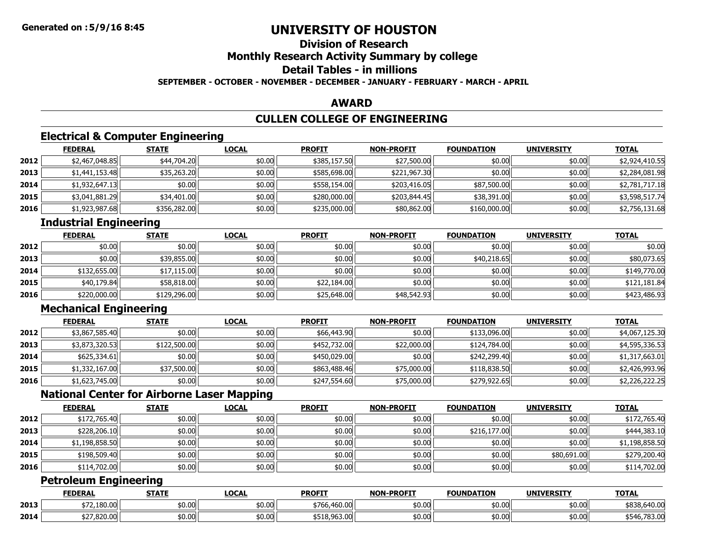### **Division of ResearchMonthly Research Activity Summary by college Detail Tables - in millionsSEPTEMBER - OCTOBER - NOVEMBER - DECEMBER - JANUARY - FEBRUARY - MARCH - APRIL**

#### **AWARD**

# **CULLEN COLLEGE OF ENGINEERING**

# **Electrical & Computer Engineering**

|      | <b>FEDERAL</b> | <b>STATE</b> | <b>LOCAL</b> | <b>PROFIT</b> | <b>NON-PROFIT</b> | <b>FOUNDATION</b> | <b>UNIVERSITY</b> | <b>TOTAL</b>   |
|------|----------------|--------------|--------------|---------------|-------------------|-------------------|-------------------|----------------|
| 2012 | \$2,467,048.85 | \$44,704.20  | \$0.00       | \$385,157.50  | \$27,500.00       | \$0.00            | \$0.00            | \$2,924,410.55 |
| 2013 | \$1,441,153.48 | \$35,263.20  | \$0.00       | \$585,698.00  | \$221,967.30      | \$0.00            | \$0.00            | \$2,284,081.98 |
| 2014 | \$1,932,647.13 | \$0.00       | \$0.00       | \$558,154.00  | \$203,416.05      | \$87,500.00       | \$0.00            | \$2,781,717.18 |
| 2015 | \$3,041,881.29 | \$34,401.00  | \$0.00       | \$280,000.00  | \$203,844.45      | \$38,391.00       | \$0.00            | \$3,598,517.74 |
| 2016 | \$1,923,987.68 | \$356,282.00 | \$0.00       | \$235,000.00  | \$80,862.00       | \$160,000.00      | \$0.00            | \$2,756,131.68 |

# **Industrial Engineering**

|      | <b>FEDERAL</b> | <b>STATE</b> | <u>LOCAL</u> | <b>PROFIT</b> | <b>NON-PROFIT</b> | <b>FOUNDATION</b> | <b>UNIVERSITY</b> | <b>TOTAL</b> |
|------|----------------|--------------|--------------|---------------|-------------------|-------------------|-------------------|--------------|
| 2012 | \$0.00         | \$0.00       | \$0.00       | \$0.00        | \$0.00            | \$0.00            | \$0.00            | \$0.00       |
| 2013 | \$0.00         | \$39,855.00  | \$0.00       | \$0.00        | \$0.00            | \$40,218.65       | \$0.00            | \$80,073.65  |
| 2014 | \$132,655,00   | \$17,115.00  | \$0.00       | \$0.00        | \$0.00            | \$0.00            | \$0.00            | \$149,770.00 |
| 2015 | \$40,179.84    | \$58,818.00  | \$0.00       | \$22,184.00   | \$0.00            | \$0.00            | \$0.00            | \$121,181.84 |
| 2016 | \$220,000.00   | \$129,296.00 | \$0.00       | \$25,648.00   | \$48,542.93       | \$0.00            | \$0.00            | \$423,486.93 |

# **Mechanical Engineering**

|      | <b>FEDERAL</b> | <b>STATE</b> | <b>LOCAL</b> | <b>PROFIT</b> | <b>NON-PROFIT</b> | <b>FOUNDATION</b> | <b>UNIVERSITY</b> | <b>TOTAL</b>   |
|------|----------------|--------------|--------------|---------------|-------------------|-------------------|-------------------|----------------|
| 2012 | \$3,867,585.40 | \$0.00       | \$0.00       | \$66,443.90   | \$0.00            | \$133,096.00      | \$0.00            | \$4,067,125.30 |
| 2013 | \$3,873,320.53 | \$122,500.00 | \$0.00       | \$452,732.00  | \$22,000.00       | \$124,784.00      | \$0.00            | \$4,595,336.53 |
| 2014 | \$625,334.61   | \$0.00       | \$0.00       | \$450,029.00  | \$0.00            | \$242,299.40      | \$0.00            | \$1,317,663.01 |
| 2015 | \$1,332,167.00 | \$37,500.00  | \$0.00       | \$863,488.46  | \$75,000.00       | \$118,838.50      | \$0.00            | \$2,426,993.96 |
| 2016 | \$1,623,745.00 | \$0.00       | \$0.00       | \$247,554.60  | \$75,000.00       | \$279,922.65      | \$0.00            | \$2,226,222.25 |

# **National Center for Airborne Laser Mapping**

|      | <b>FEDERAL</b> | <b>STATE</b> | <b>LOCAL</b> | <b>PROFIT</b> | <b>NON-PROFIT</b> | <b>FOUNDATION</b> | <b>UNIVERSITY</b> | <b>TOTAL</b>   |
|------|----------------|--------------|--------------|---------------|-------------------|-------------------|-------------------|----------------|
| 2012 | \$172,765.40   | \$0.00       | \$0.00       | \$0.00        | \$0.00            | \$0.00            | \$0.00            | \$172,765.40   |
| 2013 | \$228,206.10   | \$0.00       | \$0.00       | \$0.00        | \$0.00            | \$216,177.00      | \$0.00            | \$444,383.10   |
| 2014 | \$1,198,858.50 | \$0.00       | \$0.00       | \$0.00        | \$0.00            | \$0.00            | \$0.00            | \$1,198,858.50 |
| 2015 | \$198,509.40   | \$0.00       | \$0.00       | \$0.00        | \$0.00            | \$0.00            | \$80,691.00       | \$279,200.40   |
| 2016 | \$114,702.00   | \$0.00       | \$0.00       | \$0.00        | \$0.00            | \$0.00            | \$0.00            | \$114,702.00   |

# **Petroleum Engineering**

|      | <b>FEDERAL</b> | <b>STATF</b>   | LOCAI  | <b>PROFIT</b>                         | <b>NON-PROFIT</b> | <b>FOUNDATION</b> | <b>UNIVERSITY</b> | <b>TOTAL</b> |
|------|----------------|----------------|--------|---------------------------------------|-------------------|-------------------|-------------------|--------------|
| 2013 | 2.180.00       | en uu<br>שט.טע | \$0.00 | +70.<br>$\Delta$ co oo<br>™766.460.00 | \$0.00            | \$0.00            | \$0.00            | \$838,640.00 |
| 2014 | \$27,820.00    | ተሰ ሰሰ<br>ש∪.טע | \$0.00 | nch nn<br>ີ່ມານາລາລະ∩ລະ               | \$0.00            | \$0.00            | \$0.00            | \$546,783.00 |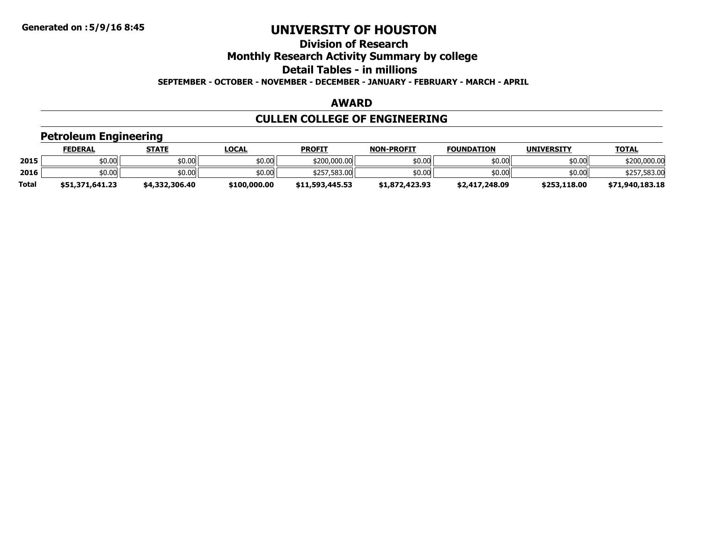# **Division of Research**

**Monthly Research Activity Summary by college**

**Detail Tables - in millions**

**SEPTEMBER - OCTOBER - NOVEMBER - DECEMBER - JANUARY - FEBRUARY - MARCH - APRIL**

#### **AWARD**

# **CULLEN COLLEGE OF ENGINEERING**

# **Petroleum Engineering**

|              | FEDERAL         | <b>STATE</b>   | <u>LOCAL</u> | <b>PROFIT</b>   | <b>NON-PROFIT</b> | <b>FOUNDATION</b> | <b>UNIVERSITY</b> | <b>TOTAL</b>    |
|--------------|-----------------|----------------|--------------|-----------------|-------------------|-------------------|-------------------|-----------------|
| 2015         | \$0.00          | \$0.00         | \$0.00       | \$200,000.00    | \$0.00            | \$0.00            | \$0.00            | \$200,000,00    |
| 2016         | \$0.00          | \$0.00         | \$0.00       | \$257,583.00    | \$0.00            | \$0.00            | \$0.00            | \$257,583.00    |
| <b>Total</b> | \$51,371,641.23 | \$4,332,306.40 | \$100,000.00 | \$11,593,445.53 | \$1,872,423.93    | \$2,417,248.09    | \$253,118.00      | \$71,940,183.18 |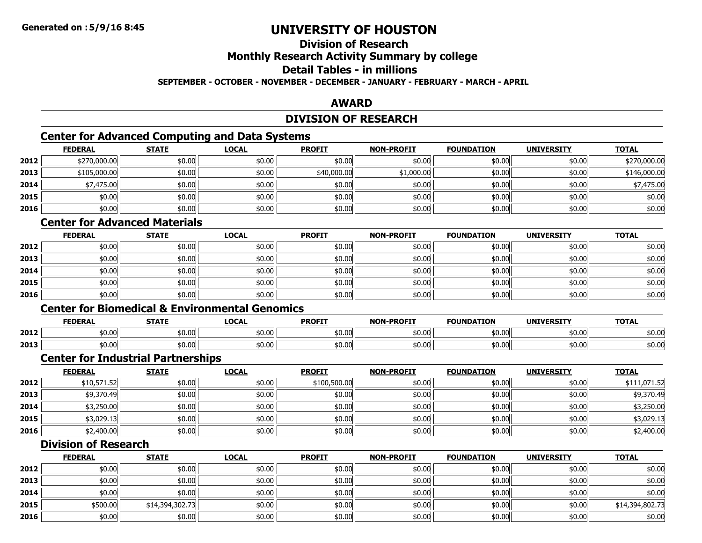# **Division of Research**

# **Monthly Research Activity Summary by college**

### **Detail Tables - in millions**

#### **SEPTEMBER - OCTOBER - NOVEMBER - DECEMBER - JANUARY - FEBRUARY - MARCH - APRIL**

#### **AWARD**

### **DIVISION OF RESEARCH**

# **Center for Advanced Computing and Data Systems**

|      | <b>FEDERAL</b> | <b>STATE</b> | <b>LOCAL</b> | <b>PROFIT</b> | <b>NON-PROFIT</b> | <b>FOUNDATION</b> | <b>UNIVERSITY</b> | <b>TOTAL</b> |
|------|----------------|--------------|--------------|---------------|-------------------|-------------------|-------------------|--------------|
| 2012 | \$270,000.00   | \$0.00       | \$0.00       | \$0.00        | \$0.00            | \$0.00            | \$0.00            | \$270,000.00 |
| 2013 | \$105,000.00   | \$0.00       | \$0.00       | \$40,000.00   | \$1,000.00        | \$0.00            | \$0.00            | \$146,000.00 |
| 2014 | \$7,475.00     | \$0.00       | \$0.00       | \$0.00        | \$0.00            | \$0.00            | \$0.00            | \$7,475.00   |
| 2015 | \$0.00         | \$0.00       | \$0.00       | \$0.00        | \$0.00            | \$0.00            | \$0.00            | \$0.00       |
| 2016 | \$0.00         | \$0.00       | \$0.00       | \$0.00        | \$0.00            | \$0.00            | \$0.00            | \$0.00       |

# **Center for Advanced Materials**

|      | <u>FEDERAL</u> | <b>STATE</b> | <u>LOCAL</u> | <b>PROFIT</b> | <b>NON-PROFIT</b> | <b>FOUNDATION</b> | <b>UNIVERSITY</b> | <b>TOTAL</b> |
|------|----------------|--------------|--------------|---------------|-------------------|-------------------|-------------------|--------------|
| 2012 | \$0.00         | \$0.00       | \$0.00       | \$0.00        | \$0.00            | \$0.00            | \$0.00            | \$0.00       |
| 2013 | \$0.00         | \$0.00       | \$0.00       | \$0.00        | \$0.00            | \$0.00            | \$0.00            | \$0.00       |
| 2014 | \$0.00         | \$0.00       | \$0.00       | \$0.00        | \$0.00            | \$0.00            | \$0.00            | \$0.00       |
| 2015 | \$0.00         | \$0.00       | \$0.00       | \$0.00        | \$0.00            | \$0.00            | \$0.00            | \$0.00       |
| 2016 | \$0.00         | \$0.00       | \$0.00       | \$0.00        | \$0.00            | \$0.00            | \$0.00            | \$0.00       |

# **Center for Biomedical & Environmental Genomics**

|      | <b>FEDERAL</b> | <b>STATE</b> | LOCAL  | <b>PROFIT</b> | -PROFIT<br>NON. | ־מחמווח<br><b>TON</b> | <b>UNIVERSITY</b> | <b>TOTAL</b> |
|------|----------------|--------------|--------|---------------|-----------------|-----------------------|-------------------|--------------|
| 2012 | \$0.00         | 50.00        | \$0.00 | \$0.00        | \$0.00          | \$0.00                | \$0.00            | \$0.00       |
| 2013 | \$0.00         | 0.00،        | \$0.00 | \$0.00        | \$0.00          | \$0.00                | \$0.00            | \$0.00       |

#### **Center for Industrial Partnerships**

|      | <b>FEDERAL</b> | <b>STATE</b> | <u>LOCAL</u> | <b>PROFIT</b> | <b>NON-PROFIT</b> | <b>FOUNDATION</b> | <b>UNIVERSITY</b> | <b>TOTAL</b> |
|------|----------------|--------------|--------------|---------------|-------------------|-------------------|-------------------|--------------|
| 2012 | \$10,571.52    | \$0.00       | \$0.00       | \$100,500.00  | \$0.00            | \$0.00            | \$0.00            | \$111,071.52 |
| 2013 | \$9,370.49     | \$0.00       | \$0.00       | \$0.00        | \$0.00            | \$0.00            | \$0.00            | \$9,370.49   |
| 2014 | \$3,250.00     | \$0.00       | \$0.00       | \$0.00        | \$0.00            | \$0.00            | \$0.00            | \$3,250.00   |
| 2015 | \$3,029.13     | \$0.00       | \$0.00       | \$0.00        | \$0.00            | \$0.00            | \$0.00            | \$3,029.13   |
| 2016 | \$2,400.00     | \$0.00       | \$0.00       | \$0.00        | \$0.00            | \$0.00            | \$0.00            | \$2,400.00   |

# **Division of Research**

|      | <b>FEDERAL</b> | <b>STATE</b>    | <b>LOCAL</b> | <b>PROFIT</b> | <b>NON-PROFIT</b> | <b>FOUNDATION</b> | <b>UNIVERSITY</b> | <b>TOTAL</b>    |
|------|----------------|-----------------|--------------|---------------|-------------------|-------------------|-------------------|-----------------|
| 2012 | \$0.00         | \$0.00          | \$0.00       | \$0.00        | \$0.00            | \$0.00            | \$0.00            | \$0.00          |
| 2013 | \$0.00         | \$0.00          | \$0.00       | \$0.00        | \$0.00            | \$0.00            | \$0.00            | \$0.00          |
| 2014 | \$0.00         | \$0.00          | \$0.00       | \$0.00        | \$0.00            | \$0.00            | \$0.00            | \$0.00          |
| 2015 | \$500.00       | \$14,394,302.73 | \$0.00       | \$0.00        | \$0.00            | \$0.00            | \$0.00            | \$14,394,802.73 |
| 2016 | \$0.00         | \$0.00          | \$0.00       | \$0.00        | \$0.00            | \$0.00            | \$0.00            | \$0.00          |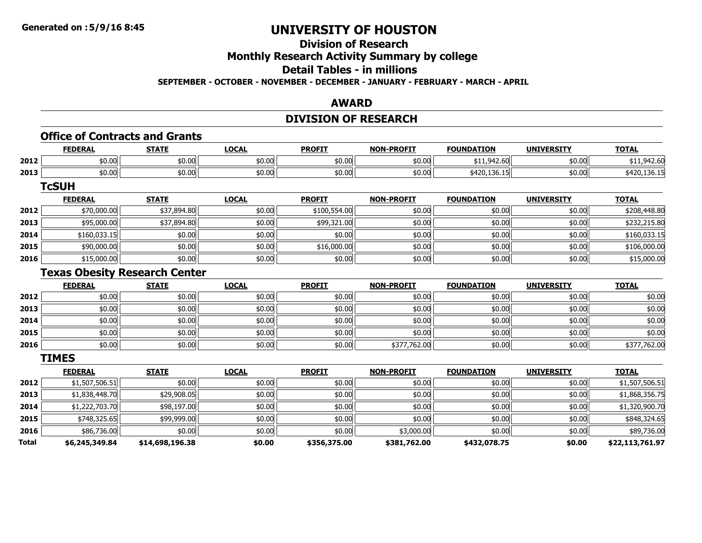# **Division of Research**

# **Monthly Research Activity Summary by college**

# **Detail Tables - in millions**

**SEPTEMBER - OCTOBER - NOVEMBER - DECEMBER - JANUARY - FEBRUARY - MARCH - APRIL**

#### **AWARD**

# **DIVISION OF RESEARCH**

# **Office of Contracts and Grants**

|      | <b>FEDERAI</b> | <b>STATE</b>        | LOCAL  | <b>PROFIT</b>       | <b>NON-PROFIT</b> | <b>FOUNDATION</b>                                               | <b>UNIVERSITY</b> | <b>TOTAL</b> |
|------|----------------|---------------------|--------|---------------------|-------------------|-----------------------------------------------------------------|-------------------|--------------|
| 2012 | \$0.00         | $\sim$ 00<br>JU.UU  | \$0.00 | $\sqrt{2}$<br>JU.UU | \$0.00            | $\sim$ $\sim$ $\sim$<br>$\sim$ $\sim$<br>.<br><b>↓↓⊥↓J⊤∠,∪∪</b> | \$0.00            | 42.OU        |
| 2013 | \$0.00         | $\sim$ 00<br>וטט.טע | \$0.00 | $\pm 0.00$<br>JU.UU | \$0.00            | 1.126117<br>וטנג,טנדים                                          | \$0.00            | 420.130.13   |

**TcSUH**

|      | <b>FEDERAL</b> | <b>STATE</b> | <b>LOCAL</b> | <b>PROFIT</b> | <b>NON-PROFIT</b> | <b>FOUNDATION</b> | <b>UNIVERSITY</b> | <b>TOTAL</b> |
|------|----------------|--------------|--------------|---------------|-------------------|-------------------|-------------------|--------------|
| 2012 | \$70,000.00    | \$37,894.80  | \$0.00       | \$100,554.00  | \$0.00            | \$0.00            | \$0.00            | \$208,448.80 |
| 2013 | \$95,000.00    | \$37,894.80  | \$0.00       | \$99,321.00   | \$0.00            | \$0.00            | \$0.00            | \$232,215.80 |
| 2014 | \$160,033.15   | \$0.00       | \$0.00       | \$0.00        | \$0.00            | \$0.00            | \$0.00            | \$160,033.15 |
| 2015 | \$90,000.00    | \$0.00       | \$0.00       | \$16,000.00   | \$0.00            | \$0.00            | \$0.00            | \$106,000.00 |
| 2016 | \$15,000.00    | \$0.00       | \$0.00       | \$0.00        | \$0.00            | \$0.00            | \$0.00            | \$15,000.00  |

### **Texas Obesity Research Center**

|      | <b>FEDERAL</b> | <b>STATE</b> | <b>LOCAL</b> | <b>PROFIT</b> | <b>NON-PROFIT</b> | <b>FOUNDATION</b> | <b>UNIVERSITY</b> | <b>TOTAL</b> |
|------|----------------|--------------|--------------|---------------|-------------------|-------------------|-------------------|--------------|
| 2012 | \$0.00         | \$0.00       | \$0.00       | \$0.00        | \$0.00            | \$0.00            | \$0.00            | \$0.00       |
| 2013 | \$0.00         | \$0.00       | \$0.00       | \$0.00        | \$0.00            | \$0.00            | \$0.00            | \$0.00       |
| 2014 | \$0.00         | \$0.00       | \$0.00       | \$0.00        | \$0.00            | \$0.00            | \$0.00            | \$0.00       |
| 2015 | \$0.00         | \$0.00       | \$0.00       | \$0.00        | \$0.00            | \$0.00            | \$0.00            | \$0.00       |
| 2016 | \$0.00         | \$0.00       | \$0.00       | \$0.00        | \$377,762.00      | \$0.00            | \$0.00            | \$377,762.00 |

**TIMES**

|              | <b>FEDERAL</b> | <b>STATE</b>    | <b>LOCAL</b> | <b>PROFIT</b> | <b>NON-PROFIT</b> | <b>FOUNDATION</b> | <b>UNIVERSITY</b> | <b>TOTAL</b>    |
|--------------|----------------|-----------------|--------------|---------------|-------------------|-------------------|-------------------|-----------------|
| 2012         | \$1,507,506.51 | \$0.00          | \$0.00       | \$0.00        | \$0.00            | \$0.00            | \$0.00            | \$1,507,506.51  |
| 2013         | \$1,838,448.70 | \$29,908.05     | \$0.00       | \$0.00        | \$0.00            | \$0.00            | \$0.00            | \$1,868,356.75  |
| 2014         | \$1,222,703.70 | \$98,197.00     | \$0.00       | \$0.00        | \$0.00            | \$0.00            | \$0.00            | \$1,320,900.70  |
| 2015         | \$748,325.65   | \$99,999.00     | \$0.00       | \$0.00        | \$0.00            | \$0.00            | \$0.00            | \$848,324.65    |
| 2016         | \$86,736.00    | \$0.00          | \$0.00       | \$0.00        | \$3,000.00        | \$0.00            | \$0.00            | \$89,736.00     |
| <b>Total</b> | \$6,245,349.84 | \$14,698,196.38 | \$0.00       | \$356,375.00  | \$381,762.00      | \$432,078.75      | \$0.00            | \$22,113,761.97 |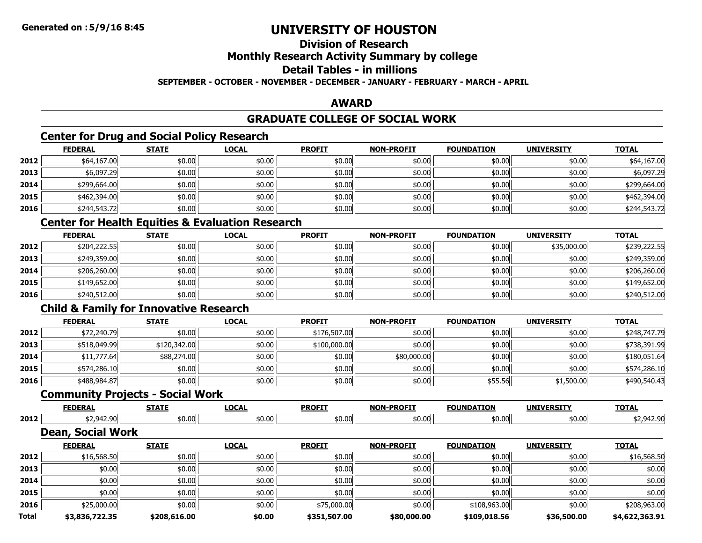# **Division of Research**

# **Monthly Research Activity Summary by college**

### **Detail Tables - in millions**

#### **SEPTEMBER - OCTOBER - NOVEMBER - DECEMBER - JANUARY - FEBRUARY - MARCH - APRIL**

# **AWARD**

# **GRADUATE COLLEGE OF SOCIAL WORK**

# **Center for Drug and Social Policy Research**

|      | <b>FEDERAL</b> | <b>STATE</b> | <u>LOCAL</u> | <b>PROFIT</b> | <b>NON-PROFIT</b> | <b>FOUNDATION</b> | <b>UNIVERSITY</b> | <u>TOTAL</u> |
|------|----------------|--------------|--------------|---------------|-------------------|-------------------|-------------------|--------------|
| 2012 | \$64,167.00    | \$0.00       | \$0.00       | \$0.00        | \$0.00            | \$0.00            | \$0.00            | \$64,167.00  |
| 2013 | \$6,097.29     | \$0.00       | \$0.00       | \$0.00        | \$0.00            | \$0.00            | \$0.00            | \$6,097.29   |
| 2014 | \$299,664.00   | \$0.00       | \$0.00       | \$0.00        | \$0.00            | \$0.00            | \$0.00            | \$299,664.00 |
| 2015 | \$462,394.00   | \$0.00       | \$0.00       | \$0.00        | \$0.00            | \$0.00            | \$0.00            | \$462,394.00 |
| 2016 | \$244,543.72   | \$0.00       | \$0.00       | \$0.00        | \$0.00            | \$0.00            | \$0.00            | \$244,543.72 |

# **Center for Health Equities & Evaluation Research**

|      | <b>FEDERAL</b> | <b>STATE</b> | <u>LOCAL</u> | <b>PROFIT</b> | <b>NON-PROFIT</b> | <b>FOUNDATION</b> | <b>UNIVERSITY</b> | <b>TOTAL</b> |
|------|----------------|--------------|--------------|---------------|-------------------|-------------------|-------------------|--------------|
| 2012 | \$204,222.55   | \$0.00       | \$0.00       | \$0.00        | \$0.00            | \$0.00            | \$35,000.00       | \$239,222.55 |
| 2013 | \$249,359.00   | \$0.00       | \$0.00       | \$0.00        | \$0.00            | \$0.00            | \$0.00            | \$249,359.00 |
| 2014 | \$206,260.00   | \$0.00       | \$0.00       | \$0.00        | \$0.00            | \$0.00            | \$0.00            | \$206,260.00 |
| 2015 | \$149,652.00   | \$0.00       | \$0.00       | \$0.00        | \$0.00            | \$0.00            | \$0.00            | \$149,652.00 |
| 2016 | \$240,512.00   | \$0.00       | \$0.00       | \$0.00        | \$0.00            | \$0.00            | \$0.00            | \$240,512.00 |

# **Child & Family for Innovative Research**

|      | <b>FEDERAL</b> | <b>STATE</b> | <b>LOCAL</b> | <b>PROFIT</b> | <b>NON-PROFIT</b> | <b>FOUNDATION</b> | <b>UNIVERSITY</b> | <b>TOTAL</b> |
|------|----------------|--------------|--------------|---------------|-------------------|-------------------|-------------------|--------------|
| 2012 | \$72,240.79    | \$0.00       | \$0.00       | \$176,507.00  | \$0.00            | \$0.00            | \$0.00            | \$248,747.79 |
| 2013 | \$518,049.99   | \$120,342.00 | \$0.00       | \$100,000.00  | \$0.00            | \$0.00            | \$0.00            | \$738,391.99 |
| 2014 | \$11,777.64    | \$88,274.00  | \$0.00       | \$0.00        | \$80,000.00       | \$0.00            | \$0.00            | \$180,051.64 |
| 2015 | \$574,286.10   | \$0.00       | \$0.00       | \$0.00        | \$0.00            | \$0.00            | \$0.00            | \$574,286.10 |
| 2016 | \$488,984.87   | \$0.00       | \$0.00       | \$0.00        | \$0.00            | \$55.56           | \$1,500.00        | \$490,540.43 |

### **Community Projects - Social Work**

|      | <b>CENER</b><br>. | $- - - -$      | $\sim$<br><br>. | <b>PROFIT</b> | -PROFTT<br><b>NON</b> | INDZ                           | <b>IINTVE</b> | TOTA. |
|------|-------------------|----------------|-----------------|---------------|-----------------------|--------------------------------|---------------|-------|
| 2012 | $\sim$ $\sim$     | ረሰ ቦር<br>,,,,, | ትስ ስስ<br>טט ט   | \$0.00        | \$0.00                | $\sim$ $\sim$ $\sim$<br>\$0.00 | . .<br>Ψυ     |       |

#### **Dean, Social Work**

|       | <b>FEDERAL</b> | <b>STATE</b> | <b>LOCAL</b> | <b>PROFIT</b> | <b>NON-PROFIT</b> | <b>FOUNDATION</b> | <b>UNIVERSITY</b> | <b>TOTAL</b>   |
|-------|----------------|--------------|--------------|---------------|-------------------|-------------------|-------------------|----------------|
| 2012  | \$16,568.50    | \$0.00       | \$0.00       | \$0.00        | \$0.00            | \$0.00            | \$0.00            | \$16,568.50    |
| 2013  | \$0.00         | \$0.00       | \$0.00       | \$0.00        | \$0.00            | \$0.00            | \$0.00            | \$0.00         |
| 2014  | \$0.00         | \$0.00       | \$0.00       | \$0.00        | \$0.00            | \$0.00            | \$0.00            | \$0.00         |
| 2015  | \$0.00         | \$0.00       | \$0.00       | \$0.00        | \$0.00            | \$0.00            | \$0.00            | \$0.00         |
| 2016  | \$25,000.00    | \$0.00       | \$0.00       | \$75,000.00   | \$0.00            | \$108,963.00      | \$0.00            | \$208,963.00   |
| Total | \$3,836,722.35 | \$208,616.00 | \$0.00       | \$351,507.00  | \$80,000.00       | \$109,018.56      | \$36,500.00       | \$4,622,363.91 |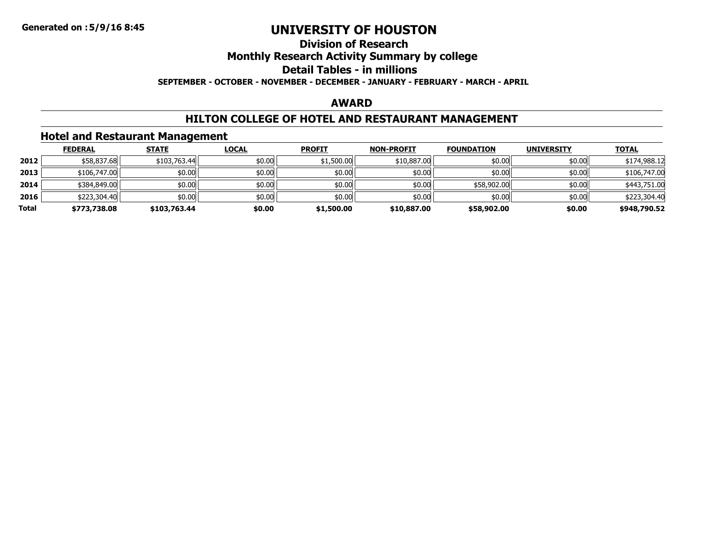### **Division of ResearchMonthly Research Activity Summary by college Detail Tables - in millions SEPTEMBER - OCTOBER - NOVEMBER - DECEMBER - JANUARY - FEBRUARY - MARCH - APRIL**

#### **AWARD**

### **HILTON COLLEGE OF HOTEL AND RESTAURANT MANAGEMENT**

# **Hotel and Restaurant Management**

|       | <b>FEDERAL</b> | <b>STATE</b> | <b>LOCAL</b> | <b>PROFIT</b> | <b>NON-PROFIT</b> | <b>FOUNDATION</b> | <b>UNIVERSITY</b> | <b>TOTAL</b> |
|-------|----------------|--------------|--------------|---------------|-------------------|-------------------|-------------------|--------------|
| 2012  | \$58,837.68    | \$103,763.44 | \$0.00       | \$1,500.00    | \$10,887.00       | \$0.00            | \$0.00            | \$174,988.12 |
| 2013  | \$106,747.00   | \$0.00       | \$0.00       | \$0.00        | \$0.00            | \$0.00            | \$0.00            | \$106,747.00 |
| 2014  | \$384,849.00   | \$0.00       | \$0.00       | \$0.00        | \$0.00            | \$58,902.00       | \$0.00            | \$443,751.00 |
| 2016  | \$223,304.40   | \$0.00       | \$0.00       | \$0.00        | \$0.00            | \$0.00            | \$0.00            | \$223,304.40 |
| Total | \$773,738.08   | \$103,763.44 | \$0.00       | \$1,500.00    | \$10,887,00       | \$58,902.00       | \$0.00            | \$948,790.52 |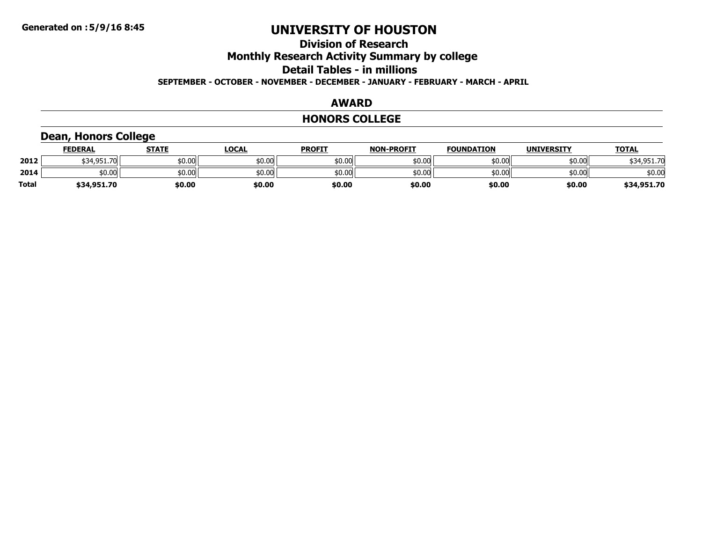### **Division of ResearchMonthly Research Activity Summary by college Detail Tables - in millionsSEPTEMBER - OCTOBER - NOVEMBER - DECEMBER - JANUARY - FEBRUARY - MARCH - APRIL**

#### **AWARD**

#### **HONORS COLLEGE**

# **Dean, Honors College**

|       | <b>FEDERAL</b>   | <b>STATE</b> | LOCAL  | <b>PROFIT</b> | <b>NON-PROFIT</b> | <b>FOUNDATION</b> | <b>UNIVERSITY</b> | <b>TOTAL</b> |
|-------|------------------|--------------|--------|---------------|-------------------|-------------------|-------------------|--------------|
| 2012  | \$34.951.7<br>70 | \$0.00       | \$0.00 | \$0.00        | \$0.00            | \$0.00            | \$0.00            | \$34,951.70  |
| 2014  | \$0.00           | \$0.00       | \$0.00 | \$0.00        | \$0.00            | \$0.00            | \$0.00            | \$0.00       |
| Total | \$34,951.70      | \$0.00       | \$0.00 | \$0.00        | \$0.00            | \$0.00            | \$0.00            | \$34,951.70  |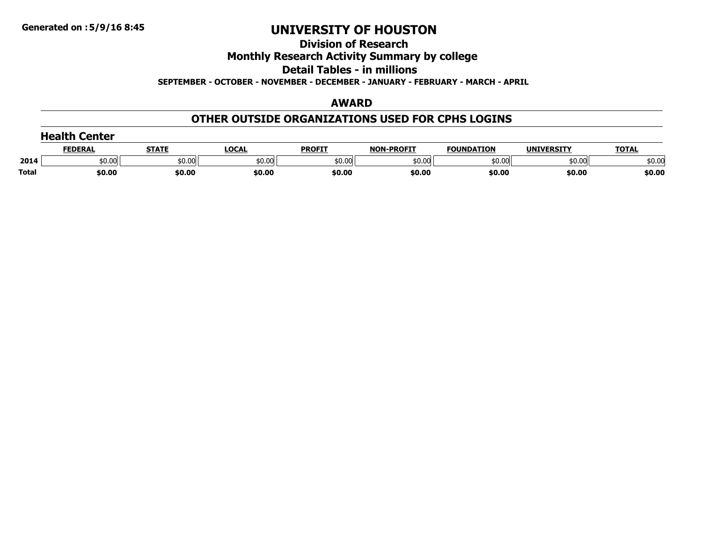# **Division of Research**

# **Monthly Research Activity Summary by college**

#### **Detail Tables - in millions**

**SEPTEMBER - OCTOBER - NOVEMBER - DECEMBER - JANUARY - FEBRUARY - MARCH - APRIL**

#### **AWARD**

### **OTHER OUTSIDE ORGANIZATIONS USED FOR CPHS LOGINS**

|              | <b>Health Center</b> |              |              |               |                   |                   |                   |              |
|--------------|----------------------|--------------|--------------|---------------|-------------------|-------------------|-------------------|--------------|
|              | <b>FEDERAL</b>       | <b>STATE</b> | <b>LOCAL</b> | <b>PROFIT</b> | <b>NON-PROFIT</b> | <b>FOUNDATION</b> | <b>UNIVERSITY</b> | <b>TOTAL</b> |
| 2014         | \$0.00               | \$0.00       | \$0.00       | \$0.00        | \$0.00            | \$0.00            | \$0.00            | \$0.00       |
| <b>Total</b> | \$0.00               | \$0.00       | \$0.00       | \$0.00        | \$0.00            | \$0.00            | \$0.00            | \$0.00       |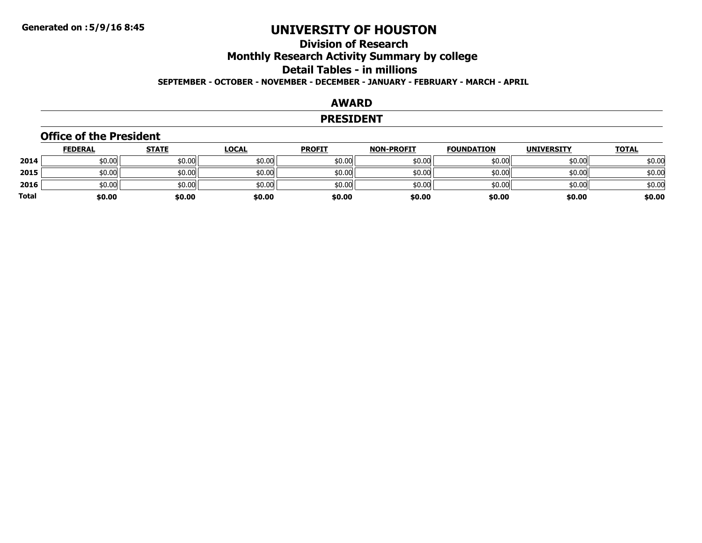# **Division of ResearchMonthly Research Activity Summary by college Detail Tables - in millions SEPTEMBER - OCTOBER - NOVEMBER - DECEMBER - JANUARY - FEBRUARY - MARCH - APRIL**

#### **AWARD**

#### **PRESIDENT**

#### **Office of the President**

|       | <b>FEDERAL</b> | <u>STATE</u> | <u>LOCAL</u> | <b>PROFIT</b> | <b>NON-PROFIT</b> | <b>FOUNDATION</b> | <b>UNIVERSITY</b> | <u>TOTAL</u> |
|-------|----------------|--------------|--------------|---------------|-------------------|-------------------|-------------------|--------------|
| 2014  | \$0.00         | \$0.00       | \$0.00       | \$0.00        | \$0.00            | \$0.00            | \$0.00            | \$0.00       |
| 2015  | \$0.00         | \$0.00       | \$0.00       | \$0.00        | \$0.00            | \$0.00            | \$0.00            | \$0.00       |
| 2016  | \$0.00         | \$0.00       | \$0.00       | \$0.00        | \$0.00            | \$0.00            | \$0.00            | \$0.00       |
| Total | \$0.00         | \$0.00       | \$0.00       | \$0.00        | \$0.00            | \$0.00            | \$0.00            | \$0.00       |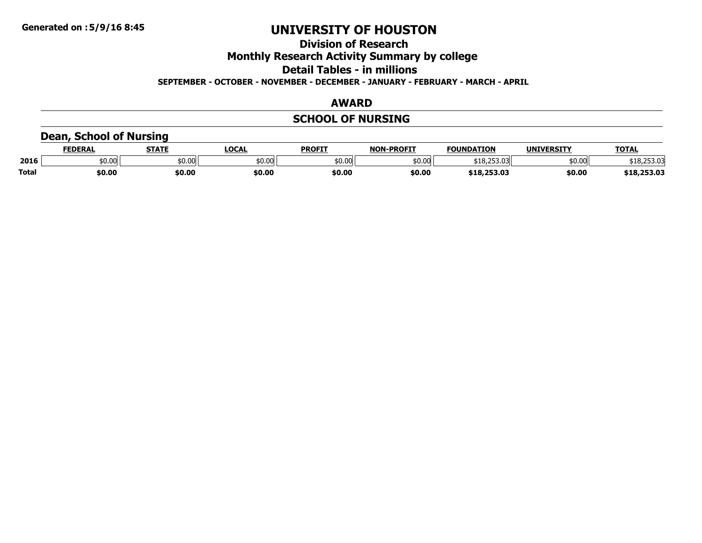# **Division of Research**

**Monthly Research Activity Summary by college**

**Detail Tables - in millions**

**SEPTEMBER - OCTOBER - NOVEMBER - DECEMBER - JANUARY - FEBRUARY - MARCH - APRIL**

#### **AWARD**

# **SCHOOL OF NURSING**

# **Dean, School of Nursing**

|              | <b>EDERAL</b> | <b>STATE</b> | <b>LOCAL</b> | PROFIT | <b>NON</b><br><b>I-PROFIT</b> | <b>FOUNDATION</b>               | <b>UNIVERSITY</b> | <b>TOTAL</b> |
|--------------|---------------|--------------|--------------|--------|-------------------------------|---------------------------------|-------------------|--------------|
| 2016         | 0.00،         | \$0.00       | \$0.00       | \$0.00 | 50.00                         | רחר הו+<br>$\sim$<br>510.233.UJ | \$0.00            | \$18,253.03  |
| <b>Total</b> | 50.00         | \$0.00       | \$0.00       | \$0.00 | \$0.00                        | \$18,253.03                     | \$0.00            | \$18,253.03  |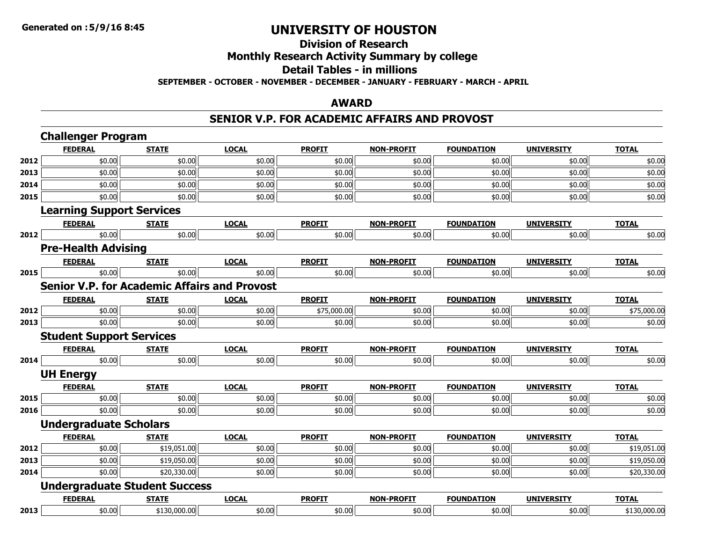### **Division of ResearchMonthly Research Activity Summary by college Detail Tables - in millions SEPTEMBER - OCTOBER - NOVEMBER - DECEMBER - JANUARY - FEBRUARY - MARCH - APRIL**

#### **AWARD**

#### **SENIOR V.P. FOR ACADEMIC AFFAIRS AND PROVOST**

|      | <b>Challenger Program</b>                           |              |              |               |                   |                   |                   |              |
|------|-----------------------------------------------------|--------------|--------------|---------------|-------------------|-------------------|-------------------|--------------|
|      | <b>FEDERAL</b>                                      | <b>STATE</b> | <b>LOCAL</b> | <b>PROFIT</b> | <b>NON-PROFIT</b> | <b>FOUNDATION</b> | <b>UNIVERSITY</b> | <b>TOTAL</b> |
| 2012 | \$0.00                                              | \$0.00       | \$0.00       | \$0.00        | \$0.00            | \$0.00            | \$0.00            | \$0.00       |
| 2013 | \$0.00                                              | \$0.00       | \$0.00       | \$0.00        | \$0.00            | \$0.00            | \$0.00            | \$0.00       |
| 2014 | \$0.00                                              | \$0.00       | \$0.00       | \$0.00        | \$0.00            | \$0.00            | \$0.00            | \$0.00       |
| 2015 | \$0.00                                              | \$0.00       | \$0.00       | \$0.00        | \$0.00            | \$0.00            | \$0.00            | \$0.00       |
|      | <b>Learning Support Services</b>                    |              |              |               |                   |                   |                   |              |
|      | <b>FEDERAL</b>                                      | <b>STATE</b> | <b>LOCAL</b> | <b>PROFIT</b> | <b>NON-PROFIT</b> | <b>FOUNDATION</b> | <b>UNIVERSITY</b> | <b>TOTAL</b> |
| 2012 | \$0.00                                              | \$0.00       | \$0.00       | \$0.00        | \$0.00            | \$0.00            | \$0.00            | \$0.00       |
|      | <b>Pre-Health Advising</b>                          |              |              |               |                   |                   |                   |              |
|      | <b>FEDERAL</b>                                      | <b>STATE</b> | <b>LOCAL</b> | <b>PROFIT</b> | <b>NON-PROFIT</b> | <b>FOUNDATION</b> | <b>UNIVERSITY</b> | <b>TOTAL</b> |
| 2015 | \$0.00                                              | \$0.00       | \$0.00       | \$0.00        | \$0.00            | \$0.00            | \$0.00            | \$0.00       |
|      | <b>Senior V.P. for Academic Affairs and Provost</b> |              |              |               |                   |                   |                   |              |
|      | <b>FEDERAL</b>                                      | <b>STATE</b> | <b>LOCAL</b> | <b>PROFIT</b> | <b>NON-PROFIT</b> | <b>FOUNDATION</b> | <b>UNIVERSITY</b> | <b>TOTAL</b> |
| 2012 | \$0.00                                              | \$0.00       | \$0.00       | \$75,000.00   | \$0.00            | \$0.00            | \$0.00            | \$75,000.00  |
| 2013 | \$0.00                                              | \$0.00       | \$0.00       | \$0.00        | \$0.00            | \$0.00            | \$0.00            | \$0.00       |
|      | <b>Student Support Services</b>                     |              |              |               |                   |                   |                   |              |
|      | <b>FEDERAL</b>                                      | <b>STATE</b> | <b>LOCAL</b> | <b>PROFIT</b> | <b>NON-PROFIT</b> | <b>FOUNDATION</b> | <b>UNIVERSITY</b> | <b>TOTAL</b> |
| 2014 | \$0.00                                              | \$0.00       | \$0.00       | \$0.00        | \$0.00            | \$0.00            | \$0.00            | \$0.00       |
|      | <b>UH Energy</b>                                    |              |              |               |                   |                   |                   |              |
|      | <b>FEDERAL</b>                                      | <b>STATE</b> | <b>LOCAL</b> | <b>PROFIT</b> | <b>NON-PROFIT</b> | <b>FOUNDATION</b> | <b>UNIVERSITY</b> | <b>TOTAL</b> |
| 2015 | \$0.00                                              | \$0.00       | \$0.00       | \$0.00        | \$0.00            | \$0.00            | \$0.00            | \$0.00       |
| 2016 | \$0.00                                              | \$0.00       | \$0.00       | \$0.00        | \$0.00            | \$0.00            | \$0.00            | \$0.00       |
|      | <b>Undergraduate Scholars</b>                       |              |              |               |                   |                   |                   |              |
|      | <b>FEDERAL</b>                                      | <b>STATE</b> | <b>LOCAL</b> | <b>PROFIT</b> | <b>NON-PROFIT</b> | <b>FOUNDATION</b> | <b>UNIVERSITY</b> | <b>TOTAL</b> |
| 2012 | \$0.00                                              | \$19,051.00  | \$0.00       | \$0.00        | \$0.00            | \$0.00            | \$0.00            | \$19,051.00  |
| 2013 | \$0.00                                              | \$19,050.00  | \$0.00       | \$0.00        | \$0.00            | \$0.00            | \$0.00            | \$19,050.00  |
| 2014 | \$0.00                                              | \$20,330.00  | \$0.00       | \$0.00        | \$0.00            | \$0.00            | \$0.00            | \$20,330.00  |
|      | <b>Undergraduate Student Success</b>                |              |              |               |                   |                   |                   |              |
|      | <b>FEDERAL</b>                                      | <b>STATE</b> | <b>LOCAL</b> | <b>PROFIT</b> | <b>NON-PROFIT</b> | <b>FOUNDATION</b> | <b>UNIVERSITY</b> | <b>TOTAL</b> |
| 2013 | \$0.00                                              | \$130,000.00 | \$0.00       | \$0.00        | \$0.00            | \$0.00            | \$0.00            | \$130,000.00 |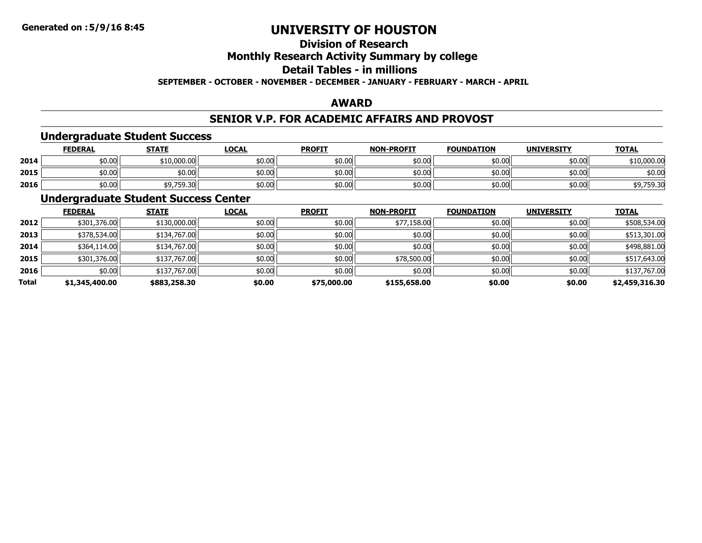# **Division of Research**

# **Monthly Research Activity Summary by college**

# **Detail Tables - in millions**

**SEPTEMBER - OCTOBER - NOVEMBER - DECEMBER - JANUARY - FEBRUARY - MARCH - APRIL**

### **AWARD**

# **SENIOR V.P. FOR ACADEMIC AFFAIRS AND PROVOST**

#### **Undergraduate Student Success**

|      | <b>FEDERAL</b> | <b>STATE</b>                   | <u>LOCAL</u> | <b>PROFIT</b> | <b>NON-PROFIT</b> | <b>FOUNDATION</b> | <b>UNIVERSITY</b> | <b>TOTAL</b> |
|------|----------------|--------------------------------|--------------|---------------|-------------------|-------------------|-------------------|--------------|
| 2014 | \$0.00         | \$10,000.00                    | \$0.00       | \$0.00        | \$0.00            | 10.00             | \$0.00            | \$10,000.00  |
| 2015 | \$0.00         | \$0.00                         | \$0.00       | \$0.00        | \$0.00            | 10.00             | \$0.00            | \$0.00       |
| 2016 | \$0.00         | <b>40 750 30</b><br>↓J,/59.3UI | \$0.00       | \$0.00        | \$0.00            | 50.00             | \$0.00            | 759.30       |

### **Undergraduate Student Success Center**

|       | <b>FEDERAL</b> | <b>STATE</b> | <b>LOCAL</b> | <b>PROFIT</b> | <b>NON-PROFIT</b> | <b>FOUNDATION</b> | <b>UNIVERSITY</b> | <b>TOTAL</b>   |
|-------|----------------|--------------|--------------|---------------|-------------------|-------------------|-------------------|----------------|
| 2012  | \$301,376.00   | \$130,000.00 | \$0.00       | \$0.00        | \$77,158.00       | \$0.00            | \$0.00            | \$508,534.00   |
| 2013  | \$378,534.00   | \$134,767.00 | \$0.00       | \$0.00        | \$0.00            | \$0.00            | \$0.00            | \$513,301.00   |
| 2014  | \$364,114.00   | \$134,767.00 | \$0.00       | \$0.00        | \$0.00            | \$0.00            | \$0.00            | \$498,881.00   |
| 2015  | \$301,376.00   | \$137,767.00 | \$0.00       | \$0.00        | \$78,500.00       | \$0.00            | \$0.00            | \$517,643.00   |
| 2016  | \$0.00         | \$137,767.00 | \$0.00       | \$0.00        | \$0.00            | \$0.00            | \$0.00            | \$137,767.00   |
| Total | \$1,345,400.00 | \$883,258.30 | \$0.00       | \$75,000.00   | \$155,658.00      | \$0.00            | \$0.00            | \$2,459,316.30 |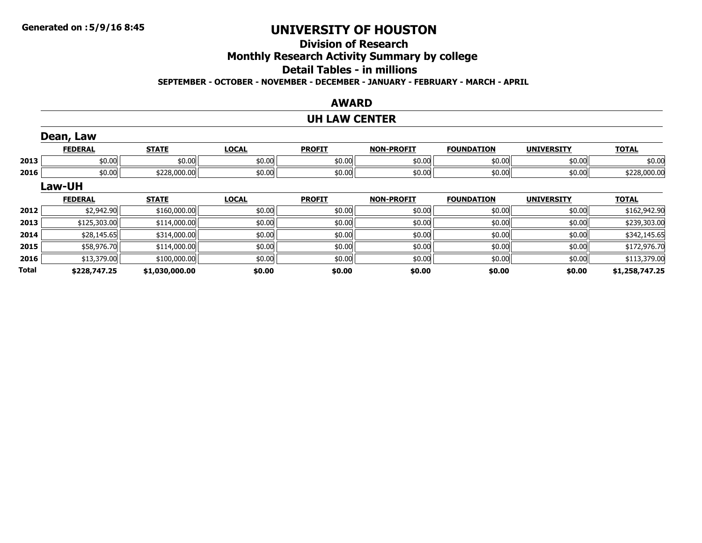# **Division of ResearchMonthly Research Activity Summary by college Detail Tables - in millions**

**SEPTEMBER - OCTOBER - NOVEMBER - DECEMBER - JANUARY - FEBRUARY - MARCH - APRIL**

#### **AWARD**

# **UH LAW CENTER**

|              | Dean, Law      |                |              |               |                   |                   |                   |                |
|--------------|----------------|----------------|--------------|---------------|-------------------|-------------------|-------------------|----------------|
|              | <b>FEDERAL</b> | <b>STATE</b>   | <b>LOCAL</b> | <b>PROFIT</b> | <b>NON-PROFIT</b> | <b>FOUNDATION</b> | <b>UNIVERSITY</b> | <b>TOTAL</b>   |
| 2013         | \$0.00         | \$0.00         | \$0.00       | \$0.00        | \$0.00            | \$0.00            | \$0.00            | \$0.00         |
| 2016         | \$0.00         | \$228,000.00   | \$0.00       | \$0.00        | \$0.00            | \$0.00            | \$0.00            | \$228,000.00   |
|              | Law-UH         |                |              |               |                   |                   |                   |                |
|              | <b>FEDERAL</b> | <b>STATE</b>   | <b>LOCAL</b> | <b>PROFIT</b> | <b>NON-PROFIT</b> | <b>FOUNDATION</b> | <b>UNIVERSITY</b> | <b>TOTAL</b>   |
| 2012         | \$2,942.90     | \$160,000.00   | \$0.00       | \$0.00        | \$0.00            | \$0.00            | \$0.00            | \$162,942.90   |
| 2013         | \$125,303.00   | \$114,000.00   | \$0.00       | \$0.00        | \$0.00            | \$0.00            | \$0.00            | \$239,303.00   |
| 2014         | \$28,145.65    | \$314,000.00   | \$0.00       | \$0.00        | \$0.00            | \$0.00            | \$0.00            | \$342,145.65   |
| 2015         | \$58,976.70    | \$114,000.00   | \$0.00       | \$0.00        | \$0.00            | \$0.00            | \$0.00            | \$172,976.70   |
| 2016         | \$13,379.00    | \$100,000.00   | \$0.00       | \$0.00        | \$0.00            | \$0.00            | \$0.00            | \$113,379.00   |
| <b>Total</b> | \$228,747.25   | \$1,030,000.00 | \$0.00       | \$0.00        | \$0.00            | \$0.00            | \$0.00            | \$1,258,747.25 |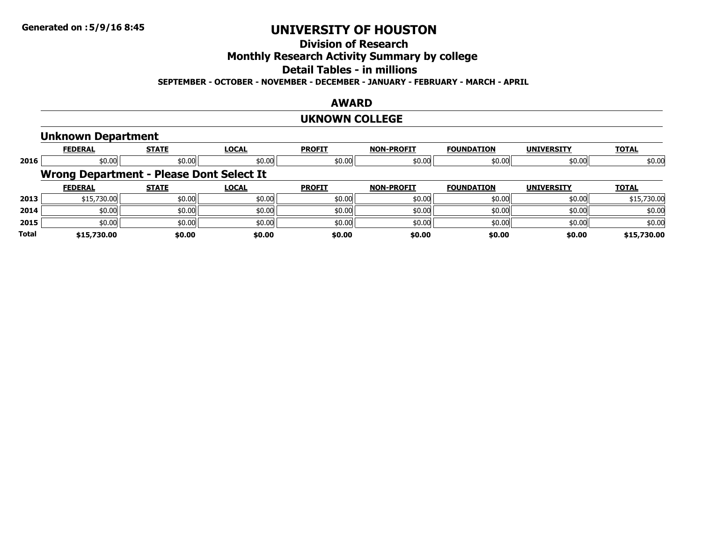# **Division of Research**

# **Monthly Research Activity Summary by college**

# **Detail Tables - in millions**

#### **SEPTEMBER - OCTOBER - NOVEMBER - DECEMBER - JANUARY - FEBRUARY - MARCH - APRIL**

#### **AWARD**

#### **UKNOWN COLLEGE**

#### **Unknown Department**

|              | <b>FEDERAL</b>                           | <b>STATE</b> | <b>LOCAL</b> | <b>PROFIT</b> | <b>NON-PROFIT</b> | <b>FOUNDATION</b> | <b>UNIVERSITY</b> | <b>TOTAL</b> |
|--------------|------------------------------------------|--------------|--------------|---------------|-------------------|-------------------|-------------------|--------------|
| 2016         | \$0.00                                   | \$0.00       | \$0.00       | \$0.00        | \$0.00            | \$0.00            | \$0.00            | \$0.00       |
|              | Wrong Department - Please Dont Select It |              |              |               |                   |                   |                   |              |
|              | <b>FEDERAL</b>                           | <b>STATE</b> | <b>LOCAL</b> | <b>PROFIT</b> | <b>NON-PROFIT</b> | <b>FOUNDATION</b> | <b>UNIVERSITY</b> | <b>TOTAL</b> |
| 2013         | \$15,730.00                              | \$0.00       | \$0.00       | \$0.00        | \$0.00            | \$0.00            | \$0.00            | \$15,730.00  |
| 2014         | \$0.00                                   | \$0.00       | \$0.00       | \$0.00        | \$0.00            | \$0.00            | \$0.00            | \$0.00       |
| 2015         | \$0.00                                   | \$0.00       | \$0.00       | \$0.00        | \$0.00            | \$0.00            | \$0.00            | \$0.00       |
| <b>Total</b> | \$15,730.00                              | \$0.00       | \$0.00       | \$0.00        | \$0.00            | \$0.00            | \$0.00            | \$15,730.00  |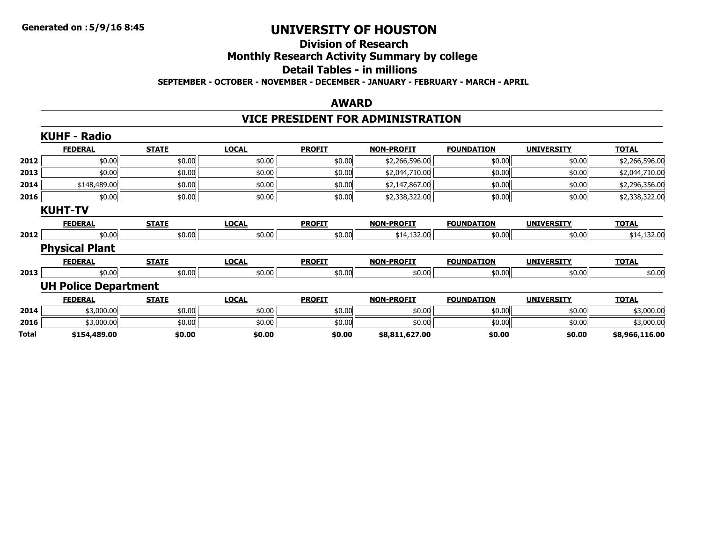### **Division of ResearchMonthly Research Activity Summary by college Detail Tables - in millions SEPTEMBER - OCTOBER - NOVEMBER - DECEMBER - JANUARY - FEBRUARY - MARCH - APRIL**

#### **AWARD**

# **VICE PRESIDENT FOR ADMINISTRATION**

|       | <b>KUHF - Radio</b>         |              |              |               |                   |                   |                   |                |
|-------|-----------------------------|--------------|--------------|---------------|-------------------|-------------------|-------------------|----------------|
|       | <b>FEDERAL</b>              | <b>STATE</b> | <b>LOCAL</b> | <b>PROFIT</b> | <b>NON-PROFIT</b> | <b>FOUNDATION</b> | <b>UNIVERSITY</b> | <b>TOTAL</b>   |
| 2012  | \$0.00                      | \$0.00       | \$0.00       | \$0.00        | \$2,266,596.00    | \$0.00            | \$0.00            | \$2,266,596.00 |
| 2013  | \$0.00                      | \$0.00       | \$0.00       | \$0.00        | \$2,044,710.00    | \$0.00            | \$0.00            | \$2,044,710.00 |
| 2014  | \$148,489.00                | \$0.00       | \$0.00       | \$0.00        | \$2,147,867.00    | \$0.00            | \$0.00            | \$2,296,356.00 |
| 2016  | \$0.00                      | \$0.00       | \$0.00       | \$0.00        | \$2,338,322.00    | \$0.00            | \$0.00            | \$2,338,322.00 |
|       | <b>KUHT-TV</b>              |              |              |               |                   |                   |                   |                |
|       | <b>FEDERAL</b>              | <b>STATE</b> | <b>LOCAL</b> | <b>PROFIT</b> | <b>NON-PROFIT</b> | <b>FOUNDATION</b> | <b>UNIVERSITY</b> | <b>TOTAL</b>   |
| 2012  | \$0.00                      | \$0.00       | \$0.00       | \$0.00        | \$14,132.00       | \$0.00            | \$0.00            | \$14,132.00    |
|       | <b>Physical Plant</b>       |              |              |               |                   |                   |                   |                |
|       | <b>FEDERAL</b>              | <b>STATE</b> | <b>LOCAL</b> | <b>PROFIT</b> | <b>NON-PROFIT</b> | <b>FOUNDATION</b> | <b>UNIVERSITY</b> | <b>TOTAL</b>   |
| 2013  | \$0.00                      | \$0.00       | \$0.00       | \$0.00        | \$0.00            | \$0.00            | \$0.00            | \$0.00         |
|       | <b>UH Police Department</b> |              |              |               |                   |                   |                   |                |
|       | <b>FEDERAL</b>              | <b>STATE</b> | <b>LOCAL</b> | <b>PROFIT</b> | <b>NON-PROFIT</b> | <b>FOUNDATION</b> | <b>UNIVERSITY</b> | <b>TOTAL</b>   |
| 2014  | \$3,000.00                  | \$0.00       | \$0.00       | \$0.00        | \$0.00            | \$0.00            | \$0.00            | \$3,000.00     |
| 2016  | \$3,000.00                  | \$0.00       | \$0.00       | \$0.00        | \$0.00            | \$0.00            | \$0.00            | \$3,000.00     |
| Total | \$154,489.00                | \$0.00       | \$0.00       | \$0.00        | \$8,811,627.00    | \$0.00            | \$0.00            | \$8,966,116.00 |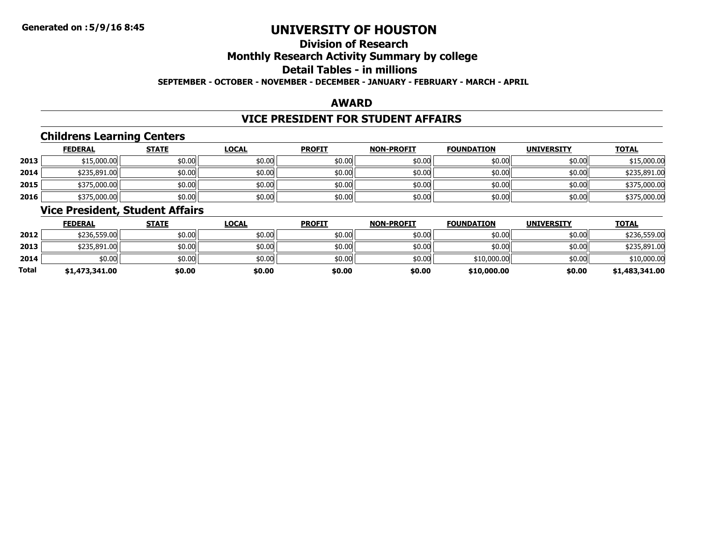### **Division of ResearchMonthly Research Activity Summary by college Detail Tables - in millionsSEPTEMBER - OCTOBER - NOVEMBER - DECEMBER - JANUARY - FEBRUARY - MARCH - APRIL**

#### **AWARD**

# **VICE PRESIDENT FOR STUDENT AFFAIRS**

# **Childrens Learning Centers**

|      | <b>FEDERAL</b> | <b>STATE</b> | <b>LOCAL</b> | <b>PROFIT</b> | <b>NON-PROFIT</b> | <b>FOUNDATION</b> | <b>UNIVERSITY</b> | <b>TOTAL</b> |
|------|----------------|--------------|--------------|---------------|-------------------|-------------------|-------------------|--------------|
| 2013 | \$15,000.00    | \$0.00       | \$0.00       | \$0.00        | \$0.00            | \$0.00            | \$0.00            | \$15,000.00  |
| 2014 | \$235,891.00   | \$0.00       | \$0.00       | \$0.00        | \$0.00            | \$0.00            | \$0.00            | \$235,891.00 |
| 2015 | \$375,000.00   | \$0.00       | \$0.00       | \$0.00        | \$0.00            | \$0.00            | \$0.00            | \$375,000.00 |
| 2016 | \$375,000.00   | \$0.00       | \$0.00       | \$0.00        | \$0.00            | \$0.00            | \$0.00            | \$375,000.00 |

### **Vice President, Student Affairs**

|       | <b>FEDERAL</b> | <b>STATE</b> | <u>LOCAL</u> | <b>PROFIT</b> | <b>NON-PROFIT</b> | <b>FOUNDATION</b> | <b>UNIVERSITY</b> | <b>TOTAL</b>   |
|-------|----------------|--------------|--------------|---------------|-------------------|-------------------|-------------------|----------------|
| 2012  | \$236,559.00   | \$0.00       | \$0.00       | \$0.00        | \$0.00            | \$0.00            | \$0.00            | \$236,559.00   |
| 2013  | \$235,891.00   | \$0.00       | \$0.00       | \$0.00        | \$0.00            | \$0.00            | \$0.00            | \$235,891.00   |
| 2014  | \$0.00         | \$0.00       | \$0.00       | \$0.00        | \$0.00            | \$10,000.00       | \$0.00            | \$10,000.00    |
| Total | \$1,473,341.00 | \$0.00       | \$0.00       | \$0.00        | \$0.00            | \$10,000.00       | \$0.00            | \$1,483,341.00 |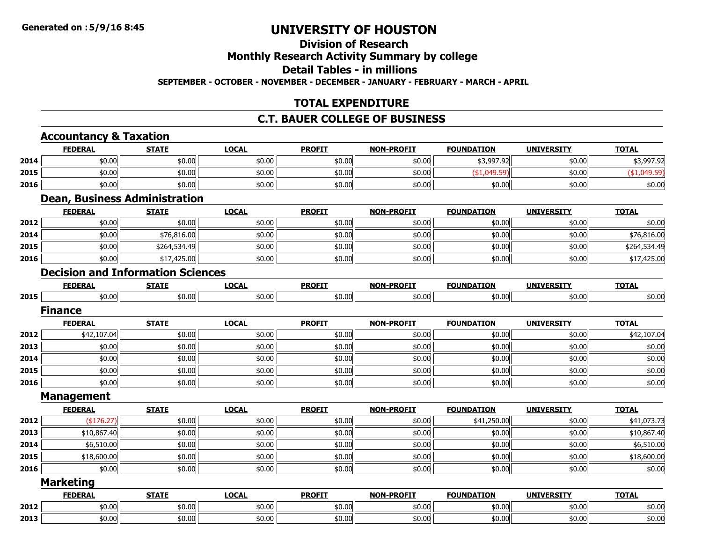#### **Division of ResearchMonthly Research Activity Summary by college**

**Detail Tables - in millions**

**SEPTEMBER - OCTOBER - NOVEMBER - DECEMBER - JANUARY - FEBRUARY - MARCH - APRIL**

# **TOTAL EXPENDITURE**

### **C.T. BAUER COLLEGE OF BUSINESS**

#### **Accountancy & Taxation FEDERAL STATE LOCAL PROFIT NON-PROFIT FOUNDATION UNIVERSITY TOTAL 2014**4 \$0.00 \$0.00 \$0.00 \$0.00 \$0.00 \$0.00 \$0.00 \$0.00 \$0.00 \$0.00 \$0.00 \$3,997.92 \$0.00 \$3,997.92 **2015** \$0.00 \$0.00 \$0.00 \$0.00 \$0.00 (\$1,049.59) \$0.00 (\$1,049.59) **20166** | \$0.00 | \$0.00 | \$0.00 | \$0.00 | \$0.00 | \$0.00 | \$0.00 | \$0.00 | \$0.00 | \$0.00 | **Dean, Business Administration FEDERAL STATE LOCAL PROFIT NON-PROFIT FOUNDATION UNIVERSITY TOTAL 2012**2 | \$0.00| \$0.00| \$0.00| \$0.00| \$0.00| \$0.00| \$0.00| \$0.00| \$0.00| \$0.00| \$0.00| \$0.00| \$0.00| \$0.00 **2014**4 \$0.00 \$0.00 \$0.00 \$0.00 \$0.00 \$0.00 \$0.00 \$0.00 \$0.00 \$0.00 \$0.00 \$0.00 \$0.00 \$0.00 \$76,816.00 **2015**5 | \$0.00|| \$264,534.49|| \$0.00|| \$0.00|| \$0.00|| \$0.00|| \$264,534.49 **2016** \$0.00 \$17,425.00 \$0.00 \$0.00 \$0.00 \$0.00 \$0.00 \$17,425.00 **Decision and Information SciencesFEDERAL STATE LOCAL PROFIT NON-PROFIT FOUNDATION UNIVERSITY TOTAL 2015**5 | \$0.00 | \$0.00 | \$0.00 | \$0.00 | \$0.00 | \$0.00 | \$0.00 | \$0.00 | \$0.00 | \$0.00 | **FinanceFEDERAL STATE LOCAL PROFIT NON-PROFIT FOUNDATION UNIVERSITY TOTAL 2012**2 \$42,107.04 \$0.00| \$0.00| \$0.00| \$0.00| \$0.00| \$0.00| \$42,107.04 **2013**3 | \$0.00 \$0.00 \$0.00 \$0.00 \$0.00 \$0.00 \$0.00 \$0.00 \$0.00 \$0.00 \$0.00 \$0.00 \$0.00 \$0.00 \$0.00 \$0.00 \$0.00 **2014**4 \$0.00 \$0.00 \$0.00 \$0.00 \$0.00 \$0.00 \$0.00 \$0.00 \$0.00 \$0.00 \$0.00 \$0.00 \$0.00 \$0.00 \$0.00 \$0.00 \$0.00 **20155** | \$0.00 \$0.00 \$0.00 \$0.00 \$0.00 \$0.00 \$0.00 \$0.00 \$0.00 \$0.00 \$0.00 \$0.00 \$0.00 \$0.00 \$0.00 \$0.00 \$0.00 **20166** | \$0.00 | \$0.00 | \$0.00 | \$0.00 | \$0.00 | \$0.00 | \$0.00 | \$0.00 | \$0.00 | \$0.00 | **Management FEDERAL STATE LOCAL PROFIT NON-PROFIT FOUNDATION UNIVERSITY TOTAL 2012**2 (\$176.27)|| \$0.00|| \$0.00|| \$0.00|| \$0.00|| \$1,250.00|| \$0.00|| \$41,073.73 **2013**3 | \$10,867.40|| \$0.00|| \$0.00|| \$0.00|| \$0.00|| \$0.00|| \$0.00|| \$0.00|| \$0.00|| \$10,867.40 **2014**4 \$6,510.00| \$0.00| \$0.00| \$0.00| \$0.00| \$0.00| \$0.510.00 **2015**5 \$18,600.00|| \$0.00|| \$0.00|| \$0.00|| \$0.00|| \$0.00|| \$18,600.00 **20166** | \$0.00 | \$0.00 | \$0.00 | \$0.00 | \$0.00 | \$0.00 | \$0.00 | \$0.00 | \$0.00 | \$0.00 | **Marketing FEDERAL STATE LOCAL PROFIT NON-PROFIT FOUNDATION UNIVERSITY TOTAL 2012**2 | \$0.00| \$0.00| \$0.00| \$0.00| \$0.00| \$0.00| \$0.00| \$0.00| \$0.00| \$0.00| \$0.00| \$0.00| \$0.00| \$0.00 **2013**

3 | \$0.00 \$0.00 \$0.00 \$0.00 \$0.00 \$0.00 \$0.00 \$0.00 \$0.00 \$0.00 \$0.00 \$0.00 \$0.00 \$0.00 \$0.00 \$0.00 \$0.00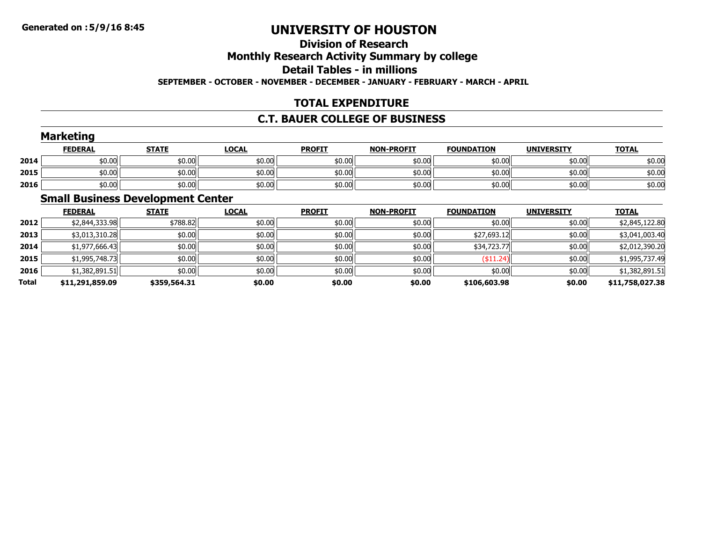### **Division of ResearchMonthly Research Activity Summary by college Detail Tables - in millionsSEPTEMBER - OCTOBER - NOVEMBER - DECEMBER - JANUARY - FEBRUARY - MARCH - APRIL**

# **TOTAL EXPENDITURE**

# **C.T. BAUER COLLEGE OF BUSINESS**

|      | <b>Marketing</b> |              |              |               |                   |                   |                   |              |
|------|------------------|--------------|--------------|---------------|-------------------|-------------------|-------------------|--------------|
|      | <u>FEDERAL</u>   | <b>STATE</b> | <b>LOCAL</b> | <b>PROFIT</b> | <b>NON-PROFIT</b> | <b>FOUNDATION</b> | <b>UNIVERSITY</b> | <b>TOTAL</b> |
| 2014 | \$0.00           | \$0.00       | \$0.00       | \$0.00        | \$0.00            | \$0.00            | \$0.00            | \$0.00       |
| 2015 | \$0.00           | \$0.00       | \$0.00       | \$0.00        | \$0.00            | \$0.00            | \$0.00            | \$0.00       |
| 2016 | \$0.00           | \$0.00       | \$0.00       | \$0.00        | \$0.00            | \$0.00            | \$0.00            | \$0.00       |

# **Small Business Development Center**

|       | <b>FEDERAL</b>  | <b>STATE</b> | <b>LOCAL</b> | <b>PROFIT</b> | <b>NON-PROFIT</b> | <b>FOUNDATION</b> | <b>UNIVERSITY</b> | <b>TOTAL</b>    |
|-------|-----------------|--------------|--------------|---------------|-------------------|-------------------|-------------------|-----------------|
| 2012  | \$2,844,333.98  | \$788.82     | \$0.00       | \$0.00        | \$0.00            | \$0.00            | \$0.00            | \$2,845,122.80  |
| 2013  | \$3,013,310.28  | \$0.00       | \$0.00       | \$0.00        | \$0.00            | \$27,693.12       | \$0.00            | \$3,041,003.40  |
| 2014  | \$1,977,666.43  | \$0.00       | \$0.00       | \$0.00        | \$0.00            | \$34,723.77       | \$0.00            | \$2,012,390.20  |
| 2015  | \$1,995,748.73  | \$0.00       | \$0.00       | \$0.00        | \$0.00            | $(*11.24)$        | \$0.00            | \$1,995,737.49  |
| 2016  | \$1,382,891.51  | \$0.00       | \$0.00       | \$0.00        | \$0.00            | \$0.00            | \$0.00            | \$1,382,891.51  |
| Total | \$11,291,859.09 | \$359,564.31 | \$0.00       | \$0.00        | \$0.00            | \$106,603.98      | \$0.00            | \$11,758,027.38 |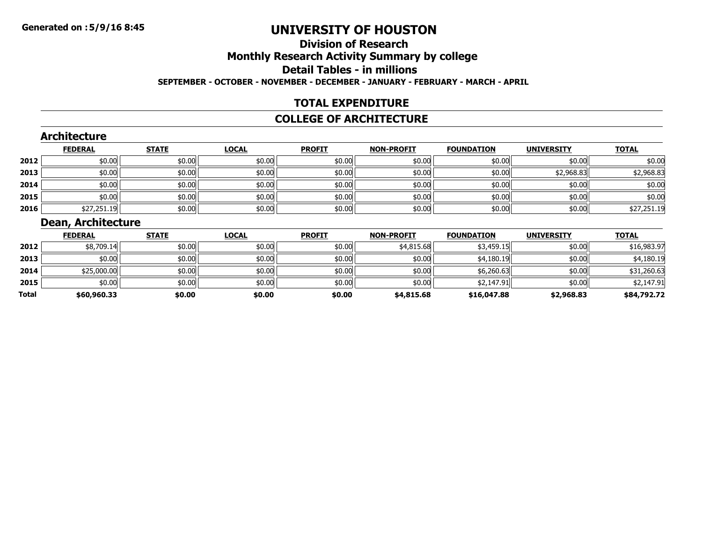### **Division of ResearchMonthly Research Activity Summary by college Detail Tables - in millionsSEPTEMBER - OCTOBER - NOVEMBER - DECEMBER - JANUARY - FEBRUARY - MARCH - APRIL**

### **TOTAL EXPENDITURE**

#### **COLLEGE OF ARCHITECTURE**

### **Architecture**

|      | <b>FEDERAL</b> | <b>STATE</b> | <u>LOCAL</u> | <b>PROFIT</b> | <b>NON-PROFIT</b> | <b>FOUNDATION</b> | <b>UNIVERSITY</b> | <b>TOTAL</b> |
|------|----------------|--------------|--------------|---------------|-------------------|-------------------|-------------------|--------------|
| 2012 | \$0.00         | \$0.00       | \$0.00       | \$0.00        | \$0.00            | \$0.00            | \$0.00            | \$0.00       |
| 2013 | \$0.00         | \$0.00       | \$0.00       | \$0.00        | \$0.00            | \$0.00            | \$2,968.83        | \$2,968.83   |
| 2014 | \$0.00         | \$0.00       | \$0.00       | \$0.00        | \$0.00            | \$0.00            | \$0.00            | \$0.00       |
| 2015 | \$0.00         | \$0.00       | \$0.00       | \$0.00        | \$0.00            | \$0.00            | \$0.00            | \$0.00       |
| 2016 | \$27,251.19    | \$0.00       | \$0.00       | \$0.00        | \$0.00            | \$0.00            | \$0.00            | \$27,251.19  |

# **Dean, Architecture**

|       | <b>FEDERAL</b> | <b>STATE</b> | <b>LOCAL</b> | <b>PROFIT</b> | <b>NON-PROFIT</b> | <b>FOUNDATION</b> | <b>UNIVERSITY</b> | <b>TOTAL</b> |
|-------|----------------|--------------|--------------|---------------|-------------------|-------------------|-------------------|--------------|
| 2012  | \$8,709.14     | \$0.00       | \$0.00       | \$0.00        | \$4,815.68        | \$3,459.15        | \$0.00            | \$16,983.97  |
| 2013  | \$0.00         | \$0.00       | \$0.00       | \$0.00        | \$0.00            | \$4,180.19        | \$0.00            | \$4,180.19   |
| 2014  | \$25,000.00    | \$0.00       | \$0.00       | \$0.00        | \$0.00            | \$6,260.63        | \$0.00            | \$31,260.63  |
| 2015  | \$0.00         | \$0.00       | \$0.00       | \$0.00        | \$0.00            | \$2,147.91        | \$0.00            | \$2,147.91   |
| Total | \$60,960.33    | \$0.00       | \$0.00       | \$0.00        | \$4,815.68        | \$16,047.88       | \$2,968.83        | \$84,792.72  |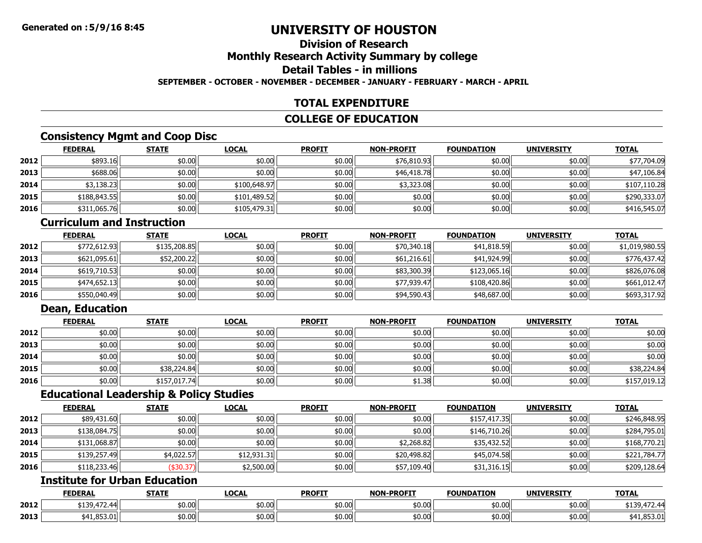### **Division of ResearchMonthly Research Activity Summary by college Detail Tables - in millionsSEPTEMBER - OCTOBER - NOVEMBER - DECEMBER - JANUARY - FEBRUARY - MARCH - APRIL**

### **TOTAL EXPENDITURE**

### **COLLEGE OF EDUCATION**

# **Consistency Mgmt and Coop Disc**

|      | <b>FEDERAL</b> | <b>STATE</b> | <b>LOCAL</b> | <b>PROFIT</b> | <b>NON-PROFIT</b> | <b>FOUNDATION</b> | <b>UNIVERSITY</b> | <b>TOTAL</b> |
|------|----------------|--------------|--------------|---------------|-------------------|-------------------|-------------------|--------------|
| 2012 | \$893.16       | \$0.00       | \$0.00       | \$0.00        | \$76,810.93       | \$0.00            | \$0.00            | \$77,704.09  |
| 2013 | \$688.06       | \$0.00       | \$0.00       | \$0.00        | \$46,418.78       | \$0.00            | \$0.00            | \$47,106.84  |
| 2014 | \$3,138.23     | \$0.00       | \$100,648.97 | \$0.00        | \$3,323.08        | \$0.00            | \$0.00            | \$107,110.28 |
| 2015 | \$188,843.55   | \$0.00       | \$101,489.52 | \$0.00        | \$0.00            | \$0.00            | \$0.00            | \$290,333.07 |
| 2016 | \$311,065.76   | \$0.00       | \$105,479.31 | \$0.00        | \$0.00            | \$0.00            | \$0.00            | \$416,545.07 |

# **Curriculum and Instruction**

|      | <b>FEDERAL</b> | <b>STATE</b> | <u>LOCAL</u> | <b>PROFIT</b> | <b>NON-PROFIT</b> | <b>FOUNDATION</b> | <b>UNIVERSITY</b> | <b>TOTAL</b>   |
|------|----------------|--------------|--------------|---------------|-------------------|-------------------|-------------------|----------------|
| 2012 | \$772,612.93   | \$135,208.85 | \$0.00       | \$0.00        | \$70,340.18       | \$41,818.59       | \$0.00            | \$1,019,980.55 |
| 2013 | \$621,095.61   | \$52,200.22  | \$0.00       | \$0.00        | \$61,216.61       | \$41,924.99       | \$0.00            | \$776,437.42   |
| 2014 | \$619,710.53   | \$0.00       | \$0.00       | \$0.00        | \$83,300.39       | \$123,065.16      | \$0.00            | \$826,076.08   |
| 2015 | \$474,652.13   | \$0.00       | \$0.00       | \$0.00        | \$77,939.47       | \$108,420.86      | \$0.00            | \$661.012.47   |
| 2016 | \$550,040.49   | \$0.00       | \$0.00       | \$0.00        | \$94,590.43       | \$48,687.00       | \$0.00            | \$693,317.92   |

# **Dean, Education**

|      | <u>FEDERAL</u> | <b>STATE</b> | <u>LOCAL</u> | <b>PROFIT</b> | <b>NON-PROFIT</b> | <b>FOUNDATION</b> | <b>UNIVERSITY</b> | <b>TOTAL</b> |
|------|----------------|--------------|--------------|---------------|-------------------|-------------------|-------------------|--------------|
| 2012 | \$0.00         | \$0.00       | \$0.00       | \$0.00        | \$0.00            | \$0.00            | \$0.00            | \$0.00       |
| 2013 | \$0.00         | \$0.00       | \$0.00       | \$0.00        | \$0.00            | \$0.00            | \$0.00            | \$0.00       |
| 2014 | \$0.00         | \$0.00       | \$0.00       | \$0.00        | \$0.00            | \$0.00            | \$0.00            | \$0.00       |
| 2015 | \$0.00         | \$38,224.84  | \$0.00       | \$0.00        | \$0.00            | \$0.00            | \$0.00            | \$38,224.84  |
| 2016 | \$0.00         | \$157,017.74 | \$0.00       | \$0.00        | \$1.38            | \$0.00            | \$0.00            | \$157,019.12 |

### **Educational Leadership & Policy Studies**

|      | <b>FEDERAL</b> | <b>STATE</b> | <b>LOCAL</b> | <b>PROFIT</b> | <b>NON-PROFIT</b> | <b>FOUNDATION</b> | <b>UNIVERSITY</b> | <b>TOTAL</b> |
|------|----------------|--------------|--------------|---------------|-------------------|-------------------|-------------------|--------------|
| 2012 | \$89,431.60    | \$0.00       | \$0.00       | \$0.00        | \$0.00            | \$157,417.35      | \$0.00            | \$246,848.95 |
| 2013 | \$138,084.75   | \$0.00       | \$0.00       | \$0.00        | \$0.00            | \$146,710.26      | \$0.00            | \$284,795.01 |
| 2014 | \$131,068.87   | \$0.00       | \$0.00       | \$0.00        | \$2,268.82        | \$35,432.52       | \$0.00            | \$168,770.21 |
| 2015 | \$139,257.49   | \$4,022.57   | \$12,931.31  | \$0.00        | \$20,498.82       | \$45,074.58       | \$0.00            | \$221,784.77 |
| 2016 | \$118,233.46   | (\$30.37)    | \$2,500.00   | \$0.00        | \$57,109.40       | \$31,316.15       | \$0.00            | \$209,128.64 |

# **Institute for Urban Education**

|      | <b>FEDERAL</b>           | <b>STATE</b>       | LOCAL           | <b>PROFIT</b> | <b>NON-PROFIT</b> | <b>FOUNDATION</b>         | <b>UNIVERSITY</b> | <b>TOTAL</b>     |
|------|--------------------------|--------------------|-----------------|---------------|-------------------|---------------------------|-------------------|------------------|
| 2012 | $\overline{a}$<br>11 R Q | $+0.00$<br>\$0.00I | ረደበ ሀሊ<br>pv.uu | \$0.00        | \$0.00            | $+0.00$<br><b>DU.UU</b>   | \$0.00            | $-$<br>.         |
| 2013 | 0F2<br>d4'<br>TI.UJJ.U.  | \$0.00             | \$0.00          | \$0.00        | \$0.00            | $\lambda$<br><b>DU.UU</b> | \$0.00            | 0F2<br>71.053.UI |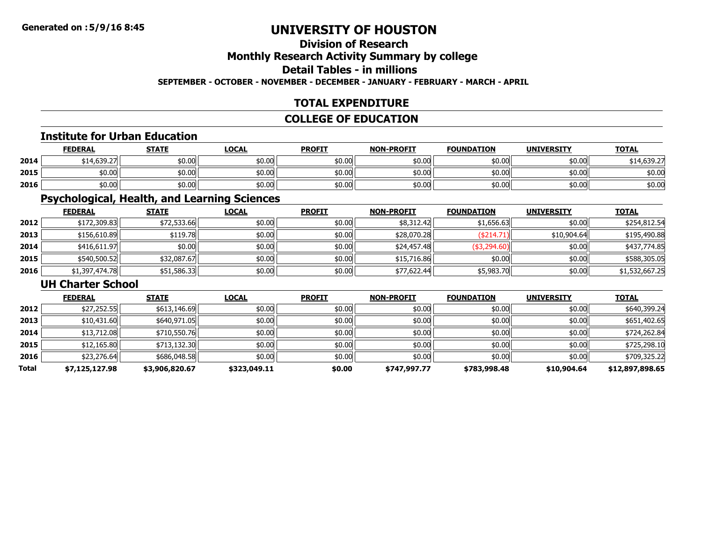# **Division of Research**

# **Monthly Research Activity Summary by college**

# **Detail Tables - in millions**

#### **SEPTEMBER - OCTOBER - NOVEMBER - DECEMBER - JANUARY - FEBRUARY - MARCH - APRIL**

# **TOTAL EXPENDITURE**

### **COLLEGE OF EDUCATION**

#### **Institute for Urban Education**

|      | <b>FEDERAL</b> | <b>STATE</b> | <u>LOCAL</u> | <b>PROFIT</b> | <b>NON-PROFIT</b> | <b>FOUNDATION</b> | <b>UNIVERSITY</b> | <b>TOTAL</b> |
|------|----------------|--------------|--------------|---------------|-------------------|-------------------|-------------------|--------------|
| 2014 | \$14,639.27    | \$0.00       | \$0.00       | \$0.00        | \$0.00            | 50.00             | \$0.00            | \$14,639.27  |
| 2015 | \$0.00         | \$0.00       | \$0.00       | \$0.00        | \$0.00            | 50.00             | \$0.00            | \$0.00       |
| 2016 | \$0.00         | \$0.00       | \$0.00       | \$0.00        | \$0.00            | 50.00             | \$0.00            | \$0.00       |

# **Psychological, Health, and Learning Sciences**

|      | <b>FEDERAL</b> | <b>STATE</b> | <u>LOCAL</u> | <b>PROFIT</b> | <b>NON-PROFIT</b> | <b>FOUNDATION</b> | <b>UNIVERSITY</b> | <b>TOTAL</b>   |
|------|----------------|--------------|--------------|---------------|-------------------|-------------------|-------------------|----------------|
| 2012 | \$172,309.83   | \$72,533.66  | \$0.00       | \$0.00        | \$8,312.42        | \$1,656.63        | \$0.00            | \$254,812.54   |
| 2013 | \$156,610.89   | \$119.78     | \$0.00       | \$0.00        | \$28,070.28       | ( \$214.71)       | \$10,904.64       | \$195,490.88   |
| 2014 | \$416,611.97   | \$0.00       | \$0.00       | \$0.00        | \$24,457.48       | \$3,294.60        | \$0.00            | \$437,774.85   |
| 2015 | \$540,500.52   | \$32,087.67  | \$0.00       | \$0.00        | \$15,716.86       | \$0.00            | \$0.00            | \$588,305.05   |
| 2016 | \$1,397,474.78 | \$51,586.33  | \$0.00       | \$0.00        | \$77,622.44       | \$5,983.70        | \$0.00            | \$1,532,667.25 |

### **UH Charter School**

|              | <b>FEDERAL</b> | <b>STATE</b>   | <b>LOCAL</b> | <b>PROFIT</b> | <b>NON-PROFIT</b> | <b>FOUNDATION</b> | <b>UNIVERSITY</b> | <b>TOTAL</b>    |
|--------------|----------------|----------------|--------------|---------------|-------------------|-------------------|-------------------|-----------------|
| 2012         | \$27,252.55    | \$613,146.69   | \$0.00       | \$0.00        | \$0.00            | \$0.00            | \$0.00            | \$640,399.24    |
| 2013         | \$10,431.60    | \$640,971.05   | \$0.00       | \$0.00        | \$0.00            | \$0.00            | \$0.00            | \$651,402.65    |
| 2014         | \$13,712.08    | \$710,550.76   | \$0.00       | \$0.00        | \$0.00            | \$0.00            | \$0.00            | \$724,262.84    |
| 2015         | \$12,165.80    | \$713,132.30   | \$0.00       | \$0.00        | \$0.00            | \$0.00            | \$0.00            | \$725,298.10    |
| 2016         | \$23,276.64    | \$686,048.58   | \$0.00       | \$0.00        | \$0.00            | \$0.00            | \$0.00            | \$709,325.22    |
| <b>Total</b> | \$7,125,127.98 | \$3,906,820.67 | \$323,049.11 | \$0.00        | \$747,997.77      | \$783,998.48      | \$10,904.64       | \$12,897,898.65 |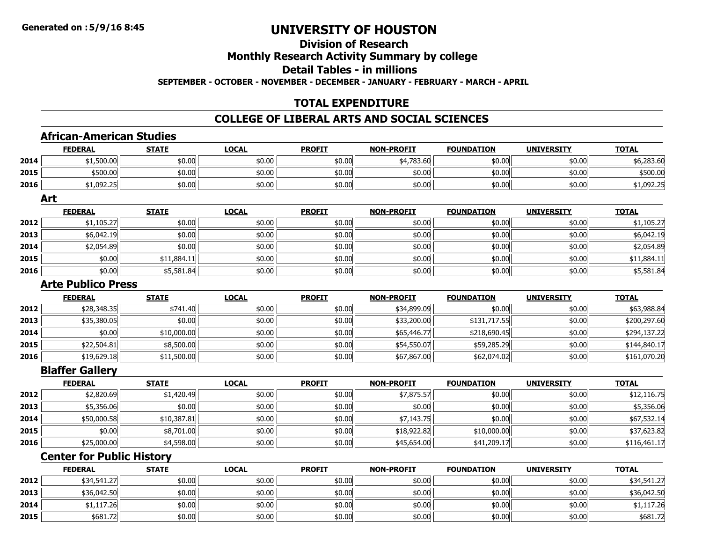### **Division of ResearchMonthly Research Activity Summary by college Detail Tables - in millionsSEPTEMBER - OCTOBER - NOVEMBER - DECEMBER - JANUARY - FEBRUARY - MARCH - APRIL**

# **TOTAL EXPENDITURE**

### **COLLEGE OF LIBERAL ARTS AND SOCIAL SCIENCES**

### **African-American Studies**

|      | <u>FEDERAL</u>                   | <b>STATE</b> | <b>LOCAL</b> | <b>PROFIT</b> | <u>NON-PROFIT</u> | <b>FOUNDATION</b> | <b>UNIVERSITY</b> | <u>TOTAL</u> |
|------|----------------------------------|--------------|--------------|---------------|-------------------|-------------------|-------------------|--------------|
| 2014 | \$1,500.00                       | \$0.00       | \$0.00       | \$0.00        | \$4,783.60        | \$0.00            | \$0.00            | \$6,283.60   |
| 2015 | \$500.00                         | \$0.00       | \$0.00       | \$0.00        | \$0.00            | \$0.00            | \$0.00            | \$500.00     |
| 2016 | \$1,092.25                       | \$0.00       | \$0.00       | \$0.00        | \$0.00            | \$0.00            | \$0.00            | \$1,092.25   |
|      | Art                              |              |              |               |                   |                   |                   |              |
|      | <b>FEDERAL</b>                   | <b>STATE</b> | <b>LOCAL</b> | <b>PROFIT</b> | <b>NON-PROFIT</b> | <b>FOUNDATION</b> | <b>UNIVERSITY</b> | <b>TOTAL</b> |
| 2012 | \$1,105.27                       | \$0.00       | \$0.00       | \$0.00        | \$0.00            | \$0.00            | \$0.00            | \$1,105.27   |
| 2013 | \$6,042.19                       | \$0.00       | \$0.00       | \$0.00        | \$0.00            | \$0.00            | \$0.00            | \$6,042.19   |
| 2014 | \$2,054.89                       | \$0.00       | \$0.00       | \$0.00        | \$0.00            | \$0.00            | \$0.00            | \$2,054.89   |
| 2015 | \$0.00                           | \$11,884.11  | \$0.00       | \$0.00        | \$0.00            | \$0.00            | \$0.00            | \$11,884.11  |
| 2016 | \$0.00                           | \$5,581.84   | \$0.00       | \$0.00        | \$0.00            | \$0.00            | \$0.00            | \$5,581.84   |
|      | <b>Arte Publico Press</b>        |              |              |               |                   |                   |                   |              |
|      | <b>FEDERAL</b>                   | <b>STATE</b> | <b>LOCAL</b> | <b>PROFIT</b> | <b>NON-PROFIT</b> | <b>FOUNDATION</b> | <b>UNIVERSITY</b> | <b>TOTAL</b> |
| 2012 | \$28,348.35                      | \$741.40     | \$0.00       | \$0.00        | \$34,899.09       | \$0.00            | \$0.00            | \$63,988.84  |
| 2013 | \$35,380.05                      | \$0.00       | \$0.00       | \$0.00        | \$33,200.00       | \$131,717.55      | \$0.00            | \$200,297.60 |
| 2014 | \$0.00                           | \$10,000.00  | \$0.00       | \$0.00        | \$65,446.77       | \$218,690.45      | \$0.00            | \$294,137.22 |
| 2015 | \$22,504.81                      | \$8,500.00   | \$0.00       | \$0.00        | \$54,550.07       | \$59,285.29       | \$0.00            | \$144,840.17 |
| 2016 | \$19,629.18                      | \$11,500.00  | \$0.00       | \$0.00        | \$67,867.00       | \$62,074.02       | \$0.00            | \$161,070.20 |
|      | <b>Blaffer Gallery</b>           |              |              |               |                   |                   |                   |              |
|      | <b>FEDERAL</b>                   | <b>STATE</b> | <b>LOCAL</b> | <b>PROFIT</b> | <b>NON-PROFIT</b> | <b>FOUNDATION</b> | <b>UNIVERSITY</b> | <b>TOTAL</b> |
| 2012 | \$2,820.69                       | \$1,420.49   | \$0.00       | \$0.00        | \$7,875.57        | \$0.00            | \$0.00            | \$12,116.75  |
| 2013 | \$5,356.06                       | \$0.00       | \$0.00       | \$0.00        | \$0.00            | \$0.00            | \$0.00            | \$5,356.06   |
| 2014 | \$50,000.58                      | \$10,387.81  | \$0.00       | \$0.00        | \$7,143.75        | \$0.00            | \$0.00            | \$67,532.14  |
| 2015 | \$0.00                           | \$8,701.00   | \$0.00       | \$0.00        | \$18,922.82       | \$10,000.00       | \$0.00            | \$37,623.82  |
| 2016 | \$25,000.00                      | \$4,598.00   | \$0.00       | \$0.00        | \$45,654.00       | \$41,209.17       | \$0.00            | \$116,461.17 |
|      | <b>Center for Public History</b> |              |              |               |                   |                   |                   |              |
|      |                                  |              |              |               |                   |                   |                   |              |

|      | <u>FEDERAL</u> | <b>STATE</b> | <u>LOCAL</u> | <b>PROFIT</b> | <b>NON-PROFIT</b> | <b>FOUNDATION</b> | <b>UNIVERSITY</b> | <b>TOTAL</b> |
|------|----------------|--------------|--------------|---------------|-------------------|-------------------|-------------------|--------------|
| 2012 | \$34,541.27    | \$0.00       | \$0.00       | \$0.00        | \$0.00            | \$0.00            | \$0.00            | \$34,541.27  |
| 2013 | \$36,042.50    | \$0.00       | \$0.00       | \$0.00        | \$0.00            | \$0.00            | \$0.00            | \$36,042.50  |
| 2014 | \$1,117.26     | \$0.00       | \$0.00       | \$0.00        | \$0.00            | \$0.00            | \$0.00            | \$1,117.26   |
| 2015 | \$681.72       | \$0.00       | \$0.00       | \$0.00        | \$0.00            | \$0.00            | \$0.00            | \$681.72     |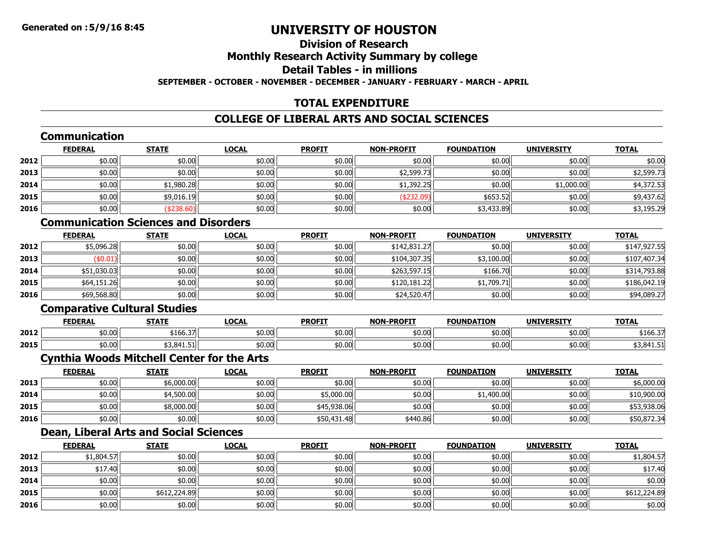# **Division of ResearchMonthly Research Activity Summary by college Detail Tables - in millionsSEPTEMBER - OCTOBER - NOVEMBER - DECEMBER - JANUARY - FEBRUARY - MARCH - APRIL**

# **TOTAL EXPENDITURE**

# **COLLEGE OF LIBERAL ARTS AND SOCIAL SCIENCES**

# **Communication**

|      | <b>FEDERAL</b> | <b>STATE</b> | <b>LOCAL</b> | <b>PROFIT</b> | <b>NON-PROFIT</b> | <b>FOUNDATION</b> | <b>UNIVERSITY</b> | <b>TOTAL</b> |
|------|----------------|--------------|--------------|---------------|-------------------|-------------------|-------------------|--------------|
| 2012 | \$0.00         | \$0.00       | \$0.00       | \$0.00        | \$0.00            | \$0.00            | \$0.00            | \$0.00       |
| 2013 | \$0.00         | \$0.00       | \$0.00       | \$0.00        | \$2,599.73        | \$0.00            | \$0.00            | \$2,599.73   |
| 2014 | \$0.00         | \$1,980.28   | \$0.00       | \$0.00        | \$1,392.25        | \$0.00            | \$1,000.00        | \$4,372.53   |
| 2015 | \$0.00         | \$9,016.19   | \$0.00       | \$0.00        | (\$232.09)        | \$653.52          | \$0.00            | \$9,437.62   |
| 2016 | \$0.00         | \$238.60     | \$0.00       | \$0.00        | \$0.00            | \$3,433.89        | \$0.00            | \$3,195.29   |

# **Communication Sciences and Disorders**

|      | <b>FEDERAL</b> | <b>STATE</b> | <b>LOCAL</b> | <b>PROFIT</b> | <b>NON-PROFIT</b> | <b>FOUNDATION</b> | <b>UNIVERSITY</b> | <b>TOTAL</b> |
|------|----------------|--------------|--------------|---------------|-------------------|-------------------|-------------------|--------------|
| 2012 | \$5,096.28     | \$0.00       | \$0.00       | \$0.00        | \$142,831.27      | \$0.00            | \$0.00            | \$147,927.55 |
| 2013 | \$0.01)        | \$0.00       | \$0.00       | \$0.00        | \$104,307.35      | \$3,100.00        | \$0.00            | \$107,407.34 |
| 2014 | \$51,030.03    | \$0.00       | \$0.00       | \$0.00        | \$263,597.15      | \$166.70          | \$0.00            | \$314,793.88 |
| 2015 | \$64,151.26    | \$0.00       | \$0.00       | \$0.00        | \$120,181.22      | \$1,709.71        | \$0.00            | \$186,042.19 |
| 2016 | \$69,568.80    | \$0.00       | \$0.00       | \$0.00        | \$24,520.47       | \$0.00            | \$0.00            | \$94,089.27  |

# **Comparative Cultural Studies**

|      | <b>FEDERAL</b> | <b>STATE</b>   | LOCAI  | <b>PROFIT</b> | <b>NON-PROFIT</b> | <b>FOUNDATION</b> | <b>UNIVERSITY</b> | <b>TOTAL</b>            |
|------|----------------|----------------|--------|---------------|-------------------|-------------------|-------------------|-------------------------|
| 2012 | \$0.00         | .<br>/100.37 د | \$0.00 | \$0.00        | \$0.00            | \$0.00            | \$0.00            | $   -$<br>∕3.00⊥ پ      |
| 2015 | \$0.00         | 53.841.51      | \$0.00 | \$0.00        | \$0.00            | \$0.00            | \$0.00            | 841ء ک<br>JJ, U I 1. J. |

### **Cynthia Woods Mitchell Center for the Arts**

|      | <b>FEDERAL</b> | <u>STATE</u> | <b>LOCAL</b> | <b>PROFIT</b> | <b>NON-PROFIT</b> | <b>FOUNDATION</b> | <b>UNIVERSITY</b> | <b>TOTAL</b> |
|------|----------------|--------------|--------------|---------------|-------------------|-------------------|-------------------|--------------|
| 2013 | \$0.00         | \$6,000.00   | \$0.00       | \$0.00        | \$0.00            | \$0.00            | \$0.00            | \$6,000.00   |
| 2014 | \$0.00         | \$4,500.00   | \$0.00       | \$5,000.00    | \$0.00            | \$1,400.00        | \$0.00            | \$10,900.00  |
| 2015 | \$0.00         | \$8,000.00   | \$0.00       | \$45,938.06   | \$0.00            | \$0.00 l          | \$0.00            | \$53,938.06  |
| 2016 | \$0.00         | \$0.00       | \$0.00       | \$50,431.48   | \$440.86          | \$0.00 l          | \$0.00            | \$50,872.34  |

# **Dean, Liberal Arts and Social Sciences**

|      | <b>FEDERAL</b> | <b>STATE</b> | <b>LOCAL</b> | <b>PROFIT</b> | <b>NON-PROFIT</b> | <b>FOUNDATION</b> | <b>UNIVERSITY</b> | <b>TOTAL</b> |
|------|----------------|--------------|--------------|---------------|-------------------|-------------------|-------------------|--------------|
| 2012 | \$1,804.57     | \$0.00       | \$0.00       | \$0.00        | \$0.00            | \$0.00            | \$0.00            | \$1,804.57   |
| 2013 | \$17.40        | \$0.00       | \$0.00       | \$0.00        | \$0.00            | \$0.00            | \$0.00            | \$17.40      |
| 2014 | \$0.00         | \$0.00       | \$0.00       | \$0.00        | \$0.00            | \$0.00            | \$0.00            | \$0.00       |
| 2015 | \$0.00         | \$612,224.89 | \$0.00       | \$0.00        | \$0.00            | \$0.00            | \$0.00            | \$612,224.89 |
| 2016 | \$0.00         | \$0.00       | \$0.00       | \$0.00        | \$0.00            | \$0.00            | \$0.00            | \$0.00       |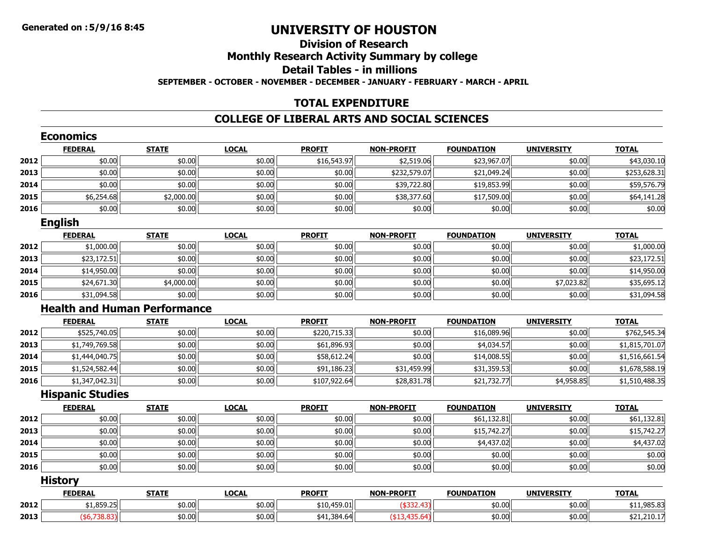### **Division of ResearchMonthly Research Activity Summary by college Detail Tables - in millionsSEPTEMBER - OCTOBER - NOVEMBER - DECEMBER - JANUARY - FEBRUARY - MARCH - APRIL**

#### **TOTAL EXPENDITURE**

#### **COLLEGE OF LIBERAL ARTS AND SOCIAL SCIENCES**

|      | <b>Economics</b>        |                                     |              |               |                   |                   |                   |                |
|------|-------------------------|-------------------------------------|--------------|---------------|-------------------|-------------------|-------------------|----------------|
|      | <b>FEDERAL</b>          | <b>STATE</b>                        | <b>LOCAL</b> | <b>PROFIT</b> | <b>NON-PROFIT</b> | <b>FOUNDATION</b> | <b>UNIVERSITY</b> | <b>TOTAL</b>   |
| 2012 | \$0.00                  | \$0.00                              | \$0.00       | \$16,543.97   | \$2,519.06        | \$23,967.07       | \$0.00            | \$43,030.10    |
| 2013 | \$0.00                  | \$0.00                              | \$0.00       | \$0.00        | \$232,579.07      | \$21,049.24       | \$0.00            | \$253,628.31   |
| 2014 | \$0.00                  | \$0.00                              | \$0.00       | \$0.00        | \$39,722.80       | \$19,853.99       | \$0.00            | \$59,576.79    |
| 2015 | \$6,254.68              | \$2,000.00                          | \$0.00       | \$0.00        | \$38,377.60       | \$17,509.00       | \$0.00            | \$64,141.28    |
| 2016 | \$0.00                  | \$0.00                              | \$0.00       | \$0.00        | \$0.00            | \$0.00            | \$0.00            | \$0.00         |
|      | <b>English</b>          |                                     |              |               |                   |                   |                   |                |
|      | <b>FEDERAL</b>          | <b>STATE</b>                        | <b>LOCAL</b> | <b>PROFIT</b> | <b>NON-PROFIT</b> | <b>FOUNDATION</b> | <b>UNIVERSITY</b> | <b>TOTAL</b>   |
| 2012 | \$1,000.00              | \$0.00                              | \$0.00       | \$0.00        | \$0.00            | \$0.00            | \$0.00            | \$1,000.00     |
| 2013 | \$23,172.51             | \$0.00                              | \$0.00       | \$0.00        | \$0.00            | \$0.00            | \$0.00            | \$23,172.51    |
| 2014 | \$14,950.00             | \$0.00                              | \$0.00       | \$0.00        | \$0.00            | \$0.00            | \$0.00            | \$14,950.00    |
| 2015 | \$24,671.30             | \$4,000.00                          | \$0.00       | \$0.00        | \$0.00            | \$0.00            | \$7,023.82        | \$35,695.12    |
| 2016 | \$31,094.58             | \$0.00                              | \$0.00       | \$0.00        | \$0.00            | \$0.00            | \$0.00            | \$31,094.58    |
|      |                         | <b>Health and Human Performance</b> |              |               |                   |                   |                   |                |
|      | <b>FEDERAL</b>          | <b>STATE</b>                        | <b>LOCAL</b> | <b>PROFIT</b> | <b>NON-PROFIT</b> | <b>FOUNDATION</b> | <b>UNIVERSITY</b> | <b>TOTAL</b>   |
| 2012 | \$525,740.05            | \$0.00                              | \$0.00       | \$220,715.33  | \$0.00            | \$16,089.96       | \$0.00            | \$762,545.34   |
| 2013 | \$1,749,769.58          | \$0.00                              | \$0.00       | \$61,896.93   | \$0.00            | \$4,034.57        | \$0.00            | \$1,815,701.07 |
| 2014 | \$1,444,040.75          | \$0.00                              | \$0.00       | \$58,612.24   | \$0.00            | \$14,008.55       | \$0.00            | \$1,516,661.54 |
| 2015 | \$1,524,582.44          | \$0.00                              | \$0.00       | \$91,186.23   | \$31,459.99       | \$31,359.53       | \$0.00            | \$1,678,588.19 |
| 2016 | \$1,347,042.31          | \$0.00                              | \$0.00       | \$107,922.64  | \$28,831.78       | \$21,732.77       | \$4,958.85        | \$1,510,488.35 |
|      | <b>Hispanic Studies</b> |                                     |              |               |                   |                   |                   |                |
|      | <b>FEDERAL</b>          | <b>STATE</b>                        | <b>LOCAL</b> | <b>PROFIT</b> | <b>NON-PROFIT</b> | <b>FOUNDATION</b> | <b>UNIVERSITY</b> | <b>TOTAL</b>   |
| 2012 | \$0.00                  | \$0.00                              | \$0.00       | \$0.00        | \$0.00            | \$61,132.81       | \$0.00            | \$61,132.81    |
| 2013 | \$0.00                  | \$0.00                              | \$0.00       | \$0.00        | \$0.00            | \$15,742.27       | \$0.00            | \$15,742.27    |
| 2014 | \$0.00                  | \$0.00                              | \$0.00       | \$0.00        | \$0.00            | \$4,437.02        | \$0.00            | \$4,437.02     |
| 2015 | \$0.00                  | \$0.00                              | \$0.00       | \$0.00        | \$0.00            | \$0.00            | \$0.00            | \$0.00         |
| 2016 | \$0.00                  | \$0.00                              | \$0.00       | \$0.00        | \$0.00            | \$0.00            | \$0.00            | \$0.00         |
|      | <b>History</b>          |                                     |              |               |                   |                   |                   |                |
|      | <b>FEDERAL</b>          | <b>STATE</b>                        | <b>LOCAL</b> | <b>PROFIT</b> | <b>NON-PROFIT</b> | <b>FOUNDATION</b> | <b>UNIVERSITY</b> | <b>TOTAL</b>   |
| 2012 | \$1,859.25              | \$0.00                              | \$0.00       | \$10,459.01   | $(*332.43)$       | \$0.00            | \$0.00            | \$11,985.83    |
| 2013 | (\$6,738.83)            | \$0.00                              | \$0.00       | \$41,384.64   | (\$13,435.64)     | \$0.00            | \$0.00            | \$21,210.17    |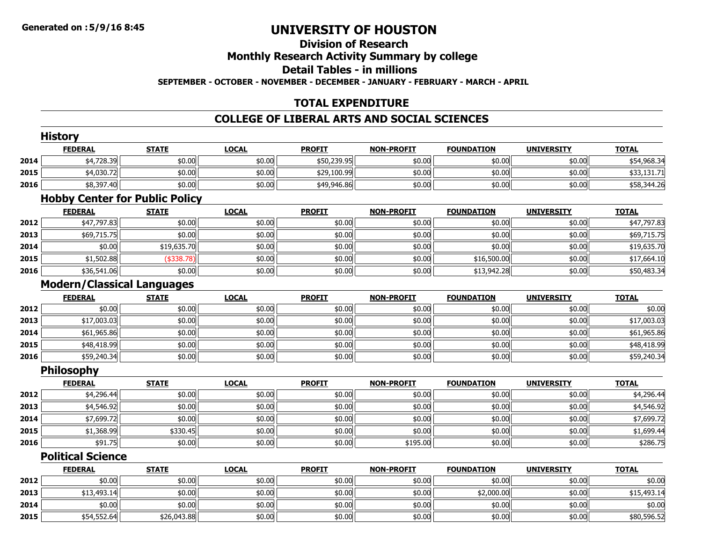### **Division of ResearchMonthly Research Activity Summary by college Detail Tables - in millions SEPTEMBER - OCTOBER - NOVEMBER - DECEMBER - JANUARY - FEBRUARY - MARCH - APRIL**

### **TOTAL EXPENDITURE**

### **COLLEGE OF LIBERAL ARTS AND SOCIAL SCIENCES**

|      | <b>History</b>                    |                                       |              |               |                   |                   |                   |              |
|------|-----------------------------------|---------------------------------------|--------------|---------------|-------------------|-------------------|-------------------|--------------|
|      | <b>FEDERAL</b>                    | <b>STATE</b>                          | <b>LOCAL</b> | <b>PROFIT</b> | <b>NON-PROFIT</b> | <b>FOUNDATION</b> | <b>UNIVERSITY</b> | <b>TOTAL</b> |
| 2014 | \$4,728.39                        | \$0.00                                | \$0.00       | \$50,239.95   | \$0.00            | \$0.00            | \$0.00            | \$54,968.34  |
| 2015 | \$4,030.72                        | \$0.00                                | \$0.00       | \$29,100.99   | \$0.00            | \$0.00            | \$0.00            | \$33,131.71  |
| 2016 | \$8,397.40                        | \$0.00                                | \$0.00       | \$49,946.86   | \$0.00            | \$0.00            | \$0.00            | \$58,344.26  |
|      |                                   | <b>Hobby Center for Public Policy</b> |              |               |                   |                   |                   |              |
|      | <b>FEDERAL</b>                    | <b>STATE</b>                          | <b>LOCAL</b> | <b>PROFIT</b> | <b>NON-PROFIT</b> | <b>FOUNDATION</b> | <b>UNIVERSITY</b> | <b>TOTAL</b> |
| 2012 | \$47,797.83                       | \$0.00                                | \$0.00       | \$0.00        | \$0.00            | \$0.00            | \$0.00            | \$47,797.83  |
| 2013 | \$69,715.75                       | \$0.00                                | \$0.00       | \$0.00        | \$0.00            | \$0.00            | \$0.00            | \$69,715.75  |
| 2014 | \$0.00                            | \$19,635.70                           | \$0.00       | \$0.00        | \$0.00            | \$0.00            | \$0.00            | \$19,635.70  |
| 2015 | \$1,502.88                        | ( \$338.78)                           | \$0.00       | \$0.00        | \$0.00            | \$16,500.00       | \$0.00            | \$17,664.10  |
| 2016 | \$36,541.06                       | \$0.00                                | \$0.00       | \$0.00        | \$0.00            | \$13,942.28       | \$0.00            | \$50,483.34  |
|      | <b>Modern/Classical Languages</b> |                                       |              |               |                   |                   |                   |              |
|      | <b>FEDERAL</b>                    | <b>STATE</b>                          | <b>LOCAL</b> | <b>PROFIT</b> | <b>NON-PROFIT</b> | <b>FOUNDATION</b> | <b>UNIVERSITY</b> | <b>TOTAL</b> |
| 2012 | \$0.00                            | \$0.00                                | \$0.00       | \$0.00        | \$0.00            | \$0.00            | \$0.00            | \$0.00       |
| 2013 | \$17,003.03                       | \$0.00                                | \$0.00       | \$0.00        | \$0.00            | \$0.00            | \$0.00            | \$17,003.03  |
| 2014 | \$61,965.86                       | \$0.00                                | \$0.00       | \$0.00        | \$0.00            | \$0.00            | \$0.00            | \$61,965.86  |
| 2015 | \$48,418.99                       | \$0.00                                | \$0.00       | \$0.00        | \$0.00            | \$0.00            | \$0.00            | \$48,418.99  |
| 2016 | \$59,240.34                       | \$0.00                                | \$0.00       | \$0.00        | \$0.00            | \$0.00            | \$0.00            | \$59,240.34  |
|      | <b>Philosophy</b>                 |                                       |              |               |                   |                   |                   |              |
|      | <b>FEDERAL</b>                    | <b>STATE</b>                          | <b>LOCAL</b> | <b>PROFIT</b> | <b>NON-PROFIT</b> | <b>FOUNDATION</b> | <b>UNIVERSITY</b> | <b>TOTAL</b> |
| 2012 | \$4,296.44                        | \$0.00                                | \$0.00       | \$0.00        | \$0.00            | \$0.00            | \$0.00            | \$4,296.44   |
| 2013 | \$4,546.92                        | \$0.00                                | \$0.00       | \$0.00        | \$0.00            | \$0.00            | \$0.00            | \$4,546.92   |
| 2014 | \$7,699.72                        | \$0.00                                | \$0.00       | \$0.00        | \$0.00            | \$0.00            | \$0.00            | \$7,699.72   |
| 2015 | \$1,368.99                        | \$330.45                              | \$0.00       | \$0.00        | \$0.00            | \$0.00            | \$0.00            | \$1,699.44   |
| 2016 | \$91.75                           | \$0.00                                | \$0.00       | \$0.00        | \$195.00          | \$0.00            | \$0.00            | \$286.75     |
|      | <b>Political Science</b>          |                                       |              |               |                   |                   |                   |              |
|      | <b>FEDERAL</b>                    | <b>STATE</b>                          | <b>LOCAL</b> | <b>PROFIT</b> | <b>NON-PROFIT</b> | <b>FOUNDATION</b> | <b>UNIVERSITY</b> | <b>TOTAL</b> |

|      | FEDERAL     | SIAIE       | <u>LULAL</u> | <u>PRUFII</u> | <b>NUN-PRUFII</b> | <b>FUUNDAILUN</b> | UNIVERSI I T | <u>IUIAL</u> |
|------|-------------|-------------|--------------|---------------|-------------------|-------------------|--------------|--------------|
| 2012 | \$0.00      | \$0.00      | \$0.00       | \$0.00        | \$0.00            | \$0.00            | \$0.00       | \$0.00       |
| 2013 | \$13,493.14 | \$0.00      | \$0.00       | \$0.00        | \$0.00            | \$2,000.00        | \$0.00       | \$15,493.14  |
| 2014 | \$0.00      | \$0.00      | \$0.00       | \$0.00        | \$0.00            | \$0.00            | \$0.00       | \$0.00       |
| 2015 | \$54,552.64 | \$26,043.88 | \$0.00       | \$0.00        | \$0.00            | \$0.00            | \$0.00       | \$80,596.52  |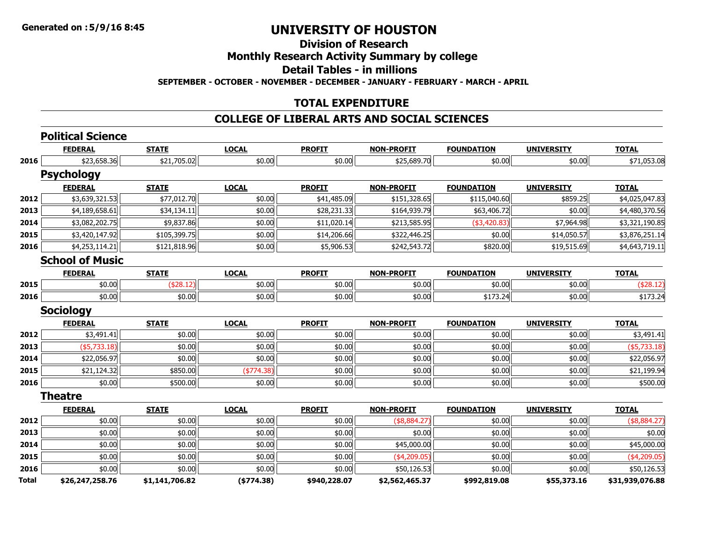### **Division of Research**

### **Monthly Research Activity Summary by college**

**Detail Tables - in millions**

**SEPTEMBER - OCTOBER - NOVEMBER - DECEMBER - JANUARY - FEBRUARY - MARCH - APRIL**

### **TOTAL EXPENDITURE**

### **COLLEGE OF LIBERAL ARTS AND SOCIAL SCIENCES**

|              | <b>Political Science</b> |                |              |               |                   |                   |                   |                 |
|--------------|--------------------------|----------------|--------------|---------------|-------------------|-------------------|-------------------|-----------------|
|              | <b>FEDERAL</b>           | <b>STATE</b>   | <b>LOCAL</b> | <b>PROFIT</b> | <b>NON-PROFIT</b> | <b>FOUNDATION</b> | <b>UNIVERSITY</b> | <b>TOTAL</b>    |
| 2016         | \$23,658.36              | \$21,705.02    | \$0.00       | \$0.00        | \$25,689.70       | \$0.00            | \$0.00            | \$71,053.08     |
|              | <b>Psychology</b>        |                |              |               |                   |                   |                   |                 |
|              | <b>FEDERAL</b>           | <b>STATE</b>   | <b>LOCAL</b> | <b>PROFIT</b> | <b>NON-PROFIT</b> | <b>FOUNDATION</b> | <b>UNIVERSITY</b> | <b>TOTAL</b>    |
| 2012         | \$3,639,321.53           | \$77,012.70    | \$0.00       | \$41,485.09   | \$151,328.65      | \$115,040.60      | \$859.25          | \$4,025,047.83  |
| 2013         | \$4,189,658.61           | \$34,134.11    | \$0.00       | \$28,231.33   | \$164,939.79      | \$63,406.72       | \$0.00            | \$4,480,370.56  |
| 2014         | \$3,082,202.75           | \$9,837.86     | \$0.00       | \$11,020.14   | \$213,585.95      | ( \$3,420.83)     | \$7,964.98        | \$3,321,190.85  |
| 2015         | \$3,420,147.92           | \$105,399.75   | \$0.00       | \$14,206.66   | \$322,446.25      | \$0.00            | \$14,050.57       | \$3,876,251.14  |
| 2016         | \$4,253,114.21           | \$121,818.96   | \$0.00       | \$5,906.53    | \$242,543.72      | \$820.00          | \$19,515.69       | \$4,643,719.11  |
|              | <b>School of Music</b>   |                |              |               |                   |                   |                   |                 |
|              | <b>FEDERAL</b>           | <b>STATE</b>   | <b>LOCAL</b> | <b>PROFIT</b> | <b>NON-PROFIT</b> | <b>FOUNDATION</b> | <b>UNIVERSITY</b> | <b>TOTAL</b>    |
| 2015         | \$0.00                   | (\$28.12)      | \$0.00       | \$0.00        | \$0.00            | \$0.00            | \$0.00            | $($ \$28.12)    |
| 2016         | \$0.00                   | \$0.00         | \$0.00       | \$0.00        | \$0.00            | \$173.24          | \$0.00            | \$173.24        |
|              | <b>Sociology</b>         |                |              |               |                   |                   |                   |                 |
|              | <b>FEDERAL</b>           | <b>STATE</b>   | <b>LOCAL</b> | <b>PROFIT</b> | <b>NON-PROFIT</b> | <b>FOUNDATION</b> | <b>UNIVERSITY</b> | <b>TOTAL</b>    |
| 2012         | \$3,491.41               | \$0.00         | \$0.00       | \$0.00        | \$0.00            | \$0.00            | \$0.00            | \$3,491.41      |
| 2013         | (\$5,733.18)             | \$0.00         | \$0.00       | \$0.00        | \$0.00            | \$0.00            | \$0.00            | $(*5,733.18)$   |
| 2014         | \$22,056.97              | \$0.00         | \$0.00       | \$0.00        | \$0.00            | \$0.00            | \$0.00            | \$22,056.97     |
| 2015         | \$21,124.32              | \$850.00       | (\$774.38)   | \$0.00        | \$0.00            | \$0.00            | \$0.00            | \$21,199.94     |
| 2016         | \$0.00                   | \$500.00       | \$0.00       | \$0.00        | \$0.00            | \$0.00            | \$0.00            | \$500.00        |
|              | <b>Theatre</b>           |                |              |               |                   |                   |                   |                 |
|              | <b>FEDERAL</b>           | <b>STATE</b>   | <b>LOCAL</b> | <b>PROFIT</b> | <b>NON-PROFIT</b> | <b>FOUNDATION</b> | <b>UNIVERSITY</b> | <b>TOTAL</b>    |
| 2012         | \$0.00                   | \$0.00         | \$0.00       | \$0.00        | $($ \$8,884.27)   | \$0.00            | \$0.00            | (\$8,884.27)    |
| 2013         | \$0.00                   | \$0.00         | \$0.00       | \$0.00        | \$0.00            | \$0.00            | \$0.00            | \$0.00          |
| 2014         | \$0.00                   | \$0.00         | \$0.00       | \$0.00        | \$45,000.00       | \$0.00            | \$0.00            | \$45,000.00     |
| 2015         | \$0.00                   | \$0.00         | \$0.00       | \$0.00        | $(*4,209.05)$     | \$0.00            | \$0.00            | $(*4,209.05)$   |
| 2016         | \$0.00                   | \$0.00         | \$0.00       | \$0.00        | \$50,126.53       | \$0.00            | \$0.00            | \$50,126.53     |
| <b>Total</b> | \$26,247,258.76          | \$1,141,706.82 | ( \$774.38)  | \$940,228.07  | \$2,562,465.37    | \$992,819.08      | \$55,373.16       | \$31,939,076.88 |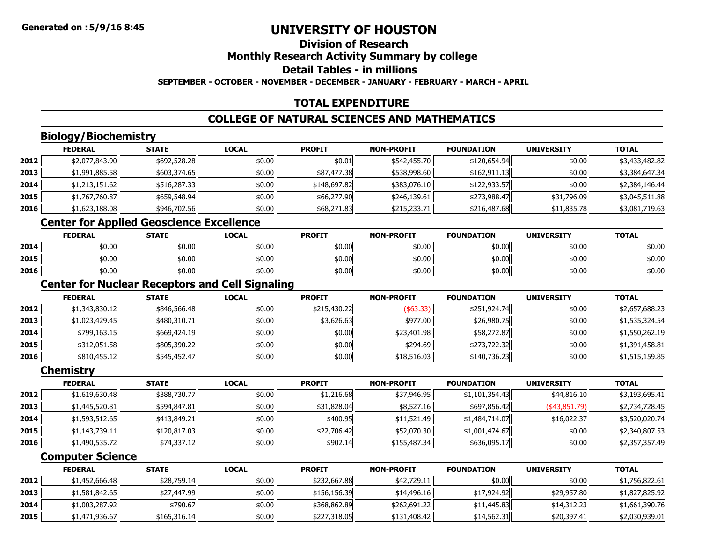### **Division of ResearchMonthly Research Activity Summary by college Detail Tables - in millionsSEPTEMBER - OCTOBER - NOVEMBER - DECEMBER - JANUARY - FEBRUARY - MARCH - APRIL**

### **TOTAL EXPENDITURE**

### **COLLEGE OF NATURAL SCIENCES AND MATHEMATICS**

### **Biology/Biochemistry**

|      | <b>FEDERAL</b> | <b>STATE</b> | <b>LOCAL</b> | <b>PROFIT</b> | <b>NON-PROFIT</b> | <b>FOUNDATION</b> | <b>UNIVERSITY</b> | <b>TOTAL</b>   |
|------|----------------|--------------|--------------|---------------|-------------------|-------------------|-------------------|----------------|
| 2012 | \$2,077,843.90 | \$692,528.28 | \$0.00       | \$0.01        | \$542,455.70      | \$120,654.94      | \$0.00            | \$3,433,482.82 |
| 2013 | \$1,991,885.58 | \$603,374.65 | \$0.00       | \$87,477.38   | \$538,998.60      | \$162,911.13      | \$0.00            | \$3,384,647.34 |
| 2014 | \$1,213,151.62 | \$516,287.33 | \$0.00       | \$148,697.82  | \$383,076.10      | \$122,933.57      | \$0.00            | \$2,384,146.44 |
| 2015 | \$1,767,760.87 | \$659,548.94 | \$0.00       | \$66,277.90   | \$246,139.61      | \$273,988.47      | \$31,796.09       | \$3,045,511.88 |
| 2016 | \$1,623,188.08 | \$946,702.56 | \$0.00       | \$68,271.83   | \$215,233.71      | \$216,487.68      | \$11,835.78       | \$3,081,719.63 |

# **Center for Applied Geoscience Excellence**

|      | <b>FEDERAL</b> | <b>STATE</b> | <u>LOCAL</u> | <b>PROFIT</b> | <b>NON-PROFIT</b> | <b>FOUNDATION</b> | <b>UNIVERSITY</b> | <u>TOTAL</u> |
|------|----------------|--------------|--------------|---------------|-------------------|-------------------|-------------------|--------------|
| 2014 | \$0.00         | \$0.00       | \$0.00       | \$0.00        | \$0.00            | \$0.00            | \$0.00            | \$0.00       |
| 2015 | \$0.00         | \$0.00       | \$0.00       | \$0.00        | \$0.00            | \$0.00            | \$0.00            | \$0.00       |
| 2016 | \$0.00         | \$0.00       | \$0.00       | \$0.00        | \$0.00            | \$0.00            | \$0.00            | \$0.00       |

### **Center for Nuclear Receptors and Cell Signaling**

|      | <b>FEDERAL</b> | <b>STATE</b> | <b>LOCAL</b> | <b>PROFIT</b> | <b>NON-PROFIT</b> | <b>FOUNDATION</b> | <b>UNIVERSITY</b> | <b>TOTAL</b>   |
|------|----------------|--------------|--------------|---------------|-------------------|-------------------|-------------------|----------------|
| 2012 | \$1,343,830.12 | \$846,566.48 | \$0.00       | \$215,430.22  | ( \$63.33)        | \$251,924.74      | \$0.00            | \$2,657,688.23 |
| 2013 | \$1,023,429.45 | \$480,310.71 | \$0.00       | \$3,626.63    | \$977.00          | \$26,980.75       | \$0.00            | \$1,535,324.54 |
| 2014 | \$799,163.15   | \$669,424.19 | \$0.00       | \$0.00        | \$23,401.98       | \$58,272.87       | \$0.00            | \$1,550,262.19 |
| 2015 | \$312,051.58   | \$805,390.22 | \$0.00       | \$0.00        | \$294.69          | \$273,722.32      | \$0.00            | \$1,391,458.81 |
| 2016 | \$810,455.12   | \$545,452.47 | \$0.00       | \$0.00        | \$18,516.03       | \$140,736.23      | \$0.00            | \$1,515,159.85 |

#### **Chemistry**

|      | <b>FEDERAL</b> | <b>STATE</b> | <b>LOCAL</b> | <b>PROFIT</b> | <b>NON-PROFIT</b> | <b>FOUNDATION</b> | <b>UNIVERSITY</b> | <b>TOTAL</b>   |
|------|----------------|--------------|--------------|---------------|-------------------|-------------------|-------------------|----------------|
| 2012 | \$1,619,630.48 | \$388,730.77 | \$0.00       | \$1,216.68    | \$37,946.95       | \$1,101,354.43    | \$44,816.10       | \$3,193,695.41 |
| 2013 | \$1,445,520.81 | \$594,847.81 | \$0.00       | \$31,828.04   | \$8,527.16        | \$697,856.42      | $($ \$43,851.79)  | \$2,734,728.45 |
| 2014 | \$1,593,512.65 | \$413,849.21 | \$0.00       | \$400.95      | \$11,521.49       | \$1,484,714.07    | \$16,022.37       | \$3,520,020.74 |
| 2015 | \$1,143,739.11 | \$120,817.03 | \$0.00       | \$22,706.42   | \$52,070.30       | \$1,001,474.67    | \$0.00            | \$2,340,807.53 |
| 2016 | \$1,490,535.72 | \$74,337.12  | \$0.00       | \$902.14      | \$155,487.34      | \$636,095.17      | \$0.00            | \$2,357,357.49 |

### **Computer Science**

|      | <b>FEDERAL</b> | <b>STATE</b> | <b>LOCAL</b> | <b>PROFIT</b> | <b>NON-PROFIT</b> | <b>FOUNDATION</b> | <b>UNIVERSITY</b> | <b>TOTAL</b>   |
|------|----------------|--------------|--------------|---------------|-------------------|-------------------|-------------------|----------------|
| 2012 | \$1,452,666.48 | \$28,759.14  | \$0.00       | \$232,667.88  | \$42,729.11       | \$0.00            | \$0.00            | \$1,756,822.61 |
| 2013 | \$1,581,842.65 | \$27,447.99  | \$0.00       | \$156,156,39  | \$14,496,16       | \$17,924.92       | \$29,957.80       | \$1,827,825.92 |
| 2014 | \$1,003,287.92 | \$790.67     | \$0.00       | \$368,862.89  | \$262,691.22      | \$11,445.83       | \$14,312.23       | \$1,661,390.76 |
| 2015 | \$1,471,936.67 | \$165.316.14 | \$0.00       | \$227,318,05  | \$131,408.42      | \$14,562.31       | \$20,397.41       | \$2,030,939.01 |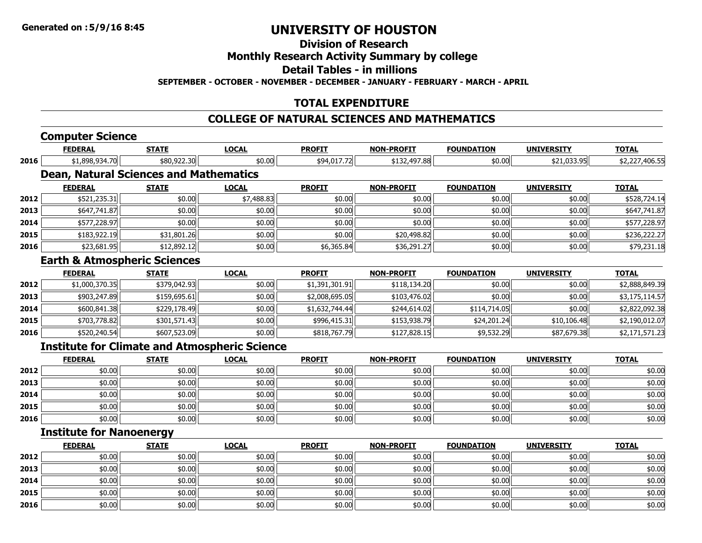### **Division of Research**

### **Monthly Research Activity Summary by college**

**Detail Tables - in millions**

**SEPTEMBER - OCTOBER - NOVEMBER - DECEMBER - JANUARY - FEBRUARY - MARCH - APRIL**

### **TOTAL EXPENDITURE**

### **COLLEGE OF NATURAL SCIENCES AND MATHEMATICS**

### **Computer Science**

|      | <b>FEDERAL</b>                                       | <b>STATE</b> | <b>LOCAL</b> | <b>PROFIT</b>  | <b>NON-PROFIT</b> | <b>FOUNDATION</b> | <b>UNIVERSITY</b>  | <b>TOTAL</b>   |
|------|------------------------------------------------------|--------------|--------------|----------------|-------------------|-------------------|--------------------|----------------|
| 2016 | \$1,898,934.70                                       | \$80,922.30  | \$0.00       | \$94,017.72    | \$132,497.88      | \$0.00            | \$21,033.95        | \$2,227,406.55 |
|      | <b>Dean, Natural Sciences and Mathematics</b>        |              |              |                |                   |                   |                    |                |
|      | <b>FEDERAL</b>                                       | <b>STATE</b> | <b>LOCAL</b> | <b>PROFIT</b>  | <b>NON-PROFIT</b> | <b>FOUNDATION</b> | <b>UNIVERSITY</b>  | <b>TOTAL</b>   |
| 2012 | \$521,235.31                                         | \$0.00       | \$7,488.83   | \$0.00         | \$0.00            | \$0.00            | \$0.00             | \$528,724.14   |
| 2013 | \$647,741.87                                         | \$0.00       | \$0.00       | \$0.00         | \$0.00            | \$0.00            | \$0.00             | \$647,741.87   |
| 2014 | \$577,228.97                                         | \$0.00       | \$0.00       | \$0.00         | \$0.00            | \$0.00            | \$0.00             | \$577,228.97   |
| 2015 | \$183,922.19                                         | \$31,801.26  | \$0.00       | \$0.00         | \$20,498.82       | \$0.00            | \$0.00             | \$236,222.27   |
| 2016 | \$23,681.95                                          | \$12,892.12  | \$0.00       | \$6,365.84     | \$36,291.27       | \$0.00            | \$0.00             | \$79,231.18    |
|      | <b>Earth &amp; Atmospheric Sciences</b>              |              |              |                |                   |                   |                    |                |
|      | <b>FEDERAL</b>                                       | <b>STATE</b> | <b>LOCAL</b> | <b>PROFIT</b>  | <b>NON-PROFIT</b> | <b>FOUNDATION</b> | <b>UNIVERSITY</b>  | <b>TOTAL</b>   |
| 2012 | \$1,000,370.35                                       | \$379,042.93 | \$0.00       | \$1,391,301.91 | \$118,134.20      | \$0.00            | \$0.00             | \$2,888,849.39 |
| 2013 | \$903,247.89                                         | \$159,695.61 | \$0.00       | \$2,008,695.05 | \$103,476.02      | \$0.00            | \$0.00             | \$3,175,114.57 |
| 2014 | \$600,841.38                                         | \$229,178.49 | \$0.00       | \$1,632,744.44 | \$244,614.02      | \$114,714.05      | \$0.00             | \$2,822,092.38 |
| 2015 | \$703,778.82                                         | \$301,571.43 | \$0.00       | \$996,415.31   | \$153,938.79      | \$24,201.24       | \$10,106.48        | \$2,190,012.07 |
| 2016 | \$520,240.54                                         | \$607,523.09 | \$0.00       | \$818,767.79   | \$127,828.15      | \$9,532.29        | \$87,679.38        | \$2,171,571.23 |
|      | <b>Institute for Climate and Atmospheric Science</b> |              |              |                |                   |                   |                    |                |
|      | <b>FEDERAL</b>                                       | <b>STATE</b> | <b>LOCAL</b> | <b>DROFTT</b>  | NON-DROFTT        | <b>FOUNDATION</b> | <b>IINTVERSTTY</b> | <b>TOTAL</b>   |

|      | <b>FEDERAL</b> | <u>STATE</u> | <b>LOCAL</b> | <b>PROFIT</b> | <b>NON-PROFIT</b> | <b>FOUNDATION</b> | <b>UNIVERSITY</b> | <u>TOTAL</u> |
|------|----------------|--------------|--------------|---------------|-------------------|-------------------|-------------------|--------------|
| 2012 | \$0.00         | \$0.00       | \$0.00       | \$0.00        | \$0.00            | \$0.00            | \$0.00            | \$0.00       |
| 2013 | \$0.00         | \$0.00       | \$0.00       | \$0.00        | \$0.00            | \$0.00            | \$0.00            | \$0.00       |
| 2014 | \$0.00         | \$0.00       | \$0.00       | \$0.00        | \$0.00            | \$0.00            | \$0.00            | \$0.00       |
| 2015 | \$0.00         | \$0.00       | \$0.00       | \$0.00        | \$0.00            | \$0.00            | \$0.00            | \$0.00       |
| 2016 | \$0.00         | \$0.00       | \$0.00       | \$0.00        | \$0.00            | \$0.00            | \$0.00            | \$0.00       |

### **Institute for Nanoenergy**

|      | <b>FEDERAL</b> | <b>STATE</b> | <b>LOCAL</b> | <b>PROFIT</b> | <b>NON-PROFIT</b> | <b>FOUNDATION</b> | <b>UNIVERSITY</b> | <b>TOTAL</b> |
|------|----------------|--------------|--------------|---------------|-------------------|-------------------|-------------------|--------------|
| 2012 | \$0.00         | \$0.00       | \$0.00       | \$0.00        | \$0.00            | \$0.00            | \$0.00            | \$0.00       |
| 2013 | \$0.00         | \$0.00       | \$0.00       | \$0.00        | \$0.00            | \$0.00            | \$0.00            | \$0.00       |
| 2014 | \$0.00         | \$0.00       | \$0.00       | \$0.00        | \$0.00            | \$0.00            | \$0.00            | \$0.00       |
| 2015 | \$0.00         | \$0.00       | \$0.00       | \$0.00        | \$0.00            | \$0.00            | \$0.00            | \$0.00       |
| 2016 | \$0.00         | \$0.00       | \$0.00       | \$0.00        | \$0.00            | \$0.00            | \$0.00            | \$0.00       |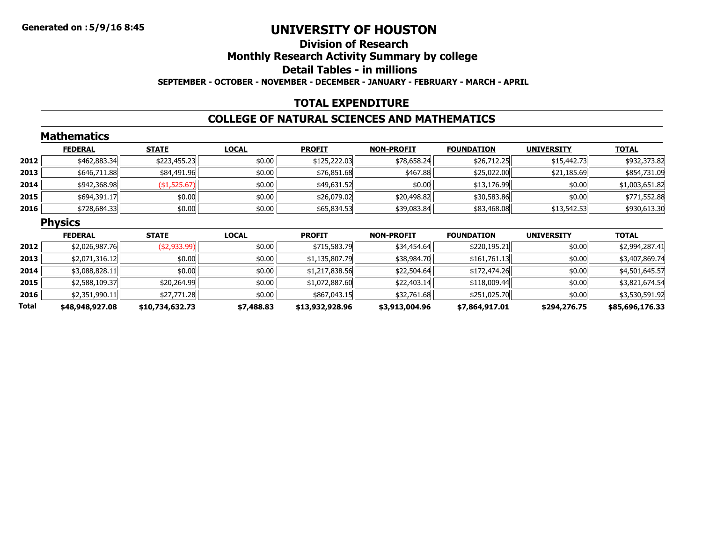### **Division of ResearchMonthly Research Activity Summary by college Detail Tables - in millionsSEPTEMBER - OCTOBER - NOVEMBER - DECEMBER - JANUARY - FEBRUARY - MARCH - APRIL**

### **TOTAL EXPENDITURE**

### **COLLEGE OF NATURAL SCIENCES AND MATHEMATICS**

|              | <b>Mathematics</b> |                 |              |                 |                   |                   |                   |                 |
|--------------|--------------------|-----------------|--------------|-----------------|-------------------|-------------------|-------------------|-----------------|
|              | <b>FEDERAL</b>     | <b>STATE</b>    | <b>LOCAL</b> | <b>PROFIT</b>   | <b>NON-PROFIT</b> | <b>FOUNDATION</b> | <b>UNIVERSITY</b> | <b>TOTAL</b>    |
| 2012         | \$462,883.34       | \$223,455.23    | \$0.00       | \$125,222.03    | \$78,658.24       | \$26,712.25       | \$15,442.73       | \$932,373.82    |
| 2013         | \$646,711.88       | \$84,491.96     | \$0.00       | \$76,851.68     | \$467.88          | \$25,022.00       | \$21,185.69       | \$854,731.09    |
| 2014         | \$942,368.98       | (\$1,525.67)    | \$0.00       | \$49,631.52     | \$0.00            | \$13,176.99       | \$0.00            | \$1,003,651.82  |
| 2015         | \$694,391.17       | \$0.00          | \$0.00       | \$26,079.02     | \$20,498.82       | \$30,583.86       | \$0.00            | \$771,552.88    |
| 2016         | \$728,684.33       | \$0.00          | \$0.00       | \$65,834.53     | \$39,083.84       | \$83,468.08       | \$13,542.53       | \$930,613.30    |
|              | <b>Physics</b>     |                 |              |                 |                   |                   |                   |                 |
|              | <b>FEDERAL</b>     | <b>STATE</b>    | <b>LOCAL</b> | <b>PROFIT</b>   | <b>NON-PROFIT</b> | <b>FOUNDATION</b> | <b>UNIVERSITY</b> | <b>TOTAL</b>    |
| 2012         | \$2,026,987.76     | ( \$2,933.99)   | \$0.00       | \$715,583.79    | \$34,454.64       | \$220,195.21      | \$0.00            | \$2,994,287.41  |
| 2013         | \$2,071,316.12     | \$0.00          | \$0.00       | \$1,135,807.79  | \$38,984.70       | \$161,761.13      | \$0.00            | \$3,407,869.74  |
| 2014         | \$3,088,828.11     | \$0.00          | \$0.00       | \$1,217,838.56  | \$22,504.64       | \$172,474.26      | \$0.00            | \$4,501,645.57  |
| 2015         | \$2,588,109.37     | \$20,264.99     | \$0.00       | \$1,072,887.60  | \$22,403.14       | \$118,009.44      | \$0.00            | \$3,821,674.54  |
| 2016         | \$2,351,990.11     | \$27,771.28     | \$0.00       | \$867,043.15    | \$32,761.68       | \$251,025.70      | \$0.00            | \$3,530,591.92  |
| <b>Total</b> | \$48,948,927.08    | \$10,734,632.73 | \$7,488.83   | \$13,932,928.96 | \$3,913,004.96    | \$7,864,917.01    | \$294,276.75      | \$85,696,176.33 |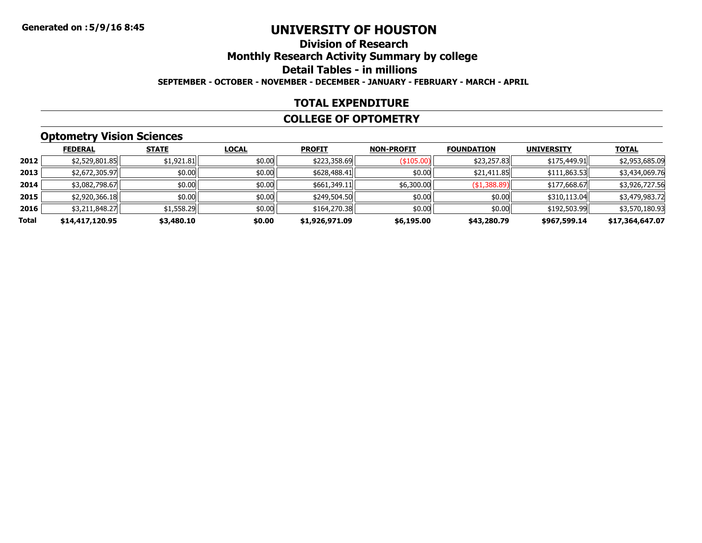### **Division of ResearchMonthly Research Activity Summary by college Detail Tables - in millions SEPTEMBER - OCTOBER - NOVEMBER - DECEMBER - JANUARY - FEBRUARY - MARCH - APRIL**

#### **TOTAL EXPENDITURE**

#### **COLLEGE OF OPTOMETRY**

# **Optometry Vision Sciences**

|       | <b>FEDERAL</b>  | <b>STATE</b> | <b>LOCAL</b> | <b>PROFIT</b>  | <b>NON-PROFIT</b> | <b>FOUNDATION</b> | <b>UNIVERSITY</b> | <b>TOTAL</b>    |
|-------|-----------------|--------------|--------------|----------------|-------------------|-------------------|-------------------|-----------------|
| 2012  | \$2,529,801.85  | \$1,921.81   | \$0.00       | \$223,358.69   | $($ \$105.00) $ $ | \$23,257.83       | \$175,449.91      | \$2,953,685.09  |
| 2013  | \$2,672,305.97  | \$0.00       | \$0.00       | \$628,488.41   | \$0.00            | \$21,411.85       | \$111,863.53      | \$3,434,069.76  |
| 2014  | \$3,082,798.67  | \$0.00       | \$0.00       | \$661,349.11   | \$6,300.00        | ( \$1,388.89)     | \$177,668.67      | \$3,926,727.56  |
| 2015  | \$2,920,366.18  | \$0.00       | \$0.00       | \$249,504.50   | \$0.00            | \$0.00            | \$310,113.04      | \$3,479,983.72  |
| 2016  | \$3,211,848.27  | \$1,558.29   | \$0.00       | \$164,270.38   | \$0.00            | \$0.00            | \$192,503.99      | \$3,570,180.93  |
| Total | \$14,417,120.95 | \$3,480.10   | \$0.00       | \$1,926,971.09 | \$6,195.00        | \$43,280.79       | \$967,599.14      | \$17,364,647.07 |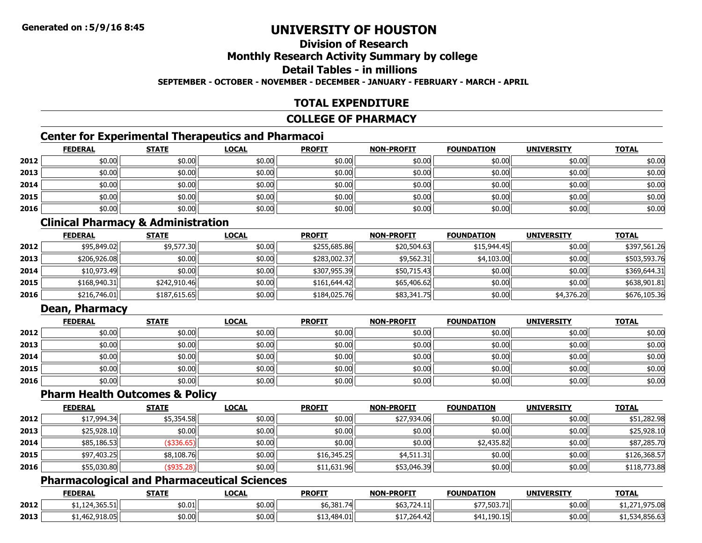## **Division of ResearchMonthly Research Activity Summary by college Detail Tables - in millions**

**SEPTEMBER - OCTOBER - NOVEMBER - DECEMBER - JANUARY - FEBRUARY - MARCH - APRIL**

### **TOTAL EXPENDITURE**

#### **COLLEGE OF PHARMACY**

### **Center for Experimental Therapeutics and Pharmacoi**

|      | <b>FEDERAL</b> | <b>STATE</b> | <u>LOCAL</u> | <b>PROFIT</b> | <b>NON-PROFIT</b> | <b>FOUNDATION</b> | <b>UNIVERSITY</b> | <b>TOTAL</b> |
|------|----------------|--------------|--------------|---------------|-------------------|-------------------|-------------------|--------------|
| 2012 | \$0.00         | \$0.00       | \$0.00       | \$0.00        | \$0.00            | \$0.00            | \$0.00            | \$0.00       |
| 2013 | \$0.00         | \$0.00       | \$0.00       | \$0.00        | \$0.00            | \$0.00            | \$0.00            | \$0.00       |
| 2014 | \$0.00         | \$0.00       | \$0.00       | \$0.00        | \$0.00            | \$0.00            | \$0.00            | \$0.00       |
| 2015 | \$0.00         | \$0.00       | \$0.00       | \$0.00        | \$0.00            | \$0.00            | \$0.00            | \$0.00       |
| 2016 | \$0.00         | \$0.00       | \$0.00       | \$0.00        | \$0.00            | \$0.00            | \$0.00            | \$0.00       |

### **Clinical Pharmacy & Administration**

|      | <b>FEDERAL</b> | <b>STATE</b> | <b>LOCAL</b> | <b>PROFIT</b> | <b>NON-PROFIT</b> | <b>FOUNDATION</b> | <b>UNIVERSITY</b> | <b>TOTAL</b> |
|------|----------------|--------------|--------------|---------------|-------------------|-------------------|-------------------|--------------|
| 2012 | \$95,849.02    | \$9,577.30   | \$0.00       | \$255,685.86  | \$20,504.63       | \$15,944.45       | \$0.00            | \$397.561.26 |
| 2013 | \$206,926.08   | \$0.00       | \$0.00       | \$283,002.37  | \$9,562.31        | \$4,103.00        | \$0.00            | \$503,593.76 |
| 2014 | \$10,973.49    | \$0.00       | \$0.00       | \$307,955.39  | \$50,715.43       | \$0.00            | \$0.00            | \$369,644.31 |
| 2015 | \$168,940.31   | \$242,910.46 | \$0.00       | \$161.644.42  | \$65,406.62       | \$0.00            | \$0.00            | \$638,901.81 |
| 2016 | \$216,746.01   | \$187,615.65 | \$0.00       | \$184,025.76  | \$83,341.75       | \$0.00            | \$4,376.20        | \$676,105.36 |

### **Dean, Pharmacy**

|      | <b>FEDERAL</b> | <b>STATE</b> | <u>LOCAL</u> | <b>PROFIT</b> | <b>NON-PROFIT</b> | <b>FOUNDATION</b> | <b>UNIVERSITY</b> | <b>TOTAL</b> |
|------|----------------|--------------|--------------|---------------|-------------------|-------------------|-------------------|--------------|
| 2012 | \$0.00         | \$0.00       | \$0.00       | \$0.00        | \$0.00            | \$0.00            | \$0.00            | \$0.00       |
| 2013 | \$0.00         | \$0.00       | \$0.00       | \$0.00        | \$0.00            | \$0.00            | \$0.00            | \$0.00       |
| 2014 | \$0.00         | \$0.00       | \$0.00       | \$0.00        | \$0.00            | \$0.00            | \$0.00            | \$0.00       |
| 2015 | \$0.00         | \$0.00       | \$0.00       | \$0.00        | \$0.00            | \$0.00            | \$0.00            | \$0.00       |
| 2016 | \$0.00         | \$0.00       | \$0.00       | \$0.00        | \$0.00            | \$0.00            | \$0.00            | \$0.00       |

### **Pharm Health Outcomes & Policy**

|      | <b>FEDERAL</b> | <b>STATE</b> | <b>LOCAL</b> | <b>PROFIT</b> | <b>NON-PROFIT</b> | <b>FOUNDATION</b> | <b>UNIVERSITY</b> | <b>TOTAL</b> |
|------|----------------|--------------|--------------|---------------|-------------------|-------------------|-------------------|--------------|
| 2012 | \$17,994.34    | \$5,354.58   | \$0.00       | \$0.00        | \$27,934.06       | \$0.00            | \$0.00            | \$51,282.98  |
| 2013 | \$25,928.10    | \$0.00       | \$0.00       | \$0.00        | \$0.00            | \$0.00            | \$0.00            | \$25,928.10  |
| 2014 | \$85,186.53    | \$336.65     | \$0.00       | \$0.00        | \$0.00            | \$2,435.82        | \$0.00            | \$87,285.70  |
| 2015 | \$97,403.25    | \$8,108.76   | \$0.00       | \$16,345.25   | \$4,511.31        | \$0.00            | \$0.00            | \$126,368.57 |
| 2016 | \$55,030.80    | \$935.28     | \$0.00       | \$11,631.96   | \$53,046.39       | \$0.00            | \$0.00            | \$118,773.88 |

### **Pharmacological and Pharmaceutical Sciences**

|      | <b>FEDERAL</b>                                                                                                                                                                                                                                                                                                                                                                                       | <b>STATF</b>   | LOCAL  | <b>PROFIT</b>    | <b>NON-PROFIT</b>       | <b>FOUNDATION</b> | <b>UNIVERSITY</b> | <b>TOTAL</b>   |
|------|------------------------------------------------------------------------------------------------------------------------------------------------------------------------------------------------------------------------------------------------------------------------------------------------------------------------------------------------------------------------------------------------------|----------------|--------|------------------|-------------------------|-------------------|-------------------|----------------|
| 2012 | $\overline{1}$ $\overline{2}$ $\overline{4}$ $\overline{2}$ $\overline{2}$ $\overline{2}$ $\overline{2}$ $\overline{2}$ $\overline{2}$ $\overline{2}$ $\overline{2}$ $\overline{2}$ $\overline{2}$ $\overline{2}$ $\overline{2}$ $\overline{2}$ $\overline{2}$ $\overline{2}$ $\overline{2}$ $\overline{2}$ $\overline{2}$ $\overline{2}$ $\overline{2}$ $\overline{2}$ $\overline{$<br>1.124.365.51 | \$0.01 l       | \$0.00 | \$6,381.7<br>741 | 503./Z4.III             | *77,503.71        | \$0.00            | ر ے . د ب      |
| 2013 | 462.918.05                                                                                                                                                                                                                                                                                                                                                                                           | ትስ ስስ<br>שט.∪ע | \$0.00 | .484.01          | + + ¬ ¬ ՜ ィ<br>⊩44.4ط/, | 41,190.15         | \$0.00            | \$1,534,850.0. |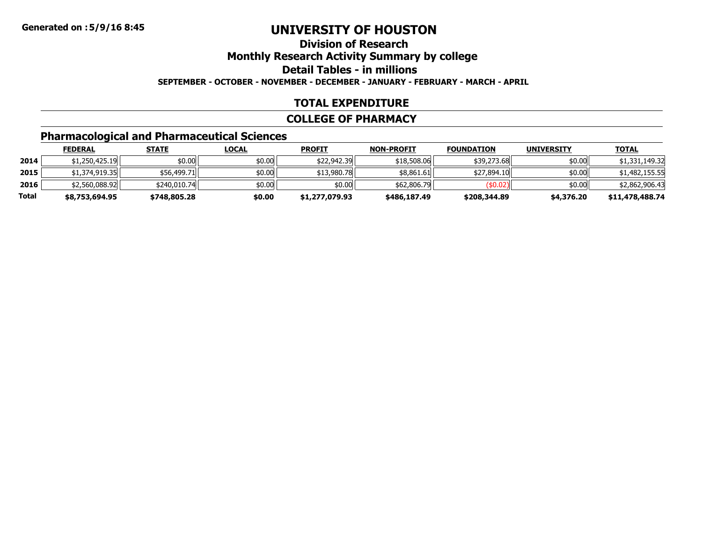### **Division of ResearchMonthly Research Activity Summary by college Detail Tables - in millionsSEPTEMBER - OCTOBER - NOVEMBER - DECEMBER - JANUARY - FEBRUARY - MARCH - APRIL**

### **TOTAL EXPENDITURE**

#### **COLLEGE OF PHARMACY**

# **Pharmacological and Pharmaceutical Sciences**

|       | <b>FEDERAL</b> | <u>STATE</u> | <u>LOCAL</u> | <b>PROFIT</b>  | <b>NON-PROFIT</b> | <b>FOUNDATION</b> | <b>UNIVERSITY</b> | <b>TOTAL</b>    |
|-------|----------------|--------------|--------------|----------------|-------------------|-------------------|-------------------|-----------------|
| 2014  | \$1,250,425.19 | \$0.00       | \$0.00       | \$22,942.39    | \$18,508.06       | \$39,273.68       | \$0.00            | \$1,331,149.32  |
| 2015  | \$1,374,919.35 | \$56,499.71  | \$0.00       | \$13,980.78    | \$8.861.61        | \$27,894.10       | \$0.00            | \$1,482,155.55  |
| 2016  | \$2,560,088.92 | \$240,010.74 | \$0.00       | \$0.00         | \$62,806,79       | (\$0.02)          | \$0.00            | \$2,862,906.43  |
| Total | \$8,753,694.95 | \$748,805.28 | \$0.00       | \$1,277,079.93 | \$486,187.49      | \$208,344.89      | \$4,376.20        | \$11,478,488.74 |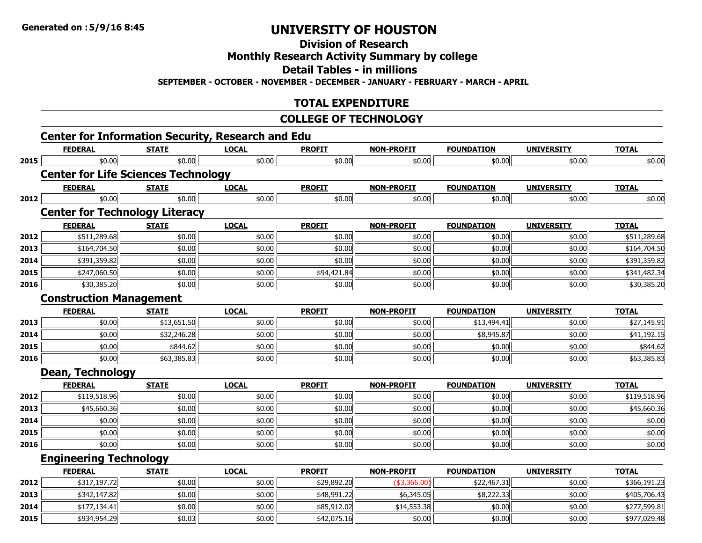**Division of Research**

**Monthly Research Activity Summary by college**

**Detail Tables - in millions**

**SEPTEMBER - OCTOBER - NOVEMBER - DECEMBER - JANUARY - FEBRUARY - MARCH - APRIL**

### **TOTAL EXPENDITURE**

### **COLLEGE OF TECHNOLOGY**

|      | <b>Center for Information Security, Research and Edu</b><br><b>FEDERAL</b> | <b>STATE</b> | <b>LOCAL</b> | <b>PROFIT</b> | <b>NON-PROFIT</b> | <b>FOUNDATION</b> | <b>UNIVERSITY</b> | <b>TOTAL</b> |
|------|----------------------------------------------------------------------------|--------------|--------------|---------------|-------------------|-------------------|-------------------|--------------|
| 2015 | \$0.00                                                                     | \$0.00       | \$0.00       | \$0.00        | \$0.00            | \$0.00            | \$0.00            | \$0.00       |
|      | <b>Center for Life Sciences Technology</b>                                 |              |              |               |                   |                   |                   |              |
|      | <b>FEDERAL</b>                                                             | <b>STATE</b> | <b>LOCAL</b> | <b>PROFIT</b> | <b>NON-PROFIT</b> | <b>FOUNDATION</b> | <b>UNIVERSITY</b> | <b>TOTAL</b> |
| 2012 | \$0.00                                                                     | \$0.00       | \$0.00       | \$0.00        | \$0.00            | \$0.00            | \$0.00            | \$0.00       |
|      | <b>Center for Technology Literacy</b>                                      |              |              |               |                   |                   |                   |              |
|      | <b>FEDERAL</b>                                                             | <b>STATE</b> | <b>LOCAL</b> | <b>PROFIT</b> | <b>NON-PROFIT</b> | <b>FOUNDATION</b> | <b>UNIVERSITY</b> | <b>TOTAL</b> |
| 2012 | \$511,289.68                                                               | \$0.00       | \$0.00       | \$0.00        | \$0.00            | \$0.00            | \$0.00            | \$511,289.68 |
| 2013 | \$164,704.50                                                               | \$0.00       | \$0.00       | \$0.00        | \$0.00            | \$0.00            | \$0.00            | \$164,704.50 |
| 2014 | \$391,359.82                                                               | \$0.00       | \$0.00       | \$0.00        | \$0.00            | \$0.00            | \$0.00            | \$391,359.82 |
| 2015 | \$247,060.50                                                               | \$0.00       | \$0.00       | \$94,421.84   | \$0.00            | \$0.00            | \$0.00            | \$341,482.34 |
| 2016 | \$30,385.20                                                                | \$0.00       | \$0.00       | \$0.00        | \$0.00            | \$0.00            | \$0.00            | \$30,385.20  |
|      | <b>Construction Management</b>                                             |              |              |               |                   |                   |                   |              |
|      | <b>FEDERAL</b>                                                             | <b>STATE</b> | <b>LOCAL</b> | <b>PROFIT</b> | <b>NON-PROFIT</b> | <b>FOUNDATION</b> | <b>UNIVERSITY</b> | <b>TOTAL</b> |
| 2013 | \$0.00                                                                     | \$13,651.50  | \$0.00       | \$0.00        | \$0.00            | \$13,494.41       | \$0.00            | \$27,145.91  |
| 2014 | \$0.00                                                                     | \$32,246.28  | \$0.00       | \$0.00        | \$0.00            | \$8,945.87        | \$0.00            | \$41,192.15  |
| 2015 | \$0.00                                                                     | \$844.62     | \$0.00       | \$0.00        | \$0.00            | \$0.00            | \$0.00            | \$844.62     |
| 2016 | \$0.00                                                                     | \$63,385.83  | \$0.00       | \$0.00        | \$0.00            | \$0.00            | \$0.00            | \$63,385.83  |
|      | <b>Dean, Technology</b>                                                    |              |              |               |                   |                   |                   |              |
|      | <b>FEDERAL</b>                                                             | <b>STATE</b> | <b>LOCAL</b> | <b>PROFIT</b> | <b>NON-PROFIT</b> | <b>FOUNDATION</b> | <b>UNIVERSITY</b> | <b>TOTAL</b> |
| 2012 | \$119,518.96                                                               | \$0.00       | \$0.00       | \$0.00        | \$0.00            | \$0.00            | \$0.00            | \$119,518.96 |
| 2013 | \$45,660.36                                                                | \$0.00       | \$0.00       | \$0.00        | \$0.00            | \$0.00            | \$0.00            | \$45,660.36  |
| 2014 | \$0.00                                                                     | \$0.00       | \$0.00       | \$0.00        | \$0.00            | \$0.00            | \$0.00            | \$0.00       |
| 2015 | \$0.00                                                                     | \$0.00       | \$0.00       | \$0.00        | \$0.00            | \$0.00            | \$0.00            | \$0.00       |
| 2016 | \$0.00                                                                     | \$0.00       | \$0.00       | \$0.00        | \$0.00            | \$0.00            | \$0.00            | \$0.00       |
|      | <b>Engineering Technology</b>                                              |              |              |               |                   |                   |                   |              |
|      | <b>FEDERAL</b>                                                             | <b>STATE</b> | <b>LOCAL</b> | <b>PROFIT</b> | <b>NON-PROFIT</b> | <b>FOUNDATION</b> | <b>UNIVERSITY</b> | <b>TOTAL</b> |
| 2012 | \$317,197.72                                                               | \$0.00       | \$0.00       | \$29,892.20   | $(*3,366.00)$     | \$22,467.31       | \$0.00            | \$366,191.23 |
| 2013 | \$342,147.82                                                               | \$0.00       | \$0.00       | \$48,991.22   | \$6,345.05        | \$8,222.33        | \$0.00            | \$405,706.43 |
| 2014 | \$177,134.41                                                               | \$0.00       | \$0.00       | \$85,912.02   | \$14,553.38       | \$0.00            | \$0.00            | \$277,599.81 |
| 2015 | \$934,954.29                                                               | \$0.03       | \$0.00       | \$42,075.16   | \$0.00            | \$0.00            | \$0.00            | \$977,029.48 |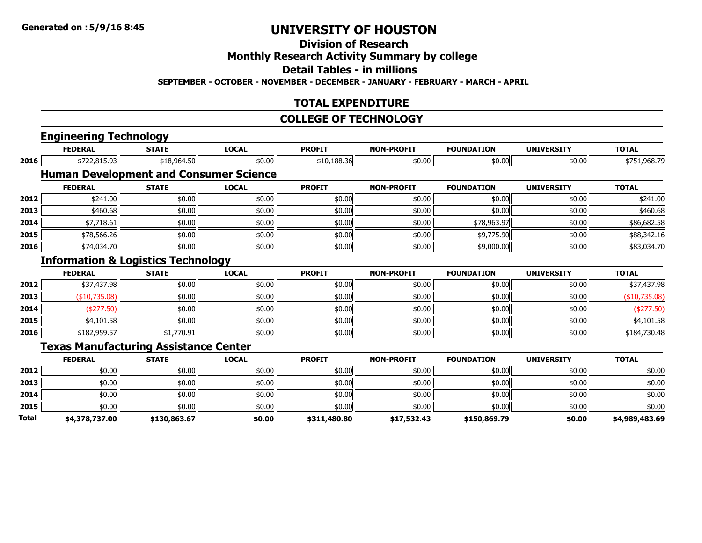### **Division of Research**

### **Monthly Research Activity Summary by college**

**Detail Tables - in millions**

**SEPTEMBER - OCTOBER - NOVEMBER - DECEMBER - JANUARY - FEBRUARY - MARCH - APRIL**

### **TOTAL EXPENDITURE**

#### **COLLEGE OF TECHNOLOGY**

|       | <b>Engineering Technology</b>                 |              |              |               |                   |                   |                   |                |
|-------|-----------------------------------------------|--------------|--------------|---------------|-------------------|-------------------|-------------------|----------------|
|       | <b>FEDERAL</b>                                | <b>STATE</b> | <b>LOCAL</b> | <b>PROFIT</b> | <b>NON-PROFIT</b> | <b>FOUNDATION</b> | <b>UNIVERSITY</b> | <b>TOTAL</b>   |
| 2016  | \$722,815.93                                  | \$18,964.50  | \$0.00       | \$10,188.36   | \$0.00            | \$0.00            | \$0.00            | \$751,968.79   |
|       | <b>Human Development and Consumer Science</b> |              |              |               |                   |                   |                   |                |
|       | <b>FEDERAL</b>                                | <b>STATE</b> | <b>LOCAL</b> | <b>PROFIT</b> | <b>NON-PROFIT</b> | <b>FOUNDATION</b> | <b>UNIVERSITY</b> | <b>TOTAL</b>   |
| 2012  | \$241.00                                      | \$0.00       | \$0.00       | \$0.00        | \$0.00            | \$0.00            | \$0.00            | \$241.00       |
| 2013  | \$460.68                                      | \$0.00       | \$0.00       | \$0.00        | \$0.00            | \$0.00            | \$0.00            | \$460.68       |
| 2014  | \$7,718.61                                    | \$0.00       | \$0.00       | \$0.00        | \$0.00            | \$78,963.97       | \$0.00            | \$86,682.58    |
| 2015  | \$78,566.26                                   | \$0.00       | \$0.00       | \$0.00        | \$0.00            | \$9,775.90        | \$0.00            | \$88,342.16    |
| 2016  | \$74,034.70                                   | \$0.00       | \$0.00       | \$0.00        | \$0.00            | \$9,000.00        | \$0.00            | \$83,034.70    |
|       | <b>Information &amp; Logistics Technology</b> |              |              |               |                   |                   |                   |                |
|       | <b>FEDERAL</b>                                | <b>STATE</b> | <b>LOCAL</b> | <b>PROFIT</b> | <b>NON-PROFIT</b> | <b>FOUNDATION</b> | <b>UNIVERSITY</b> | <b>TOTAL</b>   |
| 2012  | \$37,437.98                                   | \$0.00       | \$0.00       | \$0.00        | \$0.00            | \$0.00            | \$0.00            | \$37,437.98    |
| 2013  | (\$10,735.08)                                 | \$0.00       | \$0.00       | \$0.00        | \$0.00            | \$0.00            | \$0.00            | (\$10,735.08)  |
| 2014  | (\$277.50)                                    | \$0.00       | \$0.00       | \$0.00        | \$0.00            | \$0.00            | \$0.00            | (\$277.50)     |
| 2015  | \$4,101.58                                    | \$0.00       | \$0.00       | \$0.00        | \$0.00            | \$0.00            | \$0.00            | \$4,101.58     |
| 2016  | \$182,959.57                                  | \$1,770.91   | \$0.00       | \$0.00        | \$0.00            | \$0.00            | \$0.00            | \$184,730.48   |
|       | <b>Texas Manufacturing Assistance Center</b>  |              |              |               |                   |                   |                   |                |
|       | <b>FEDERAL</b>                                | <b>STATE</b> | <b>LOCAL</b> | <b>PROFIT</b> | <b>NON-PROFIT</b> | <b>FOUNDATION</b> | <b>UNIVERSITY</b> | <b>TOTAL</b>   |
| 2012  | \$0.00                                        | \$0.00       | \$0.00       | \$0.00        | \$0.00            | \$0.00            | \$0.00            | \$0.00         |
| 2013  | \$0.00                                        | \$0.00       | \$0.00       | \$0.00        | \$0.00            | \$0.00            | \$0.00            | \$0.00         |
| 2014  | \$0.00                                        | \$0.00       | \$0.00       | \$0.00        | \$0.00            | \$0.00            | \$0.00            | \$0.00         |
| 2015  | \$0.00                                        | \$0.00       | \$0.00       | \$0.00        | \$0.00            | \$0.00            | \$0.00            | \$0.00         |
| Total | \$4,378,737.00                                | \$130,863.67 | \$0.00       | \$311,480.80  | \$17,532.43       | \$150,869.79      | \$0.00            | \$4,989,483.69 |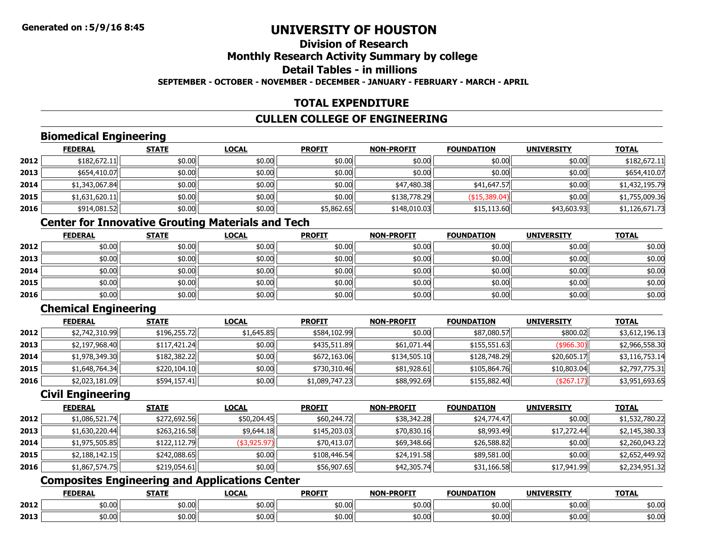### **Division of ResearchMonthly Research Activity Summary by college Detail Tables - in millionsSEPTEMBER - OCTOBER - NOVEMBER - DECEMBER - JANUARY - FEBRUARY - MARCH - APRIL**

### **TOTAL EXPENDITURE**

### **CULLEN COLLEGE OF ENGINEERING**

### **Biomedical Engineering**

|      | <b>FEDERAL</b> | <b>STATE</b> | <u>LOCAL</u> | <b>PROFIT</b> | <b>NON-PROFIT</b> | <b>FOUNDATION</b> | <b>UNIVERSITY</b> | <b>TOTAL</b>   |
|------|----------------|--------------|--------------|---------------|-------------------|-------------------|-------------------|----------------|
| 2012 | \$182,672.11   | \$0.00       | \$0.00       | \$0.00        | \$0.00            | \$0.00            | \$0.00            | \$182,672.11   |
| 2013 | \$654,410.07   | \$0.00       | \$0.00       | \$0.00        | \$0.00            | \$0.00            | \$0.00            | \$654,410.07   |
| 2014 | \$1,343,067.84 | \$0.00       | \$0.00       | \$0.00        | \$47,480.38       | \$41,647.57       | \$0.00            | \$1,432,195.79 |
| 2015 | \$1,631,620.11 | \$0.00       | \$0.00       | \$0.00        | \$138,778.29      | $($ \$15,389.04)  | \$0.00            | \$1,755,009.36 |
| 2016 | \$914,081.52   | \$0.00       | \$0.00       | \$5,862.65    | \$148,010.03      | \$15,113.60       | \$43,603.93       | \$1,126,671.73 |

## **Center for Innovative Grouting Materials and Tech**

|      | <u>FEDERAL</u> | <b>STATE</b> | <b>LOCAL</b> | <b>PROFIT</b> | <b>NON-PROFIT</b> | <b>FOUNDATION</b> | <b>UNIVERSITY</b> | <b>TOTAL</b> |
|------|----------------|--------------|--------------|---------------|-------------------|-------------------|-------------------|--------------|
| 2012 | \$0.00         | \$0.00       | \$0.00       | \$0.00        | \$0.00            | \$0.00            | \$0.00            | \$0.00       |
| 2013 | \$0.00         | \$0.00       | \$0.00       | \$0.00        | \$0.00            | \$0.00            | \$0.00            | \$0.00       |
| 2014 | \$0.00         | \$0.00       | \$0.00       | \$0.00        | \$0.00            | \$0.00            | \$0.00            | \$0.00       |
| 2015 | \$0.00         | \$0.00       | \$0.00       | \$0.00        | \$0.00            | \$0.00            | \$0.00            | \$0.00       |
| 2016 | \$0.00         | \$0.00       | \$0.00       | \$0.00        | \$0.00            | \$0.00            | \$0.00            | \$0.00       |

### **Chemical Engineering**

|      | <b>FEDERAL</b> | <b>STATE</b> | <b>LOCAL</b> | <b>PROFIT</b>  | <b>NON-PROFIT</b> | <b>FOUNDATION</b> | <b>UNIVERSITY</b> | <b>TOTAL</b>   |
|------|----------------|--------------|--------------|----------------|-------------------|-------------------|-------------------|----------------|
| 2012 | \$2,742,310.99 | \$196,255.72 | \$1,645.85   | \$584,102.99   | \$0.00            | \$87,080.57       | \$800.02          | \$3,612,196.13 |
| 2013 | \$2,197,968.40 | \$117,421.24 | \$0.00       | \$435,511.89   | \$61,071.44       | \$155,551.63      | $($ \$966.30) $ $ | \$2,966,558.30 |
| 2014 | \$1,978,349.30 | \$182,382.22 | \$0.00       | \$672,163.06   | \$134,505.10      | \$128,748.29      | \$20,605.17       | \$3,116,753.14 |
| 2015 | \$1,648,764.34 | \$220,104.10 | \$0.00       | \$730,310,46   | \$81,928.61       | \$105,864.76      | \$10,803.04       | \$2,797,775.31 |
| 2016 | \$2,023,181.09 | \$594,157.41 | \$0.00       | \$1,089,747.23 | \$88,992.69       | \$155,882.40      | ( \$267.17)       | \$3,951,693.65 |

### **Civil Engineering**

|      | <b>FEDERAL</b> | <b>STATE</b> | <b>LOCAL</b> | <b>PROFIT</b> | <b>NON-PROFIT</b> | <b>FOUNDATION</b> | <b>UNIVERSITY</b> | <b>TOTAL</b>   |
|------|----------------|--------------|--------------|---------------|-------------------|-------------------|-------------------|----------------|
| 2012 | \$1,086,521.74 | \$272,692.56 | \$50,204.45  | \$60,244.72   | \$38,342.28       | \$24,774.47       | \$0.00            | \$1,532,780.22 |
| 2013 | \$1,630,220.44 | \$263,216.58 | \$9,644.18   | \$145,203.03  | \$70,830.16       | \$8,993.49        | \$17,272.44       | \$2,145,380.33 |
| 2014 | \$1,975,505.85 | \$122,112.79 | (\$3,925.97) | \$70,413.07   | \$69,348.66       | \$26,588.82       | \$0.00            | \$2,260,043.22 |
| 2015 | \$2,188,142.15 | \$242,088.65 | \$0.00       | \$108,446.54  | \$24,191.58       | \$89,581.00       | \$0.00            | \$2,652,449.92 |
| 2016 | \$1,867,574.75 | \$219,054.61 | \$0.00       | \$56,907.65   | \$42,305.74       | \$31,166.58       | \$17,941.99       | \$2,234,951.32 |

### **Composites Engineering and Applications Center**

|      | <b>FEDERAL</b> | <b>STATI</b>    | LOCAI   | <b>PROFIT</b> | <b>LDDOETT</b><br><b>NON</b> | <b>FOUNDATION</b>   | <b>UNIVERSITY</b> | <b>TOTAL</b> |
|------|----------------|-----------------|---------|---------------|------------------------------|---------------------|-------------------|--------------|
| 2012 | 50.00          | ሖጠ<br>וטט.טע    | \$0.00  | \$0.00        | \$0.00                       | $\pm 0.00$<br>JU.UU | \$0.00            | \$0.00       |
| 2013 | 50.00          | $+0.00$<br>טט ט | ا 0.00% | \$0.00        | \$0.00                       | $\pm 0.02$<br>JU.UU | \$0.00            | \$0.00       |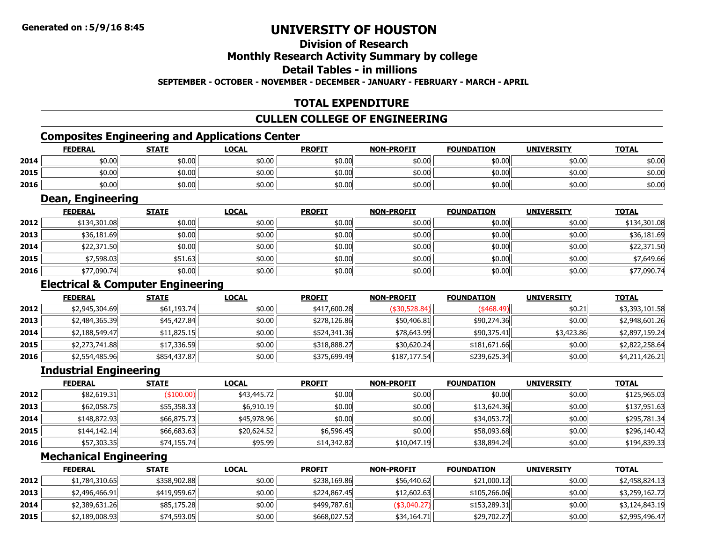# **Division of Research**

### **Monthly Research Activity Summary by college**

#### **Detail Tables - in millions**

**SEPTEMBER - OCTOBER - NOVEMBER - DECEMBER - JANUARY - FEBRUARY - MARCH - APRIL**

### **TOTAL EXPENDITURE**

### **CULLEN COLLEGE OF ENGINEERING**

### **Composites Engineering and Applications Center**

|      | <b>Composites Engineering and Applications Center</b> |              |              |               |                   |                   |                   |              |  |  |  |
|------|-------------------------------------------------------|--------------|--------------|---------------|-------------------|-------------------|-------------------|--------------|--|--|--|
|      | <b>FEDERAL</b>                                        | <b>STATE</b> | <u>LOCAL</u> | <b>PROFIT</b> | <b>NON-PROFIT</b> | <b>FOUNDATION</b> | <b>UNIVERSITY</b> | <b>TOTAL</b> |  |  |  |
| 2014 | \$0.00                                                | \$0.00       | \$0.00       | \$0.00        | \$0.00            | \$0.00            | \$0.00            | \$0.00       |  |  |  |
| 2015 | \$0.00                                                | \$0.00       | \$0.00       | \$0.00        | \$0.00            | \$0.00            | \$0.00            | \$0.00       |  |  |  |
| 2016 | \$0.00                                                | \$0.00       | \$0.00       | \$0.00        | \$0.00            | \$0.00            | \$0.00            | \$0.00       |  |  |  |

### **Dean, Engineering**

|      | <b>FEDERAL</b> | <b>STATE</b> | <b>LOCAL</b> | <b>PROFIT</b> | <b>NON-PROFIT</b> | <b>FOUNDATION</b> | <b>UNIVERSITY</b> | <b>TOTAL</b> |
|------|----------------|--------------|--------------|---------------|-------------------|-------------------|-------------------|--------------|
| 2012 | \$134,301.08   | \$0.00       | \$0.00       | \$0.00        | \$0.00            | \$0.00            | \$0.00            | \$134,301.08 |
| 2013 | \$36,181.69    | \$0.00       | \$0.00       | \$0.00        | \$0.00            | \$0.00            | \$0.00            | \$36,181.69  |
| 2014 | \$22,371.50    | \$0.00       | \$0.00       | \$0.00        | \$0.00            | \$0.00            | ا00.00            | \$22,371.50  |
| 2015 | \$7,598.03     | \$51.63      | \$0.00       | \$0.00        | \$0.00            | \$0.00            | \$0.00            | \$7,649.66   |
| 2016 | \$77,090.74    | \$0.00       | \$0.00       | \$0.00        | \$0.00            | \$0.00            | \$0.00            | \$77,090.74  |

### **Electrical & Computer Engineering**

|      | <b>FEDERAL</b> | <b>STATE</b> | <u>LOCAL</u> | <b>PROFIT</b> | <b>NON-PROFIT</b> | <b>FOUNDATION</b> | <b>UNIVERSITY</b> | <b>TOTAL</b>   |
|------|----------------|--------------|--------------|---------------|-------------------|-------------------|-------------------|----------------|
| 2012 | \$2,945,304.69 | \$61,193.74  | \$0.00       | \$417,600.28  | (\$30,528.84)     | $(*468.49)$       | \$0.21            | \$3,393,101.58 |
| 2013 | \$2,484,365.39 | \$45,427,84  | \$0.00       | \$278,126.86  | \$50,406.81       | \$90,274.36       | \$0.00            | \$2,948,601.26 |
| 2014 | \$2,188,549.47 | \$11,825.15  | \$0.00       | \$524,341.36  | \$78,643.99       | \$90,375.41       | \$3,423.86        | \$2,897,159.24 |
| 2015 | \$2,273,741.88 | \$17,336.59  | \$0.00       | \$318,888.27  | \$30,620.24       | \$181,671.66      | \$0.00            | \$2,822,258.64 |
| 2016 | \$2,554,485.96 | \$854,437.87 | \$0.00       | \$375,699.49  | \$187,177.54      | \$239,625.34      | \$0.00            | \$4,211,426.21 |

### **Industrial Engineering**

|      | <u>FEDERAL</u> | <b>STATE</b> | <b>LOCAL</b> | <b>PROFIT</b> | <b>NON-PROFIT</b> | <b>FOUNDATION</b> | <b>UNIVERSITY</b> | <b>TOTAL</b> |
|------|----------------|--------------|--------------|---------------|-------------------|-------------------|-------------------|--------------|
| 2012 | \$82,619.31    | (\$100.00)   | \$43,445.72  | \$0.00        | \$0.00            | \$0.00            | \$0.00            | \$125,965.03 |
| 2013 | \$62,058.75    | \$55,358.33  | \$6,910.19   | \$0.00        | \$0.00            | \$13,624.36       | \$0.00            | \$137,951.63 |
| 2014 | \$148,872.93   | \$66,875.73  | \$45,978.96  | \$0.00        | \$0.00            | \$34,053.72       | \$0.00            | \$295,781.34 |
| 2015 | \$144,142.14   | \$66,683.63  | \$20,624.52  | \$6,596.45    | \$0.00            | \$58,093.68       | \$0.00            | \$296,140.42 |
| 2016 | \$57,303.35    | \$74,155.74  | \$95.99      | \$14,342.82   | \$10,047.19       | \$38,894.24       | \$0.00            | \$194,839.33 |

### **Mechanical Engineering**

|      | <b>FEDERAL</b> | <b>STATE</b> | <u>LOCAL</u> | <b>PROFIT</b> | <b>NON-PROFIT</b> | <b>FOUNDATION</b> | <b>UNIVERSITY</b> | <b>TOTAL</b>   |
|------|----------------|--------------|--------------|---------------|-------------------|-------------------|-------------------|----------------|
| 2012 | \$1,784,310.65 | \$358,902.88 | \$0.00       | \$238,169.86  | \$56,440.62       | \$21,000.12       | \$0.00            | \$2,458,824.13 |
| 2013 | \$2,496,466.91 | \$419,959.67 | \$0.00       | \$224,867.45  | \$12,602.63       | \$105,266.06      | \$0.00            | \$3,259,162.72 |
| 2014 | \$2,389,631.26 | \$85,175.28  | \$0.00       | \$499,787.61  | $(*3,040.27)$     | \$153,289.31      | \$0.00            | \$3,124,843.19 |
| 2015 | \$2,189,008.93 | \$74,593.05  | \$0.00       | \$668,027.52  | \$34,164.71       | \$29,702.27       | \$0.00            | \$2,995,496.47 |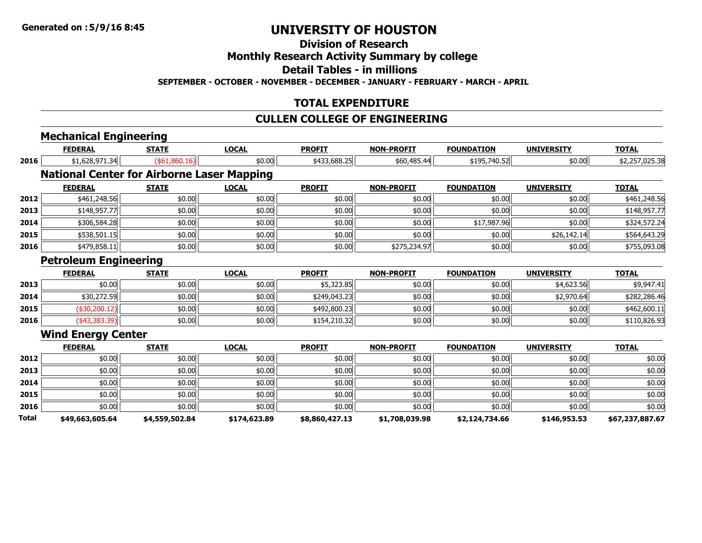### **Division of Research**

### **Monthly Research Activity Summary by college**

**Detail Tables - in millions**

**SEPTEMBER - OCTOBER - NOVEMBER - DECEMBER - JANUARY - FEBRUARY - MARCH - APRIL**

### **TOTAL EXPENDITURE**

### **CULLEN COLLEGE OF ENGINEERING**

|              | <b>Mechanical Engineering</b>                     |                 |              |                |                   |                   |                   |                 |
|--------------|---------------------------------------------------|-----------------|--------------|----------------|-------------------|-------------------|-------------------|-----------------|
|              | <b>FEDERAL</b>                                    | <b>STATE</b>    | <b>LOCAL</b> | <b>PROFIT</b>  | <b>NON-PROFIT</b> | <b>FOUNDATION</b> | <b>UNIVERSITY</b> | <b>TOTAL</b>    |
| 2016         | \$1,628,971.34                                    | ( \$61, 860.16) | \$0.00       | \$433,688.25   | \$60,485.44       | \$195,740.52      | \$0.00            | \$2,257,025.38  |
|              | <b>National Center for Airborne Laser Mapping</b> |                 |              |                |                   |                   |                   |                 |
|              | <b>FEDERAL</b>                                    | <b>STATE</b>    | <b>LOCAL</b> | <b>PROFIT</b>  | <b>NON-PROFIT</b> | <b>FOUNDATION</b> | <b>UNIVERSITY</b> | <b>TOTAL</b>    |
| 2012         | \$461,248.56                                      | \$0.00          | \$0.00       | \$0.00         | \$0.00            | \$0.00            | \$0.00            | \$461,248.56    |
| 2013         | \$148,957.77                                      | \$0.00          | \$0.00       | \$0.00         | \$0.00            | \$0.00            | \$0.00            | \$148,957.77    |
| 2014         | \$306,584.28                                      | \$0.00          | \$0.00       | \$0.00         | \$0.00            | \$17,987.96       | \$0.00            | \$324,572.24    |
| 2015         | \$538,501.15                                      | \$0.00          | \$0.00       | \$0.00         | \$0.00            | \$0.00            | \$26,142.14       | \$564,643.29    |
| 2016         | \$479,858.11                                      | \$0.00          | \$0.00       | \$0.00         | \$275,234.97      | \$0.00            | \$0.00            | \$755,093.08    |
|              | <b>Petroleum Engineering</b>                      |                 |              |                |                   |                   |                   |                 |
|              | <b>FEDERAL</b>                                    | <b>STATE</b>    | <b>LOCAL</b> | <b>PROFIT</b>  | <b>NON-PROFIT</b> | <b>FOUNDATION</b> | <b>UNIVERSITY</b> | <b>TOTAL</b>    |
| 2013         | \$0.00                                            | \$0.00          | \$0.00       | \$5,323.85     | \$0.00            | \$0.00            | \$4,623.56        | \$9,947.41      |
| 2014         | \$30,272.59                                       | \$0.00          | \$0.00       | \$249,043.23   | \$0.00            | \$0.00            | \$2,970.64        | \$282,286.46    |
| 2015         | (\$30,200.12)                                     | \$0.00          | \$0.00       | \$492,800.23   | \$0.00            | \$0.00            | \$0.00            | \$462,600.11    |
| 2016         | (43,383.39)                                       | \$0.00          | \$0.00       | \$154,210.32   | \$0.00            | \$0.00            | \$0.00            | \$110,826.93    |
|              | <b>Wind Energy Center</b>                         |                 |              |                |                   |                   |                   |                 |
|              | <b>FEDERAL</b>                                    | <b>STATE</b>    | <b>LOCAL</b> | <b>PROFIT</b>  | <b>NON-PROFIT</b> | <b>FOUNDATION</b> | <b>UNIVERSITY</b> | <b>TOTAL</b>    |
| 2012         | \$0.00                                            | \$0.00          | \$0.00       | \$0.00         | \$0.00            | \$0.00            | \$0.00            | \$0.00          |
| 2013         | \$0.00                                            | \$0.00          | \$0.00       | \$0.00         | \$0.00            | \$0.00            | \$0.00            | \$0.00          |
| 2014         | \$0.00                                            | \$0.00          | \$0.00       | \$0.00         | \$0.00            | \$0.00            | \$0.00            | \$0.00          |
| 2015         | \$0.00                                            | \$0.00          | \$0.00       | \$0.00         | \$0.00            | \$0.00            | \$0.00            | \$0.00          |
| 2016         | \$0.00                                            | \$0.00          | \$0.00       | \$0.00         | \$0.00            | \$0.00            | \$0.00            | \$0.00          |
| <b>Total</b> | \$49,663,605.64                                   | \$4,559,502.84  | \$174,623.89 | \$8,860,427.13 | \$1,708,039.98    | \$2,124,734.66    | \$146,953.53      | \$67,237,887.67 |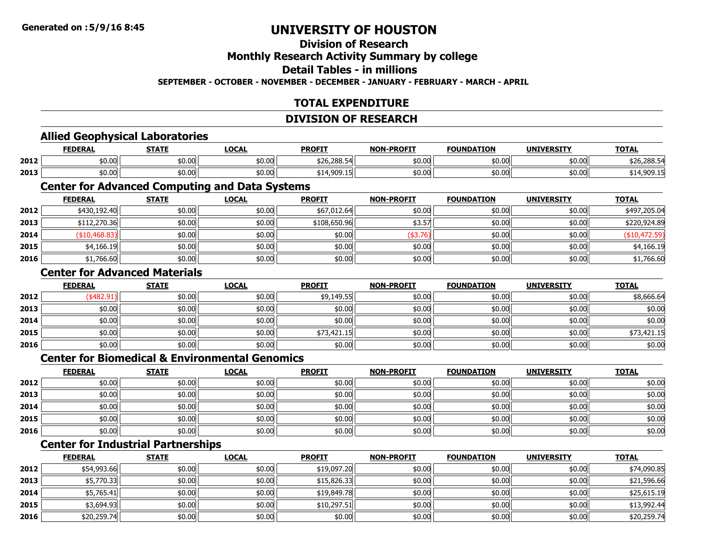# **Division of Research**

### **Monthly Research Activity Summary by college**

#### **Detail Tables - in millions**

#### **SEPTEMBER - OCTOBER - NOVEMBER - DECEMBER - JANUARY - FEBRUARY - MARCH - APRIL**

### **TOTAL EXPENDITURE**

#### **DIVISION OF RESEARCH**

#### **Allied Geophysical Laboratories**

|      | <b>FEDERAL</b> | <b>STATE</b>   | LOCAL  | <b>PROFIT</b> | <b>NON-PROFIT</b> | <b>FOUNDATION</b> | <b>IINTVED CTTV</b><br>UN.<br>LNJ. | <b>TOTAL</b>          |
|------|----------------|----------------|--------|---------------|-------------------|-------------------|------------------------------------|-----------------------|
| 2012 | \$0.00         | eu uu<br>ש∪.טע | \$0.00 | \$26,288.54   | \$0.00            | \$0.00            | \$0.00                             | 52.7200E<br>520,200.J |
| 2013 | \$0.00         | \$0.00         | \$0.00 | 000 NH<br>14  | \$0.00            | \$0.00            | \$0.00                             |                       |

### **Center for Advanced Computing and Data Systems**

|      | <b>FEDERAL</b> | <b>STATE</b> | <b>LOCAL</b> | <b>PROFIT</b> | <b>NON-PROFIT</b> | <b>FOUNDATION</b> | <b>UNIVERSITY</b> | <b>TOTAL</b>  |
|------|----------------|--------------|--------------|---------------|-------------------|-------------------|-------------------|---------------|
| 2012 | \$430,192.40   | \$0.00       | \$0.00       | \$67,012.64   | \$0.00            | \$0.00            | \$0.00            | \$497,205.04  |
| 2013 | \$112,270.36   | \$0.00       | \$0.00       | \$108,650.96  | \$3.57            | \$0.00            | \$0.00            | \$220,924.89  |
| 2014 | (\$10,468.83)  | \$0.00       | \$0.00       | \$0.00        | \$3.76            | \$0.00            | \$0.00            | (\$10,472.59) |
| 2015 | \$4,166.19     | \$0.00       | \$0.00       | \$0.00        | \$0.00            | \$0.00            | \$0.00            | \$4,166.19    |
| 2016 | \$1,766.60     | \$0.00       | \$0.00       | \$0.00        | \$0.00            | \$0.00            | \$0.00            | \$1,766.60    |

#### **Center for Advanced Materials**

|      | <u>FEDERAL</u> | <b>STATE</b> | <b>LOCAL</b> | <b>PROFIT</b> | <b>NON-PROFIT</b> | <b>FOUNDATION</b> | <b>UNIVERSITY</b> | <b>TOTAL</b> |
|------|----------------|--------------|--------------|---------------|-------------------|-------------------|-------------------|--------------|
| 2012 | $($ \$482.91)  | \$0.00       | \$0.00       | \$9,149.55    | \$0.00            | \$0.00            | \$0.00            | \$8,666.64   |
| 2013 | \$0.00         | \$0.00       | \$0.00       | \$0.00        | \$0.00            | \$0.00            | \$0.00            | \$0.00       |
| 2014 | \$0.00         | \$0.00       | \$0.00       | \$0.00        | \$0.00            | \$0.00            | \$0.00            | \$0.00       |
| 2015 | \$0.00         | \$0.00       | \$0.00       | \$73,421.15   | \$0.00            | \$0.00            | \$0.00            | \$73,421.15  |
| 2016 | \$0.00         | \$0.00       | \$0.00       | \$0.00        | \$0.00            | \$0.00            | \$0.00            | \$0.00       |

### **Center for Biomedical & Environmental Genomics**

|      | <u>FEDERAL</u> | <b>STATE</b> | <b>LOCAL</b> | <b>PROFIT</b> | <b>NON-PROFIT</b> | <b>FOUNDATION</b> | <b>UNIVERSITY</b> | <b>TOTAL</b> |
|------|----------------|--------------|--------------|---------------|-------------------|-------------------|-------------------|--------------|
| 2012 | \$0.00         | \$0.00       | \$0.00       | \$0.00        | \$0.00            | \$0.00            | \$0.00            | \$0.00       |
| 2013 | \$0.00         | \$0.00       | \$0.00       | \$0.00        | \$0.00            | \$0.00 l          | \$0.00            | \$0.00       |
| 2014 | \$0.00         | \$0.00       | \$0.00       | \$0.00        | \$0.00            | \$0.00 l          | \$0.00            | \$0.00       |
| 2015 | \$0.00         | \$0.00       | \$0.00       | \$0.00        | \$0.00            | \$0.00 l          | \$0.00            | \$0.00       |
| 2016 | \$0.00         | \$0.00       | \$0.00       | \$0.00        | \$0.00            | \$0.00 l          | \$0.00            | \$0.00       |

### **Center for Industrial Partnerships**

|      | <b>FEDERAL</b> | <b>STATE</b> | <b>LOCAL</b> | <b>PROFIT</b> | <b>NON-PROFIT</b> | <b>FOUNDATION</b> | <b>UNIVERSITY</b> | <b>TOTAL</b> |
|------|----------------|--------------|--------------|---------------|-------------------|-------------------|-------------------|--------------|
| 2012 | \$54,993.66    | \$0.00       | \$0.00       | \$19,097.20   | \$0.00            | \$0.00            | \$0.00            | \$74,090.85  |
| 2013 | \$5,770.33     | \$0.00       | \$0.00       | \$15,826.33   | \$0.00            | \$0.00            | \$0.00            | \$21,596.66  |
| 2014 | \$5,765.41     | \$0.00       | \$0.00       | \$19,849.78   | \$0.00            | \$0.00            | \$0.00            | \$25,615.19  |
| 2015 | \$3,694.93     | \$0.00       | \$0.00       | \$10,297.51   | \$0.00            | \$0.00            | \$0.00            | \$13,992.44  |
| 2016 | \$20,259.74    | \$0.00       | \$0.00       | \$0.00        | \$0.00            | \$0.00            | \$0.00            | \$20,259.74  |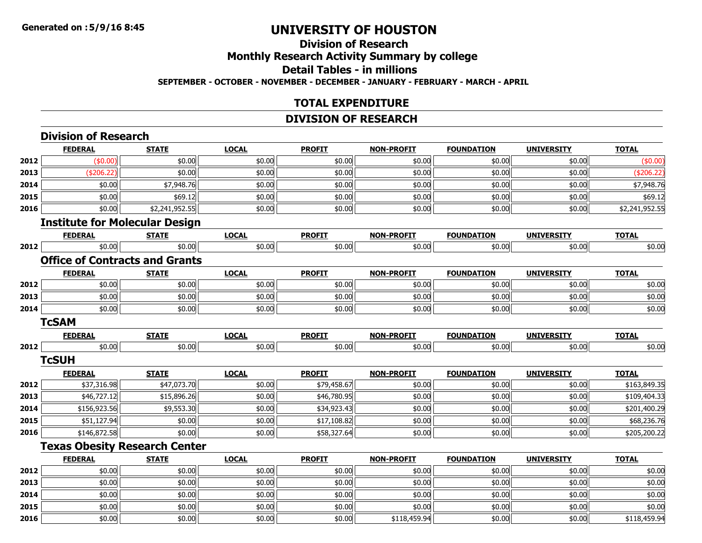**2014**

**2015**

**2016**

# **UNIVERSITY OF HOUSTON**

### **Division of ResearchMonthly Research Activity Summary by college Detail Tables - in millionsSEPTEMBER - OCTOBER - NOVEMBER - DECEMBER - JANUARY - FEBRUARY - MARCH - APRIL**

### **TOTAL EXPENDITURE**

### **DIVISION OF RESEARCH**

|      | <b>Division of Research</b> |                                       |              |               |                   |                   |                   |                |
|------|-----------------------------|---------------------------------------|--------------|---------------|-------------------|-------------------|-------------------|----------------|
|      | <b>FEDERAL</b>              | <b>STATE</b>                          | <b>LOCAL</b> | <b>PROFIT</b> | <b>NON-PROFIT</b> | <b>FOUNDATION</b> | <b>UNIVERSITY</b> | <b>TOTAL</b>   |
| 2012 | (\$0.00)                    | \$0.00                                | \$0.00       | \$0.00        | \$0.00            | \$0.00            | \$0.00            | (\$0.00)       |
| 2013 | (\$206.22)                  | \$0.00                                | \$0.00       | \$0.00        | \$0.00            | \$0.00            | \$0.00            | (\$206.22)     |
| 2014 | \$0.00                      | \$7,948.76                            | \$0.00       | \$0.00        | \$0.00            | \$0.00            | \$0.00            | \$7,948.76     |
| 2015 | \$0.00                      | \$69.12                               | \$0.00       | \$0.00        | \$0.00            | \$0.00            | \$0.00            | \$69.12        |
| 2016 | \$0.00                      | \$2,241,952.55                        | \$0.00       | \$0.00        | \$0.00            | \$0.00            | \$0.00            | \$2,241,952.55 |
|      |                             | <b>Institute for Molecular Design</b> |              |               |                   |                   |                   |                |
|      | <b>FEDERAL</b>              | <b>STATE</b>                          | <b>LOCAL</b> | <b>PROFIT</b> | <b>NON-PROFIT</b> | <b>FOUNDATION</b> | <b>UNIVERSITY</b> | <b>TOTAL</b>   |
| 2012 | \$0.00                      | \$0.00                                | \$0.00       | \$0.00        | \$0.00            | \$0.00            | \$0.00            | \$0.00         |
|      |                             | <b>Office of Contracts and Grants</b> |              |               |                   |                   |                   |                |
|      | <b>FEDERAL</b>              | <b>STATE</b>                          | <b>LOCAL</b> | <b>PROFIT</b> | <b>NON-PROFIT</b> | <b>FOUNDATION</b> | <b>UNIVERSITY</b> | <b>TOTAL</b>   |
| 2012 | \$0.00                      | \$0.00                                | \$0.00       | \$0.00        | \$0.00            | \$0.00            | \$0.00            | \$0.00         |
| 2013 | \$0.00                      | \$0.00                                | \$0.00       | \$0.00        | \$0.00            | \$0.00            | \$0.00            | \$0.00         |
| 2014 | \$0.00                      | \$0.00                                | \$0.00       | \$0.00        | \$0.00            | \$0.00            | \$0.00            | \$0.00         |
|      | <b>TcSAM</b>                |                                       |              |               |                   |                   |                   |                |
|      | <b>FEDERAL</b>              | <b>STATE</b>                          | <b>LOCAL</b> | <b>PROFIT</b> | <b>NON-PROFIT</b> | <b>FOUNDATION</b> | <b>UNIVERSITY</b> | <b>TOTAL</b>   |
| 2012 | \$0.00                      | \$0.00                                | \$0.00       | \$0.00        | \$0.00            | \$0.00            | \$0.00            | \$0.00         |
|      | <b>TcSUH</b>                |                                       |              |               |                   |                   |                   |                |
|      | <b>FEDERAL</b>              | <b>STATE</b>                          | <b>LOCAL</b> | <b>PROFIT</b> | <b>NON-PROFIT</b> | <b>FOUNDATION</b> | <b>UNIVERSITY</b> | <b>TOTAL</b>   |
| 2012 | \$37,316.98                 | \$47,073.70                           | \$0.00       | \$79,458.67   | \$0.00            | \$0.00            | \$0.00            | \$163,849.35   |
| 2013 | \$46,727.12                 | \$15,896.26                           | \$0.00       | \$46,780.95   | \$0.00            | \$0.00            | \$0.00            | \$109,404.33   |
| 2014 | \$156,923.56                | \$9,553.30                            | \$0.00       | \$34,923.43   | \$0.00            | \$0.00            | \$0.00            | \$201,400.29   |
| 2015 | \$51,127.94                 | \$0.00                                | \$0.00       | \$17,108.82   | \$0.00            | \$0.00            | \$0.00            | \$68,236.76    |
| 2016 | \$146,872.58                | \$0.00                                | \$0.00       | \$58,327.64   | \$0.00            | \$0.00            | \$0.00            | \$205,200.22   |
|      |                             | <b>Texas Obesity Research Center</b>  |              |               |                   |                   |                   |                |
|      | <b>FEDERAL</b>              | <b>STATE</b>                          | <b>LOCAL</b> | <b>PROFIT</b> | <b>NON-PROFIT</b> | <b>FOUNDATION</b> | <b>UNIVERSITY</b> | <b>TOTAL</b>   |
| 2012 | \$0.00                      | \$0.00                                | \$0.00       | \$0.00        | \$0.00            | \$0.00            | \$0.00            | \$0.00         |
| 2013 | \$0.00                      | \$0.00                                | \$0.00       | \$0.00        | \$0.00            | \$0.00            | \$0.00            | \$0.00         |

4 \$0.00 \$0.00 \$0.00 \$0.00 \$0.00 \$0.00 \$0.00 \$0.00 \$0.00 \$0.00 \$0.00 \$0.00 \$0.00 \$0.00 \$0.00 \$0.00 \$0.00

**5** | \$0.00 \$0.00 \$0.00 \$0.00 \$0.00 \$0.00 \$0.00 \$0.00 \$0.00 \$0.00 \$0.00 \$0.00 \$0.00 \$0.00 \$0.00 \$0.00 \$0.00

**6** \$0.00 \$0.00 \$0.00 \$0.00 \$0.00 \$0.00 \$0.00 \$0.00 \$0.00 \$118,459.94 \$0.00 \$0.00 \$118,459.94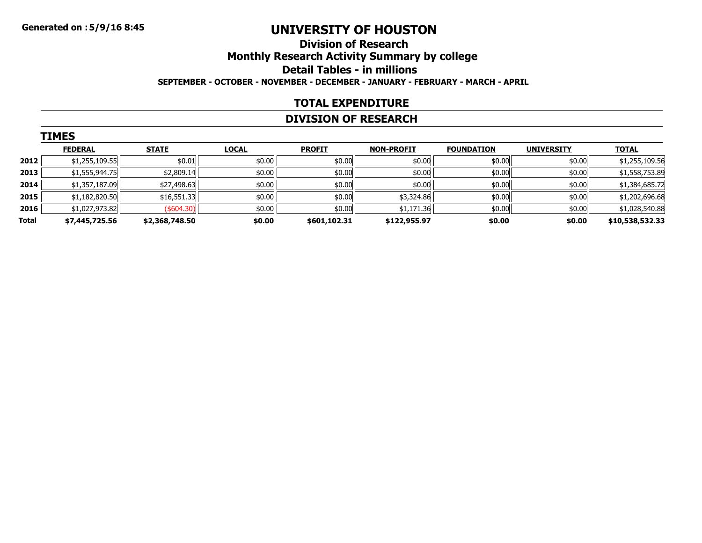### **Division of ResearchMonthly Research Activity Summary by college Detail Tables - in millions SEPTEMBER - OCTOBER - NOVEMBER - DECEMBER - JANUARY - FEBRUARY - MARCH - APRIL**

#### **TOTAL EXPENDITURE**

#### **DIVISION OF RESEARCH**

|       | <b>TIMES</b>   |                   |              |               |                   |                   |                   |                 |
|-------|----------------|-------------------|--------------|---------------|-------------------|-------------------|-------------------|-----------------|
|       | <b>FEDERAL</b> | <b>STATE</b>      | <b>LOCAL</b> | <b>PROFIT</b> | <b>NON-PROFIT</b> | <b>FOUNDATION</b> | <b>UNIVERSITY</b> | <b>TOTAL</b>    |
| 2012  | \$1,255,109.55 | \$0.01            | \$0.00       | \$0.00        | \$0.00            | \$0.00            | \$0.00            | \$1,255,109.56  |
| 2013  | \$1,555,944.75 | \$2,809.14        | \$0.00       | \$0.00        | \$0.00            | \$0.00            | \$0.00            | \$1,558,753.89  |
| 2014  | \$1,357,187.09 | \$27,498.63       | \$0.00       | \$0.00        | \$0.00            | \$0.00            | \$0.00            | \$1,384,685.72  |
| 2015  | \$1,182,820.50 | \$16,551.33       | \$0.00       | \$0.00        | \$3,324.86        | \$0.00            | \$0.00            | \$1,202,696.68  |
| 2016  | \$1,027,973.82 | $($ \$604.30) $ $ | \$0.00       | \$0.00        | \$1,171.36        | \$0.00            | \$0.00            | \$1,028,540.88  |
| Total | \$7,445,725.56 | \$2,368,748.50    | \$0.00       | \$601,102.31  | \$122,955.97      | \$0.00            | \$0.00            | \$10,538,532.33 |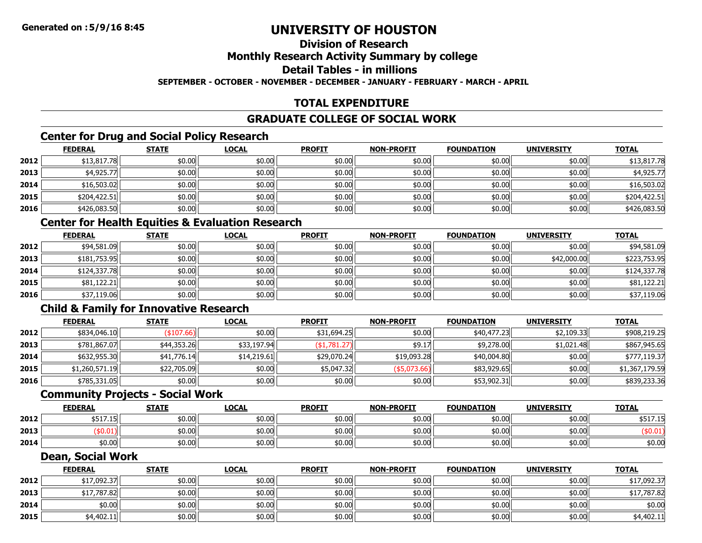#### **Division of ResearchMonthly Research Activity Summary by college Detail Tables - in millions**

**SEPTEMBER - OCTOBER - NOVEMBER - DECEMBER - JANUARY - FEBRUARY - MARCH - APRIL**

### **TOTAL EXPENDITURE**

### **GRADUATE COLLEGE OF SOCIAL WORK**

### **Center for Drug and Social Policy Research**

|      | <b>FEDERAL</b> | <b>STATE</b> | <u>LOCAL</u> | <b>PROFIT</b> | <b>NON-PROFIT</b> | <b>FOUNDATION</b> | <b>UNIVERSITY</b> | <u>TOTAL</u> |
|------|----------------|--------------|--------------|---------------|-------------------|-------------------|-------------------|--------------|
| 2012 | \$13,817.78    | \$0.00       | \$0.00       | \$0.00        | \$0.00            | \$0.00            | \$0.00            | \$13,817.78  |
| 2013 | \$4,925.77     | \$0.00       | \$0.00       | \$0.00        | \$0.00            | \$0.00            | \$0.00            | \$4,925.77   |
| 2014 | \$16,503.02    | \$0.00       | \$0.00       | \$0.00        | \$0.00            | \$0.00            | \$0.00            | \$16,503.02  |
| 2015 | \$204,422.51   | \$0.00       | \$0.00       | \$0.00        | \$0.00            | \$0.00            | \$0.00            | \$204,422.51 |
| 2016 | \$426,083.50   | \$0.00       | \$0.00       | \$0.00        | \$0.00            | \$0.00            | \$0.00            | \$426,083.50 |

### **Center for Health Equities & Evaluation Research**

|      | <b>FEDERAL</b> | <b>STATE</b> | <u>LOCAL</u> | <b>PROFIT</b> | <b>NON-PROFIT</b> | <b>FOUNDATION</b> | <b>UNIVERSITY</b> | <b>TOTAL</b> |
|------|----------------|--------------|--------------|---------------|-------------------|-------------------|-------------------|--------------|
| 2012 | \$94,581.09    | \$0.00       | \$0.00       | \$0.00        | \$0.00            | \$0.00            | \$0.00            | \$94,581.09  |
| 2013 | \$181,753.95   | \$0.00       | \$0.00       | \$0.00        | \$0.00            | \$0.00            | \$42,000.00       | \$223,753.95 |
| 2014 | \$124,337,78   | \$0.00       | \$0.00       | \$0.00        | \$0.00            | \$0.00            | \$0.00            | \$124,337.78 |
| 2015 | \$81,122.21    | \$0.00       | \$0.00       | \$0.00        | \$0.00            | \$0.00            | \$0.00            | \$81,122.21  |
| 2016 | \$37,119.06    | \$0.00       | \$0.00       | \$0.00        | \$0.00            | \$0.00            | \$0.00            | \$37,119.06  |

### **Child & Family for Innovative Research**

|      | <b>FEDERAL</b> | <b>STATE</b> | <b>LOCAL</b> | <b>PROFIT</b>   | <b>NON-PROFIT</b> | <b>FOUNDATION</b> | <b>UNIVERSITY</b> | <b>TOTAL</b>   |
|------|----------------|--------------|--------------|-----------------|-------------------|-------------------|-------------------|----------------|
| 2012 | \$834,046.10   | (\$107.66)   | \$0.00       | \$31,694.25     | \$0.00            | \$40,477.23       | \$2,109.33        | \$908,219.25   |
| 2013 | \$781,867.07   | \$44,353.26  | \$33,197.94  | $($ \$1,781.27) | \$9.17            | \$9,278.00        | \$1,021.48        | \$867,945.65   |
| 2014 | \$632,955.30   | \$41,776.14  | \$14,219.61  | \$29,070.24     | \$19,093.28       | \$40,004.80       | \$0.00            | \$777,119.37   |
| 2015 | \$1,260,571.19 | \$22,705.09  | \$0.00       | \$5,047.32      | $($ \$5,073.66)   | \$83,929.65       | \$0.00            | \$1,367,179.59 |
| 2016 | \$785,331.05   | \$0.00       | \$0.00       | \$0.00          | \$0.00            | \$53,902.31       | \$0.00            | \$839,233.36   |

#### **Community Projects - Social Work**

|      | <b>FEDERAL</b>                                  | <b>STATE</b> | <u>LOCAL</u> | <b>PROFIT</b> | <b>NON-PROFIT</b> | <b>FOUNDATION</b> | <b>UNIVERSITY</b> | <b>TOTAL</b>    |
|------|-------------------------------------------------|--------------|--------------|---------------|-------------------|-------------------|-------------------|-----------------|
| 2012 | $\overline{a}$ $\overline{c}$<br><b>JJII.LJ</b> | \$0.00       | \$0.00       | \$0.00        | \$0.00            | 50.00l            | \$0.00            | よに1つ<br>77.I.TC |
| 2013 | :0.01۱                                          | \$0.00       | \$0.00       | \$0.00        | \$0.00            | :0.00             | \$0.00            |                 |
| 2014 | \$0.00                                          | \$0.00       | \$0.00       | \$0.00        | \$0.00            | 50.00l            | \$0.00            | \$0.00          |

#### **Dean, Social Work**

|      | <b>FEDERAL</b> | <b>STATE</b> | <b>LOCAL</b> | <b>PROFIT</b> | <b>NON-PROFIT</b> | <b>FOUNDATION</b> | <b>UNIVERSITY</b> | <b>TOTAL</b> |
|------|----------------|--------------|--------------|---------------|-------------------|-------------------|-------------------|--------------|
| 2012 | \$17,092.37    | \$0.00       | \$0.00       | \$0.00        | \$0.00            | \$0.00            | \$0.00            | \$17,092.37  |
| 2013 | \$17,787.82    | \$0.00       | \$0.00       | \$0.00        | \$0.00            | \$0.00            | \$0.00            | \$17,787.82  |
| 2014 | \$0.00         | \$0.00       | \$0.00       | \$0.00        | \$0.00            | \$0.00            | \$0.00            | \$0.00       |
| 2015 | \$4,402.11     | \$0.00       | \$0.00       | \$0.00        | \$0.00            | \$0.00            | \$0.00            | \$4,402.11   |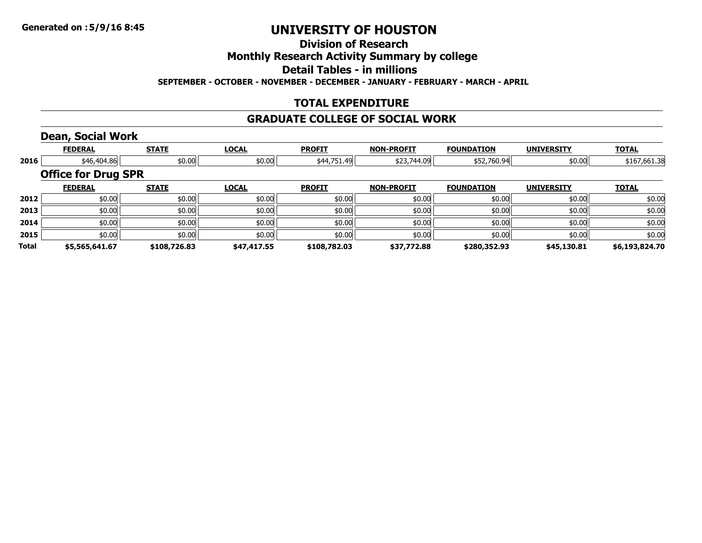### **Division of Research**

### **Monthly Research Activity Summary by college**

**Detail Tables - in millions**

**SEPTEMBER - OCTOBER - NOVEMBER - DECEMBER - JANUARY - FEBRUARY - MARCH - APRIL**

### **TOTAL EXPENDITURE**

#### **GRADUATE COLLEGE OF SOCIAL WORK**

### **Dean, Social Work**

|       | <b>FEDERAL</b>             | <b>STATE</b>          | <b>LOCAL</b> | <b>PROFIT</b> | <b>NON-PROFIT</b> | <b>FOUNDATION</b> | <b>UNIVERSITY</b> | <b>TOTAL</b>   |
|-------|----------------------------|-----------------------|--------------|---------------|-------------------|-------------------|-------------------|----------------|
| 2016  |                            | \$46,404.86<br>\$0.00 | \$0.00       | \$44,751.49   | \$23,744.09       | \$52,760.94       | \$0.00            | \$167,661.38   |
|       | <b>Office for Drug SPR</b> |                       |              |               |                   |                   |                   |                |
|       | <b>FEDERAL</b>             | <b>STATE</b>          | <b>LOCAL</b> | <b>PROFIT</b> | <b>NON-PROFIT</b> | <b>FOUNDATION</b> | <b>UNIVERSITY</b> | <b>TOTAL</b>   |
| 2012  | \$0.00                     | \$0.00                | \$0.00       | \$0.00        | \$0.00            | \$0.00            | \$0.00            | \$0.00         |
| 2013  | \$0.00                     | \$0.00                | \$0.00       | \$0.00        | \$0.00            | \$0.00            | \$0.00            | \$0.00         |
| 2014  | \$0.00                     | \$0.00                | \$0.00       | \$0.00        | \$0.00            | \$0.00            | \$0.00            | \$0.00         |
| 2015  | \$0.00                     | \$0.00                | \$0.00       | \$0.00        | \$0.00            | \$0.00            | \$0.00            | \$0.00         |
| Total | \$5,565,641.67             | \$108,726.83          | \$47,417.55  | \$108,782.03  | \$37,772.88       | \$280,352.93      | \$45,130.81       | \$6,193,824.70 |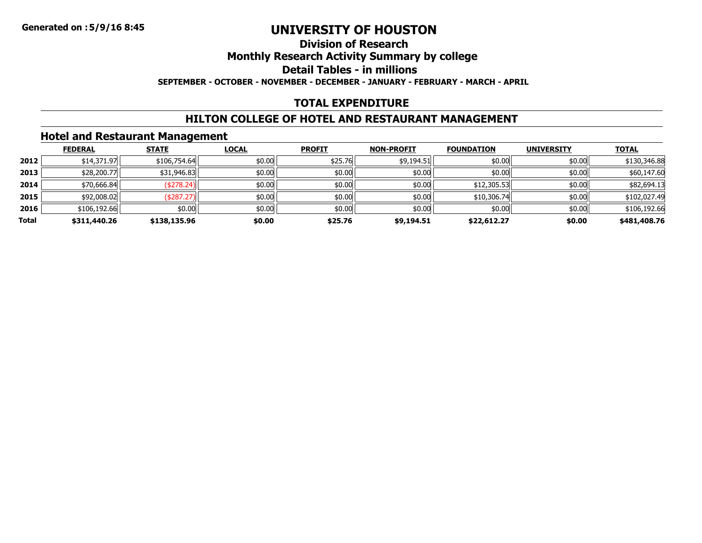### **Division of ResearchMonthly Research Activity Summary by college Detail Tables - in millionsSEPTEMBER - OCTOBER - NOVEMBER - DECEMBER - JANUARY - FEBRUARY - MARCH - APRIL**

### **TOTAL EXPENDITURE**

### **HILTON COLLEGE OF HOTEL AND RESTAURANT MANAGEMENT**

### **Hotel and Restaurant Management**

|       | <b>FEDERAL</b> | <b>STATE</b> | <b>LOCAL</b> | <b>PROFIT</b> | <b>NON-PROFIT</b> | <b>FOUNDATION</b> | <b>UNIVERSITY</b> | <b>TOTAL</b> |
|-------|----------------|--------------|--------------|---------------|-------------------|-------------------|-------------------|--------------|
| 2012  | \$14,371.97    | \$106,754.64 | \$0.00       | \$25.76       | \$9,194.51        | \$0.00            | \$0.00            | \$130,346.88 |
| 2013  | \$28,200.77    | \$31,946.83  | \$0.00       | \$0.00        | \$0.00            | \$0.00            | \$0.00            | \$60,147.60  |
| 2014  | \$70,666.84    | (\$278.24)   | \$0.00       | \$0.00        | \$0.00            | \$12,305.53       | \$0.00            | \$82,694.13  |
| 2015  | \$92,008.02    | (\$287.27)   | \$0.00       | \$0.00        | \$0.00            | \$10,306.74       | \$0.00            | \$102,027.49 |
| 2016  | \$106,192.66   | \$0.00       | \$0.00       | \$0.00        | \$0.00            | \$0.00            | \$0.00            | \$106,192.66 |
| Total | \$311,440.26   | \$138,135.96 | \$0.00       | \$25.76       | \$9,194.51        | \$22,612.27       | \$0.00            | \$481,408.76 |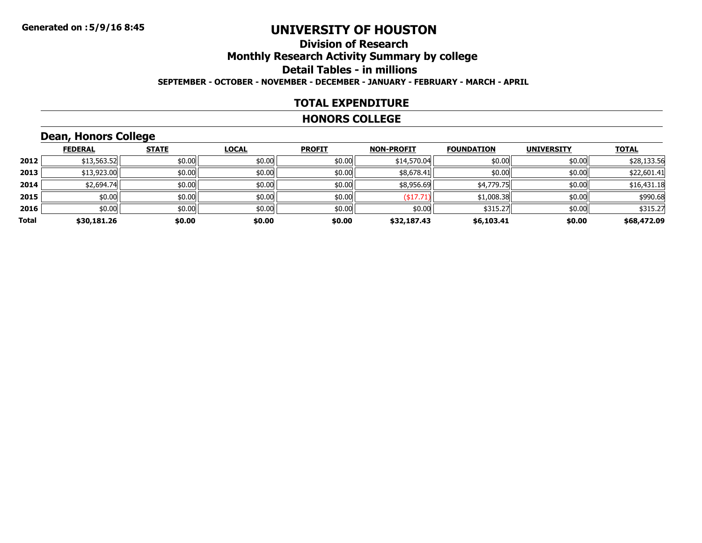### **Division of ResearchMonthly Research Activity Summary by college Detail Tables - in millions SEPTEMBER - OCTOBER - NOVEMBER - DECEMBER - JANUARY - FEBRUARY - MARCH - APRIL**

#### **TOTAL EXPENDITURE**

#### **HONORS COLLEGE**

# **Dean, Honors College**

|       | <b>FEDERAL</b> | <b>STATE</b> | <b>LOCAL</b> | <b>PROFIT</b> | <b>NON-PROFIT</b> | <b>FOUNDATION</b> | <b>UNIVERSITY</b> | <b>TOTAL</b> |
|-------|----------------|--------------|--------------|---------------|-------------------|-------------------|-------------------|--------------|
| 2012  | \$13,563.52    | \$0.00       | \$0.00       | \$0.00        | \$14,570.04       | \$0.00            | \$0.00            | \$28,133.56  |
| 2013  | \$13,923.00    | \$0.00       | \$0.00       | \$0.00        | \$8,678.41        | \$0.00            | \$0.00            | \$22,601.41  |
| 2014  | \$2,694.74     | \$0.00       | \$0.00       | \$0.00        | \$8,956.69        | \$4,779.75        | \$0.00            | \$16,431.18  |
| 2015  | \$0.00         | \$0.00       | \$0.00       | \$0.00        | $($ \$17.71)      | \$1,008.38        | \$0.00            | \$990.68     |
| 2016  | \$0.00         | \$0.00       | \$0.00       | \$0.00        | \$0.00            | \$315.27          | \$0.00            | \$315.27     |
| Total | \$30,181.26    | \$0.00       | \$0.00       | \$0.00        | \$32,187.43       | \$6,103.41        | \$0.00            | \$68,472.09  |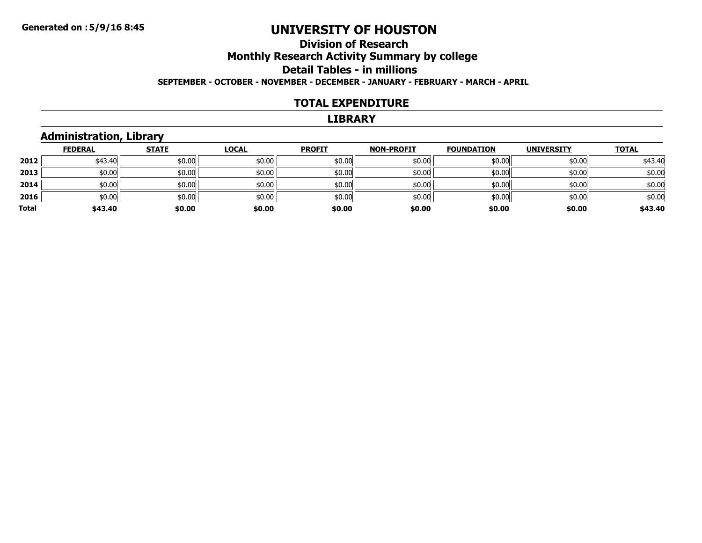### **Division of ResearchMonthly Research Activity Summary by college Detail Tables - in millions SEPTEMBER - OCTOBER - NOVEMBER - DECEMBER - JANUARY - FEBRUARY - MARCH - APRIL**

#### **TOTAL EXPENDITURE**

#### **LIBRARY**

### **Administration, Library**

|       | <b>FEDERAL</b> | <b>STATE</b> | <b>LOCAL</b> | <b>PROFIT</b> | <b>NON-PROFIT</b> | <b>FOUNDATION</b> | <b>UNIVERSITY</b> | <b>TOTAL</b> |
|-------|----------------|--------------|--------------|---------------|-------------------|-------------------|-------------------|--------------|
| 2012  | \$43.40        | \$0.00       | \$0.00       | \$0.00        | \$0.00            | \$0.00            | \$0.00            | \$43.40      |
| 2013  | \$0.00         | \$0.00       | \$0.00       | \$0.00        | \$0.00            | \$0.00            | \$0.00            | \$0.00       |
| 2014  | \$0.00         | \$0.00       | \$0.00       | \$0.00        | \$0.00            | \$0.00            | \$0.00            | \$0.00       |
| 2016  | \$0.00         | \$0.00       | \$0.00       | \$0.00        | \$0.00            | \$0.00            | \$0.00            | \$0.00       |
| Total | \$43.40        | \$0.00       | \$0.00       | \$0.00        | \$0.00            | \$0.00            | \$0.00            | \$43.40      |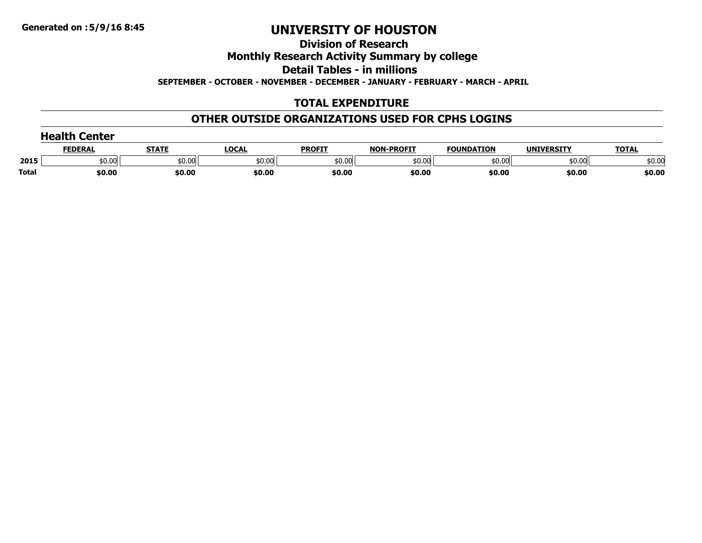**Division of Research**

**Monthly Research Activity Summary by college**

**Detail Tables - in millions**

**SEPTEMBER - OCTOBER - NOVEMBER - DECEMBER - JANUARY - FEBRUARY - MARCH - APRIL**

### **TOTAL EXPENDITURE**

### **OTHER OUTSIDE ORGANIZATIONS USED FOR CPHS LOGINS**

| <b>Health Center</b> |                |              |        |               |                   |                   |                   |              |
|----------------------|----------------|--------------|--------|---------------|-------------------|-------------------|-------------------|--------------|
|                      | <b>FEDERAL</b> | <u>STATE</u> | LOCAL  | <b>PROFIT</b> | <b>NON-PROFIT</b> | <b>FOUNDATION</b> | <b>UNIVERSITY</b> | <b>TOTAL</b> |
| 2015                 | \$0.00         | \$0.00       | \$0.00 | \$0.00        | \$0.00            | \$0.00            | \$0.00            | \$0.00       |
| <b>Total</b>         | \$0.00         | \$0.00       | \$0.00 | \$0.00        | \$0.00            | \$0.00            | \$0.00            | \$0.00       |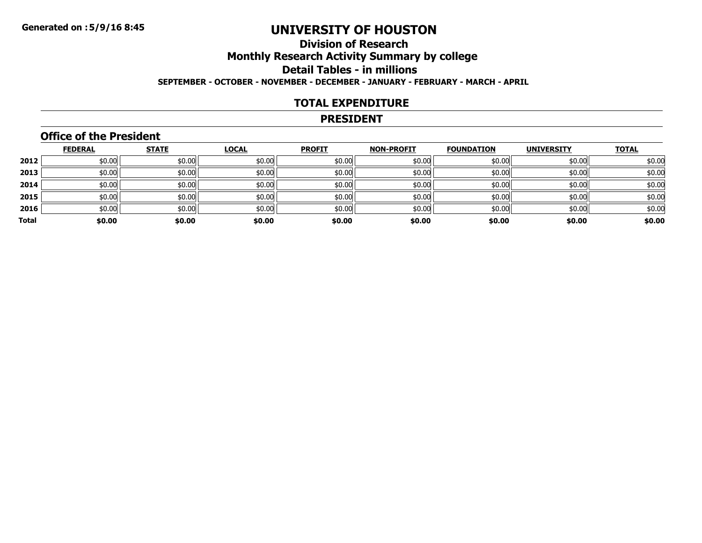### **Division of ResearchMonthly Research Activity Summary by college Detail Tables - in millions SEPTEMBER - OCTOBER - NOVEMBER - DECEMBER - JANUARY - FEBRUARY - MARCH - APRIL**

#### **TOTAL EXPENDITURE**

#### **PRESIDENT**

### **Office of the President**

|       | <b>FEDERAL</b> | <b>STATE</b> | <b>LOCAL</b> | <b>PROFIT</b> | <b>NON-PROFIT</b> | <b>FOUNDATION</b> | <b>UNIVERSITY</b> | <b>TOTAL</b> |
|-------|----------------|--------------|--------------|---------------|-------------------|-------------------|-------------------|--------------|
| 2012  | \$0.00         | \$0.00       | \$0.00       | \$0.00        | \$0.00            | \$0.00            | \$0.00            | \$0.00       |
| 2013  | \$0.00         | \$0.00       | \$0.00       | \$0.00        | \$0.00            | \$0.00            | \$0.00            | \$0.00       |
| 2014  | \$0.00         | \$0.00       | \$0.00       | \$0.00        | \$0.00            | \$0.00            | \$0.00            | \$0.00       |
| 2015  | \$0.00         | \$0.00       | \$0.00       | \$0.00        | \$0.00            | \$0.00            | \$0.00            | \$0.00       |
| 2016  | \$0.00         | \$0.00       | \$0.00       | \$0.00        | \$0.00            | \$0.00            | \$0.00            | \$0.00       |
| Total | \$0.00         | \$0.00       | \$0.00       | \$0.00        | \$0.00            | \$0.00            | \$0.00            | \$0.00       |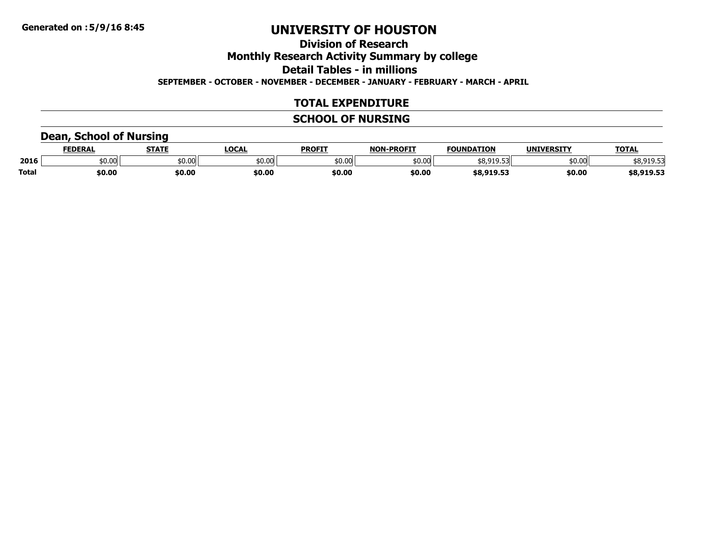# **Division of ResearchMonthly Research Activity Summary by college Detail Tables - in millions**

**SEPTEMBER - OCTOBER - NOVEMBER - DECEMBER - JANUARY - FEBRUARY - MARCH - APRIL**

### **TOTAL EXPENDITURE**

### **SCHOOL OF NURSING**

### **Dean, School of Nursing**

|              | <b>FEDERAL</b> | <b>STATE</b> | <b>LOCAL</b> | <b>PROFIT</b> | <b>J-PROFIT</b><br><b>NON</b> | <b>FOUNDATION</b>           | <b>UNIVERSITY</b> | <b>TOTAL</b> |
|--------------|----------------|--------------|--------------|---------------|-------------------------------|-----------------------------|-------------------|--------------|
| 2016         | 50.00          | \$0.00       | \$0.00       | \$0.00        | \$0.00                        | .                           | \$0.00            | ----         |
| <b>Total</b> | \$0.00         | \$0.00       | \$0.00       | \$0.00        | \$0.00                        | <b>CO 010 FT</b><br>------- | \$0.00            | \$8,919.53   |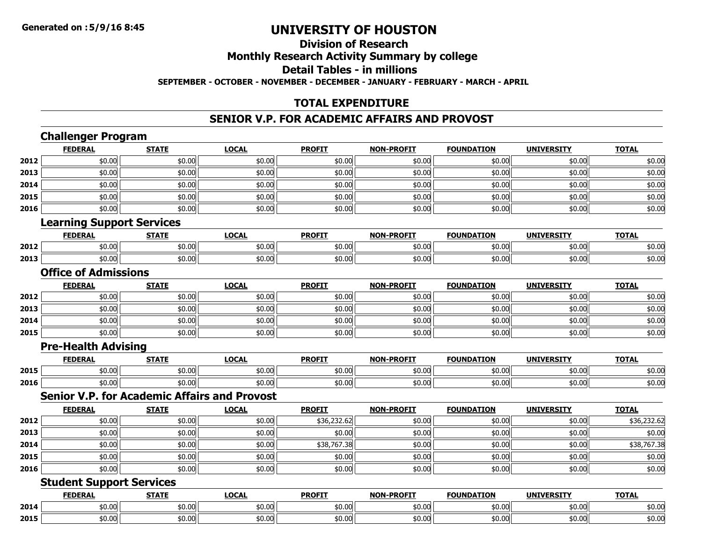**2015**

# **UNIVERSITY OF HOUSTON**

#### **Division of ResearchMonthly Research Activity Summary by college Detail Tables - in millionsSEPTEMBER - OCTOBER - NOVEMBER - DECEMBER - JANUARY - FEBRUARY - MARCH - APRIL**

### **TOTAL EXPENDITURE**

#### **SENIOR V.P. FOR ACADEMIC AFFAIRS AND PROVOST**

#### **Challenger Program FEDERAL STATE LOCAL PROFIT NON-PROFIT FOUNDATION UNIVERSITY TOTAL 2012** $\textbf{2} \hspace{.5cm} |\hspace{.8cm}|\hspace{.8cm}|\hspace{.8cm}|\hspace{.8cm}|\hspace{.8cm}|\hspace{.8cm}|\hspace{.8cm}|\hspace{.8cm}|\hspace{.8cm}|\hspace{.8cm}|\hspace{.8cm}|\hspace{.8cm}|\hspace{.8cm}|\hspace{.8cm}|\hspace{.8cm}|\hspace{.8cm}|\hspace{.8cm}|\hspace{.8cm}|\hspace{.8cm}|\hspace{.8cm}|\hspace{.8cm}|\hspace{.8cm}|\hspace{.8cm}|\hspace{.8cm}|\hspace{.8cm}|\hspace{.8$ **2013**3 | \$0.00 \$0.00 \$0.00 \$0.00 \$0.00 \$0.00 \$0.00 \$0.00 \$0.00 \$0.00 \$0.00 \$0.00 \$0.00 \$0.00 \$0.00 \$0.00 \$0.00 **2014**4 \$0.00 \$0.00 \$0.00 \$0.00 \$0.00 \$0.00 \$0.00 \$0.00 \$0.00 \$0.00 \$0.00 \$0.00 \$0.00 \$0.00 \$0.00 \$0.00 \$0.00 **20155** | \$0.00 \$0.00 \$0.00 \$0.00 \$0.00 \$0.00 \$0.00 \$0.00 \$0.00 \$0.00 \$0.00 \$0.00 \$0.00 \$0.00 \$0.00 \$0.00 \$0.00 **20166** | \$0.00 | \$0.00 | \$0.00 | \$0.00 | \$0.00 | \$0.00 | \$0.00 | \$0.00 | \$0.00 | \$0.00 | **Learning Support Services FEDERAL STATE LOCAL PROFIT NON-PROFIT FOUNDATION UNIVERSITY TOTAL 2012**2 | \$0.00| \$0.00| \$0.00| \$0.00| \$0.00| \$0.00| \$0.00| \$0.00| \$0.00| \$0.00| \$0.00| \$0.00| \$0.00| \$0.00 **2013**3 | \$0.00| \$0.00| \$0.00| \$0.00| \$0.00| \$0.00| \$0.00| \$0.00| \$0.00| \$0.00| \$0.00| \$0.00| \$0.00| \$0.00 **Office of AdmissionsFEDERAL STATE LOCAL PROFIT NON-PROFIT FOUNDATION UNIVERSITY TOTAL 2012**2 | \$0.00| \$0.00| \$0.00| \$0.00| \$0.00| \$0.00| \$0.00| \$0.00| \$0 **2013**3 | \$0.00 \$0.00 \$0.00 \$0.00 \$0.00 \$0.00 \$0.00 \$0.00 \$0.00 \$0.00 \$0.00 \$0.00 \$0.00 \$0.00 \$0.00 \$0.00 \$0.00 \$0.0 **2014**4 \$0.00 \$0.00 \$0.00 \$0.00 \$0.00 \$0.00 \$0.00 \$0.00 \$0.00 \$0.00 \$0.00 \$0.00 \$0.00 \$0.00 \$0.00 \$0.00 \$0.00 **20155** | \$0.00 \$0.00 \$0.00 \$0.00 \$0.00 \$0.00 \$0.00 \$0.00 \$0.00 \$0.00 \$0.00 \$0.00 \$0.00 \$0.00 \$0.00 \$0.00 \$0.00 **Pre-Health Advising FEDERAL STATE LOCAL PROFIT NON-PROFIT FOUNDATION UNIVERSITY TOTAL 20155** | \$0.00 \$0.00 \$0.00 \$0.00 \$0.00 \$0.00 \$0.00 \$0.00 \$0.00 \$0.00 \$0.00 \$0.00 \$0.00 \$0.00 \$0.00 \$0.00 \$0.00 **20166** | \$0.00 | \$0.00 | \$0.00 | \$0.00 | \$0.00 | \$0.00 | \$0.00 | \$0.00 | \$0.00 | \$0.00 | **Senior V.P. for Academic Affairs and ProvostFEDERAL STATE LOCAL PROFIT NON-PROFIT FOUNDATION UNIVERSITY TOTAL 2012**2 | \$0.00| \$0.00| \$0.00| \$36,232.62| \$0.00| \$0.00| \$0.00| \$36,232.62 **2013**3 | \$0.00| \$0.00| \$0.00| \$0.00| \$0.00| \$0.00| \$0.00| \$0.00| \$0.00| \$0.00| \$0.00| \$0.00| \$0.00| \$0.00 **2014**4 \$0.00 \$0.00 \$0.00 \$0.00 \$0.00 \$0.00 \$38,767.38 \$0.00 \$0.00 \$0.00 \$0.00 \$0.00 \$0.00 \$18,767.38 **20155** | \$0.00 \$0.00 \$0.00 \$0.00 \$0.00 \$0.00 \$0.00 \$0.00 \$0.00 \$0.00 \$0.00 \$0.00 \$0.00 \$0.00 \$0.00 \$0.00 \$0.00 **20166** | \$0.00 | \$0.00 | \$0.00 | \$0.00 | \$0.00 | \$0.00 | \$0.00 | \$0.00 | \$0.00 | \$0.00 | **Student Support Services FEDERAL STATE LOCAL PROFIT NON-PROFIT FOUNDATION UNIVERSITY TOTAL 2014**4 \$0.00 \$0.00 \$0.00 \$0.00 \$0.00 \$0.00 \$0.00 \$0.00 \$0.00 \$0.00 \$0.00 \$0.00 \$0.00 \$0.00 \$0.00 \$0.00 \$0.00

**5** | \$0.00 \$0.00 \$0.00 \$0.00 \$0.00 \$0.00 \$0.00 \$0.00 \$0.00 \$0.00 \$0.00 \$0.00 \$0.00 \$0.00 \$0.00 \$0.00 \$0.00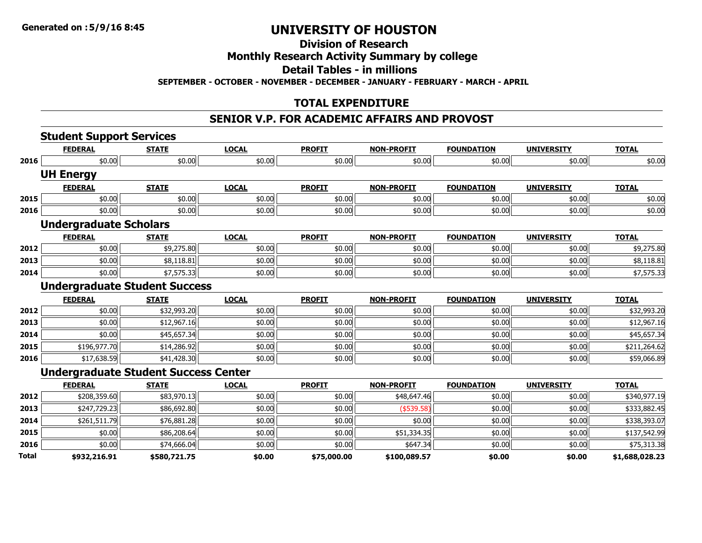### **Division of Research**

### **Monthly Research Activity Summary by college**

**Detail Tables - in millions**

**SEPTEMBER - OCTOBER - NOVEMBER - DECEMBER - JANUARY - FEBRUARY - MARCH - APRIL**

### **TOTAL EXPENDITURE**

#### **SENIOR V.P. FOR ACADEMIC AFFAIRS AND PROVOST**

|                | <b>Student Support Services</b> |                               |                                                                                     |                   |                   |                   |                |
|----------------|---------------------------------|-------------------------------|-------------------------------------------------------------------------------------|-------------------|-------------------|-------------------|----------------|
| <b>FEDERAL</b> | <b>STATE</b>                    | <b>LOCAL</b>                  | <b>PROFIT</b>                                                                       | <b>NON-PROFIT</b> | <b>FOUNDATION</b> | <b>UNIVERSITY</b> | <b>TOTAL</b>   |
| \$0.00         | \$0.00                          | \$0.00                        | \$0.00                                                                              | \$0.00            | \$0.00            | \$0.00            | \$0.00         |
|                |                                 |                               |                                                                                     |                   |                   |                   |                |
| <b>FEDERAL</b> | <b>STATE</b>                    | <b>LOCAL</b>                  | <b>PROFIT</b>                                                                       | <b>NON-PROFIT</b> | <b>FOUNDATION</b> | <b>UNIVERSITY</b> | <b>TOTAL</b>   |
| \$0.00         | \$0.00                          | \$0.00                        | \$0.00                                                                              | \$0.00            | \$0.00            | \$0.00            | \$0.00         |
| \$0.00         | \$0.00                          | \$0.00                        | \$0.00                                                                              | \$0.00            | \$0.00            | \$0.00            | \$0.00         |
|                |                                 |                               |                                                                                     |                   |                   |                   |                |
| <b>FEDERAL</b> | <b>STATE</b>                    | <b>LOCAL</b>                  | <b>PROFIT</b>                                                                       | <b>NON-PROFIT</b> | <b>FOUNDATION</b> | <b>UNIVERSITY</b> | <b>TOTAL</b>   |
| \$0.00         | \$9,275.80                      | \$0.00                        | \$0.00                                                                              | \$0.00            | \$0.00            | \$0.00            | \$9,275.80     |
| \$0.00         | \$8,118.81                      | \$0.00                        | \$0.00                                                                              | \$0.00            | \$0.00            | \$0.00            | \$8,118.81     |
| \$0.00         | \$7,575.33                      | \$0.00                        | \$0.00                                                                              | \$0.00            | \$0.00            | \$0.00            | \$7,575.33     |
|                |                                 |                               |                                                                                     |                   |                   |                   |                |
| <b>FEDERAL</b> | <b>STATE</b>                    | <b>LOCAL</b>                  | <b>PROFIT</b>                                                                       | <b>NON-PROFIT</b> | <b>FOUNDATION</b> | <b>UNIVERSITY</b> | <b>TOTAL</b>   |
| \$0.00         | \$32,993.20                     | \$0.00                        | \$0.00                                                                              | \$0.00            | \$0.00            | \$0.00            | \$32,993.20    |
| \$0.00         | \$12,967.16                     | \$0.00                        | \$0.00                                                                              | \$0.00            | \$0.00            | \$0.00            | \$12,967.16    |
| \$0.00         | \$45,657.34                     | \$0.00                        | \$0.00                                                                              | \$0.00            | \$0.00            | \$0.00            | \$45,657.34    |
| \$196,977.70   | \$14,286.92                     | \$0.00                        | \$0.00                                                                              | \$0.00            | \$0.00            | \$0.00            | \$211,264.62   |
| \$17,638.59    | \$41,428.30                     | \$0.00                        | \$0.00                                                                              | \$0.00            | \$0.00            | \$0.00            | \$59,066.89    |
|                |                                 |                               |                                                                                     |                   |                   |                   |                |
| <b>FEDERAL</b> | <b>STATE</b>                    | <b>LOCAL</b>                  | <b>PROFIT</b>                                                                       | <b>NON-PROFIT</b> | <b>FOUNDATION</b> | <b>UNIVERSITY</b> | <b>TOTAL</b>   |
| \$208,359.60   | \$83,970.13                     | \$0.00                        | \$0.00                                                                              | \$48,647.46       | \$0.00            | \$0.00            | \$340,977.19   |
| \$247,729.23   | \$86,692.80                     | \$0.00                        | \$0.00                                                                              | ( \$539.58)       | \$0.00            | \$0.00            | \$333,882.45   |
| \$261,511.79   | \$76,881.28                     | \$0.00                        | \$0.00                                                                              | \$0.00            | \$0.00            | \$0.00            | \$338,393.07   |
| \$0.00         | \$86,208.64                     | \$0.00                        | \$0.00                                                                              | \$51,334.35       | \$0.00            | \$0.00            | \$137,542.99   |
| \$0.00         | \$74,666.04                     | \$0.00                        | \$0.00                                                                              | \$647.34          | \$0.00            | \$0.00            | \$75,313.38    |
| \$932,216.91   | \$580,721.75                    | \$0.00                        | \$75,000.00                                                                         | \$100,089.57      | \$0.00            | \$0.00            | \$1,688,028.23 |
|                | <b>UH Energy</b>                | <b>Undergraduate Scholars</b> | <b>Undergraduate Student Success</b><br><b>Undergraduate Student Success Center</b> |                   |                   |                   |                |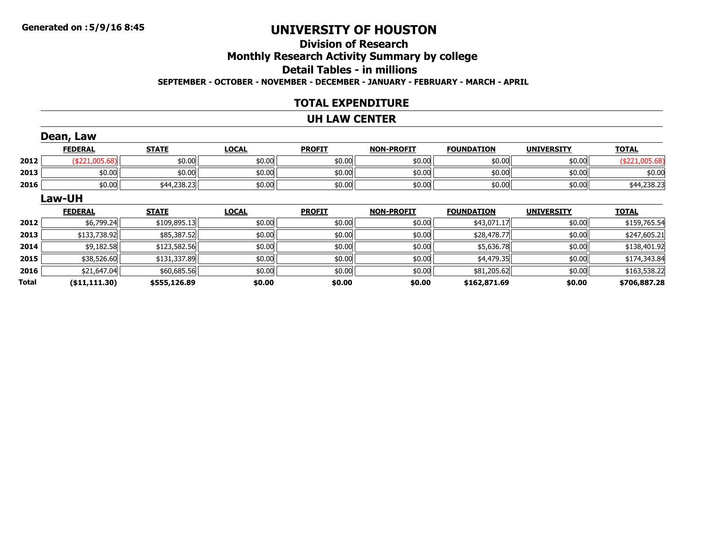### **Division of ResearchMonthly Research Activity Summary by college Detail Tables - in millionsSEPTEMBER - OCTOBER - NOVEMBER - DECEMBER - JANUARY - FEBRUARY - MARCH - APRIL**

#### **TOTAL EXPENDITURE**

#### **UH LAW CENTER**

|       | Dean, Law       |              |              |               |                   |                   |                   |                |
|-------|-----------------|--------------|--------------|---------------|-------------------|-------------------|-------------------|----------------|
|       | <b>FEDERAL</b>  | <b>STATE</b> | <b>LOCAL</b> | <b>PROFIT</b> | <b>NON-PROFIT</b> | <b>FOUNDATION</b> | <b>UNIVERSITY</b> | <b>TOTAL</b>   |
| 2012  | (\$221,005.68)  | \$0.00       | \$0.00       | \$0.00        | \$0.00            | \$0.00            | \$0.00            | (\$221,005.68) |
| 2013  | \$0.00          | \$0.00       | \$0.00       | \$0.00        | \$0.00            | \$0.00            | \$0.00            | \$0.00         |
| 2016  | \$0.00          | \$44,238.23  | \$0.00       | \$0.00        | \$0.00            | \$0.00            | \$0.00            | \$44,238.23    |
|       | <b>Law-UH</b>   |              |              |               |                   |                   |                   |                |
|       | <b>FEDERAL</b>  | <b>STATE</b> | <b>LOCAL</b> | <b>PROFIT</b> | <b>NON-PROFIT</b> | <b>FOUNDATION</b> | <b>UNIVERSITY</b> | <b>TOTAL</b>   |
| 2012  | \$6,799.24      | \$109,895.13 | \$0.00       | \$0.00        | \$0.00            | \$43,071.17       | \$0.00            | \$159,765.54   |
| 2013  | \$133,738.92    | \$85,387.52  | \$0.00       | \$0.00        | \$0.00            | \$28,478.77       | \$0.00            | \$247,605.21   |
| 2014  | \$9,182.58      | \$123,582.56 | \$0.00       | \$0.00        | \$0.00            | \$5,636.78        | \$0.00            | \$138,401.92   |
| 2015  | \$38,526.60     | \$131,337.89 | \$0.00       | \$0.00        | \$0.00            | \$4,479.35        | \$0.00            | \$174,343.84   |
| 2016  | \$21,647.04     | \$60,685.56  | \$0.00       | \$0.00        | \$0.00            | \$81,205.62       | \$0.00            | \$163,538.22   |
| Total | ( \$11, 111.30) | \$555,126.89 | \$0.00       | \$0.00        | \$0.00            | \$162,871.69      | \$0.00            | \$706,887.28   |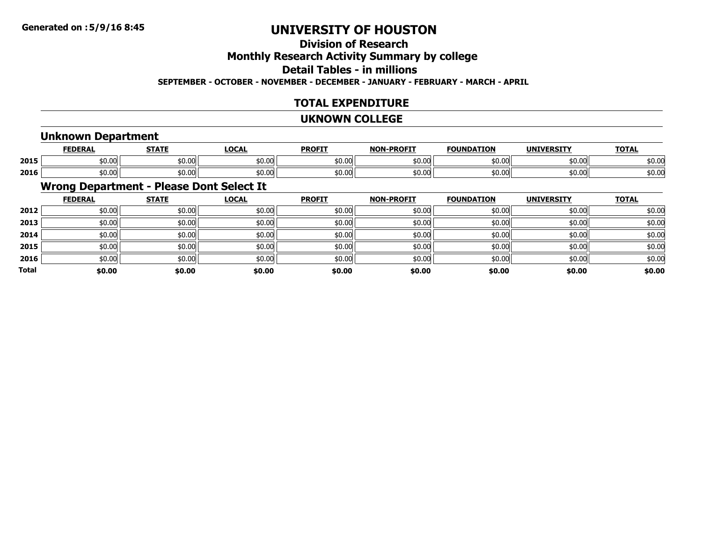# **Division of Research**

# **Monthly Research Activity Summary by college**

# **Detail Tables - in millions**

**SEPTEMBER - OCTOBER - NOVEMBER - DECEMBER - JANUARY - FEBRUARY - MARCH - APRIL**

### **TOTAL EXPENDITURE**

#### **UKNOWN COLLEGE**

### **Unknown Department**

|      | EEDEDAI<br>'LNA | <b>CTATE</b><br>,,,,, | $\Omega$           | <b>PROFIT</b> | $-$ DD $\wedge$ ETT<br><b>NIONI</b> | <b>FOUNDATION</b>   | <b>ILLUTVEDCTTV</b> | <b>TOTAL</b>       |
|------|-----------------|-----------------------|--------------------|---------------|-------------------------------------|---------------------|---------------------|--------------------|
| 2015 | n nnl<br>JU.UU  | \$0.00                | $\sim$ 00<br>JU.UU | \$0.00        | \$0.00                              | $\sim$ 00.<br>טט.טע | ሐስ ስስ<br>DU.UU      | \$0.00             |
| 2016 | ററ<br>DU.UU     | \$0.00                | JU.UU              | \$0.00        | \$0.00                              | JU.UU               | ትስ ስስ<br>SU.UU      | $\sim$ 00<br>50.OO |

### **Wrong Department - Please Dont Select It**

|              | <b>FEDERAL</b> | <b>STATE</b> | <b>LOCAL</b> | <b>PROFIT</b> | <b>NON-PROFIT</b> | <b>FOUNDATION</b> | <b>UNIVERSITY</b> | <b>TOTAL</b> |
|--------------|----------------|--------------|--------------|---------------|-------------------|-------------------|-------------------|--------------|
| 2012         | \$0.00         | \$0.00       | \$0.00       | \$0.00        | \$0.00            | \$0.00            | \$0.00            | \$0.00       |
| 2013         | \$0.00         | \$0.00       | \$0.00       | \$0.00        | \$0.00            | \$0.00            | \$0.00            | \$0.00       |
| 2014         | \$0.00         | \$0.00       | \$0.00       | \$0.00        | \$0.00            | \$0.00            | \$0.00            | \$0.00       |
| 2015         | \$0.00         | \$0.00       | \$0.00       | \$0.00        | \$0.00            | \$0.00            | \$0.00            | \$0.00       |
| 2016         | \$0.00         | \$0.00       | \$0.00       | \$0.00        | \$0.00            | \$0.00            | \$0.00            | \$0.00       |
| <b>Total</b> | \$0.00         | \$0.00       | \$0.00       | \$0.00        | \$0.00            | \$0.00            | \$0.00            | \$0.00       |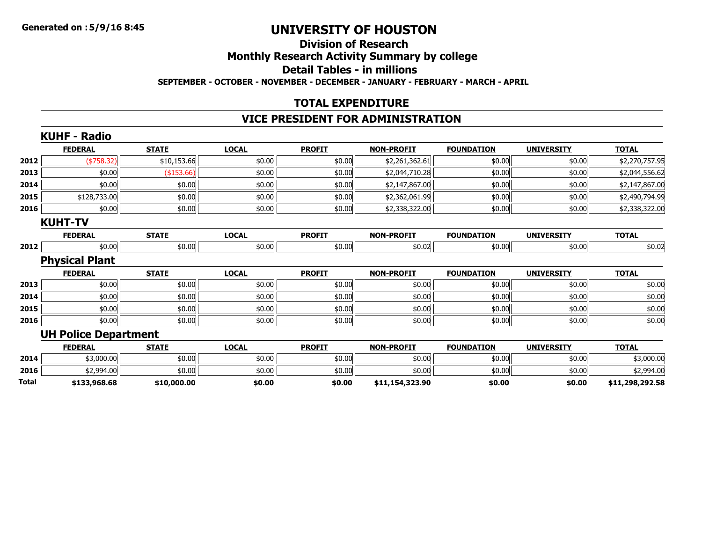### **Division of ResearchMonthly Research Activity Summary by college Detail Tables - in millions SEPTEMBER - OCTOBER - NOVEMBER - DECEMBER - JANUARY - FEBRUARY - MARCH - APRIL**

### **TOTAL EXPENDITURE**

#### **VICE PRESIDENT FOR ADMINISTRATION**

|       | <b>KUHF - Radio</b>         |              |              |               |                   |                   |                   |                 |
|-------|-----------------------------|--------------|--------------|---------------|-------------------|-------------------|-------------------|-----------------|
|       | <b>FEDERAL</b>              | <b>STATE</b> | <b>LOCAL</b> | <b>PROFIT</b> | <b>NON-PROFIT</b> | <b>FOUNDATION</b> | <b>UNIVERSITY</b> | <b>TOTAL</b>    |
| 2012  | ( \$758.32)                 | \$10,153.66  | \$0.00       | \$0.00        | \$2,261,362.61    | \$0.00            | \$0.00            | \$2,270,757.95  |
| 2013  | \$0.00                      | (\$153.66)   | \$0.00       | \$0.00        | \$2,044,710.28    | \$0.00            | \$0.00            | \$2,044,556.62  |
| 2014  | \$0.00                      | \$0.00       | \$0.00       | \$0.00        | \$2,147,867.00    | \$0.00            | \$0.00            | \$2,147,867.00  |
| 2015  | \$128,733.00                | \$0.00       | \$0.00       | \$0.00        | \$2,362,061.99    | \$0.00            | \$0.00            | \$2,490,794.99  |
| 2016  | \$0.00                      | \$0.00       | \$0.00       | \$0.00        | \$2,338,322.00    | \$0.00            | \$0.00            | \$2,338,322.00  |
|       | <b>KUHT-TV</b>              |              |              |               |                   |                   |                   |                 |
|       | <b>FEDERAL</b>              | <b>STATE</b> | <b>LOCAL</b> | <b>PROFIT</b> | <b>NON-PROFIT</b> | <b>FOUNDATION</b> | <b>UNIVERSITY</b> | <b>TOTAL</b>    |
| 2012  | \$0.00                      | \$0.00       | \$0.00       | \$0.00        | \$0.02            | \$0.00            | \$0.00            | \$0.02          |
|       | <b>Physical Plant</b>       |              |              |               |                   |                   |                   |                 |
|       | <b>FEDERAL</b>              | <b>STATE</b> | <b>LOCAL</b> | <b>PROFIT</b> | <b>NON-PROFIT</b> | <b>FOUNDATION</b> | <b>UNIVERSITY</b> | <b>TOTAL</b>    |
| 2013  | \$0.00                      | \$0.00       | \$0.00       | \$0.00        | \$0.00            | \$0.00            | \$0.00            | \$0.00          |
| 2014  | \$0.00                      | \$0.00       | \$0.00       | \$0.00        | \$0.00            | \$0.00            | \$0.00            | \$0.00          |
| 2015  | \$0.00                      | \$0.00       | \$0.00       | \$0.00        | \$0.00            | \$0.00            | \$0.00            | \$0.00          |
| 2016  | \$0.00                      | \$0.00       | \$0.00       | \$0.00        | \$0.00            | \$0.00            | \$0.00            | \$0.00          |
|       | <b>UH Police Department</b> |              |              |               |                   |                   |                   |                 |
|       | <b>FEDERAL</b>              | <b>STATE</b> | <b>LOCAL</b> | <b>PROFIT</b> | <b>NON-PROFIT</b> | <b>FOUNDATION</b> | <b>UNIVERSITY</b> | <b>TOTAL</b>    |
| 2014  | \$3,000.00                  | \$0.00       | \$0.00       | \$0.00        | \$0.00            | \$0.00            | \$0.00            | \$3,000.00      |
| 2016  | \$2,994.00                  | \$0.00       | \$0.00       | \$0.00        | \$0.00            | \$0.00            | \$0.00            | \$2,994.00      |
| Total | \$133,968.68                | \$10,000.00  | \$0.00       | \$0.00        | \$11,154,323.90   | \$0.00            | \$0.00            | \$11,298,292.58 |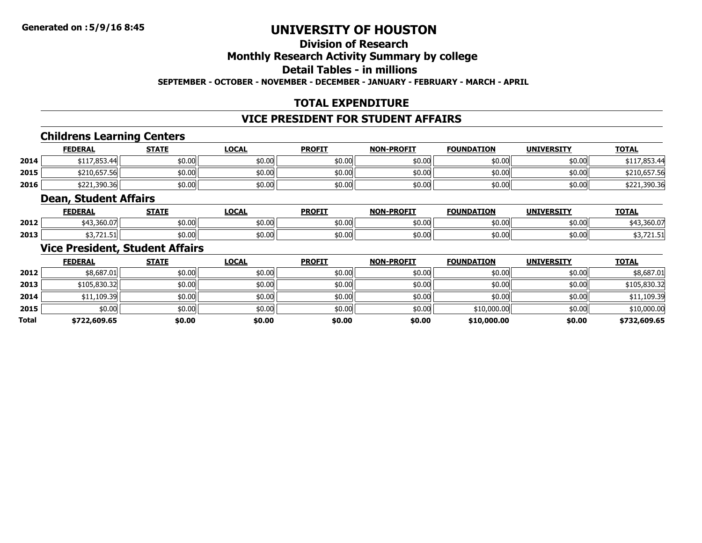# **Division of Research**

### **Monthly Research Activity Summary by college**

### **Detail Tables - in millions**

**SEPTEMBER - OCTOBER - NOVEMBER - DECEMBER - JANUARY - FEBRUARY - MARCH - APRIL**

### **TOTAL EXPENDITURE**

#### **VICE PRESIDENT FOR STUDENT AFFAIRS**

### **Childrens Learning Centers**

|      | <b>FEDERAL</b> | <b>STATE</b> | <u>LOCAL</u> | <b>PROFIT</b> | <b>NON-PROFIT</b> | <b>FOUNDATION</b> | <b>UNIVERSITY</b> | <b>TOTAL</b> |
|------|----------------|--------------|--------------|---------------|-------------------|-------------------|-------------------|--------------|
| 2014 | \$117,853.44   | \$0.00       | \$0.00       | \$0.00        | \$0.00            | \$0.00            | \$0.00            | 3117,853.44  |
| 2015 | \$210,657.56   | \$0.00       | \$0.00       | \$0.00        | \$0.00            | \$0.00            | \$0.00            | \$210,657.56 |
| 2016 | \$221,390.36   | \$0.00       | \$0.00       | \$0.00        | \$0.00            | \$0.00            | ا00.00            | \$221,390.36 |

#### **Dean, Student Affairs**

|      | <b>FEDERAL</b>         | <b>STATE</b>    | LOCAL  | <b>PROFIT</b> | <b>NON-PROFIT</b> | <b>FOUNDATION</b> | <b>UNIVERSITY</b> | <b>TOTAL</b>            |
|------|------------------------|-----------------|--------|---------------|-------------------|-------------------|-------------------|-------------------------|
| 2012 | $\sim$<br>ا ا/U.Uان, ب | ሐስ ሰስ<br>וטי.טע | \$0.00 | \$0.00        | \$0.00            | \$0.00            | \$0.00            | $+42.200$<br>643,30U.U/ |
| 2013 | JJ, / 41, J1           | ሐስ ሰስ<br>וטי.טע | \$0.00 | \$0.00        | \$0.00            | \$0.00            | \$0.00            | JJ, / 41.J1             |

#### **Vice President, Student Affairs**

|       | <b>FEDERAL</b> | <b>STATE</b> | <b>LOCAL</b> | <b>PROFIT</b> | <b>NON-PROFIT</b> | <b>FOUNDATION</b> | <b>UNIVERSITY</b> | <b>TOTAL</b> |
|-------|----------------|--------------|--------------|---------------|-------------------|-------------------|-------------------|--------------|
| 2012  | \$8,687.01     | \$0.00       | \$0.00       | \$0.00        | \$0.00            | \$0.00            | \$0.00            | \$8,687.01   |
| 2013  | \$105,830.32   | \$0.00       | \$0.00       | \$0.00        | \$0.00            | \$0.00            | \$0.00            | \$105,830.32 |
| 2014  | \$11,109.39    | \$0.00       | \$0.00       | \$0.00        | \$0.00            | \$0.00            | \$0.00            | \$11,109.39  |
| 2015  | \$0.00         | \$0.00       | \$0.00       | \$0.00        | \$0.00            | \$10,000.00       | \$0.00            | \$10,000.00  |
| Total | \$722,609.65   | \$0.00       | \$0.00       | \$0.00        | \$0.00            | \$10,000.00       | \$0.00            | \$732,609.65 |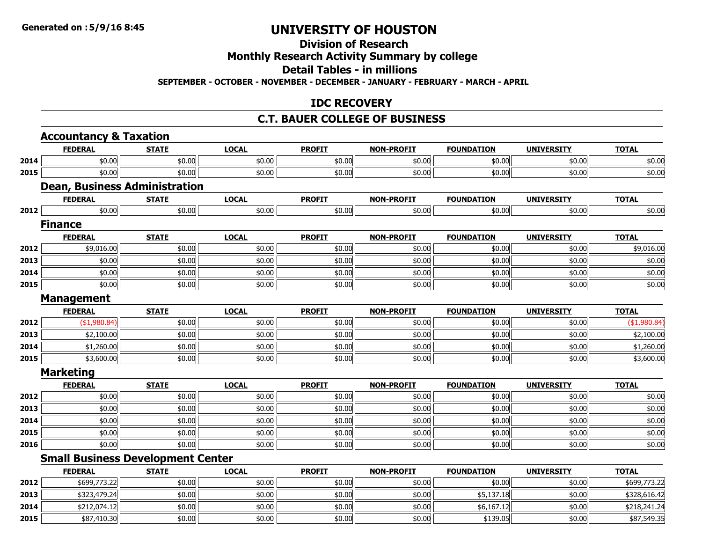# **Division of Research**

## **Monthly Research Activity Summary by college**

### **Detail Tables - in millions**

**SEPTEMBER - OCTOBER - NOVEMBER - DECEMBER - JANUARY - FEBRUARY - MARCH - APRIL**

### **IDC RECOVERY**

#### **C.T. BAUER COLLEGE OF BUSINESS**

|      | <b>Accountancy &amp; Taxation</b>        |              |              |               |                   |                   |                   |              |
|------|------------------------------------------|--------------|--------------|---------------|-------------------|-------------------|-------------------|--------------|
|      | <b>FEDERAL</b>                           | <b>STATE</b> | <b>LOCAL</b> | <b>PROFIT</b> | <b>NON-PROFIT</b> | <b>FOUNDATION</b> | <b>UNIVERSITY</b> | <b>TOTAL</b> |
| 2014 | \$0.00                                   | \$0.00       | \$0.00       | \$0.00        | \$0.00            | \$0.00            | \$0.00            | \$0.00       |
| 2015 | \$0.00                                   | \$0.00       | \$0.00       | \$0.00        | \$0.00            | \$0.00            | \$0.00            | \$0.00       |
|      | <b>Dean, Business Administration</b>     |              |              |               |                   |                   |                   |              |
|      | <b>FEDERAL</b>                           | <b>STATE</b> | <b>LOCAL</b> | <b>PROFIT</b> | <b>NON-PROFIT</b> | <b>FOUNDATION</b> | <b>UNIVERSITY</b> | <b>TOTAL</b> |
| 2012 | \$0.00                                   | \$0.00       | \$0.00       | \$0.00        | \$0.00            | \$0.00            | \$0.00            | \$0.00       |
|      | <b>Finance</b>                           |              |              |               |                   |                   |                   |              |
|      | <b>FEDERAL</b>                           | <b>STATE</b> | <b>LOCAL</b> | <b>PROFIT</b> | <b>NON-PROFIT</b> | <b>FOUNDATION</b> | <b>UNIVERSITY</b> | <b>TOTAL</b> |
| 2012 | \$9,016.00                               | \$0.00       | \$0.00       | \$0.00        | \$0.00            | \$0.00            | \$0.00            | \$9,016.00   |
| 2013 | \$0.00                                   | \$0.00       | \$0.00       | \$0.00        | \$0.00            | \$0.00            | \$0.00            | \$0.00       |
| 2014 | \$0.00                                   | \$0.00       | \$0.00       | \$0.00        | \$0.00            | \$0.00            | \$0.00            | \$0.00       |
| 2015 | \$0.00                                   | \$0.00       | \$0.00       | \$0.00        | \$0.00            | \$0.00            | \$0.00            | \$0.00       |
|      | <b>Management</b>                        |              |              |               |                   |                   |                   |              |
|      | <b>FEDERAL</b>                           | <b>STATE</b> | <b>LOCAL</b> | <b>PROFIT</b> | <b>NON-PROFIT</b> | <b>FOUNDATION</b> | <b>UNIVERSITY</b> | <b>TOTAL</b> |
| 2012 | ( \$1,980.84)                            | \$0.00       | \$0.00       | \$0.00        | \$0.00            | \$0.00            | \$0.00            | (\$1,980.84) |
| 2013 | \$2,100.00                               | \$0.00       | \$0.00       | \$0.00        | \$0.00            | \$0.00            | \$0.00            | \$2,100.00   |
| 2014 | \$1,260.00                               | \$0.00       | \$0.00       | \$0.00        | \$0.00            | \$0.00            | \$0.00            | \$1,260.00   |
| 2015 | \$3,600.00                               | \$0.00       | \$0.00       | \$0.00        | \$0.00            | \$0.00            | \$0.00            | \$3,600.00   |
|      | <b>Marketing</b>                         |              |              |               |                   |                   |                   |              |
|      | <b>FEDERAL</b>                           | <b>STATE</b> | <b>LOCAL</b> | <b>PROFIT</b> | <b>NON-PROFIT</b> | <b>FOUNDATION</b> | <b>UNIVERSITY</b> | <b>TOTAL</b> |
| 2012 | \$0.00                                   | \$0.00       | \$0.00       | \$0.00        | \$0.00            | \$0.00            | \$0.00            | \$0.00       |
| 2013 | \$0.00                                   | \$0.00       | \$0.00       | \$0.00        | \$0.00            | \$0.00            | \$0.00            | \$0.00       |
| 2014 | \$0.00                                   | \$0.00       | \$0.00       | \$0.00        | \$0.00            | \$0.00            | \$0.00            | \$0.00       |
| 2015 | \$0.00                                   | \$0.00       | \$0.00       | \$0.00        | \$0.00            | \$0.00            | \$0.00            | \$0.00       |
| 2016 | \$0.00                                   | \$0.00       | \$0.00       | \$0.00        | \$0.00            | \$0.00            | \$0.00            | \$0.00       |
|      | <b>Small Business Development Center</b> |              |              |               |                   |                   |                   |              |
|      | <b>FEDERAL</b>                           | <b>STATE</b> | <b>LOCAL</b> | <b>PROFIT</b> | <b>NON-PROFIT</b> | <b>FOUNDATION</b> | <b>UNIVERSITY</b> | <b>TOTAL</b> |
| 2012 | \$699,773.22                             | \$0.00       | \$0.00       | \$0.00        | \$0.00            | \$0.00            | \$0.00            | \$699,773.22 |
| 2013 | \$323,479.24                             | \$0.00       | \$0.00       | \$0.00        | \$0.00            | \$5,137.18        | \$0.00            | \$328,616.42 |
| 2014 | \$212,074.12                             | \$0.00       | \$0.00       | \$0.00        | \$0.00            | \$6,167.12        | \$0.00            | \$218,241.24 |
| 2015 | \$87,410.30                              | \$0.00       | \$0.00       | \$0.00        | \$0.00            | \$139.05          | \$0.00            | \$87,549.35  |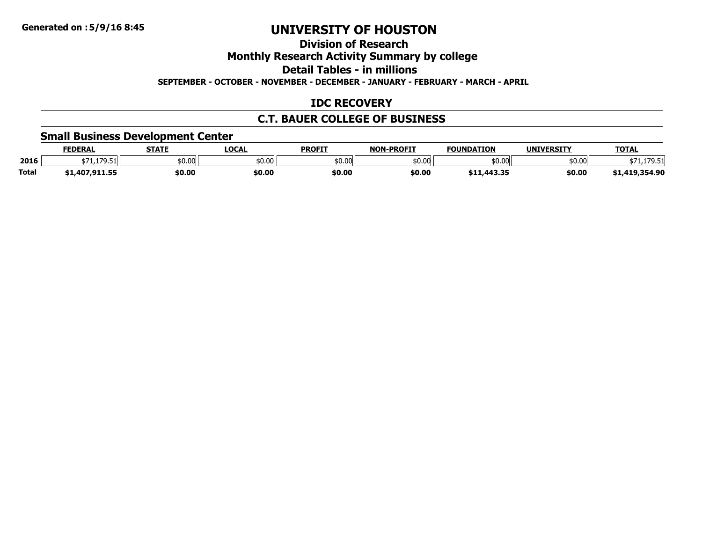### **Division of Research**

**Monthly Research Activity Summary by college**

**Detail Tables - in millions**

**SEPTEMBER - OCTOBER - NOVEMBER - DECEMBER - JANUARY - FEBRUARY - MARCH - APRIL**

### **IDC RECOVERY**

### **C.T. BAUER COLLEGE OF BUSINESS**

### **Small Business Development Center**

|              | <b>FEDERAL</b> | <b>STATE</b> | LOCAI  | <b>PROFIT</b> | <b>A-PROFIT</b><br><b>NON</b> | <b>FOUNDATION</b>                            | <b>UNIVERSITY</b> | <b>TOTAL</b>            |
|--------------|----------------|--------------|--------|---------------|-------------------------------|----------------------------------------------|-------------------|-------------------------|
| 2016         | .179.51        | \$0.00       | \$0.00 | \$0.00        | 0.005                         | $\sim$ 00<br><b>bU.UU</b>                    | 0.00              | 170F1<br><b>1.1/J.J</b> |
| <b>Total</b> | .407.911.55    | \$0.00       | \$0.00 | \$0.00        | \$0.00                        | <b>411 443 35</b><br>311, <del>44</del> 3.3, | \$0.00            | J.419,354.90            |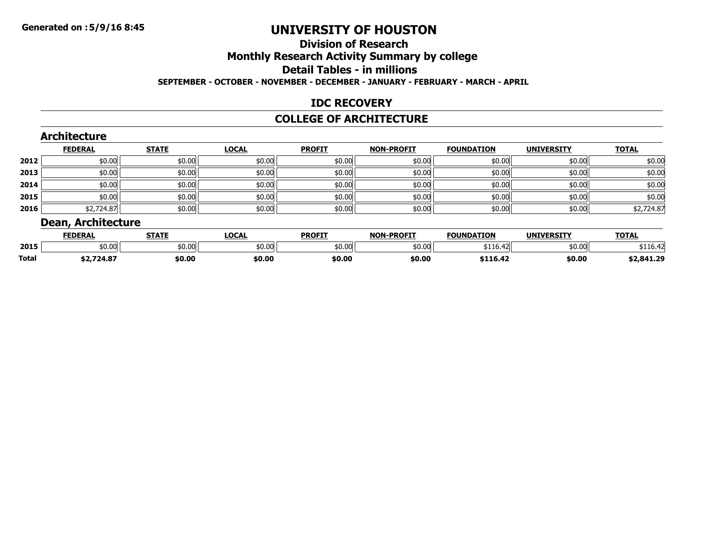# **Division of ResearchMonthly Research Activity Summary by college**

#### **Detail Tables - in millions**

**SEPTEMBER - OCTOBER - NOVEMBER - DECEMBER - JANUARY - FEBRUARY - MARCH - APRIL**

### **IDC RECOVERY**

#### **COLLEGE OF ARCHITECTURE**

|      | <b>FEDERAL</b> | <b>STATE</b> | <b>LOCAL</b> | <b>PROFIT</b> | <b>NON-PROFIT</b> | <b>FOUNDATION</b> | <b>UNIVERSITY</b> | <b>TOTAL</b> |
|------|----------------|--------------|--------------|---------------|-------------------|-------------------|-------------------|--------------|
| 2012 | \$0.00         | \$0.00       | \$0.00       | \$0.00        | \$0.00            | \$0.00            | \$0.00            | \$0.00       |
| 2013 | \$0.00         | \$0.00       | \$0.00       | \$0.00        | \$0.00            | \$0.00            | \$0.00            | \$0.00       |
| 2014 | \$0.00         | \$0.00       | \$0.00       | \$0.00        | \$0.00            | \$0.00            | \$0.00            | \$0.00       |
| 2015 | \$0.00         | \$0.00       | \$0.00       | \$0.00        | \$0.00            | \$0.00            | \$0.00            | \$0.00       |
| 2016 | \$2,724.87     | \$0.00       | \$0.00       | \$0.00        | \$0.00            | \$0.00            | \$0.00            | \$2,724.87   |

|              | <b>FEDERAI</b> | $- - - -$ | <b>LOCAL</b> | <b>PROFIT</b>   | $-DD$ $CTT$<br><b>NON</b> | <b>FOUNDATION</b>                              | <b>IINITVEDCTTV</b> | TOTA.      |
|--------------|----------------|-----------|--------------|-----------------|---------------------------|------------------------------------------------|---------------------|------------|
| 2015         | \$0.00         | \$0.00    | \$0.00       | ቀስ ሰቦ<br>וטט.טע | 50.00                     | $\sim$<br>. الكاتاب التحامية المصري <i>نية</i> | ትስ ስስ<br>וטט.טע     |            |
| <b>Total</b> | 32./24.0/      | \$0.00    | \$0.00       | \$0.00          | \$0.00                    |                                                | \$0.00              | \$2,841.29 |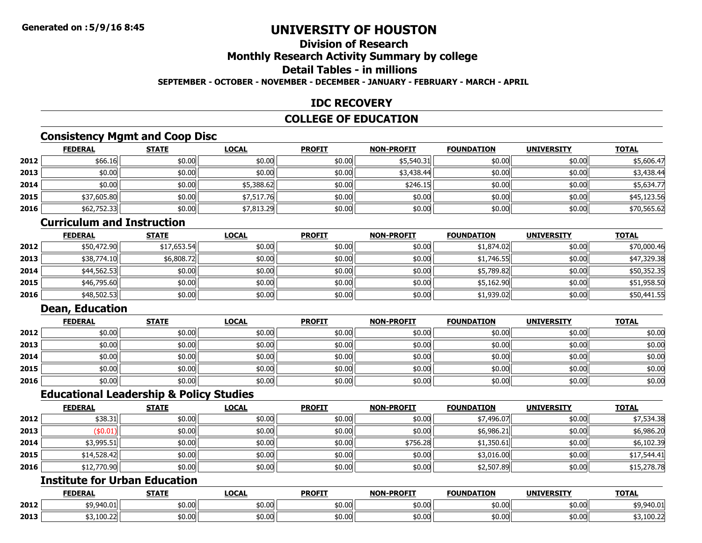# **Division of Research**

# **Monthly Research Activity Summary by college**

# **Detail Tables - in millions**

#### **SEPTEMBER - OCTOBER - NOVEMBER - DECEMBER - JANUARY - FEBRUARY - MARCH - APRIL**

### **IDC RECOVERY**

### **COLLEGE OF EDUCATION**

### **Consistency Mgmt and Coop Disc**

|      | <b>FEDERAL</b> | <b>STATE</b> | <b>LOCAL</b> | <b>PROFIT</b> | <b>NON-PROFIT</b> | <b>FOUNDATION</b> | <b>UNIVERSITY</b> | <b>TOTAL</b> |
|------|----------------|--------------|--------------|---------------|-------------------|-------------------|-------------------|--------------|
| 2012 | \$66.16        | \$0.00       | \$0.00       | \$0.00        | \$5,540.31        | \$0.00            | \$0.00            | \$5,606.47   |
| 2013 | \$0.00         | \$0.00       | \$0.00       | \$0.00        | \$3,438.44        | \$0.00            | \$0.00            | \$3,438.44   |
| 2014 | \$0.00         | \$0.00       | \$5,388.62   | \$0.00        | \$246.15          | \$0.00            | \$0.00            | \$5,634.77   |
| 2015 | \$37,605.80    | \$0.00       | \$7,517.76   | \$0.00        | \$0.00            | \$0.00            | \$0.00            | \$45,123.56  |
| 2016 | \$62,752.33    | \$0.00       | \$7,813.29   | \$0.00        | \$0.00            | \$0.00            | \$0.00            | \$70,565.62  |

### **Curriculum and Instruction**

|      | <b>FEDERAL</b> | <b>STATE</b> | <u>LOCAL</u> | <b>PROFIT</b> | <b>NON-PROFIT</b> | <b>FOUNDATION</b> | <b>UNIVERSITY</b> | <b>TOTAL</b> |
|------|----------------|--------------|--------------|---------------|-------------------|-------------------|-------------------|--------------|
| 2012 | \$50,472.90    | \$17,653.54  | \$0.00       | \$0.00        | \$0.00            | \$1,874.02        | \$0.00            | \$70,000.46  |
| 2013 | \$38,774.10    | \$6,808.72   | \$0.00       | \$0.00        | \$0.00            | \$1,746.55        | \$0.00            | \$47,329.38  |
| 2014 | \$44,562.53    | \$0.00       | \$0.00       | \$0.00        | \$0.00            | \$5,789.82        | \$0.00            | \$50,352.35  |
| 2015 | \$46,795.60    | \$0.00       | \$0.00       | \$0.00        | \$0.00            | \$5,162.90        | \$0.00            | \$51,958.50  |
| 2016 | \$48,502.53    | \$0.00       | \$0.00       | \$0.00        | \$0.00            | \$1,939.02        | \$0.00            | \$50,441.55  |

### **Dean, Education**

|      | <u>FEDERAL</u> | <b>STATE</b> | <b>LOCAL</b> | <b>PROFIT</b> | <b>NON-PROFIT</b> | <b>FOUNDATION</b> | <b>UNIVERSITY</b> | <b>TOTAL</b> |
|------|----------------|--------------|--------------|---------------|-------------------|-------------------|-------------------|--------------|
| 2012 | \$0.00         | \$0.00       | \$0.00       | \$0.00        | \$0.00            | \$0.00            | \$0.00            | \$0.00       |
| 2013 | \$0.00         | \$0.00       | \$0.00       | \$0.00        | \$0.00            | \$0.00            | \$0.00            | \$0.00       |
| 2014 | \$0.00         | \$0.00       | \$0.00       | \$0.00        | \$0.00            | \$0.00 l          | \$0.00            | \$0.00       |
| 2015 | \$0.00         | \$0.00       | \$0.00       | \$0.00        | \$0.00            | \$0.00 l          | \$0.00            | \$0.00       |
| 2016 | \$0.00         | \$0.00       | \$0.00       | \$0.00        | \$0.00            | \$0.00            | \$0.00            | \$0.00       |

### **Educational Leadership & Policy Studies**

|      | <b>FEDERAL</b> | <b>STATE</b> | <b>LOCAL</b> | <b>PROFIT</b> | <b>NON-PROFIT</b> | <b>FOUNDATION</b> | <b>UNIVERSITY</b> | <b>TOTAL</b> |
|------|----------------|--------------|--------------|---------------|-------------------|-------------------|-------------------|--------------|
| 2012 | \$38.31        | \$0.00       | \$0.00       | \$0.00        | \$0.00            | \$7,496.07        | \$0.00            | \$7,534.38   |
| 2013 | \$0.01)        | \$0.00       | \$0.00       | \$0.00        | \$0.00            | \$6,986.21        | \$0.00            | \$6,986.20   |
| 2014 | \$3,995.51     | \$0.00       | \$0.00       | \$0.00        | \$756.28          | \$1,350.61        | \$0.00            | \$6,102.39   |
| 2015 | \$14,528.42    | \$0.00       | \$0.00       | \$0.00        | \$0.00            | \$3,016.00        | \$0.00            | \$17,544.41  |
| 2016 | \$12,770.90    | \$0.00       | \$0.00       | \$0.00        | \$0.00            | \$2,507.89        | \$0.00            | \$15,278.78  |

### **Institute for Urban Education**

|      | <b>FEDERAI</b>                                           | <b>STATE</b> | LOCAL           | <b>PROFIT</b> | <b>NON-PROFIT</b> | <b>FOUNDATION</b>   | <b>UNIVERSITY</b>      | <b>TOTAL</b> |
|------|----------------------------------------------------------|--------------|-----------------|---------------|-------------------|---------------------|------------------------|--------------|
| 2012 | $+0.040.01$<br>⊸ <i>→ &gt; ∙ ວ</i> <del>⊣</del> ∪ ∙U ∐ ∣ | \$0.00       | ሐስ ስስ<br>ູນບ.ບບ | \$0.00        | \$0.00            | $\sqrt{2}$<br>JU.UU | \$0.00                 | \$9,940.01   |
| 2013 | \$3,100.22                                               | \$0.00       | 40.00<br>טט.טע  | \$0.00        | \$0.00            | $+0.00$<br>JU.UU    | ≁n nnl<br><b>DU.UU</b> | \$3,100.22   |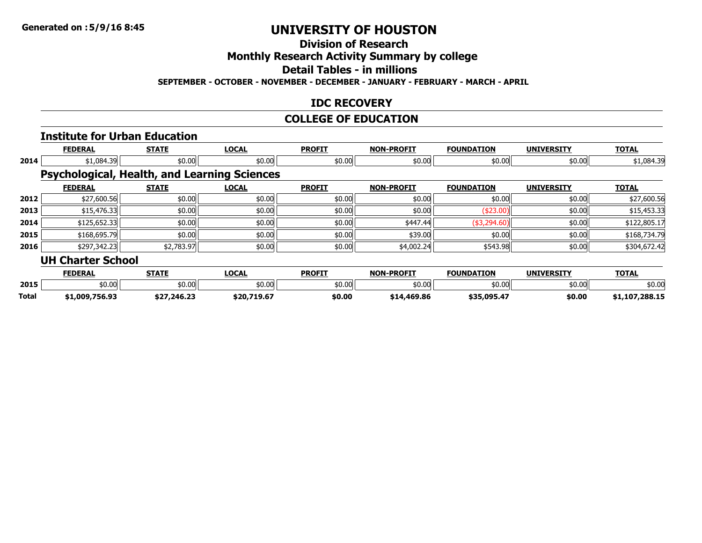### **Division of Research**

**Monthly Research Activity Summary by college**

**Detail Tables - in millions**

**SEPTEMBER - OCTOBER - NOVEMBER - DECEMBER - JANUARY - FEBRUARY - MARCH - APRIL**

### **IDC RECOVERY**

### **COLLEGE OF EDUCATION**

#### **Institute for Urban Education FEDERAL STATE LOCAL PROFIT NON-PROFIT FOUNDATION UNIVERSITY TOTAL 2014** \$1,084.39 \$0.00 \$0.00 \$0.00 \$0.00 \$0.00 \$0.00 \$1,084.39 **Psychological, Health, and Learning Sciences**

|      | <b>FEDERAL</b>           | <b>STATE</b> | <b>LOCAL</b> | <b>PROFIT</b> | <b>NON-PROFIT</b> | <b>FOUNDATION</b> | <b>UNIVERSITY</b> | <b>TOTAL</b> |
|------|--------------------------|--------------|--------------|---------------|-------------------|-------------------|-------------------|--------------|
| 2012 | \$27,600.56              | \$0.00       | \$0.00       | \$0.00        | \$0.00            | \$0.00            | \$0.00            | \$27,600.56  |
| 2013 | \$15,476.33              | \$0.00       | \$0.00       | \$0.00        | \$0.00            | ( \$23.00)        | \$0.00            | \$15,453.33  |
| 2014 | \$125,652.33             | \$0.00       | \$0.00       | \$0.00        | \$447.44          | ( \$3,294.60)     | \$0.00            | \$122,805.17 |
| 2015 | \$168,695.79             | \$0.00       | \$0.00       | \$0.00        | \$39.00           | \$0.00            | \$0.00            | \$168,734.79 |
| 2016 | \$297,342.23             | \$2,783.97   | \$0.00       | \$0.00        | \$4,002.24        | \$543.98          | \$0.00            | \$304,672.42 |
|      | <b>UH Charter School</b> |              |              |               |                   |                   |                   |              |

|       | <b>FEDERAL</b> | <b>STATE</b>                           | <b>OCAL</b>       | <b>PROFIT</b> | -PROFTT<br>NON- | <b>FOUNDATION</b> | <b>UNIVERSITY</b> | <b>TOTAL</b>      |
|-------|----------------|----------------------------------------|-------------------|---------------|-----------------|-------------------|-------------------|-------------------|
| 2015  | \$0.00         | \$0.00                                 | $+0.00$<br>וטט.טע | \$0.00        | \$0.00          | \$0.00            | \$0.00            | \$0.00            |
| Total | 1.009.756.93   | ¢77 746 73<br><i><b>321,240.23</b></i> | \$20,719.67       | \$0.00        | \$14,469.86     | <b>435 095 47</b> | \$0.00            | 7,288.15<br>1.107 |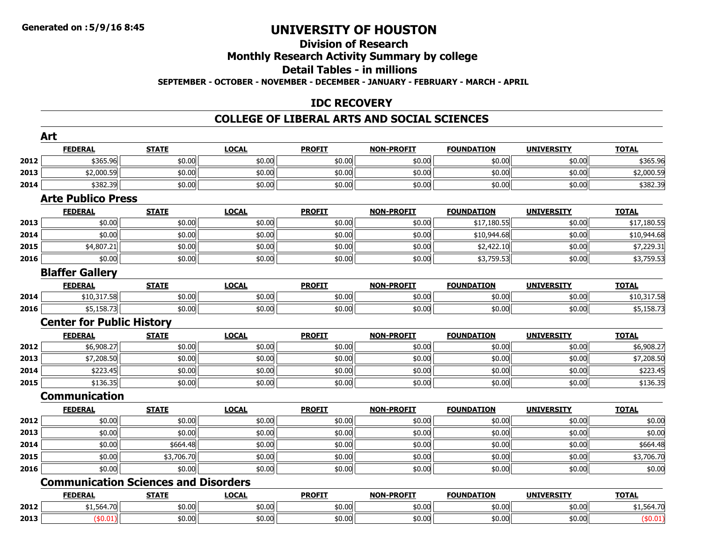#### **Division of ResearchMonthly Research Activity Summary by college**

## **Detail Tables - in millions**

**SEPTEMBER - OCTOBER - NOVEMBER - DECEMBER - JANUARY - FEBRUARY - MARCH - APRIL**

### **IDC RECOVERY**

#### **COLLEGE OF LIBERAL ARTS AND SOCIAL SCIENCES**

|      | Art                                         |              |              |               |                   |                   |                   |              |
|------|---------------------------------------------|--------------|--------------|---------------|-------------------|-------------------|-------------------|--------------|
|      | <b>FEDERAL</b>                              | <b>STATE</b> | <b>LOCAL</b> | <b>PROFIT</b> | <b>NON-PROFIT</b> | <b>FOUNDATION</b> | <b>UNIVERSITY</b> | <b>TOTAL</b> |
| 2012 | \$365.96                                    | \$0.00       | \$0.00       | \$0.00        | \$0.00            | \$0.00            | \$0.00            | \$365.96     |
| 2013 | \$2,000.59                                  | \$0.00       | \$0.00       | \$0.00        | \$0.00            | \$0.00            | \$0.00            | \$2,000.59   |
| 2014 | \$382.39                                    | \$0.00       | \$0.00       | \$0.00        | \$0.00            | \$0.00            | \$0.00            | \$382.39     |
|      | <b>Arte Publico Press</b>                   |              |              |               |                   |                   |                   |              |
|      | <b>FEDERAL</b>                              | <b>STATE</b> | <b>LOCAL</b> | <b>PROFIT</b> | <b>NON-PROFIT</b> | <b>FOUNDATION</b> | <b>UNIVERSITY</b> | <b>TOTAL</b> |
| 2013 | \$0.00                                      | \$0.00       | \$0.00       | \$0.00        | \$0.00            | \$17,180.55       | \$0.00            | \$17,180.55  |
| 2014 | \$0.00                                      | \$0.00       | \$0.00       | \$0.00        | \$0.00            | \$10,944.68       | \$0.00            | \$10,944.68  |
| 2015 | \$4,807.21                                  | \$0.00       | \$0.00       | \$0.00        | \$0.00            | \$2,422.10        | \$0.00            | \$7,229.31   |
| 2016 | \$0.00                                      | \$0.00       | \$0.00       | \$0.00        | \$0.00            | \$3,759.53        | \$0.00            | \$3,759.53   |
|      | <b>Blaffer Gallery</b>                      |              |              |               |                   |                   |                   |              |
|      | <b>FEDERAL</b>                              | <b>STATE</b> | <b>LOCAL</b> | <b>PROFIT</b> | <b>NON-PROFIT</b> | <b>FOUNDATION</b> | <b>UNIVERSITY</b> | <b>TOTAL</b> |
| 2014 | \$10,317.58                                 | \$0.00       | \$0.00       | \$0.00        | \$0.00            | \$0.00            | \$0.00            | \$10,317.58  |
| 2016 | \$5,158.73                                  | \$0.00       | \$0.00       | \$0.00        | \$0.00            | \$0.00            | \$0.00            | \$5,158.73   |
|      | <b>Center for Public History</b>            |              |              |               |                   |                   |                   |              |
|      | <b>FEDERAL</b>                              | <b>STATE</b> | <b>LOCAL</b> | <b>PROFIT</b> | <b>NON-PROFIT</b> | <b>FOUNDATION</b> | <b>UNIVERSITY</b> | <b>TOTAL</b> |
| 2012 | \$6,908.27                                  | \$0.00       | \$0.00       | \$0.00        | \$0.00            | \$0.00            | \$0.00            | \$6,908.27   |
| 2013 | \$7,208.50                                  | \$0.00       | \$0.00       | \$0.00        | \$0.00            | \$0.00            | \$0.00            | \$7,208.50   |
| 2014 | \$223.45                                    | \$0.00       | \$0.00       | \$0.00        | \$0.00            | \$0.00            | \$0.00            | \$223.45     |
| 2015 | \$136.35                                    | \$0.00       | \$0.00       | \$0.00        | \$0.00            | \$0.00            | \$0.00            | \$136.35     |
|      | <b>Communication</b>                        |              |              |               |                   |                   |                   |              |
|      | <b>FEDERAL</b>                              | <b>STATE</b> | <b>LOCAL</b> | <b>PROFIT</b> | <b>NON-PROFIT</b> | <b>FOUNDATION</b> | <b>UNIVERSITY</b> | <b>TOTAL</b> |
| 2012 | \$0.00                                      | \$0.00       | \$0.00       | \$0.00        | \$0.00            | \$0.00            | \$0.00            | \$0.00       |
| 2013 | \$0.00                                      | \$0.00       | \$0.00       | \$0.00        | \$0.00            | \$0.00            | \$0.00            | \$0.00       |
| 2014 | \$0.00                                      | \$664.48     | \$0.00       | \$0.00        | \$0.00            | \$0.00            | \$0.00            | \$664.48     |
| 2015 | \$0.00                                      | \$3,706.70   | \$0.00       | \$0.00        | \$0.00            | \$0.00            | \$0.00            | \$3,706.70   |
| 2016 | \$0.00                                      | \$0.00       | \$0.00       | \$0.00        | \$0.00            | \$0.00            | \$0.00            | \$0.00       |
|      | <b>Communication Sciences and Disorders</b> |              |              |               |                   |                   |                   |              |
|      | <b>FEDERAL</b>                              | <b>STATE</b> | <b>LOCAL</b> | <b>PROFIT</b> | <b>NON-PROFIT</b> | <b>FOUNDATION</b> | <b>UNIVERSITY</b> | <b>TOTAL</b> |
| 2012 | \$1,564.70                                  | \$0.00       | \$0.00       | \$0.00        | \$0.00            | \$0.00            | \$0.00            | \$1,564.70   |
| 2013 | (\$0.01)                                    | \$0.00       | \$0.00       | \$0.00        | \$0.00            | \$0.00            | \$0.00            | (\$0.01)     |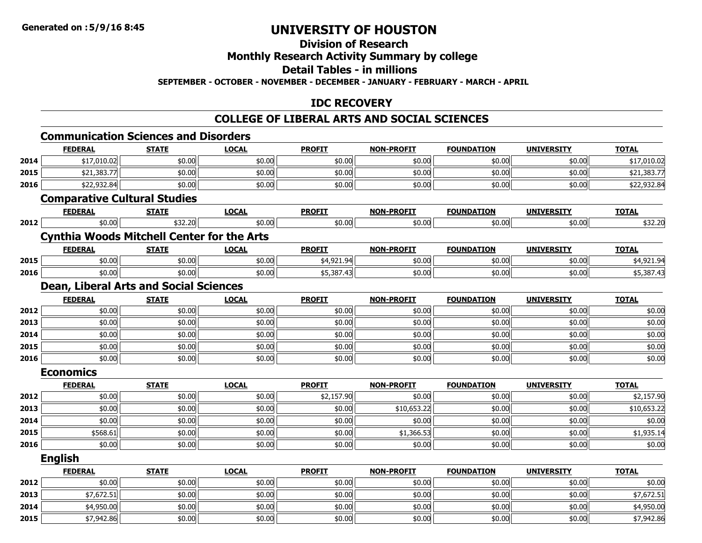**2015**

## **UNIVERSITY OF HOUSTON**

## **Division of Research**

## **Monthly Research Activity Summary by college**

#### **Detail Tables - in millions**

**SEPTEMBER - OCTOBER - NOVEMBER - DECEMBER - JANUARY - FEBRUARY - MARCH - APRIL**

#### **IDC RECOVERY**

### **COLLEGE OF LIBERAL ARTS AND SOCIAL SCIENCES**

|      | <b>FEDERAL</b>                                    | <b>STATE</b> | <b>LOCAL</b> | <b>PROFIT</b> | <b>NON-PROFIT</b> | <b>FOUNDATION</b> | <b>UNIVERSITY</b> | <b>TOTAL</b> |
|------|---------------------------------------------------|--------------|--------------|---------------|-------------------|-------------------|-------------------|--------------|
| 2014 | \$17,010.02                                       | \$0.00       | \$0.00       | \$0.00        | \$0.00            | \$0.00            | \$0.00            | \$17,010.02  |
| 2015 | \$21,383.77                                       | \$0.00       | \$0.00       | \$0.00        | \$0.00            | \$0.00            | \$0.00            | \$21,383.77  |
| 2016 | \$22,932.84                                       | \$0.00       | \$0.00       | \$0.00        | \$0.00            | \$0.00            | \$0.00            | \$22,932.84  |
|      | <b>Comparative Cultural Studies</b>               |              |              |               |                   |                   |                   |              |
|      | <b>FEDERAL</b>                                    | <b>STATE</b> | <b>LOCAL</b> | <b>PROFIT</b> | <b>NON-PROFIT</b> | <b>FOUNDATION</b> | <b>UNIVERSITY</b> | <b>TOTAL</b> |
| 2012 | \$0.00                                            | \$32.20      | \$0.00       | \$0.00        | \$0.00            | \$0.00            | \$0.00            | \$32.20      |
|      | <b>Cynthia Woods Mitchell Center for the Arts</b> |              |              |               |                   |                   |                   |              |
|      | <b>FEDERAL</b>                                    | <b>STATE</b> | <b>LOCAL</b> | <b>PROFIT</b> | <b>NON-PROFIT</b> | <b>FOUNDATION</b> | <b>UNIVERSITY</b> | <b>TOTAL</b> |
| 2015 | \$0.00                                            | \$0.00       | \$0.00       | \$4,921.94    | \$0.00            | \$0.00            | \$0.00            | \$4,921.94   |
| 2016 | \$0.00                                            | \$0.00       | \$0.00       | \$5,387.43    | \$0.00            | \$0.00            | \$0.00            | \$5,387.43   |
|      | <b>Dean, Liberal Arts and Social Sciences</b>     |              |              |               |                   |                   |                   |              |
|      | <b>FEDERAL</b>                                    | <b>STATE</b> | <b>LOCAL</b> | <b>PROFIT</b> | <b>NON-PROFIT</b> | <b>FOUNDATION</b> | <b>UNIVERSITY</b> | <b>TOTAL</b> |
| 2012 | \$0.00                                            | \$0.00       | \$0.00       | \$0.00        | \$0.00            | \$0.00            | \$0.00            | \$0.00       |
| 2013 | \$0.00                                            | \$0.00       | \$0.00       | \$0.00        | \$0.00            | \$0.00            | \$0.00            | \$0.00       |
| 2014 | \$0.00                                            | \$0.00       | \$0.00       | \$0.00        | \$0.00            | \$0.00            | \$0.00            | \$0.00       |
| 2015 | \$0.00                                            | \$0.00       | \$0.00       | \$0.00        | \$0.00            | \$0.00            | \$0.00            | \$0.00       |
| 2016 | \$0.00                                            | \$0.00       | \$0.00       | \$0.00        | \$0.00            | \$0.00            | \$0.00            | \$0.00       |
|      | <b>Economics</b>                                  |              |              |               |                   |                   |                   |              |
|      | <b>FEDERAL</b>                                    | <b>STATE</b> | <b>LOCAL</b> | <b>PROFIT</b> | <b>NON-PROFIT</b> | <b>FOUNDATION</b> | <b>UNIVERSITY</b> | <b>TOTAL</b> |
| 2012 | \$0.00                                            | \$0.00       | \$0.00       | \$2,157.90    | \$0.00            | \$0.00            | \$0.00            | \$2,157.90   |
| 2013 | \$0.00                                            | \$0.00       | \$0.00       | \$0.00        | \$10,653.22       | \$0.00            | \$0.00            | \$10,653.22  |
| 2014 | \$0.00                                            | \$0.00       | \$0.00       | \$0.00        | \$0.00            | \$0.00            | \$0.00            | \$0.00       |
| 2015 | \$568.61                                          | \$0.00       | \$0.00       | \$0.00        | \$1,366.53        | \$0.00            | \$0.00            | \$1,935.14   |
| 2016 | \$0.00                                            | \$0.00       | \$0.00       | \$0.00        | \$0.00            | \$0.00            | \$0.00            | \$0.00       |
|      | <b>English</b>                                    |              |              |               |                   |                   |                   |              |
|      | <b>FEDERAL</b>                                    | <b>STATE</b> | <b>LOCAL</b> | <b>PROFIT</b> | <b>NON-PROFIT</b> | <b>FOUNDATION</b> | <b>UNIVERSITY</b> | <b>TOTAL</b> |
| 2012 | \$0.00                                            | \$0.00       | \$0.00       | \$0.00        | \$0.00            | \$0.00            | \$0.00            | \$0.00       |
| 2013 | \$7,672.51                                        | \$0.00       | \$0.00       | \$0.00        | \$0.00            | \$0.00            | \$0.00            | \$7,672.51   |
| 2014 | \$4,950.00                                        | \$0.00       | \$0.00       | \$0.00        | \$0.00            | \$0.00            | \$0.00            | \$4,950.00   |

\$7,942.86 \$0.00 \$0.00 \$0.00 \$0.00 \$0.00 \$0.00 \$7,942.86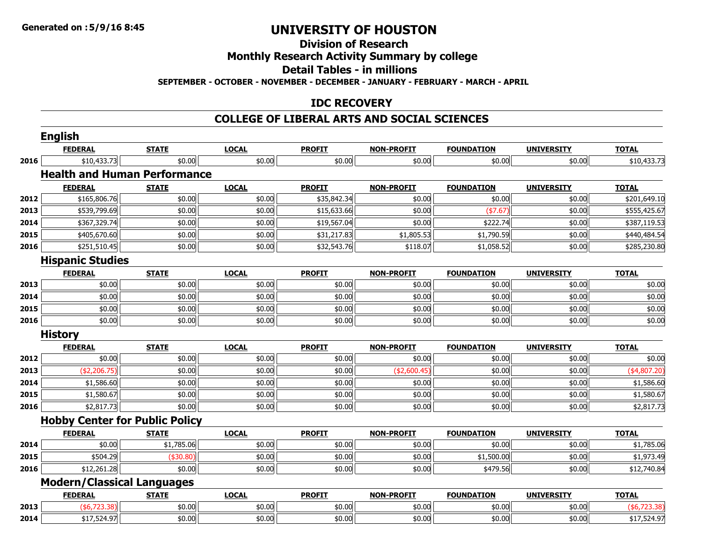### **Division of Research**

### **Monthly Research Activity Summary by college**

#### **Detail Tables - in millions**

**SEPTEMBER - OCTOBER - NOVEMBER - DECEMBER - JANUARY - FEBRUARY - MARCH - APRIL**

#### **IDC RECOVERY**

#### **COLLEGE OF LIBERAL ARTS AND SOCIAL SCIENCES**

|      | <b>English</b>                        |              |              |               |                   |                   |                   |                |
|------|---------------------------------------|--------------|--------------|---------------|-------------------|-------------------|-------------------|----------------|
|      | <b>FEDERAL</b>                        | <b>STATE</b> | <b>LOCAL</b> | <b>PROFIT</b> | <b>NON-PROFIT</b> | <b>FOUNDATION</b> | <b>UNIVERSITY</b> | <b>TOTAL</b>   |
| 2016 | \$10,433.73                           | \$0.00       | \$0.00       | \$0.00        | \$0.00            | \$0.00            | \$0.00            | \$10,433.73    |
|      | <b>Health and Human Performance</b>   |              |              |               |                   |                   |                   |                |
|      | <b>FEDERAL</b>                        | <b>STATE</b> | <b>LOCAL</b> | <b>PROFIT</b> | <b>NON-PROFIT</b> | <b>FOUNDATION</b> | <b>UNIVERSITY</b> | <b>TOTAL</b>   |
| 2012 | \$165,806.76                          | \$0.00       | \$0.00       | \$35,842.34   | \$0.00            | \$0.00            | \$0.00            | \$201,649.10   |
| 2013 | \$539,799.69                          | \$0.00       | \$0.00       | \$15,633.66   | \$0.00            | (\$7.67)          | \$0.00            | \$555,425.67   |
| 2014 | \$367,329.74                          | \$0.00       | \$0.00       | \$19,567.04   | \$0.00            | \$222.74          | \$0.00            | \$387,119.53   |
| 2015 | \$405,670.60                          | \$0.00       | \$0.00       | \$31,217.83   | \$1,805.53        | \$1,790.59        | \$0.00            | \$440,484.54   |
| 2016 | \$251,510.45                          | \$0.00       | \$0.00       | \$32,543.76   | \$118.07          | \$1,058.52        | \$0.00            | \$285,230.80   |
|      | <b>Hispanic Studies</b>               |              |              |               |                   |                   |                   |                |
|      | <b>FEDERAL</b>                        | <b>STATE</b> | <b>LOCAL</b> | <b>PROFIT</b> | <b>NON-PROFIT</b> | <b>FOUNDATION</b> | <b>UNIVERSITY</b> | <b>TOTAL</b>   |
| 2013 | \$0.00                                | \$0.00       | \$0.00       | \$0.00        | \$0.00            | \$0.00            | \$0.00            | \$0.00         |
| 2014 | \$0.00                                | \$0.00       | \$0.00       | \$0.00        | \$0.00            | \$0.00            | \$0.00            | \$0.00         |
| 2015 | \$0.00                                | \$0.00       | \$0.00       | \$0.00        | \$0.00            | \$0.00            | \$0.00            | \$0.00         |
| 2016 | \$0.00                                | \$0.00       | \$0.00       | \$0.00        | \$0.00            | \$0.00            | \$0.00            | \$0.00         |
|      | <b>History</b>                        |              |              |               |                   |                   |                   |                |
|      | <b>FEDERAL</b>                        | <b>STATE</b> | <b>LOCAL</b> | <b>PROFIT</b> | <b>NON-PROFIT</b> | <b>FOUNDATION</b> | <b>UNIVERSITY</b> | <b>TOTAL</b>   |
| 2012 | \$0.00                                | \$0.00       | \$0.00       | \$0.00        | \$0.00            | \$0.00            | \$0.00            | \$0.00         |
| 2013 | (\$2,206.75)                          | \$0.00       | \$0.00       | \$0.00        | (\$2,600.45)      | \$0.00            | \$0.00            | $(*4,807.20)$  |
| 2014 | \$1,586.60                            | \$0.00       | \$0.00       | \$0.00        | \$0.00            | \$0.00            | \$0.00            | \$1,586.60     |
| 2015 | \$1,580.67                            | \$0.00       | \$0.00       | \$0.00        | \$0.00            | \$0.00            | \$0.00            | \$1,580.67     |
| 2016 | \$2,817.73                            | \$0.00       | \$0.00       | \$0.00        | \$0.00            | \$0.00            | \$0.00            | \$2,817.73     |
|      | <b>Hobby Center for Public Policy</b> |              |              |               |                   |                   |                   |                |
|      | <b>FEDERAL</b>                        | <b>STATE</b> | <b>LOCAL</b> | <b>PROFIT</b> | <b>NON-PROFIT</b> | <b>FOUNDATION</b> | <b>UNIVERSITY</b> | <b>TOTAL</b>   |
| 2014 | \$0.00                                | \$1,785.06   | \$0.00       | \$0.00        | \$0.00            | \$0.00            | \$0.00            | \$1,785.06     |
| 2015 | \$504.29                              | $(*30.80)$   | \$0.00       | \$0.00        | \$0.00            | \$1,500.00        | \$0.00            | \$1,973.49     |
| 2016 | \$12,261.28                           | \$0.00       | \$0.00       | \$0.00        | \$0.00            | \$479.56          | \$0.00            | \$12,740.84    |
|      | <b>Modern/Classical Languages</b>     |              |              |               |                   |                   |                   |                |
|      | <b>FEDERAL</b>                        | <b>STATE</b> | <b>LOCAL</b> | <b>PROFIT</b> | <b>NON-PROFIT</b> | <b>FOUNDATION</b> | <b>UNIVERSITY</b> | <b>TOTAL</b>   |
| 2013 | ( \$6,723.38)                         | \$0.00       | \$0.00       | \$0.00        | \$0.00            | \$0.00            | \$0.00            | ( \$6, 723.38) |
| 2014 | \$17,524.97                           | \$0.00       | \$0.00       | \$0.00        | \$0.00            | \$0.00            | \$0.00            | \$17,524.97    |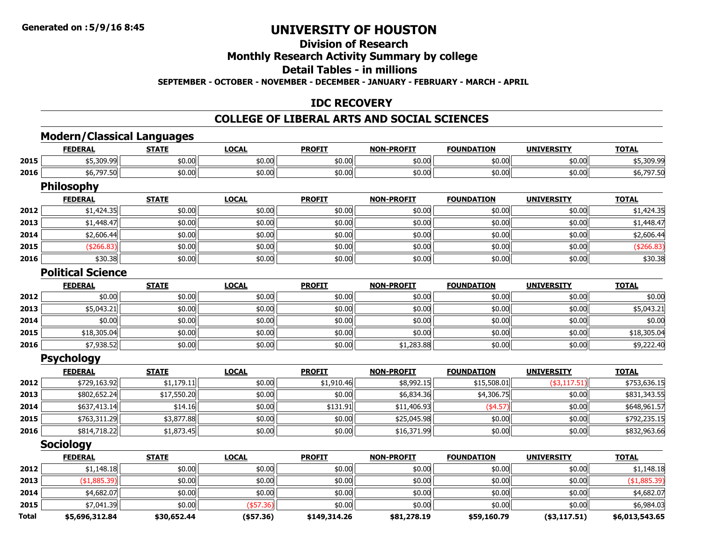**2014**

**2015**

**Total**

## **UNIVERSITY OF HOUSTON**

### **Division of Research**

### **Monthly Research Activity Summary by college**

#### **Detail Tables - in millions**

**SEPTEMBER - OCTOBER - NOVEMBER - DECEMBER - JANUARY - FEBRUARY - MARCH - APRIL**

#### **IDC RECOVERY**

#### **COLLEGE OF LIBERAL ARTS AND SOCIAL SCIENCES**

#### **Modern/Classical Languages FEDERAL STATE LOCAL PROFIT NON-PROFIT FOUNDATION UNIVERSITY TOTAL 2015** \$5,309.99 \$0.00 \$0.00 \$0.00 \$0.00 \$0.00 \$0.00 \$5,309.99 **2016**6 \$6,797.50 \$0.00 \$0.00 \$0.00 \$0.00 \$0.00 \$0.00 \$0.00 \$0.00 \$0.00 \$0.00 \$0.00 \$0.00 \$0.00 \$6,797.50 **Philosophy FEDERAL STATE LOCAL PROFIT NON-PROFIT FOUNDATION UNIVERSITY TOTAL 2012** \$1,424.35 \$0.00 \$0.00 \$0.00 \$0.00 \$0.00 \$0.00 \$1,424.35 **2013**3 | \$1,448.47|| \$0.00|| \$0.00|| \$0.00|| \$0.00|| \$0.00|| \$0.00|| \$0.00|| \$0.00|| \$1,448.47 **2014**4 \$2,606.44 \$0.00 \$0.00 \$0.00 \$0.00 \$0.00 \$0.00 \$0.00 \$0.00 \$0.00 \$0.00 \$0.00 \$2,606.44 **2015**5 | (\$266.83)|| \$0.00|| \$0.00|| \$0.00|| (\$266.83) **2016** \$30.38 \$0.00 \$0.00 \$0.00 \$0.00 \$0.00 \$0.00 \$30.38 **Political ScienceFEDERAL STATE LOCAL PROFIT NON-PROFIT FOUNDATION UNIVERSITY TOTAL 2012**2 | \$0.00| \$0.00| \$0.00| \$0.00| \$0.00| \$0.00| \$0.00| \$0.00| \$0 **2013** \$5,043.21 \$0.00 \$0.00 \$0.00 \$0.00 \$0.00 \$0.00 \$5,043.21 **2014**4 \$0.00 \$0.00 \$0.00 \$0.00 \$0.00 \$0.00 \$0.00 \$0.00 \$0.00 \$0.00 \$0.00 \$0.00 \$0.00 \$0.00 \$0.00 \$0.00 \$0.00 **2015** \$18,305.04 \$0.00 \$0.00 \$0.00 \$0.00 \$0.00 \$0.00 \$18,305.04 **20166** \$7,938.52 \$0.00 \$0.00 \$0.00 \$0.00 \$0.00 \$0.00 \$0.00 \$0.00 \$0.00 \$9,222.40 **Psychology FEDERAL STATE LOCAL PROFIT NON-PROFIT FOUNDATION UNIVERSITY TOTAL 2012** \$729,163.92 \$1,179.11 \$0.00 \$1,910.46 \$8,992.15 \$15,508.01 (\$3,117.51) \$753,636.15 **2013** \$802,652.24 \$17,550.20 \$0.00 \$0.00 \$6,834.36 \$4,306.75 \$0.00 \$831,343.55 **2014**4 \$637,413.14 \$14.16 \$14.16 \$10.00 \$131.91 \$131.91 \$11,406.93 \$11,406.93 \$4.57 \$10.00 \$0.00 \$648,961.57 **20155** \$763,311.29 \$3,877.88 \$3,877.88 \$0.00 \$0.00 \$0.00 \$0.00 \$25,045.98 \$25,045.98 \$0.00 \$0.00 \$792,235.15 **2016** \$814,718.22 \$1,873.45 \$0.00 \$0.00 \$16,371.99 \$0.00 \$0.00 \$832,963.66 **Sociology FEDERAL STATE LOCAL PROFIT NON-PROFIT FOUNDATION UNIVERSITY TOTAL 2012** \$1,148.18 \$0.00 \$0.00 \$0.00 \$0.00 \$0.00 \$0.00 \$1,148.18 **2013**3 (\$1,885.39)| \$0.00| \$0.00| \$0.00| \$0.00| \$0.00| (\$1,885.39)

4 \$4,682.07 \$0.00 \$0.00 \$0.00 \$0.00 \$0.00 \$0.00 \$0.00 \$0.00 \$0.00 \$0.00 \$0.00 \$0.00 \$1,682.07

\$7,041.39 \$0.00 (\$57.36) \$0.00 \$0.00 \$0.00 \$0.00 \$6,984.03

**\$5,696,312.84 \$30,652.44 (\$57.36) \$149,314.26 \$81,278.19 \$59,160.79 (\$3,117.51) \$6,013,543.65**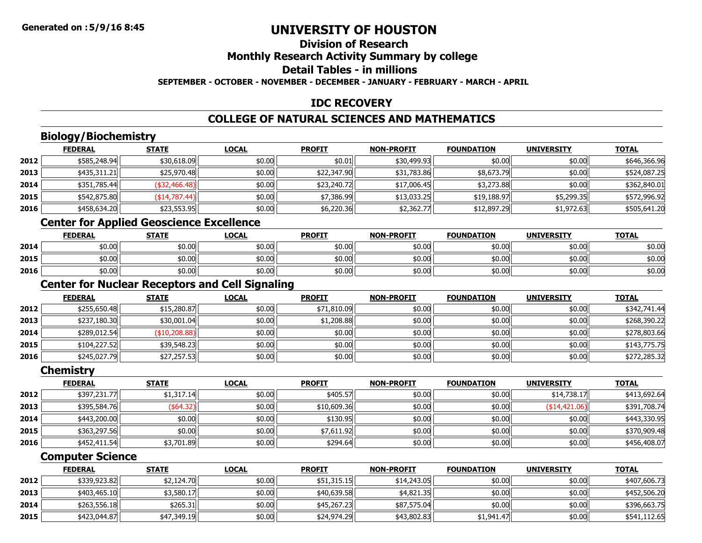#### **Division of ResearchMonthly Research Activity Summary by college Detail Tables - in millionsSEPTEMBER - OCTOBER - NOVEMBER - DECEMBER - JANUARY - FEBRUARY - MARCH - APRIL**

#### **IDC RECOVERY**

#### **COLLEGE OF NATURAL SCIENCES AND MATHEMATICS**

### **Biology/Biochemistry**

|      | <b>FEDERAL</b> | <b>STATE</b>  | <b>LOCAL</b> | <b>PROFIT</b> | <b>NON-PROFIT</b> | <b>FOUNDATION</b> | <b>UNIVERSITY</b> | <b>TOTAL</b> |
|------|----------------|---------------|--------------|---------------|-------------------|-------------------|-------------------|--------------|
| 2012 | \$585,248.94   | \$30,618.09   | \$0.00       | \$0.01        | \$30,499.93       | \$0.00            | \$0.00            | \$646,366.96 |
| 2013 | \$435,311.21   | \$25,970.48   | \$0.00       | \$22,347.90   | \$31,783.86       | \$8,673.79        | \$0.00            | \$524,087.25 |
| 2014 | \$351,785.44   | (\$32,466.48) | \$0.00       | \$23,240.72   | \$17,006.45       | \$3,273.88        | \$0.00            | \$362,840.01 |
| 2015 | \$542,875.80   | (\$14,787.44) | \$0.00       | \$7,386.99    | \$13,033.25       | \$19,188.97       | \$5,299.35        | \$572,996.92 |
| 2016 | \$458,634.20   | \$23,553.95   | \$0.00       | \$6,220.36    | \$2,362.77        | \$12,897.29       | \$1,972.63        | \$505,641.20 |

## **Center for Applied Geoscience Excellence**

|      | <b>FEDERAL</b> | <b>STATE</b> | <u>LOCAL</u> | <b>PROFIT</b> | <b>NON-PROFIT</b> | <b>FOUNDATION</b> | <b>UNIVERSITY</b> | <b>TOTAL</b> |
|------|----------------|--------------|--------------|---------------|-------------------|-------------------|-------------------|--------------|
| 2014 | \$0.00         | \$0.00       | \$0.00       | \$0.00        | \$0.00            | \$0.00            | \$0.00            | \$0.00       |
| 2015 | \$0.00         | \$0.00       | \$0.00       | \$0.00        | \$0.00            | \$0.00            | \$0.00            | \$0.00       |
| 2016 | \$0.00         | \$0.00       | \$0.00       | \$0.00        | \$0.00            | \$0.00            | \$0.00            | \$0.00       |

#### **Center for Nuclear Receptors and Cell Signaling**

|      | <b>FEDERAL</b> | <b>STATE</b>  | <b>LOCAL</b> | <b>PROFIT</b> | <b>NON-PROFIT</b> | <b>FOUNDATION</b> | <b>UNIVERSITY</b> | <b>TOTAL</b> |
|------|----------------|---------------|--------------|---------------|-------------------|-------------------|-------------------|--------------|
| 2012 | \$255,650.48   | \$15,280.87   | \$0.00       | \$71,810.09   | \$0.00            | \$0.00            | \$0.00            | \$342,741.44 |
| 2013 | \$237,180.30   | \$30,001.04   | \$0.00       | \$1,208.88    | \$0.00            | \$0.00            | \$0.00            | \$268,390.22 |
| 2014 | \$289,012.54   | (\$10,208.88) | \$0.00       | \$0.00        | \$0.00            | \$0.00            | \$0.00            | \$278,803.66 |
| 2015 | \$104,227.52   | \$39,548.23   | \$0.00       | \$0.00        | \$0.00            | \$0.00            | \$0.00            | \$143,775.75 |
| 2016 | \$245,027.79   | \$27,257.53   | \$0.00       | \$0.00        | \$0.00            | \$0.00            | \$0.00            | \$272,285.32 |

#### **Chemistry**

|      | <b>FEDERAL</b> | <b>STATE</b> | <b>LOCAL</b> | <b>PROFIT</b> | <b>NON-PROFIT</b> | <b>FOUNDATION</b> | <b>UNIVERSITY</b> | <b>TOTAL</b> |
|------|----------------|--------------|--------------|---------------|-------------------|-------------------|-------------------|--------------|
| 2012 | \$397,231.77   | \$1,317.14   | \$0.00       | \$405.57      | \$0.00            | \$0.00            | \$14,738.17       | \$413,692.64 |
| 2013 | \$395,584.76   | (\$64.32)    | \$0.00       | \$10,609.36   | \$0.00            | \$0.00            | (\$14,421.06)     | \$391,708.74 |
| 2014 | \$443,200.00   | \$0.00       | \$0.00       | \$130.95      | \$0.00            | \$0.00            | \$0.00            | \$443,330.95 |
| 2015 | \$363,297.56   | \$0.00       | \$0.00       | \$7,611.92    | \$0.00            | \$0.00            | \$0.00            | \$370,909.48 |
| 2016 | \$452,411.54   | \$3,701.89   | \$0.00       | \$294.64      | \$0.00            | \$0.00            | \$0.00            | \$456,408.07 |

### **Computer Science**

|      | <b>FEDERAL</b> | <b>STATE</b>         | <u>LOCAL</u> | <b>PROFIT</b> | <b>NON-PROFIT</b> | <b>FOUNDATION</b> | <b>UNIVERSITY</b> | <b>TOTAL</b> |
|------|----------------|----------------------|--------------|---------------|-------------------|-------------------|-------------------|--------------|
| 2012 | \$339,923.82   | \$2,124.70           | \$0.00       | \$51.315.15   | \$14.243.05       | \$0.00            | \$0.00            | \$407,606.73 |
| 2013 | \$403,465.10   | $\frac{1}{3,580.17}$ | \$0.00       | \$40,639.58   | \$4,821.35        | \$0.00            | \$0.00            | \$452,506.20 |
| 2014 | \$263,556.18   | \$265.31             | \$0.00       | \$45,267.23   | \$87,575.04       | \$0.00            | \$0.00            | \$396,663.75 |
| 2015 | \$423,044.87   | \$47,349.19          | \$0.00       | \$24,974.29   | \$43,802.83       | \$1,941.47        | \$0.00            | \$541,112.65 |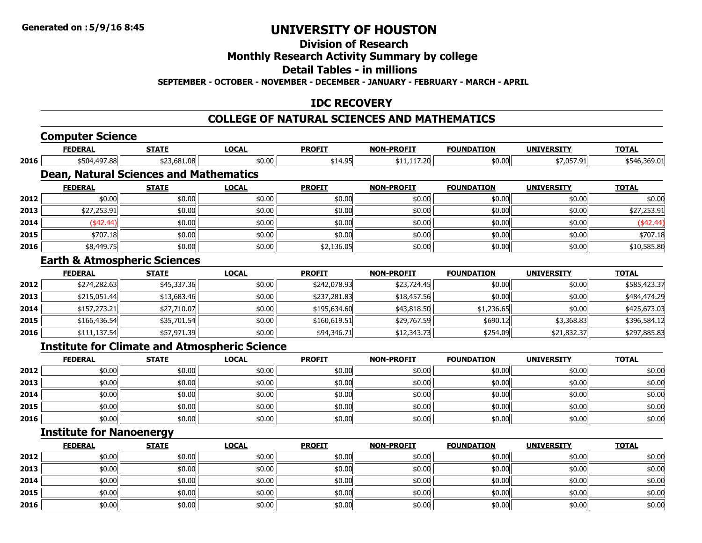### **Division of Research**

#### **Monthly Research Activity Summary by college**

#### **Detail Tables - in millions**

**SEPTEMBER - OCTOBER - NOVEMBER - DECEMBER - JANUARY - FEBRUARY - MARCH - APRIL**

#### **IDC RECOVERY**

### **COLLEGE OF NATURAL SCIENCES AND MATHEMATICS**

## **Computer Science**

|                                                                                      | <b>FEDERAL</b>                                       | <b>STATE</b> | <b>LOCAL</b> | <b>PROFIT</b> | <b>NON-PROFIT</b> | <b>FOUNDATION</b> | <b>UNIVERSITY</b> | <b>TOTAL</b> |
|--------------------------------------------------------------------------------------|------------------------------------------------------|--------------|--------------|---------------|-------------------|-------------------|-------------------|--------------|
| 2016<br>2012<br>2013<br>2014<br>2015<br>2016<br>2012<br>2013<br>2014<br>2015<br>2016 | \$504,497.88                                         | \$23,681.08  | \$0.00       | \$14.95       | \$11,117.20       | \$0.00            | \$7,057.91        | \$546,369.01 |
|                                                                                      | <b>Dean, Natural Sciences and Mathematics</b>        |              |              |               |                   |                   |                   |              |
|                                                                                      | <b>FEDERAL</b>                                       | <b>STATE</b> | <b>LOCAL</b> | <b>PROFIT</b> | <b>NON-PROFIT</b> | <b>FOUNDATION</b> | <b>UNIVERSITY</b> | <b>TOTAL</b> |
|                                                                                      | \$0.00                                               | \$0.00       | \$0.00       | \$0.00        | \$0.00            | \$0.00            | \$0.00            | \$0.00       |
|                                                                                      | \$27,253.91                                          | \$0.00       | \$0.00       | \$0.00        | \$0.00            | \$0.00            | \$0.00            | \$27,253.91  |
|                                                                                      | ( \$42.44)                                           | \$0.00       | \$0.00       | \$0.00        | \$0.00            | \$0.00            | \$0.00            | $(*42.44)$   |
|                                                                                      | \$707.18                                             | \$0.00       | \$0.00       | \$0.00        | \$0.00            | \$0.00            | \$0.00            | \$707.18     |
|                                                                                      | \$8,449.75                                           | \$0.00       | \$0.00       | \$2,136.05    | \$0.00            | \$0.00            | \$0.00            | \$10,585.80  |
|                                                                                      | <b>Earth &amp; Atmospheric Sciences</b>              |              |              |               |                   |                   |                   |              |
|                                                                                      | <b>FEDERAL</b>                                       | <b>STATE</b> | <b>LOCAL</b> | <b>PROFIT</b> | <b>NON-PROFIT</b> | <b>FOUNDATION</b> | <b>UNIVERSITY</b> | <b>TOTAL</b> |
|                                                                                      | \$274,282.63                                         | \$45,337.36  | \$0.00       | \$242,078.93  | \$23,724.45       | \$0.00            | \$0.00            | \$585,423.37 |
|                                                                                      | \$215,051.44                                         | \$13,683.46  | \$0.00       | \$237,281.83  | \$18,457.56       | \$0.00            | \$0.00            | \$484,474.29 |
|                                                                                      | \$157,273.21                                         | \$27,710.07  | \$0.00       | \$195,634.60  | \$43,818.50       | \$1,236.65        | \$0.00            | \$425,673.03 |
|                                                                                      | \$166,436.54                                         | \$35,701.54  | \$0.00       | \$160,619.51  | \$29,767.59       | \$690.12          | \$3,368.83        | \$396,584.12 |
|                                                                                      | \$111,137.54                                         | \$57,971.39  | \$0.00       | \$94,346.71   | \$12,343.73       | \$254.09          | \$21,832.37       | \$297,885.83 |
|                                                                                      | <b>Institute for Climate and Atmospheric Science</b> |              |              |               |                   |                   |                   |              |
|                                                                                      | <b>FEDERAL</b>                                       | <b>STATE</b> | <b>LOCAL</b> | <b>PROFIT</b> | <b>NON-PROFIT</b> | <b>FOUNDATION</b> | <b>UNIVERSITY</b> | <b>TOTAL</b> |
|                                                                                      |                                                      |              |              |               |                   |                   |                   |              |
| 2012                                                                                 | \$0.00                                               | \$0.00       | \$0.00       | \$0.00        | \$0.00            | \$0.00            | \$0.00            | \$0.00       |

| 2014 | \$0.00 | 50.00  | +n nnl<br>ט.טע                                       | \$0.00 | \$0.00 | \$0.00 | \$0.00 | \$0.00 |
|------|--------|--------|------------------------------------------------------|--------|--------|--------|--------|--------|
| 2015 | \$0.00 | \$0.00 | $\uparrow$ $\uparrow$ $\uparrow$ $\uparrow$<br>DU.UU | \$0.00 | \$0.00 | \$0.00 | \$0.00 | \$0.00 |
| 2016 | \$0.00 | \$0.00 | $\sim$ 00<br>DU.U¢                                   | \$0.00 | \$0.00 | \$0.00 | \$0.00 | \$0.00 |

#### **Institute for Nanoenergy**

|      | <u>FEDERAL</u> | <b>STATE</b> | <u>LOCAL</u> | <b>PROFIT</b> | <b>NON-PROFIT</b> | <b>FOUNDATION</b> | <b>UNIVERSITY</b> | <b>TOTAL</b> |
|------|----------------|--------------|--------------|---------------|-------------------|-------------------|-------------------|--------------|
| 2012 | \$0.00         | \$0.00       | \$0.00       | \$0.00        | \$0.00            | \$0.00            | \$0.00            | \$0.00       |
| 2013 | \$0.00         | \$0.00       | \$0.00       | \$0.00        | \$0.00            | \$0.00            | \$0.00            | \$0.00       |
| 2014 | \$0.00         | \$0.00       | \$0.00       | \$0.00        | \$0.00            | \$0.00            | \$0.00            | \$0.00       |
| 2015 | \$0.00         | \$0.00       | \$0.00       | \$0.00        | \$0.00            | \$0.00            | \$0.00            | \$0.00       |
| 2016 | \$0.00         | \$0.00       | \$0.00       | \$0.00        | \$0.00            | \$0.00            | \$0.00            | \$0.00       |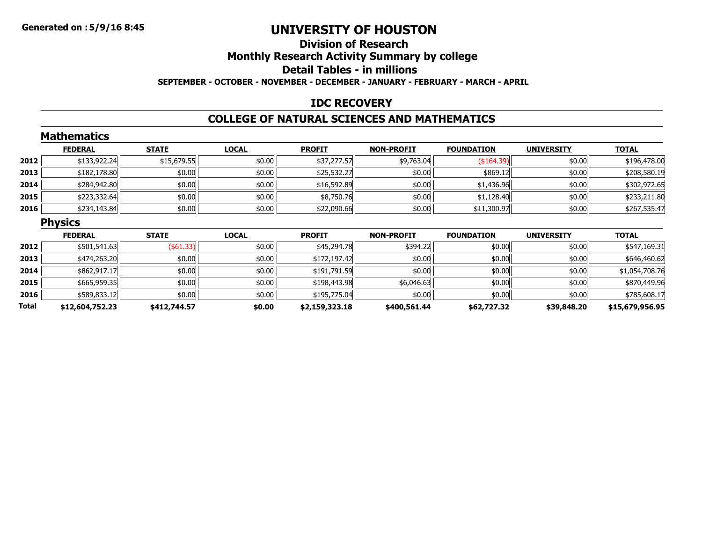#### **Division of ResearchMonthly Research Activity Summary by college Detail Tables - in millionsSEPTEMBER - OCTOBER - NOVEMBER - DECEMBER - JANUARY - FEBRUARY - MARCH - APRIL**

#### **IDC RECOVERY**

#### **COLLEGE OF NATURAL SCIENCES AND MATHEMATICS**

|              | <b>Mathematics</b> |              |              |                |                   |                   |                   |                 |
|--------------|--------------------|--------------|--------------|----------------|-------------------|-------------------|-------------------|-----------------|
|              | <b>FEDERAL</b>     | <b>STATE</b> | <b>LOCAL</b> | <b>PROFIT</b>  | <b>NON-PROFIT</b> | <b>FOUNDATION</b> | <b>UNIVERSITY</b> | <b>TOTAL</b>    |
| 2012         | \$133,922.24       | \$15,679.55  | \$0.00       | \$37,277.57    | \$9,763.04        | ( \$164.39        | \$0.00            | \$196,478.00    |
| 2013         | \$182,178.80       | \$0.00       | \$0.00       | \$25,532.27    | \$0.00            | \$869.12          | \$0.00            | \$208,580.19    |
| 2014         | \$284,942.80       | \$0.00       | \$0.00       | \$16,592.89    | \$0.00            | \$1,436.96        | \$0.00            | \$302,972.65    |
| 2015         | \$223,332.64       | \$0.00       | \$0.00       | \$8,750.76     | \$0.00            | \$1,128.40        | \$0.00            | \$233,211.80    |
| 2016         | \$234,143.84       | \$0.00       | \$0.00       | \$22,090.66    | \$0.00            | \$11,300.97       | \$0.00            | \$267,535.47    |
|              | <b>Physics</b>     |              |              |                |                   |                   |                   |                 |
|              | <b>FEDERAL</b>     | <b>STATE</b> | <b>LOCAL</b> | <b>PROFIT</b>  | <b>NON-PROFIT</b> | <b>FOUNDATION</b> | <b>UNIVERSITY</b> | <b>TOTAL</b>    |
| 2012         | \$501,541.63       | $($ \$61.33) | \$0.00       | \$45,294.78    | \$394.22          | \$0.00            | \$0.00            | \$547,169.31    |
| 2013         | \$474,263.20       | \$0.00       | \$0.00       | \$172,197.42   | \$0.00            | \$0.00            | \$0.00            | \$646,460.62    |
| 2014         | \$862,917.17       | \$0.00       | \$0.00       | \$191,791.59   | \$0.00            | \$0.00            | \$0.00            | \$1,054,708.76  |
| 2015         | \$665,959.35       | \$0.00       | \$0.00       | \$198,443.98   | \$6,046.63        | \$0.00            | \$0.00            | \$870,449.96    |
| 2016         | \$589,833.12       | \$0.00       | \$0.00       | \$195,775.04   | \$0.00            | \$0.00            | \$0.00            | \$785,608.17    |
| <b>Total</b> | \$12,604,752.23    | \$412,744.57 | \$0.00       | \$2,159,323.18 | \$400,561.44      | \$62,727.32       | \$39,848.20       | \$15,679,956.95 |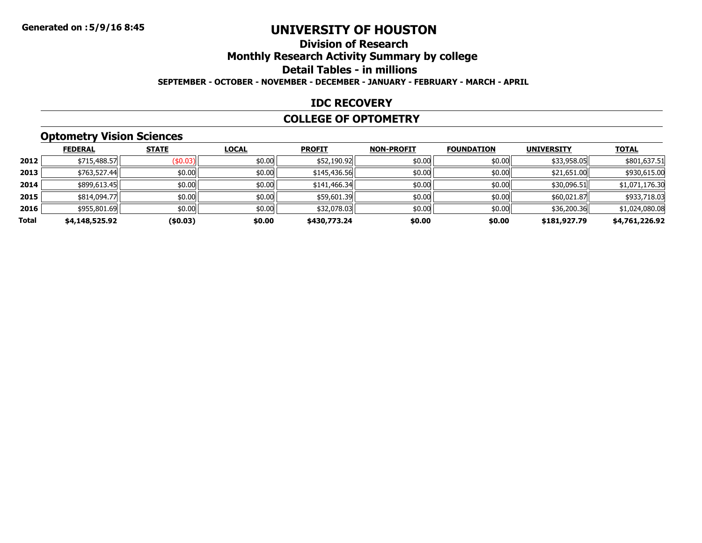#### **Division of ResearchMonthly Research Activity Summary by college Detail Tables - in millions SEPTEMBER - OCTOBER - NOVEMBER - DECEMBER - JANUARY - FEBRUARY - MARCH - APRIL**

#### **IDC RECOVERY**

#### **COLLEGE OF OPTOMETRY**

## **Optometry Vision Sciences**

|       | <b>FEDERAL</b> | <b>STATE</b> | <b>LOCAL</b> | <b>PROFIT</b> | <b>NON-PROFIT</b> | <b>FOUNDATION</b> | <b>UNIVERSITY</b> | <b>TOTAL</b>   |
|-------|----------------|--------------|--------------|---------------|-------------------|-------------------|-------------------|----------------|
| 2012  | \$715,488.57   | $($ \$0.03)  | \$0.00       | \$52,190.92   | \$0.00            | \$0.00            | \$33,958.05       | \$801,637.51   |
| 2013  | \$763,527.44   | \$0.00       | \$0.00       | \$145,436.56  | \$0.00            | \$0.00            | \$21,651.00       | \$930,615.00   |
| 2014  | \$899,613.45   | \$0.00       | \$0.00       | \$141,466.34  | \$0.00            | \$0.00            | \$30,096.51       | \$1,071,176.30 |
| 2015  | \$814,094.77   | \$0.00       | \$0.00       | \$59,601.39   | \$0.00            | \$0.00            | \$60,021.87       | \$933,718.03   |
| 2016  | \$955,801.69   | \$0.00       | \$0.00       | \$32,078.03   | \$0.00            | \$0.00            | \$36,200.36       | \$1,024,080.08 |
| Total | \$4,148,525.92 | (\$0.03)     | \$0.00       | \$430,773.24  | \$0.00            | \$0.00            | \$181,927.79      | \$4,761,226.92 |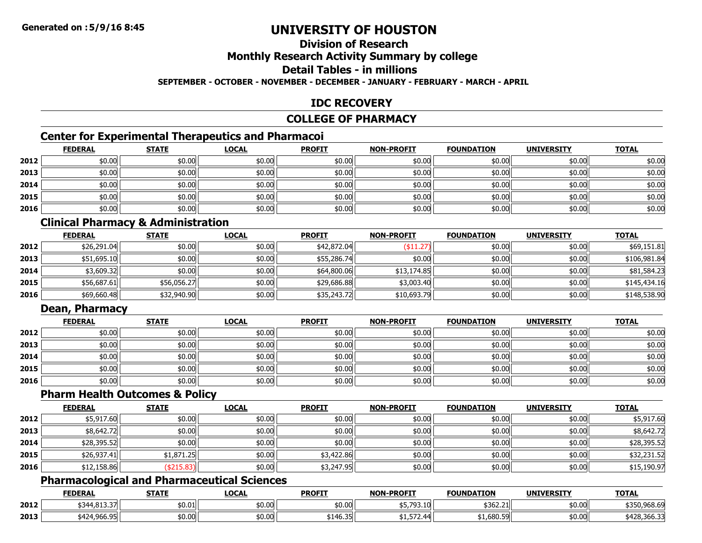## **Division of Research**

### **Monthly Research Activity Summary by college**

### **Detail Tables - in millions**

#### **SEPTEMBER - OCTOBER - NOVEMBER - DECEMBER - JANUARY - FEBRUARY - MARCH - APRIL**

#### **IDC RECOVERY**

#### **COLLEGE OF PHARMACY**

## **Center for Experimental Therapeutics and Pharmacoi**

|      | <b>FEDERAL</b> | <b>STATE</b> | <u>LOCAL</u> | <b>PROFIT</b> | <b>NON-PROFIT</b> | <b>FOUNDATION</b> | <b>UNIVERSITY</b> | <b>TOTAL</b> |
|------|----------------|--------------|--------------|---------------|-------------------|-------------------|-------------------|--------------|
| 2012 | \$0.00         | \$0.00       | \$0.00       | \$0.00        | \$0.00            | \$0.00            | \$0.00            | \$0.00       |
| 2013 | \$0.00         | \$0.00       | \$0.00       | \$0.00        | \$0.00            | \$0.00            | \$0.00            | \$0.00       |
| 2014 | \$0.00         | \$0.00       | \$0.00       | \$0.00        | \$0.00            | \$0.00            | \$0.00            | \$0.00       |
| 2015 | \$0.00         | \$0.00       | \$0.00       | \$0.00        | \$0.00            | \$0.00            | \$0.00            | \$0.00       |
| 2016 | \$0.00         | \$0.00       | \$0.00       | \$0.00        | \$0.00            | \$0.00            | \$0.00            | \$0.00       |

#### **Clinical Pharmacy & Administration**

|      | <b>FEDERAL</b> | <b>STATE</b> | <b>LOCAL</b> | <b>PROFIT</b> | <b>NON-PROFIT</b> | <b>FOUNDATION</b> | <b>UNIVERSITY</b> | <u>TOTAL</u> |
|------|----------------|--------------|--------------|---------------|-------------------|-------------------|-------------------|--------------|
| 2012 | \$26,291.04    | \$0.00       | \$0.00       | \$42,872.04   | \$11.27           | \$0.00            | \$0.00            | \$69,151.81  |
| 2013 | \$51,695.10    | \$0.00       | \$0.00       | \$55,286.74   | \$0.00            | \$0.00            | \$0.00            | \$106,981.84 |
| 2014 | \$3,609.32     | \$0.00       | \$0.00       | \$64,800.06   | \$13,174.85       | \$0.00            | \$0.00            | \$81,584.23  |
| 2015 | \$56,687.61    | \$56,056.27  | \$0.00       | \$29,686.88   | \$3,003.40        | \$0.00            | \$0.00            | \$145,434.16 |
| 2016 | \$69,660.48    | \$32,940.90  | \$0.00       | \$35,243.72   | \$10,693.79       | \$0.00            | \$0.00            | \$148,538.90 |

#### **Dean, Pharmacy**

|      | <b>FEDERAL</b> | <b>STATE</b> | <u>LOCAL</u> | <b>PROFIT</b> | <b>NON-PROFIT</b> | <b>FOUNDATION</b> | <b>UNIVERSITY</b> | <b>TOTAL</b> |
|------|----------------|--------------|--------------|---------------|-------------------|-------------------|-------------------|--------------|
| 2012 | \$0.00         | \$0.00       | \$0.00       | \$0.00        | \$0.00            | \$0.00            | \$0.00            | \$0.00       |
| 2013 | \$0.00         | \$0.00       | \$0.00       | \$0.00        | \$0.00            | \$0.00            | \$0.00            | \$0.00       |
| 2014 | \$0.00         | \$0.00       | \$0.00       | \$0.00        | \$0.00            | \$0.00            | \$0.00            | \$0.00       |
| 2015 | \$0.00         | \$0.00       | \$0.00       | \$0.00        | \$0.00            | \$0.00            | \$0.00            | \$0.00       |
| 2016 | \$0.00         | \$0.00       | \$0.00       | \$0.00        | \$0.00            | \$0.00            | \$0.00            | \$0.00       |

#### **Pharm Health Outcomes & Policy**

|      | <u>FEDERAL</u> | <b>STATE</b> | <b>LOCAL</b> | <b>PROFIT</b> | <b>NON-PROFIT</b> | <b>FOUNDATION</b> | <b>UNIVERSITY</b> | <b>TOTAL</b> |
|------|----------------|--------------|--------------|---------------|-------------------|-------------------|-------------------|--------------|
| 2012 | \$5,917.60     | \$0.00       | \$0.00       | \$0.00        | \$0.00            | \$0.00            | \$0.00            | \$5,917.60   |
| 2013 | \$8,642.72     | \$0.00       | \$0.00       | \$0.00        | \$0.00            | \$0.00            | \$0.00            | \$8,642.72   |
| 2014 | \$28,395.52    | \$0.00       | \$0.00       | \$0.00        | \$0.00            | \$0.00            | \$0.00            | \$28,395.52  |
| 2015 | \$26,937.41    | \$1,871.25   | \$0.00       | \$3,422.86    | \$0.00            | \$0.00            | \$0.00            | \$32,231.52  |
| 2016 | \$12,158.86    | \$215.83     | \$0.00       | \$3,247.95    | \$0.00            | \$0.00            | \$0.00            | \$15,190.97  |

### **Pharmacological and Pharmaceutical Sciences**

|      | <b>FEDERAL</b> | <b>STATE</b> | LOCAL  | <b>PROFIT</b>        | <b>NON-PROFIT</b>           | <b>FOUNDATION</b> | <b>UNIVERSITY</b> | <b>TOTAL</b> |
|------|----------------|--------------|--------|----------------------|-----------------------------|-------------------|-------------------|--------------|
| 2012 | \$344,813.37   | \$0.01       | \$0.00 | \$0.00               | <b>¢5 702</b><br>\$5,793.10 | \$362.21          | \$0.00            | \$350,968.69 |
| 2013 | \$424,966.95   | \$0.00       | \$0.00 | $+1102$<br>ווכז.סד - | ---<br>. 2 / ت ر 1 س        | 1,680.59          | \$0.00            | \$428,366.3  |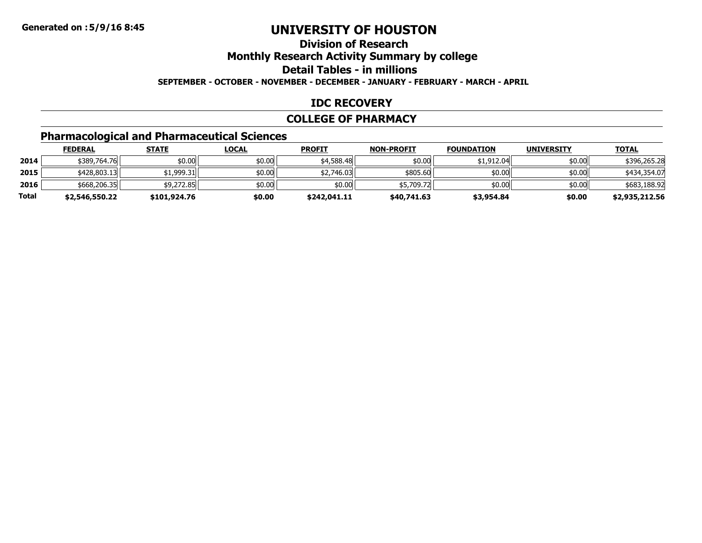#### **Division of ResearchMonthly Research Activity Summary by college Detail Tables - in millionsSEPTEMBER - OCTOBER - NOVEMBER - DECEMBER - JANUARY - FEBRUARY - MARCH - APRIL**

#### **IDC RECOVERY**

#### **COLLEGE OF PHARMACY**

## **Pharmacological and Pharmaceutical Sciences**

|       | <b>FEDERAL</b> | <u>STATE</u> | <u>LOCAL</u> | <b>PROFIT</b> | <b>NON-PROFIT</b> | <b>FOUNDATION</b> | <b>UNIVERSITY</b> | <b>TOTAL</b>   |
|-------|----------------|--------------|--------------|---------------|-------------------|-------------------|-------------------|----------------|
| 2014  | \$389,764.76   | \$0.00       | \$0.00       | \$4,588.48    | \$0.00            | \$1,912.04        | \$0.00            | \$396,265,28   |
| 2015  | \$428,803.13   | ا 1,999.31   | \$0.00       | \$2,746.03    | \$805.60          | \$0.00            | \$0.00            | \$434,354.07   |
| 2016  | \$668,206.35   | \$9,272.85   | \$0.00       | \$0.00        | \$5,709.72        | \$0.00            | \$0.00            | \$683,188.92   |
| Total | \$2,546,550.22 | \$101,924.76 | \$0.00       | \$242,041.11  | \$40,741.63       | \$3,954.84        | \$0.00            | \$2,935,212.56 |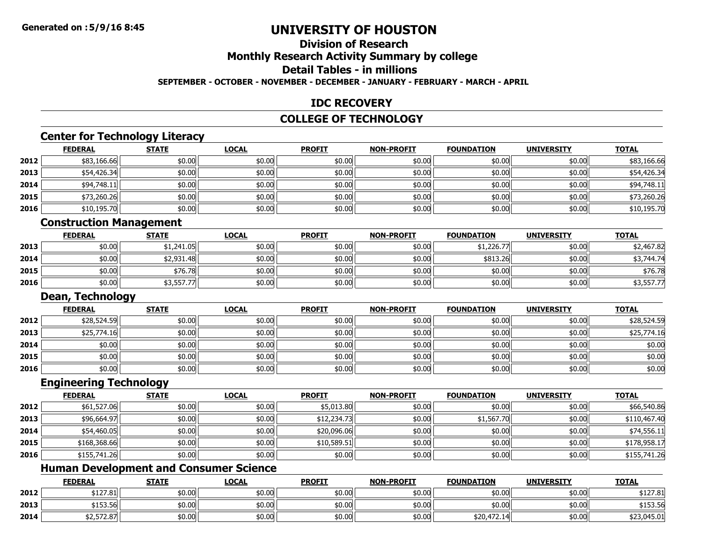#### **Division of ResearchMonthly Research Activity Summary by college**

#### **Detail Tables - in millions**

#### **SEPTEMBER - OCTOBER - NOVEMBER - DECEMBER - JANUARY - FEBRUARY - MARCH - APRIL**

#### **IDC RECOVERY**

#### **COLLEGE OF TECHNOLOGY**

#### **Center for Technology Literacy**

|      | <b>FEDERAL</b> | <b>STATE</b> | <b>LOCAL</b> | <b>PROFIT</b> | <b>NON-PROFIT</b> | <b>FOUNDATION</b> | <b>UNIVERSITY</b> | <b>TOTAL</b> |
|------|----------------|--------------|--------------|---------------|-------------------|-------------------|-------------------|--------------|
| 2012 | \$83,166.66    | \$0.00       | \$0.00       | \$0.00        | \$0.00            | \$0.00            | \$0.00            | \$83,166.66  |
| 2013 | \$54,426.34    | \$0.00       | \$0.00       | \$0.00        | \$0.00            | \$0.00            | \$0.00            | \$54,426.34  |
| 2014 | \$94,748.11    | \$0.00       | \$0.00       | \$0.00        | \$0.00            | \$0.00            | \$0.00            | \$94,748.11  |
| 2015 | \$73,260.26    | \$0.00       | \$0.00       | \$0.00        | \$0.00            | \$0.00            | \$0.00            | \$73,260.26  |
| 2016 | \$10,195.70    | \$0.00       | \$0.00       | \$0.00        | \$0.00            | \$0.00            | \$0.00            | \$10,195.70  |

### **Construction Management**

|      | <b>FEDERAL</b> | <b>STATE</b> | <u>LOCAL</u> | <b>PROFIT</b> | <b>NON-PROFIT</b> | <b>FOUNDATION</b> | <b>UNIVERSITY</b> | <b>TOTAL</b> |
|------|----------------|--------------|--------------|---------------|-------------------|-------------------|-------------------|--------------|
| 2013 | \$0.00         | \$1,241.05   | \$0.00       | \$0.00        | \$0.00            | \$1,226.77        | \$0.00            | \$2,467.82   |
| 2014 | \$0.00         | \$2,931.48   | \$0.00       | \$0.00        | \$0.00            | \$813.26          | \$0.00            | 53,744.74    |
| 2015 | \$0.00         | \$76.78      | \$0.00       | \$0.00        | \$0.00            | \$0.00            | \$0.00            | \$76.78      |
| 2016 | \$0.00         | \$3,557.77   | \$0.00       | \$0.00        | \$0.00            | \$0.00            | \$0.00            | \$3,557.77   |

#### **Dean, Technology**

|      | <b>FEDERAL</b> | <b>STATE</b> | <b>LOCAL</b> | <b>PROFIT</b> | <b>NON-PROFIT</b> | <b>FOUNDATION</b> | <b>UNIVERSITY</b> | <b>TOTAL</b> |
|------|----------------|--------------|--------------|---------------|-------------------|-------------------|-------------------|--------------|
| 2012 | \$28,524.59    | \$0.00       | \$0.00       | \$0.00        | \$0.00            | \$0.00            | \$0.00            | \$28,524.59  |
| 2013 | \$25,774.16    | \$0.00       | \$0.00       | \$0.00        | \$0.00            | \$0.00            | \$0.00            | \$25,774.16  |
| 2014 | \$0.00         | \$0.00       | \$0.00       | \$0.00        | \$0.00            | \$0.00            | \$0.00            | \$0.00       |
| 2015 | \$0.00         | \$0.00       | \$0.00       | \$0.00        | \$0.00            | \$0.00            | \$0.00            | \$0.00       |
| 2016 | \$0.00         | \$0.00       | \$0.00       | \$0.00        | \$0.00            | \$0.00            | \$0.00            | \$0.00       |

#### **Engineering Technology**

|      | <b>FEDERAL</b> | <b>STATE</b> | <b>LOCAL</b> | <b>PROFIT</b> | <b>NON-PROFIT</b> | <b>FOUNDATION</b> | <b>UNIVERSITY</b> | <b>TOTAL</b> |
|------|----------------|--------------|--------------|---------------|-------------------|-------------------|-------------------|--------------|
| 2012 | \$61,527.06    | \$0.00       | \$0.00       | \$5,013.80    | \$0.00            | \$0.00            | \$0.00            | \$66,540.86  |
| 2013 | \$96,664.97    | \$0.00       | \$0.00       | \$12,234.73   | \$0.00            | \$1,567.70        | \$0.00            | \$110,467.40 |
| 2014 | \$54,460.05    | \$0.00       | \$0.00       | \$20,096.06   | \$0.00            | \$0.00            | \$0.00            | \$74,556.11  |
| 2015 | \$168,368.66   | \$0.00       | \$0.00       | \$10,589.51   | \$0.00            | \$0.00            | \$0.00            | \$178,958.17 |
| 2016 | \$155,741.26   | \$0.00       | \$0.00       | \$0.00        | \$0.00            | \$0.00            | \$0.00            | \$155,741.26 |

### **Human Development and Consumer Science**

|      | <b>FEDERAL</b>         | <b>STATE</b> | <u>LOCAL</u> | <b>PROFIT</b> | <b>NON-PROFIT</b> | <b>FOUNDATION</b> | <b>UNIVERSITY</b> | <b>TOTAL</b> |
|------|------------------------|--------------|--------------|---------------|-------------------|-------------------|-------------------|--------------|
| 2012 | \$127.81               | \$0.00       | \$0.00       | \$0.00        | \$0.00            | \$0.00            | \$0.00            | \$127.81     |
| 2013 | $$153.56$ <sup>1</sup> | \$0.00       | \$0.00       | \$0.00        | \$0.00            | \$0.00            | \$0.00            | \$153.56     |
| 2014 | \$2,572.87             | \$0.00       | \$0.00       | \$0.00        | \$0.00            | \$20,472.14       | \$0.00            | \$23,045.01  |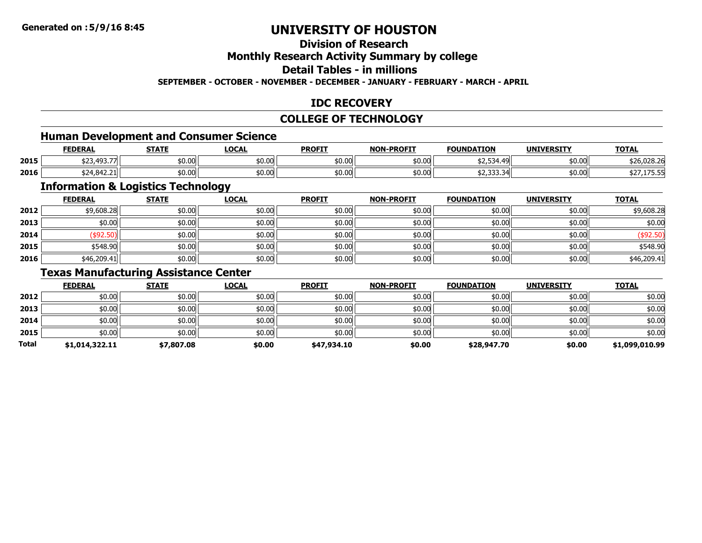## **Division of Research**

#### **Monthly Research Activity Summary by college**

#### **Detail Tables - in millions**

#### **SEPTEMBER - OCTOBER - NOVEMBER - DECEMBER - JANUARY - FEBRUARY - MARCH - APRIL**

#### **IDC RECOVERY**

#### **COLLEGE OF TECHNOLOGY**

### **Human Development and Consumer Science**

|      | <b>FEDERAL</b>                                     | <b>STATF</b>   | LOCAL  | <b>PROFIT</b> | <b>NON-PROFIT</b> | <b>FOUNDATION</b>         | <b>UNIVERSITY</b> | <b>TOTAL</b>              |
|------|----------------------------------------------------|----------------|--------|---------------|-------------------|---------------------------|-------------------|---------------------------|
| 2015 | $\sim$<br>$\overline{a}$<br><u>., ال رابر رت ع</u> | ሐስ ሰስ<br>DU.UU | \$0.00 | \$0.00        | \$0.00            | ∵⊤ت رے پ                  | \$0.00            | ትግሮ ሰግፅ ግሮ<br>\$26,028.26 |
| 2016 | \$24,842.21                                        | \$0.00         | \$0.00 | \$0.00        | \$0.00            | . ההה ה<br>≺∠<br>JL.JJJ.J | \$0.00            | ر                         |

#### **Information & Logistics Technology**

|      | <b>FEDERAL</b> | <b>STATE</b> | <b>LOCAL</b> | <b>PROFIT</b> | <b>NON-PROFIT</b> | <b>FOUNDATION</b> | <b>UNIVERSITY</b> | <b>TOTAL</b> |
|------|----------------|--------------|--------------|---------------|-------------------|-------------------|-------------------|--------------|
| 2012 | \$9,608.28     | \$0.00       | \$0.00       | \$0.00        | \$0.00            | \$0.00            | \$0.00            | \$9,608.28   |
| 2013 | \$0.00         | \$0.00       | \$0.00       | \$0.00        | \$0.00            | \$0.00            | \$0.00            | \$0.00       |
| 2014 | \$92.50        | \$0.00       | \$0.00       | \$0.00        | \$0.00            | \$0.00            | \$0.00            | (\$92.50)    |
| 2015 | \$548.90       | \$0.00       | \$0.00       | \$0.00        | \$0.00            | \$0.00            | \$0.00            | \$548.90     |
| 2016 | \$46,209.41    | \$0.00       | \$0.00       | \$0.00        | \$0.00            | \$0.00            | \$0.00            | \$46,209.41  |

#### **Texas Manufacturing Assistance Center**

|       | <b>FEDERAL</b> | <b>STATE</b> | <b>LOCAL</b> | <b>PROFIT</b> | <b>NON-PROFIT</b> | <b>FOUNDATION</b> | <b>UNIVERSITY</b> | <b>TOTAL</b>   |
|-------|----------------|--------------|--------------|---------------|-------------------|-------------------|-------------------|----------------|
| 2012  | \$0.00         | \$0.00       | \$0.00       | \$0.00        | \$0.00            | \$0.00            | \$0.00            | \$0.00         |
| 2013  | \$0.00         | \$0.00       | \$0.00       | \$0.00        | \$0.00            | \$0.00            | \$0.00            | \$0.00         |
| 2014  | \$0.00         | \$0.00       | \$0.00       | \$0.00        | \$0.00            | \$0.00            | \$0.00            | \$0.00         |
| 2015  | \$0.00         | \$0.00       | \$0.00       | \$0.00        | \$0.00            | \$0.00            | \$0.00            | \$0.00         |
| Total | \$1,014,322.11 | \$7,807.08   | \$0.00       | \$47,934.10   | \$0.00            | \$28,947.70       | \$0.00            | \$1,099,010.99 |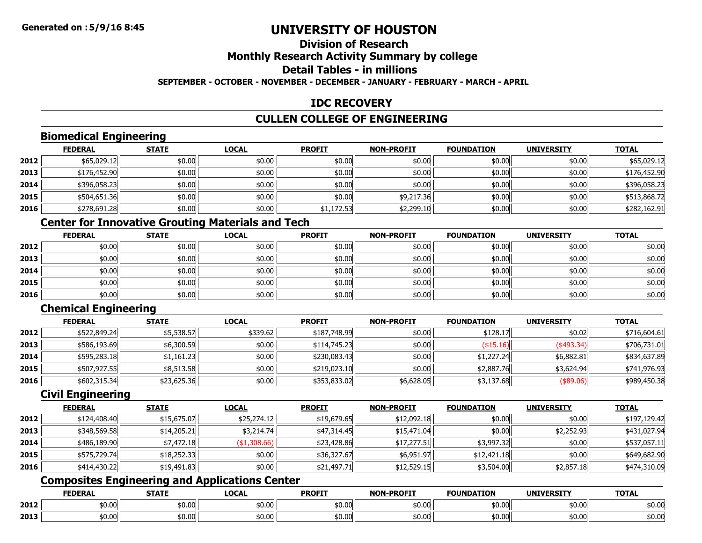## **Division of Research**

## **Monthly Research Activity Summary by college**

## **Detail Tables - in millions**

#### **SEPTEMBER - OCTOBER - NOVEMBER - DECEMBER - JANUARY - FEBRUARY - MARCH - APRIL**

### **IDC RECOVERY**

#### **CULLEN COLLEGE OF ENGINEERING**

### **Biomedical Engineering**

|      | <b>FEDERAL</b> | <b>STATE</b> | <u>LOCAL</u> | <b>PROFIT</b> | <b>NON-PROFIT</b> | <b>FOUNDATION</b> | <b>UNIVERSITY</b> | <u>TOTAL</u> |
|------|----------------|--------------|--------------|---------------|-------------------|-------------------|-------------------|--------------|
| 2012 | \$65,029.12    | \$0.00       | \$0.00       | \$0.00        | \$0.00            | \$0.00            | \$0.00            | \$65,029.12  |
| 2013 | \$176,452.90   | \$0.00       | \$0.00       | \$0.00        | \$0.00            | \$0.00            | \$0.00            | \$176,452.90 |
| 2014 | \$396,058.23   | \$0.00       | \$0.00       | \$0.00        | \$0.00            | \$0.00            | \$0.00            | \$396,058.23 |
| 2015 | \$504,651.36   | \$0.00       | \$0.00       | \$0.00        | \$9,217.36        | \$0.00            | \$0.00            | \$513,868.72 |
| 2016 | \$278,691.28   | \$0.00       | \$0.00       | \$1,172.53    | \$2,299.10        | \$0.00            | \$0.00            | \$282,162.91 |

### **Center for Innovative Grouting Materials and Tech**

|      | <u>FEDERAL</u> | <b>STATE</b> | <b>LOCAL</b> | <b>PROFIT</b> | <b>NON-PROFIT</b> | <b>FOUNDATION</b> | <b>UNIVERSITY</b> | <b>TOTAL</b> |
|------|----------------|--------------|--------------|---------------|-------------------|-------------------|-------------------|--------------|
| 2012 | \$0.00         | \$0.00       | \$0.00       | \$0.00        | \$0.00            | \$0.00            | \$0.00            | \$0.00       |
| 2013 | \$0.00         | \$0.00       | \$0.00       | \$0.00        | \$0.00            | \$0.00            | \$0.00            | \$0.00       |
| 2014 | \$0.00         | \$0.00       | \$0.00       | \$0.00        | \$0.00            | \$0.00            | \$0.00            | \$0.00       |
| 2015 | \$0.00         | \$0.00       | \$0.00       | \$0.00        | \$0.00            | \$0.00            | \$0.00            | \$0.00       |
| 2016 | \$0.00         | \$0.00       | \$0.00       | \$0.00        | \$0.00            | \$0.00            | \$0.00            | \$0.00       |

### **Chemical Engineering**

|      | <b>FEDERAL</b> | <b>STATE</b> | <b>LOCAL</b> | <b>PROFIT</b> | <b>NON-PROFIT</b> | <b>FOUNDATION</b> | <b>UNIVERSITY</b>        | <b>TOTAL</b> |
|------|----------------|--------------|--------------|---------------|-------------------|-------------------|--------------------------|--------------|
| 2012 | \$522,849.24   | \$5,538.57   | \$339.62     | \$187,748.99  | \$0.00            | \$128.17          | \$0.02                   | \$716,604.61 |
| 2013 | \$586,193.69   | \$6,300.59   | \$0.00       | \$114,745.23  | \$0.00            | (\$15.16)         | $(*493.34)$              | \$706,731.01 |
| 2014 | \$595,283.18   | \$1,161.23   | \$0.00       | \$230,083.43  | \$0.00            | \$1,227.24        | \$6,882.81               | \$834,637.89 |
| 2015 | \$507,927.55   | \$8,513.58   | \$0.00       | \$219,023.10  | \$0.00            | \$2,887.76        | \$3.624.94               | \$741,976.93 |
| 2016 | \$602,315.34   | \$23,625.36  | \$0.00       | \$353,833.02  | \$6,628.05        | \$3,137.68        | $($ \$89.06) $\parallel$ | \$989,450.38 |

#### **Civil Engineering**

|      | <b>FEDERAL</b> | <b>STATE</b> | <u>LOCAL</u>    | <b>PROFIT</b> | <b>NON-PROFIT</b> | <b>FOUNDATION</b> | <b>UNIVERSITY</b> | <b>TOTAL</b> |
|------|----------------|--------------|-----------------|---------------|-------------------|-------------------|-------------------|--------------|
| 2012 | \$124,408.40   | \$15,675.07  | \$25,274.12     | \$19,679.65   | \$12,092.18       | \$0.00            | \$0.00            | \$197,129.42 |
| 2013 | \$348,569.58   | \$14,205.21  | \$3,214.74      | \$47,314.45   | \$15,471.04       | \$0.00            | \$2,252.93        | \$431,027.94 |
| 2014 | \$486,189.90   | \$7,472.18   | $($ \$1,308.66) | \$23,428.86   | \$17,277.51       | \$3,997.32        | \$0.00            | \$537,057.11 |
| 2015 | \$575,729.74   | \$18,252.33  | \$0.00          | \$36,327.67   | \$6,951.97        | \$12,421.18       | \$0.00            | \$649,682.90 |
| 2016 | \$414,430.22   | \$19,491.83  | \$0.00          | \$21,497.71   | \$12,529.15       | \$3,504.00        | \$2,857.18        | \$474,310.09 |

### **Composites Engineering and Applications Center**

|      | <b>FEDERAL</b>     | <b>STATE</b> | LOCAL  | <b>PROFIT</b> | <b>NON-PROFIT</b> | <b>FOUNDATION</b> | <b>UNIVERSITY</b> | <b>TOTAL</b>            |
|------|--------------------|--------------|--------|---------------|-------------------|-------------------|-------------------|-------------------------|
| 2012 | ឹ∩ ∩∩<br>JU.UU     | \$0.00       | \$0.00 | \$0.00        | \$0.00            | \$0.00            | \$0.00            | $+0.0o$<br><b>SU.UU</b> |
| 2013 | $\sim$ 00<br>JU.UU | \$0.00       | \$0.00 | \$0.00        | \$0.00            | \$0.00            | \$0.00            | ተሰ ሰጣ<br><b>SU.UU</b>   |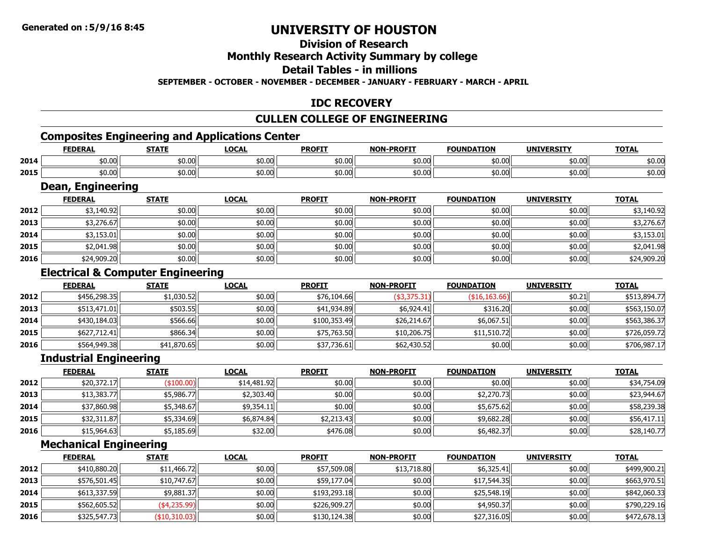## **Division of Research**

#### **Monthly Research Activity Summary by college**

#### **Detail Tables - in millions**

**SEPTEMBER - OCTOBER - NOVEMBER - DECEMBER - JANUARY - FEBRUARY - MARCH - APRIL**

#### **IDC RECOVERY**

#### **CULLEN COLLEGE OF ENGINEERING**

## **Composites Engineering and Applications Center**

|      | <b>FEDERAL</b>                                       | <b>STATF</b> | <b>LOCAL</b>        | <b>PROFIT</b> | <b>NON-DDOCTT</b> | <b>FOUNDATION</b> | <b>UNIVERSITY</b> | <b>TOTAI</b> |
|------|------------------------------------------------------|--------------|---------------------|---------------|-------------------|-------------------|-------------------|--------------|
| 2014 | $+0.00$<br>וטט.טע                                    | \$0.00       | $\sqrt{2}$<br>JU.UU | \$0.00        | \$0.00            | 40.00<br>וטט.טע   | \$0.00            | \$0.00       |
| 2015 | $\uparrow$ $\uparrow$ $\uparrow$ $\uparrow$<br>DU.UU | \$0.00       | $\sqrt{2}$<br>JU.UU | \$0.00        | \$0.00            | \$0.00            | \$0.00            | \$0.00       |

<u> 1989 - Andrea Barbara, amerikana amerikana amerikana amerikana amerikana amerikana amerikana amerikana amerika</u>

#### **Dean, Engineering**

|      | <b>FEDERAL</b> | <b>STATE</b> | <b>LOCAL</b> | <b>PROFIT</b> | <b>NON-PROFIT</b> | <b>FOUNDATION</b> | <b>UNIVERSITY</b> | <b>TOTAL</b> |
|------|----------------|--------------|--------------|---------------|-------------------|-------------------|-------------------|--------------|
| 2012 | \$3,140.92     | \$0.00       | \$0.00       | \$0.00        | \$0.00            | \$0.00            | \$0.00            | \$3,140.92   |
| 2013 | \$3,276.67     | \$0.00       | \$0.00       | \$0.00        | \$0.00            | \$0.00            | \$0.00            | \$3,276.67   |
| 2014 | \$3,153.01     | \$0.00       | \$0.00       | \$0.00        | \$0.00            | \$0.00            | \$0.00            | \$3,153.01   |
| 2015 | \$2,041.98     | \$0.00       | \$0.00       | \$0.00        | \$0.00            | \$0.00            | \$0.00            | \$2,041.98   |
| 2016 | \$24,909.20    | \$0.00       | \$0.00       | \$0.00        | \$0.00            | \$0.00            | \$0.00            | \$24,909.20  |

### **Electrical & Computer Engineering**

|      | <b>FEDERAL</b> | <b>STATE</b> | <b>LOCAL</b> | <b>PROFIT</b> | <b>NON-PROFIT</b> | <b>FOUNDATION</b> | <b>UNIVERSITY</b> | <b>TOTAL</b> |
|------|----------------|--------------|--------------|---------------|-------------------|-------------------|-------------------|--------------|
| 2012 | \$456,298,35   | \$1,030.52   | \$0.00       | \$76,104.66   | $(*3,375.31)$     | ( \$16, 163.66)   | \$0.21            | \$513,894.77 |
| 2013 | \$513,471.01   | \$503.55     | \$0.00       | \$41,934.89   | \$6,924.41        | \$316.20          | \$0.00            | \$563,150.07 |
| 2014 | \$430,184.03   | \$566.66     | \$0.00       | \$100,353.49  | \$26,214.67       | \$6,067.51        | \$0.00            | \$563,386.37 |
| 2015 | \$627,712.41   | \$866.34     | \$0.00       | \$75,763.50   | \$10,206.75       | \$11,510.72       | \$0.00            | \$726,059.72 |
| 2016 | \$564,949.38   | \$41,870.65  | \$0.00       | \$37,736.61   | \$62,430.52       | \$0.00            | \$0.00            | \$706,987.17 |

#### **Industrial Engineering**

|      | <b>FEDERAL</b> | <b>STATE</b> | <b>LOCAL</b> | <b>PROFIT</b> | <b>NON-PROFIT</b> | <b>FOUNDATION</b> | <b>UNIVERSITY</b> | <b>TOTAL</b> |
|------|----------------|--------------|--------------|---------------|-------------------|-------------------|-------------------|--------------|
| 2012 | \$20,372.17    | \$100.00     | \$14,481.92  | \$0.00        | \$0.00            | \$0.00            | \$0.00            | \$34,754.09  |
| 2013 | \$13,383.77    | \$5,986.77   | \$2,303.40   | \$0.00        | \$0.00            | \$2,270.73        | \$0.00            | \$23,944.67  |
| 2014 | \$37,860.98    | \$5,348.67   | \$9,354.11   | \$0.00        | \$0.00            | \$5,675.62        | \$0.00            | \$58,239.38  |
| 2015 | \$32,311.87    | \$5,334.69   | \$6,874.84   | \$2,213.43    | \$0.00            | \$9,682.28        | \$0.00            | \$56,417.11  |
| 2016 | \$15,964.63    | \$5,185.69   | \$32.00      | \$476.08      | \$0.00            | \$6,482.37        | \$0.00            | \$28,140.77  |

#### **Mechanical Engineering**

|      | <b>FEDERAL</b> | <b>STATE</b>  | <b>LOCAL</b> | <b>PROFIT</b> | <b>NON-PROFIT</b> | <b>FOUNDATION</b> | <b>UNIVERSITY</b> | <u>TOTAL</u> |
|------|----------------|---------------|--------------|---------------|-------------------|-------------------|-------------------|--------------|
| 2012 | \$410,880.20   | \$11,466.72   | \$0.00       | \$57,509.08   | \$13,718.80       | \$6,325.41        | \$0.00            | \$499,900.21 |
| 2013 | \$576,501.45   | \$10,747.67   | \$0.00       | \$59,177.04   | \$0.00            | \$17,544.35       | \$0.00            | \$663,970.51 |
| 2014 | \$613,337.59   | \$9,881.37    | \$0.00       | \$193,293.18  | \$0.00            | \$25,548.19       | \$0.00            | \$842,060.33 |
| 2015 | \$562,605.52   | $(*4,235.99)$ | \$0.00       | \$226,909.27  | \$0.00            | \$4,950.37        | \$0.00            | \$790,229.16 |
| 2016 | \$325,547.73   | (\$10,310.03) | \$0.00       | \$130,124.38  | \$0.00            | \$27,316.05       | \$0.00            | \$472,678.13 |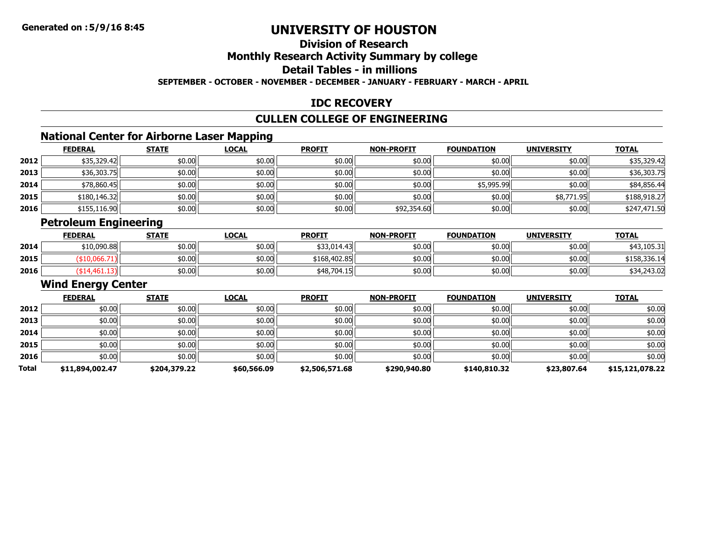# **Division of Research**

## **Monthly Research Activity Summary by college**

## **Detail Tables - in millions**

**SEPTEMBER - OCTOBER - NOVEMBER - DECEMBER - JANUARY - FEBRUARY - MARCH - APRIL**

### **IDC RECOVERY**

#### **CULLEN COLLEGE OF ENGINEERING**

## **National Center for Airborne Laser Mapping**

|      | <b>National Center for Airborne Laser Mapping</b> |              |              |               |                   |                   |                   |              |  |  |  |  |
|------|---------------------------------------------------|--------------|--------------|---------------|-------------------|-------------------|-------------------|--------------|--|--|--|--|
|      | <b>FEDERAL</b>                                    | <b>STATE</b> | <b>LOCAL</b> | <b>PROFIT</b> | <b>NON-PROFIT</b> | <b>FOUNDATION</b> | <b>UNIVERSITY</b> | <b>TOTAL</b> |  |  |  |  |
| 2012 | \$35,329.42                                       | \$0.00       | \$0.00       | \$0.00        | \$0.00            | \$0.00            | \$0.00            | \$35,329.42  |  |  |  |  |
| 2013 | \$36,303.75                                       | \$0.00       | \$0.00       | \$0.00        | \$0.00            | \$0.00            | \$0.00            | \$36,303.75  |  |  |  |  |
| 2014 | \$78,860.45                                       | \$0.00       | \$0.00       | \$0.00        | \$0.00            | \$5,995.99        | \$0.00            | \$84,856.44  |  |  |  |  |
| 2015 | \$180,146.32                                      | \$0.00       | \$0.00       | \$0.00        | \$0.00            | \$0.00            | \$8,771.95        | \$188,918.27 |  |  |  |  |
| 2016 | \$155,116.90                                      | \$0.00       | \$0.00       | \$0.00        | \$92,354.60       | \$0.00            | \$0.00            | \$247,471.50 |  |  |  |  |

### **Petroleum Engineering**

|      | <b>FEDERAL</b> | <b>STATE</b> | <u>LOCAL</u> | <b>PROFIT</b> | <b>NON-PROFIT</b> | <b>FOUNDATION</b> | <b>UNIVERSITY</b> | <b>TOTAL</b> |
|------|----------------|--------------|--------------|---------------|-------------------|-------------------|-------------------|--------------|
| 2014 | \$10,090.88    | \$0.00       | \$0.00       | \$33,014.43   | \$0.00            | \$0.00            | \$0.00 l          | \$43,105.31  |
| 2015 |                | \$0.00       | \$0.00       | \$168,402.85  | \$0.00            | \$0.00            | \$0.00            | \$158,336.14 |
| 2016 |                | \$0.00       | \$0.00       | \$48,704.15   | \$0.00            | \$0.00            | \$0.00            | \$34,243.02  |

#### **Wind Energy Center**

|              | <b>FEDERAL</b>  | <b>STATE</b> | <b>LOCAL</b> | <b>PROFIT</b>  | <b>NON-PROFIT</b> | <b>FOUNDATION</b> | <b>UNIVERSITY</b> | <b>TOTAL</b>    |
|--------------|-----------------|--------------|--------------|----------------|-------------------|-------------------|-------------------|-----------------|
| 2012         | \$0.00          | \$0.00       | \$0.00       | \$0.00         | \$0.00            | \$0.00            | \$0.00            | \$0.00          |
| 2013         | \$0.00          | \$0.00       | \$0.00       | \$0.00         | \$0.00            | \$0.00            | \$0.00            | \$0.00          |
| 2014         | \$0.00          | \$0.00       | \$0.00       | \$0.00         | \$0.00            | \$0.00            | \$0.00            | \$0.00          |
| 2015         | \$0.00          | \$0.00       | \$0.00       | \$0.00         | \$0.00            | \$0.00            | \$0.00            | \$0.00          |
| 2016         | \$0.00          | \$0.00       | \$0.00       | \$0.00         | \$0.00            | \$0.00            | \$0.00            | \$0.00          |
| <b>Total</b> | \$11,894,002.47 | \$204,379.22 | \$60,566.09  | \$2,506,571.68 | \$290,940.80      | \$140,810.32      | \$23,807.64       | \$15,121,078.22 |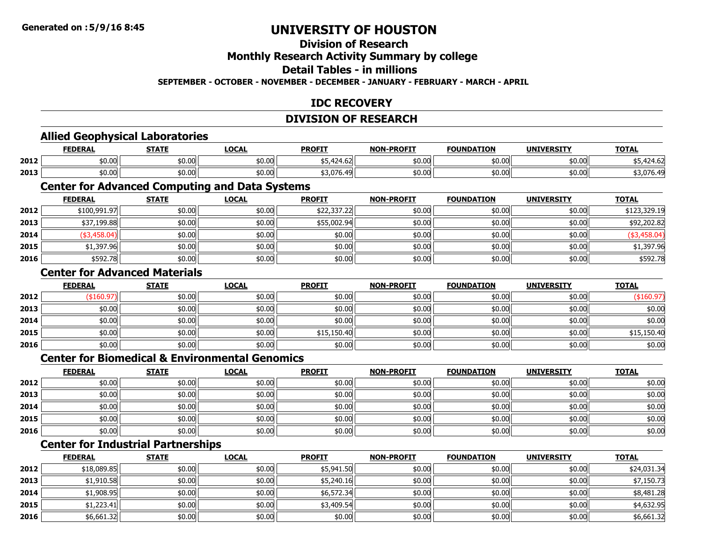### **Division of Research**

#### **Monthly Research Activity Summary by college**

#### **Detail Tables - in millions**

#### **SEPTEMBER - OCTOBER - NOVEMBER - DECEMBER - JANUARY - FEBRUARY - MARCH - APRIL**

#### **IDC RECOVERY**

#### **DIVISION OF RESEARCH**

### **Allied Geophysical Laboratories**

|      | <b>FEDERAL</b> | STATI                   | $\sum$<br>.ULAI | <b>PROFIT</b>                                         | -PROFIT<br>NON- | <b>FOUNDATION</b> | <b>UNIVERSITY</b> | <b>TOTAL</b><br>UIAI  |
|------|----------------|-------------------------|-----------------|-------------------------------------------------------|-----------------|-------------------|-------------------|-----------------------|
| 2012 | \$0.00         | $+0.05$<br>וטט.טע       | \$0.00          | $\sim$<br>.<br>127.UZ                                 | \$0.00          | ሐስ ሰሰ<br>JU.UU    | \$0.00            | ∕ ∪ . <del>ا</del> ∠، |
| 2013 | \$0.00         | $\mathbb{R}^n$<br>JU.UU | \$0.00          | $\lambda$ 2.22<br>$\overline{\phantom{a}}$<br>53.U/b. | \$0.00          | \$0.00            | \$0.00            | 076.40                |

#### **Center for Advanced Computing and Data Systems**

|      | <b>FEDERAL</b> | <b>STATE</b> | <b>LOCAL</b> | <b>PROFIT</b> | <b>NON-PROFIT</b> | <b>FOUNDATION</b> | <b>UNIVERSITY</b> | <b>TOTAL</b> |
|------|----------------|--------------|--------------|---------------|-------------------|-------------------|-------------------|--------------|
| 2012 | \$100,991.97   | \$0.00       | \$0.00       | \$22,337.22   | \$0.00            | \$0.00            | \$0.00            | \$123,329.19 |
| 2013 | \$37,199.88    | \$0.00       | \$0.00       | \$55,002.94   | \$0.00            | \$0.00            | \$0.00            | \$92,202.82  |
| 2014 | (\$3,458.04)   | \$0.00       | \$0.00       | \$0.00        | \$0.00            | \$0.00            | \$0.00            | (\$3,458.04) |
| 2015 | \$1,397.96     | \$0.00       | \$0.00       | \$0.00        | \$0.00            | \$0.00            | \$0.00            | \$1,397.96   |
| 2016 | \$592.78       | \$0.00       | \$0.00       | \$0.00        | \$0.00            | \$0.00            | \$0.00            | \$592.78     |

#### **Center for Advanced Materials**

|      | <u>FEDERAL</u> | <b>STATE</b> | <b>LOCAL</b> | <b>PROFIT</b> | <b>NON-PROFIT</b> | <b>FOUNDATION</b> | <b>UNIVERSITY</b> | <b>TOTAL</b> |
|------|----------------|--------------|--------------|---------------|-------------------|-------------------|-------------------|--------------|
| 2012 | (\$160.97)     | \$0.00       | \$0.00       | \$0.00        | \$0.00            | \$0.00            | \$0.00            | (\$160.97)   |
| 2013 | \$0.00         | \$0.00       | \$0.00       | \$0.00        | \$0.00            | \$0.00            | \$0.00            | \$0.00       |
| 2014 | \$0.00         | \$0.00       | \$0.00       | \$0.00        | \$0.00            | \$0.00            | \$0.00            | \$0.00       |
| 2015 | \$0.00         | \$0.00       | \$0.00       | \$15,150.40   | \$0.00            | \$0.00            | \$0.00            | \$15,150.40  |
| 2016 | \$0.00         | \$0.00       | \$0.00       | \$0.00        | \$0.00            | \$0.00            | \$0.00            | \$0.00       |

#### **Center for Biomedical & Environmental Genomics**

|      | <b>FEDERAL</b> | <b>STATE</b> | <u>LOCAL</u> | <b>PROFIT</b> | <b>NON-PROFIT</b> | <b>FOUNDATION</b> | <b>UNIVERSITY</b> | <b>TOTAL</b> |
|------|----------------|--------------|--------------|---------------|-------------------|-------------------|-------------------|--------------|
| 2012 | \$0.00         | \$0.00       | \$0.00       | \$0.00        | \$0.00            | \$0.00            | \$0.00            | \$0.00       |
| 2013 | \$0.00         | \$0.00       | \$0.00       | \$0.00        | \$0.00            | \$0.00            | \$0.00            | \$0.00       |
| 2014 | \$0.00         | \$0.00       | \$0.00       | \$0.00        | \$0.00            | \$0.00            | \$0.00            | \$0.00       |
| 2015 | \$0.00         | \$0.00       | \$0.00       | \$0.00        | \$0.00            | \$0.00            | \$0.00            | \$0.00       |
| 2016 | \$0.00         | \$0.00       | \$0.00       | \$0.00        | \$0.00            | \$0.00            | \$0.00            | \$0.00       |

### **Center for Industrial Partnerships**

|      | <b>FEDERAL</b> | <b>STATE</b> | <b>LOCAL</b> | <b>PROFIT</b> | <b>NON-PROFIT</b> | <b>FOUNDATION</b> | <b>UNIVERSITY</b> | <b>TOTAL</b> |
|------|----------------|--------------|--------------|---------------|-------------------|-------------------|-------------------|--------------|
| 2012 | \$18,089.85    | \$0.00       | \$0.00       | \$5,941.50    | \$0.00            | \$0.00            | \$0.00            | \$24,031.34  |
| 2013 | \$1,910.58     | \$0.00       | \$0.00       | \$5,240.16    | \$0.00            | \$0.00            | \$0.00            | \$7,150.73   |
| 2014 | \$1,908.95     | \$0.00       | \$0.00       | \$6,572.34    | \$0.00            | \$0.00            | \$0.00            | \$8,481.28   |
| 2015 | \$1,223.41     | \$0.00       | \$0.00       | \$3,409.54    | \$0.00            | \$0.00            | \$0.00            | \$4,632.95   |
| 2016 | \$6,661.32     | \$0.00       | \$0.00       | \$0.00        | \$0.00            | \$0.00            | \$0.00            | \$6,661.32   |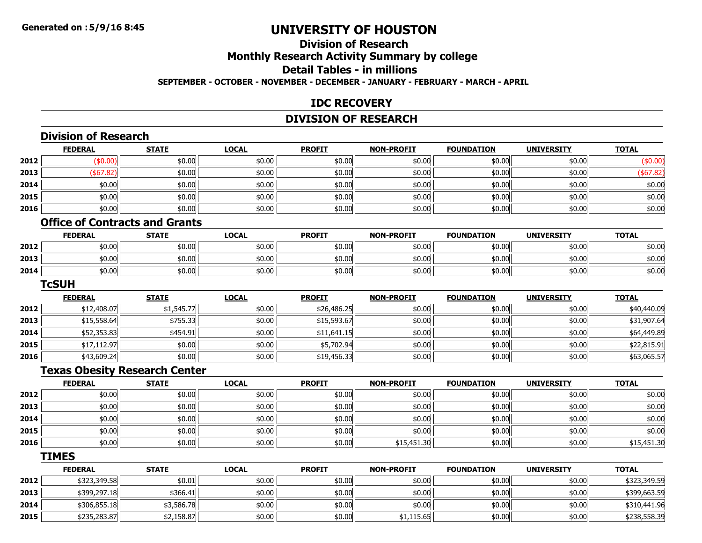#### **Division of ResearchMonthly Research Activity Summary by college Detail Tables - in millions SEPTEMBER - OCTOBER - NOVEMBER - DECEMBER - JANUARY - FEBRUARY - MARCH - APRIL**

#### **IDC RECOVERY**

#### **DIVISION OF RESEARCH**

|      | <b>FEDERAL</b>                        | <b>STATE</b> | <b>LOCAL</b> | <b>PROFIT</b> | <b>NON-PROFIT</b> | <b>FOUNDATION</b> | <b>UNIVERSITY</b>  | <b>TOTAL</b> |
|------|---------------------------------------|--------------|--------------|---------------|-------------------|-------------------|--------------------|--------------|
| 2012 | (\$0.00)                              | \$0.00       | \$0.00       | \$0.00        | \$0.00            | \$0.00            | \$0.00             | (\$0.00)     |
| 2013 | ( \$67.82)                            | \$0.00       | \$0.00       | \$0.00        | \$0.00            | \$0.00            | \$0.00             | (\$67.82)    |
| 2014 | \$0.00                                | \$0.00       | \$0.00       | \$0.00        | \$0.00            | \$0.00            | \$0.00             | \$0.00       |
| 2015 | \$0.00                                | \$0.00       | \$0.00       | \$0.00        | \$0.00            | \$0.00            | \$0.00             | \$0.00       |
| 2016 | \$0.00                                | \$0.00       | \$0.00       | \$0.00        | \$0.00            | \$0.00            | \$0.00             | \$0.00       |
|      | <b>Office of Contracts and Grants</b> |              |              |               |                   |                   |                    |              |
|      | <b>FEDERAL</b>                        | <b>STATE</b> | <b>LOCAL</b> | <b>PROFIT</b> | <b>NON-PROFIT</b> | <b>FOUNDATION</b> | <b>UNIVERSITY</b>  | <b>TOTAL</b> |
| 2012 | \$0.00                                | \$0.00       | \$0.00       | \$0.00        | \$0.00            | \$0.00            | \$0.00             | \$0.00       |
| 2013 | \$0.00                                | \$0.00       | \$0.00       | \$0.00        | \$0.00            | \$0.00            | \$0.00             | \$0.00       |
| 2014 | \$0.00                                | \$0.00       | \$0.00       | \$0.00        | \$0.00            | \$0.00            | \$0.00             | \$0.00       |
|      | <b>TcSUH</b>                          |              |              |               |                   |                   |                    |              |
|      | <b>FEDERAL</b>                        | <b>STATE</b> | <b>LOCAL</b> | <b>PROFIT</b> | <b>NON-PROFIT</b> | <b>FOUNDATION</b> | <b>UNIVERSITY</b>  | <b>TOTAL</b> |
| 2012 | \$12,408.07                           | \$1,545.77   | \$0.00       | \$26,486.25   | \$0.00            | \$0.00            | \$0.00             | \$40,440.09  |
| 2013 | \$15,558.64                           | \$755.33     | \$0.00       | \$15,593.67   | \$0.00            | \$0.00            | \$0.00             | \$31,907.64  |
| 2014 | \$52,353.83                           | \$454.91     | \$0.00       | \$11,641.15   | \$0.00            | \$0.00            | \$0.00             | \$64,449.89  |
| 2015 | \$17,112.97                           | \$0.00       | \$0.00       | \$5,702.94    | \$0.00            | \$0.00            | \$0.00             | \$22,815.91  |
| 2016 | \$43,609.24                           | \$0.00       | \$0.00       | \$19,456.33   | \$0.00            | \$0.00            | \$0.00             | \$63,065.57  |
|      | <b>Texas Obesity Research Center</b>  |              |              |               |                   |                   |                    |              |
|      | <b>FEDERAL</b>                        | <b>STATE</b> | <b>LOCAL</b> | <b>PROFIT</b> | <b>NON-PROFIT</b> | <b>FOUNDATION</b> | <b>UNIVERSITY</b>  | <b>TOTAL</b> |
| 2012 | \$0.00                                | \$0.00       | \$0.00       | \$0.00        | \$0.00            | \$0.00            | \$0.00             | \$0.00       |
| 2013 | \$0.00                                | \$0.00       | \$0.00       | \$0.00        | \$0.00            | \$0.00            | \$0.00             | \$0.00       |
| 2014 | \$0.00                                | \$0.00       | \$0.00       | \$0.00        | \$0.00            | \$0.00            | \$0.00             | \$0.00       |
| 2015 | \$0.00                                | \$0.00       | \$0.00       | \$0.00        | \$0.00            | \$0.00            | \$0.00             | \$0.00       |
| 2016 | \$0.00                                | \$0.00       | \$0.00       | \$0.00        | \$15,451.30       | \$0.00            | \$0.00             | \$15,451.30  |
|      | TIMES                                 |              |              |               |                   |                   |                    |              |
|      | <b>FFDFRAI</b>                        | <b>STATE</b> | LOCAL        | <b>PROFIT</b> | <b>NON-PROFIT</b> | <b>FOUNDATION</b> | <b>IINTVERSITY</b> | <b>TOTAL</b> |

|      | <b>FEDERAL</b> | <b>STATE</b> | <b>LOCAL</b> | <b>PROFIT</b> | <b>NON-PROFIT</b> | <b>FOUNDATION</b> | <b>UNIVERSITY</b> | <b>TOTAL</b> |
|------|----------------|--------------|--------------|---------------|-------------------|-------------------|-------------------|--------------|
| 2012 | \$323,349.58   | \$0.01       | \$0.00       | \$0.00        | \$0.00            | \$0.00            | \$0.00            | \$323,349.59 |
| 2013 | \$399,297.18   | \$366.41     | \$0.00       | \$0.00        | \$0.00            | \$0.00            | \$0.00            | \$399,663.59 |
| 2014 | \$306,855.18   | \$3,586.78   | \$0.00       | \$0.00        | \$0.00            | \$0.00            | \$0.00            | \$310,441.96 |
| 2015 | \$235,283.87   | \$2,158.87   | \$0.00       | \$0.00        | \$1,115.65        | \$0.00            | \$0.00            | \$238,558.39 |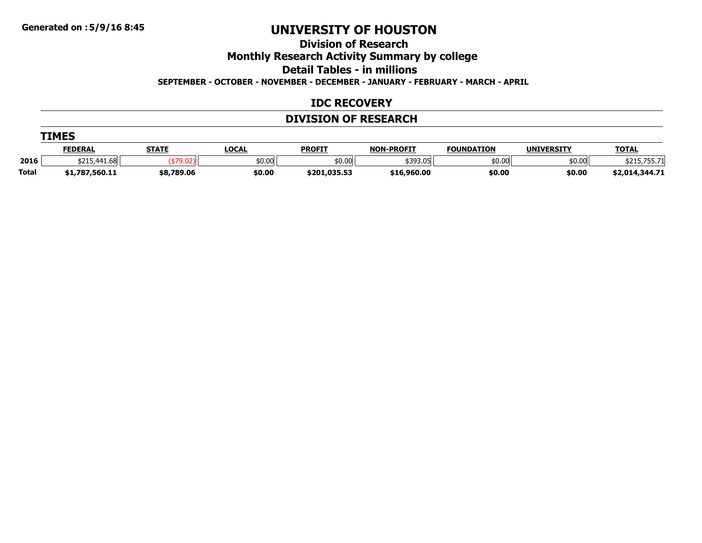**Division of Research**

**Monthly Research Activity Summary by college**

**Detail Tables - in millions**

**SEPTEMBER - OCTOBER - NOVEMBER - DECEMBER - JANUARY - FEBRUARY - MARCH - APRIL**

#### **IDC RECOVERY**

#### **DIVISION OF RESEARCH**

|              | <b>TIMES</b>   |              |              |               |                   |                   |                   |                |  |  |  |
|--------------|----------------|--------------|--------------|---------------|-------------------|-------------------|-------------------|----------------|--|--|--|
|              | <b>FEDERAL</b> | <b>STATE</b> | <u>LOCAL</u> | <b>PROFIT</b> | <b>NON-PROFIT</b> | <b>FOUNDATION</b> | <b>UNIVERSITY</b> | <b>TOTAL</b>   |  |  |  |
| 2016         | \$215,441.68   |              | \$0.00       | \$0.00        | \$393.05          | \$0.00            | \$0.00            | \$215,755.71   |  |  |  |
| <b>Total</b> | \$1,787,560.11 | \$8,789.06   | \$0.00       | \$201,035.53  | \$16,960.00       | \$0.00            | \$0.00            | \$2,014,344.71 |  |  |  |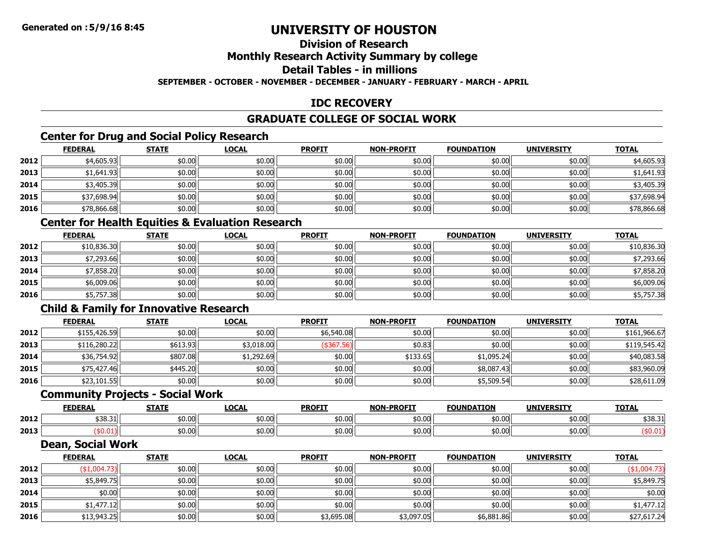## **Division of Research**

### **Monthly Research Activity Summary by college**

#### **Detail Tables - in millions**

**SEPTEMBER - OCTOBER - NOVEMBER - DECEMBER - JANUARY - FEBRUARY - MARCH - APRIL**

### **IDC RECOVERY**

#### **GRADUATE COLLEGE OF SOCIAL WORK**

### **Center for Drug and Social Policy Research**

|      | <b>FEDERAL</b> | <b>STATE</b> | <b>LOCAL</b> | <b>PROFIT</b> | <b>NON-PROFIT</b> | <b>FOUNDATION</b> | <b>UNIVERSITY</b> | <b>TOTAL</b> |
|------|----------------|--------------|--------------|---------------|-------------------|-------------------|-------------------|--------------|
| 2012 | \$4,605.93     | \$0.00       | \$0.00       | \$0.00        | \$0.00            | \$0.00            | \$0.00            | \$4,605.93   |
| 2013 | \$1,641.93     | \$0.00       | \$0.00       | \$0.00        | \$0.00            | \$0.00            | \$0.00            | \$1,641.93   |
| 2014 | \$3,405.39     | \$0.00       | \$0.00       | \$0.00        | \$0.00            | \$0.00            | \$0.00            | \$3,405.39   |
| 2015 | \$37,698.94    | \$0.00       | \$0.00       | \$0.00        | \$0.00            | \$0.00            | \$0.00            | \$37,698.94  |
| 2016 | \$78,866.68    | \$0.00       | \$0.00       | \$0.00        | \$0.00            | \$0.00            | \$0.00            | \$78,866.68  |

#### **Center for Health Equities & Evaluation Research**

|      | <u>FEDERAL</u> | <b>STATE</b> | <b>LOCAL</b> | <b>PROFIT</b> | <b>NON-PROFIT</b> | <b>FOUNDATION</b> | <b>UNIVERSITY</b> | <u>TOTAL</u> |
|------|----------------|--------------|--------------|---------------|-------------------|-------------------|-------------------|--------------|
| 2012 | \$10,836.30    | \$0.00       | \$0.00       | \$0.00        | \$0.00            | \$0.00            | \$0.00            | \$10,836.30  |
| 2013 | \$7,293.66     | \$0.00       | \$0.00       | \$0.00        | \$0.00            | \$0.00            | \$0.00            | \$7,293.66   |
| 2014 | \$7,858.20     | \$0.00       | \$0.00       | \$0.00        | \$0.00            | \$0.00            | \$0.00            | \$7,858.20   |
| 2015 | \$6,009.06     | \$0.00       | \$0.00       | \$0.00        | \$0.00            | \$0.00            | \$0.00            | \$6,009.06   |
| 2016 | \$5,757.38     | \$0.00       | \$0.00       | \$0.00        | \$0.00            | \$0.00            | \$0.00            | \$5,757.38   |

## **Child & Family for Innovative Research**

|      | <b>FEDERAL</b> | <b>STATE</b> | <b>LOCAL</b> | <b>PROFIT</b> | <b>NON-PROFIT</b> | <b>FOUNDATION</b> | <b>UNIVERSITY</b> | <b>TOTAL</b> |
|------|----------------|--------------|--------------|---------------|-------------------|-------------------|-------------------|--------------|
| 2012 | \$155,426.59   | \$0.00       | \$0.00       | \$6,540.08    | \$0.00            | \$0.00            | \$0.00            | \$161,966.67 |
| 2013 | \$116,280.22   | \$613.93     | \$3,018.00   | (\$367.56)    | \$0.83            | \$0.00            | \$0.00            | \$119,545.42 |
| 2014 | \$36,754.92    | \$807.08     | \$1,292.69   | \$0.00        | \$133.65          | \$1,095.24        | \$0.00            | \$40,083.58  |
| 2015 | \$75,427.46    | \$445.20     | \$0.00       | \$0.00        | \$0.00            | \$8,087.43        | \$0.00            | \$83,960.09  |
| 2016 | \$23,101.55    | \$0.00       | \$0.00       | \$0.00        | \$0.00            | \$5,509.54        | \$0.00            | \$28,611.09  |

#### **Community Projects - Social Work**

|      | <b>FEDERAI</b>   | <b>STATE</b> | <b>LOCA.</b> | <b>PROFIT</b> | <b>NON-PROFIT</b> | <b>המטווור</b><br>ΓΤΩΝ | <b>UNIVERSITY</b> | <b>TOTAL</b>           |
|------|------------------|--------------|--------------|---------------|-------------------|------------------------|-------------------|------------------------|
| 2012 | $\sim$<br>538.31 | \$0.00       | \$0.00       | \$0.00        | \$0.00            | \$0.00                 | \$0.00            | $\overline{a}$<br>, JU |
| 2013 | 50.UL            | \$0.00       | \$0.00       | \$0.00        | \$0.00            | \$0.00                 | \$0.00            |                        |

#### **Dean, Social Work**

|      | <b>FEDERAL</b> | <b>STATE</b> | <b>LOCAL</b> | <b>PROFIT</b> | <b>NON-PROFIT</b> | <b>FOUNDATION</b> | <b>UNIVERSITY</b> | <b>TOTAL</b> |
|------|----------------|--------------|--------------|---------------|-------------------|-------------------|-------------------|--------------|
| 2012 | \$1,004.73)    | \$0.00       | \$0.00       | \$0.00        | \$0.00            | \$0.00            | \$0.00            | (\$1,004.73) |
| 2013 | \$5,849.75     | \$0.00       | \$0.00       | \$0.00        | \$0.00            | \$0.00            | \$0.00            | \$5,849.75   |
| 2014 | \$0.00         | \$0.00       | \$0.00       | \$0.00        | \$0.00            | \$0.00            | \$0.00            | \$0.00       |
| 2015 | \$1,477.12     | \$0.00       | \$0.00       | \$0.00        | \$0.00            | \$0.00            | \$0.00            | \$1,477.12   |
| 2016 | \$13,943.25    | \$0.00       | \$0.00       | \$3,695.08    | \$3,097.05        | \$6,881.86        | \$0.00            | \$27,617.24  |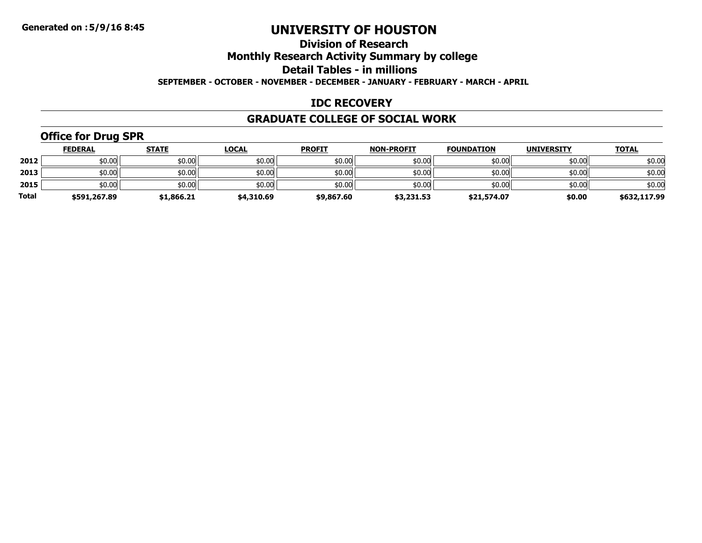### **Division of Research**

**Monthly Research Activity Summary by college**

**Detail Tables - in millions**

**SEPTEMBER - OCTOBER - NOVEMBER - DECEMBER - JANUARY - FEBRUARY - MARCH - APRIL**

#### **IDC RECOVERY**

#### **GRADUATE COLLEGE OF SOCIAL WORK**

## **Office for Drug SPR**

|              | <b>FEDERAL</b> | <b>STATE</b> | <u>LOCAL</u> | <b>PROFIT</b> | <b>NON-PROFIT</b> | <b>FOUNDATION</b> | <b>UNIVERSITY</b> | <u>TOTAL</u> |
|--------------|----------------|--------------|--------------|---------------|-------------------|-------------------|-------------------|--------------|
| 2012         | \$0.00         | \$0.00       | \$0.00       | \$0.00        | \$0.00            | \$0.00            | \$0.00            | \$0.00       |
| 2013         | \$0.00         | \$0.00       | \$0.00       | \$0.00        | \$0.00            | \$0.00            | \$0.00            | \$0.00       |
| 2015         | \$0.00         | \$0.00       | \$0.00       | \$0.00        | \$0.00            | \$0.00            | \$0.00            | \$0.00       |
| <b>Total</b> | \$591,267.89   | \$1,866.21   | \$4,310.69   | \$9,867.60    | \$3,231.53        | \$21,574.07       | \$0.00            | \$632,117.99 |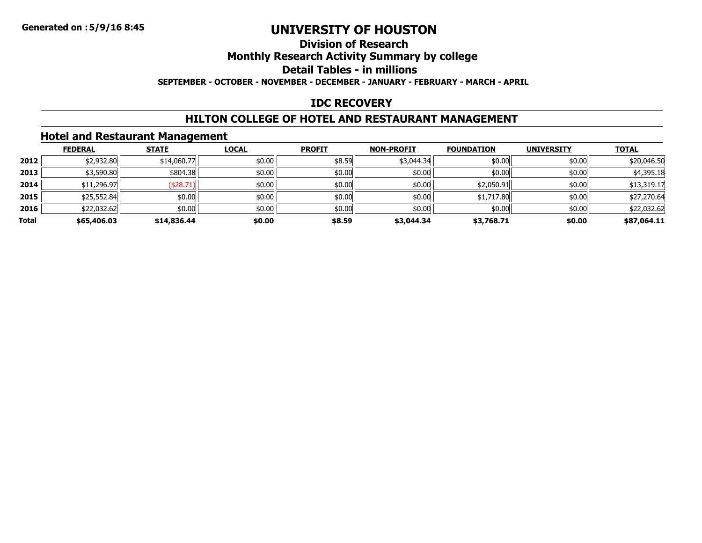## **Division of Research**

## **Monthly Research Activity Summary by college**

### **Detail Tables - in millions**

**SEPTEMBER - OCTOBER - NOVEMBER - DECEMBER - JANUARY - FEBRUARY - MARCH - APRIL**

### **IDC RECOVERY**

### **HILTON COLLEGE OF HOTEL AND RESTAURANT MANAGEMENT**

### **Hotel and Restaurant Management**

|       | <b>FEDERAL</b> | <b>STATE</b> | <b>LOCAL</b> | <b>PROFIT</b> | <b>NON-PROFIT</b> | <b>FOUNDATION</b> | <b>UNIVERSITY</b> | <b>TOTAL</b> |
|-------|----------------|--------------|--------------|---------------|-------------------|-------------------|-------------------|--------------|
| 2012  | \$2,932.80     | \$14,060.77  | \$0.00       | \$8.59        | \$3,044.34        | \$0.00            | \$0.00            | \$20,046.50  |
| 2013  | \$3,590.80     | \$804.38     | \$0.00       | \$0.00        | \$0.00            | \$0.00            | \$0.00            | \$4,395.18   |
| 2014  | \$11,296.97    | \$28.71      | \$0.00       | \$0.00        | \$0.00            | \$2,050.91        | \$0.00            | \$13,319.17  |
| 2015  | \$25,552.84    | \$0.00       | \$0.00       | \$0.00        | \$0.00            | \$1,717.80        | \$0.00            | \$27,270.64  |
| 2016  | \$22,032.62    | \$0.00       | \$0.00       | \$0.00        | \$0.00            | \$0.00            | \$0.00            | \$22,032.62  |
| Total | \$65,406.03    | \$14,836.44  | \$0.00       | \$8.59        | \$3,044.34        | \$3,768.71        | \$0.00            | \$87,064.11  |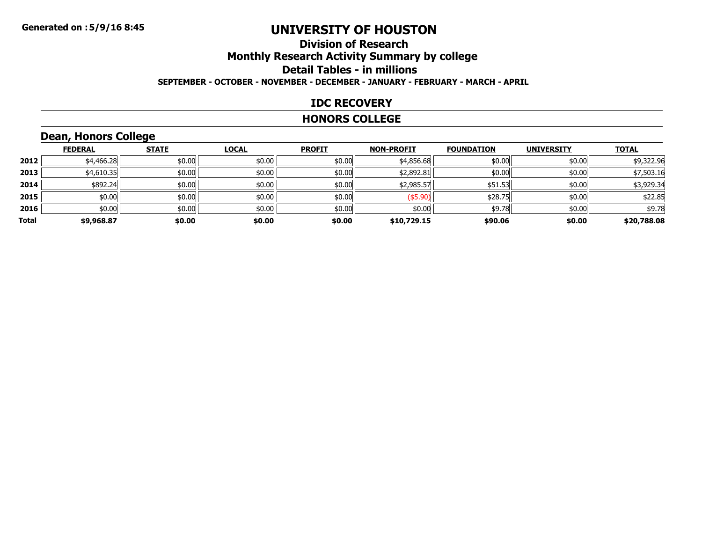#### **Division of ResearchMonthly Research Activity Summary by college Detail Tables - in millions SEPTEMBER - OCTOBER - NOVEMBER - DECEMBER - JANUARY - FEBRUARY - MARCH - APRIL**

#### **IDC RECOVERY**

#### **HONORS COLLEGE**

### **Dean, Honors College**

|       | <b>FEDERAL</b> | <b>STATE</b> | <b>LOCAL</b> | <b>PROFIT</b> | <b>NON-PROFIT</b> | <b>FOUNDATION</b> | <b>UNIVERSITY</b> | <b>TOTAL</b> |
|-------|----------------|--------------|--------------|---------------|-------------------|-------------------|-------------------|--------------|
| 2012  | \$4,466.28     | \$0.00       | \$0.00       | \$0.00        | \$4,856.68        | \$0.00            | \$0.00            | \$9,322.96   |
| 2013  | \$4,610.35     | \$0.00       | \$0.00       | \$0.00        | \$2,892.81        | \$0.00            | \$0.00            | \$7,503.16   |
| 2014  | \$892.24       | \$0.00       | \$0.00       | \$0.00        | \$2,985.57        | \$51.53           | \$0.00            | \$3,929.34   |
| 2015  | \$0.00         | \$0.00       | \$0.00       | \$0.00        | (\$5.90)          | \$28.75           | \$0.00            | \$22.85      |
| 2016  | \$0.00         | \$0.00       | \$0.00       | \$0.00        | \$0.00            | \$9.78            | \$0.00            | \$9.78       |
| Total | \$9,968.87     | \$0.00       | \$0.00       | \$0.00        | \$10,729.15       | \$90.06           | \$0.00            | \$20,788.08  |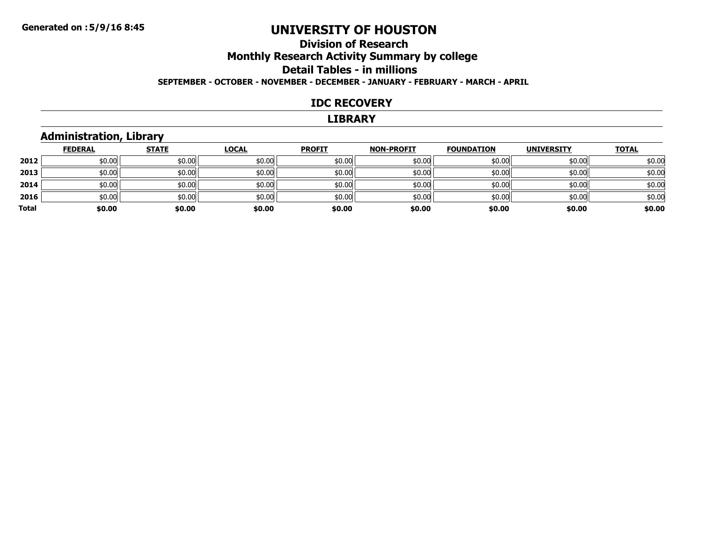#### **Division of ResearchMonthly Research Activity Summary by college Detail Tables - in millions SEPTEMBER - OCTOBER - NOVEMBER - DECEMBER - JANUARY - FEBRUARY - MARCH - APRIL**

#### **IDC RECOVERY**

#### **LIBRARY**

### **Administration, Library**

|       | <b>FEDERAL</b> | <b>STATE</b> | <b>LOCAL</b> | <b>PROFIT</b> | <b>NON-PROFIT</b> | <b>FOUNDATION</b> | <b>UNIVERSITY</b> | <b>TOTAL</b> |
|-------|----------------|--------------|--------------|---------------|-------------------|-------------------|-------------------|--------------|
| 2012  | \$0.00         | \$0.00       | \$0.00       | \$0.00        | \$0.00            | \$0.00            | \$0.00            | \$0.00       |
| 2013  | \$0.00         | \$0.00       | \$0.00       | \$0.00        | \$0.00            | \$0.00            | \$0.00            | \$0.00       |
| 2014  | \$0.00         | \$0.00       | \$0.00       | \$0.00        | \$0.00            | \$0.00            | \$0.00            | \$0.00       |
| 2016  | \$0.00         | \$0.00       | \$0.00       | \$0.00        | \$0.00            | \$0.00            | \$0.00            | \$0.00       |
| Total | \$0.00         | \$0.00       | \$0.00       | \$0.00        | \$0.00            | \$0.00            | \$0.00            | \$0.00       |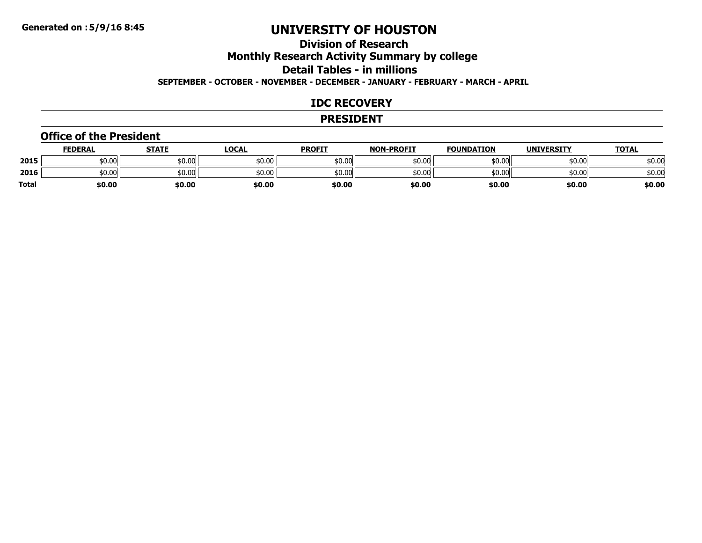## **Division of ResearchMonthly Research Activity Summary by college Detail Tables - in millions**

**SEPTEMBER - OCTOBER - NOVEMBER - DECEMBER - JANUARY - FEBRUARY - MARCH - APRIL**

#### **IDC RECOVERY**

#### **PRESIDENT**

#### **Office of the President**

|       | <b>FEDERAL</b> | STATE  | <u>LOCAL</u> | <b>PROFIT</b> | <b>NON-PROFIT</b> | <b>FOUNDATION</b> | <b>UNIVERSITY</b> | <b>TOTAL</b> |
|-------|----------------|--------|--------------|---------------|-------------------|-------------------|-------------------|--------------|
| 2015  | \$0.00         | \$0.00 | 50.00        | \$0.00        | \$0.00            | \$0.00            | \$0.00            | \$0.00       |
| 2016  | \$0.00         | \$0.00 | \$0.00       | \$0.00        | \$0.00            | \$0.00            | \$0.00            | \$0.00       |
| Total | \$0.00         | \$0.00 | \$0.00       | \$0.00        | \$0.00            | \$0.00            | \$0.00            | \$0.00       |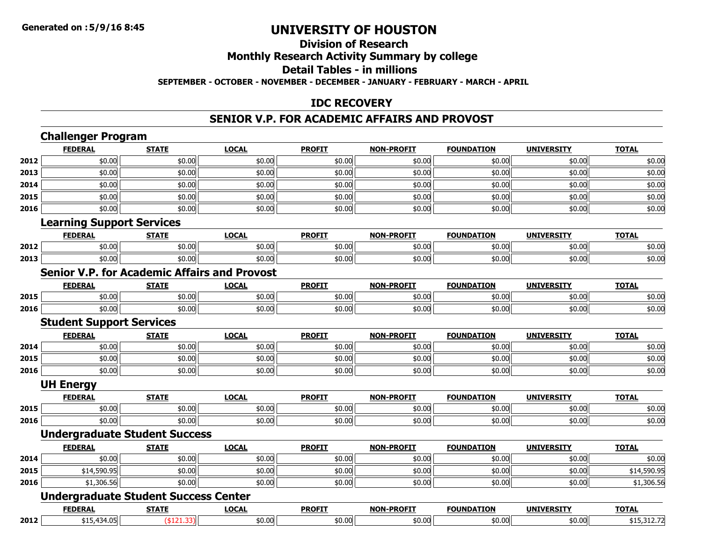#### **Division of ResearchMonthly Research Activity Summary by college Detail Tables - in millions SEPTEMBER - OCTOBER - NOVEMBER - DECEMBER - JANUARY - FEBRUARY - MARCH - APRIL**

#### **IDC RECOVERY**

#### **SENIOR V.P. FOR ACADEMIC AFFAIRS AND PROVOST**

|      | <b>Challenger Program</b><br><b>FEDERAL</b>         | <b>STATE</b>  | <b>LOCAL</b> | <b>PROFIT</b> | <b>NON-PROFIT</b> | <b>FOUNDATION</b> | <b>UNIVERSITY</b> | <b>TOTAL</b> |
|------|-----------------------------------------------------|---------------|--------------|---------------|-------------------|-------------------|-------------------|--------------|
| 2012 | \$0.00                                              | \$0.00        | \$0.00       | \$0.00        | \$0.00            | \$0.00            | \$0.00            | \$0.00       |
| 2013 | \$0.00                                              | \$0.00        | \$0.00       | \$0.00        | \$0.00            | \$0.00            | \$0.00            | \$0.00       |
| 2014 | \$0.00                                              | \$0.00        | \$0.00       | \$0.00        | \$0.00            | \$0.00            | \$0.00            | \$0.00       |
| 2015 | \$0.00                                              | \$0.00        | \$0.00       | \$0.00        | \$0.00            | \$0.00            | \$0.00            | \$0.00       |
| 2016 | \$0.00                                              | \$0.00        | \$0.00       | \$0.00        | \$0.00            | \$0.00            | \$0.00            | \$0.00       |
|      | <b>Learning Support Services</b>                    |               |              |               |                   |                   |                   |              |
|      | <b>FEDERAL</b>                                      | <b>STATE</b>  | <b>LOCAL</b> | <b>PROFIT</b> | <b>NON-PROFIT</b> | <b>FOUNDATION</b> | <b>UNIVERSITY</b> | <b>TOTAL</b> |
| 2012 | \$0.00                                              | \$0.00        | \$0.00       | \$0.00        | \$0.00            | \$0.00            | \$0.00            | \$0.00       |
| 2013 | \$0.00                                              | \$0.00        | \$0.00       | \$0.00        | \$0.00            | \$0.00            | \$0.00            | \$0.00       |
|      | <b>Senior V.P. for Academic Affairs and Provost</b> |               |              |               |                   |                   |                   |              |
|      | <b>FEDERAL</b>                                      | <b>STATE</b>  | <b>LOCAL</b> | <b>PROFIT</b> | <b>NON-PROFIT</b> | <b>FOUNDATION</b> | <b>UNIVERSITY</b> | <b>TOTAL</b> |
| 2015 | \$0.00                                              | \$0.00        | \$0.00       | \$0.00        | \$0.00            | \$0.00            | \$0.00            | \$0.00       |
| 2016 | \$0.00                                              | \$0.00        | \$0.00       | \$0.00        | \$0.00            | \$0.00            | \$0.00            | \$0.00       |
|      | <b>Student Support Services</b>                     |               |              |               |                   |                   |                   |              |
|      | <b>FEDERAL</b>                                      | <b>STATE</b>  | <b>LOCAL</b> | <b>PROFIT</b> | <b>NON-PROFIT</b> | <b>FOUNDATION</b> | <b>UNIVERSITY</b> | <b>TOTAL</b> |
| 2014 | \$0.00                                              | \$0.00        | \$0.00       | \$0.00        | \$0.00            | \$0.00            | \$0.00            | \$0.00       |
| 2015 | \$0.00                                              | \$0.00        | \$0.00       | \$0.00        | \$0.00            | \$0.00            | \$0.00            | \$0.00       |
| 2016 | \$0.00                                              | \$0.00        | \$0.00       | \$0.00        | \$0.00            | \$0.00            | \$0.00            | \$0.00       |
|      | <b>UH Energy</b>                                    |               |              |               |                   |                   |                   |              |
|      | <b>FEDERAL</b>                                      | <b>STATE</b>  | <b>LOCAL</b> | <b>PROFIT</b> | <b>NON-PROFIT</b> | <b>FOUNDATION</b> | <b>UNIVERSITY</b> | <b>TOTAL</b> |
| 2015 | \$0.00                                              | \$0.00        | \$0.00       | \$0.00        | \$0.00            | \$0.00            | \$0.00            | \$0.00       |
| 2016 | \$0.00                                              | \$0.00        | \$0.00       | \$0.00        | \$0.00            | \$0.00            | \$0.00            | \$0.00       |
|      | <b>Undergraduate Student Success</b>                |               |              |               |                   |                   |                   |              |
|      | <b>FEDERAL</b>                                      | <b>STATE</b>  | <b>LOCAL</b> | <b>PROFIT</b> | <b>NON-PROFIT</b> | <b>FOUNDATION</b> | <b>UNIVERSITY</b> | <b>TOTAL</b> |
| 2014 | \$0.00                                              | \$0.00        | \$0.00       | \$0.00        | \$0.00            | \$0.00            | \$0.00            | \$0.00       |
| 2015 | \$14,590.95                                         | \$0.00        | \$0.00       | \$0.00        | \$0.00            | \$0.00            | \$0.00            | \$14,590.95  |
| 2016 | \$1,306.56                                          | \$0.00        | \$0.00       | \$0.00        | \$0.00            | \$0.00            | \$0.00            | \$1,306.56   |
|      | <b>Undergraduate Student Success Center</b>         |               |              |               |                   |                   |                   |              |
|      | <b>FEDERAL</b>                                      | <b>STATE</b>  | <b>LOCAL</b> | <b>PROFIT</b> | <b>NON-PROFIT</b> | <b>FOUNDATION</b> | <b>UNIVERSITY</b> | <b>TOTAL</b> |
| 2012 | \$15,434.05                                         | $($ \$121.33) | \$0.00       | \$0.00        | \$0.00            | \$0.00            | \$0.00            | \$15,312.72  |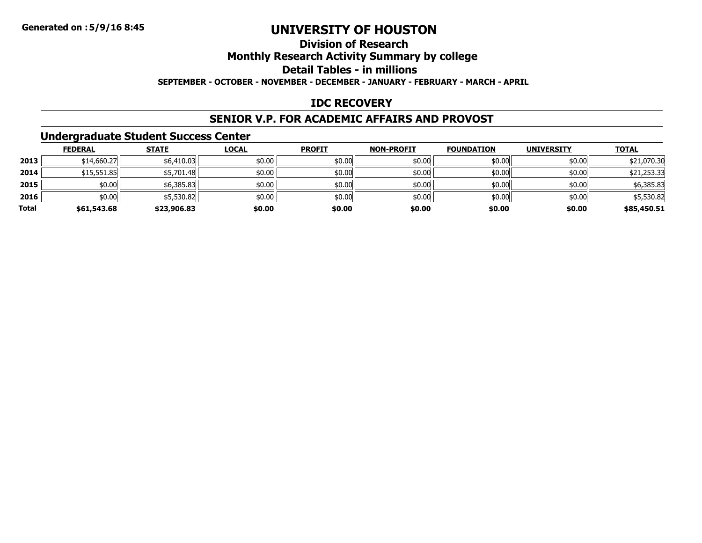#### **Division of ResearchMonthly Research Activity Summary by college Detail Tables - in millionsSEPTEMBER - OCTOBER - NOVEMBER - DECEMBER - JANUARY - FEBRUARY - MARCH - APRIL**

#### **IDC RECOVERY**

#### **SENIOR V.P. FOR ACADEMIC AFFAIRS AND PROVOST**

### **Undergraduate Student Success Center**

|       | <b>FEDERAL</b> | <b>STATE</b> | <b>LOCAL</b> | <b>PROFIT</b> | <b>NON-PROFIT</b> | <b>FOUNDATION</b> | <b>UNIVERSITY</b> | <b>TOTAL</b> |
|-------|----------------|--------------|--------------|---------------|-------------------|-------------------|-------------------|--------------|
| 2013  | \$14,660.27    | \$6,410.03   | \$0.00       | \$0.00        | \$0.00            | \$0.00            | \$0.00            | \$21,070.30  |
| 2014  | \$15,551.85    | \$5,701.48   | \$0.00       | \$0.00        | \$0.00            | \$0.00            | \$0.00            | \$21,253.33  |
| 2015  | \$0.00         | \$6,385.83   | \$0.00       | \$0.00        | \$0.00            | \$0.00            | \$0.00            | \$6,385.83   |
| 2016  | \$0.00         | \$5,530.82   | \$0.00       | \$0.00        | \$0.00            | \$0.00            | \$0.00            | \$5,530.82   |
| Total | \$61,543.68    | \$23,906.83  | \$0.00       | \$0.00        | \$0.00            | \$0.00            | \$0.00            | \$85,450.51  |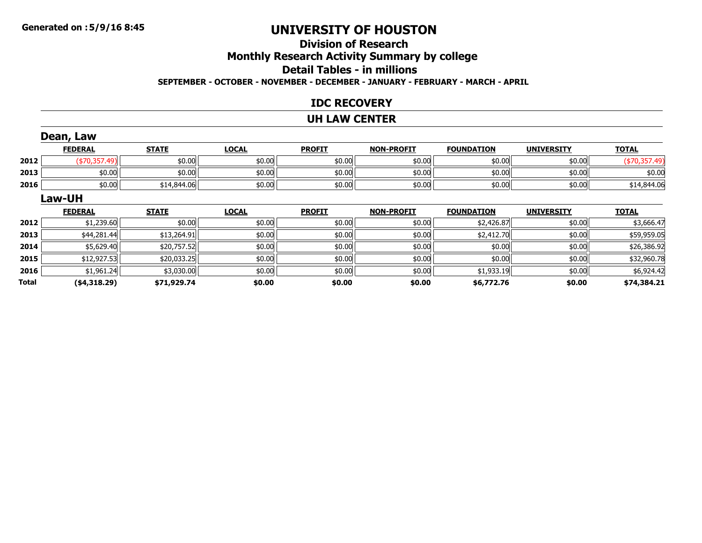#### **Division of ResearchMonthly Research Activity Summary by college Detail Tables - in millions SEPTEMBER - OCTOBER - NOVEMBER - DECEMBER - JANUARY - FEBRUARY - MARCH - APRIL**

#### **IDC RECOVERY**

#### **UH LAW CENTER**

|              | Dean, Law      |              |              |               |                   |                   |                   |               |
|--------------|----------------|--------------|--------------|---------------|-------------------|-------------------|-------------------|---------------|
|              | <b>FEDERAL</b> | <b>STATE</b> | <b>LOCAL</b> | <b>PROFIT</b> | <b>NON-PROFIT</b> | <b>FOUNDATION</b> | <b>UNIVERSITY</b> | <b>TOTAL</b>  |
| 2012         | $(*70,357.49)$ | \$0.00       | \$0.00       | \$0.00        | \$0.00            | \$0.00            | \$0.00            | (\$70,357.49) |
| 2013         | \$0.00         | \$0.00       | \$0.00       | \$0.00        | \$0.00            | \$0.00            | \$0.00            | \$0.00        |
| 2016         | \$0.00         | \$14,844.06  | \$0.00       | \$0.00        | \$0.00            | \$0.00            | \$0.00            | \$14,844.06   |
|              | Law-UH         |              |              |               |                   |                   |                   |               |
|              | <b>FEDERAL</b> | <b>STATE</b> | <b>LOCAL</b> | <b>PROFIT</b> | <b>NON-PROFIT</b> | <b>FOUNDATION</b> | <b>UNIVERSITY</b> | <b>TOTAL</b>  |
| 2012         | \$1,239.60     | \$0.00       | \$0.00       | \$0.00        | \$0.00            | \$2,426.87        | \$0.00            | \$3,666.47    |
| 2013         | \$44,281.44    | \$13,264.91  | \$0.00       | \$0.00        | \$0.00            | \$2,412.70        | \$0.00            | \$59,959.05   |
| 2014         | \$5,629.40     | \$20,757.52  | \$0.00       | \$0.00        | \$0.00            | \$0.00            | \$0.00            | \$26,386.92   |
| 2015         | \$12,927.53    | \$20,033.25  | \$0.00       | \$0.00        | \$0.00            | \$0.00            | \$0.00            | \$32,960.78   |
| 2016         | \$1,961.24     | \$3,030.00   | \$0.00       | \$0.00        | \$0.00            | \$1,933.19        | \$0.00            | \$6,924.42    |
| <b>Total</b> | ( \$4,318.29)  | \$71,929.74  | \$0.00       | \$0.00        | \$0.00            | \$6,772.76        | \$0.00            | \$74,384.21   |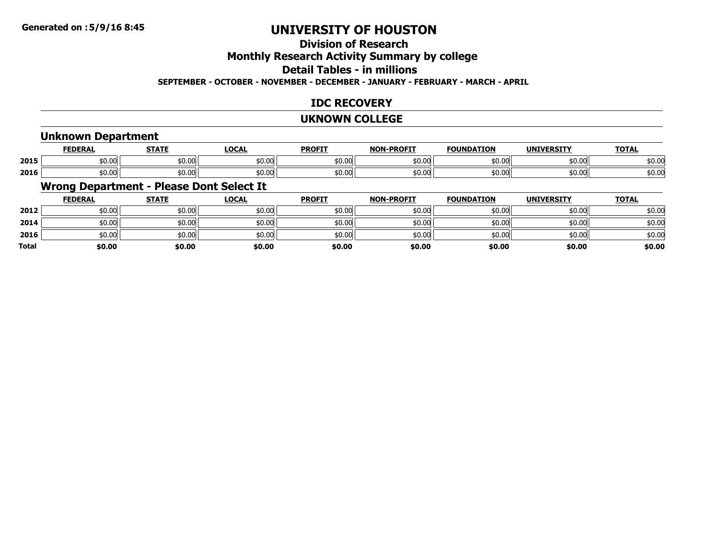## **Division of Research**

**Monthly Research Activity Summary by college**

**Detail Tables - in millions**

**SEPTEMBER - OCTOBER - NOVEMBER - DECEMBER - JANUARY - FEBRUARY - MARCH - APRIL**

### **IDC RECOVERY**

#### **UKNOWN COLLEGE**

#### **Unknown Department**

|      | <b>FEDERAL</b>    | <b>STATE</b><br>,,,,,, | LOCAL              | <b>PROFIT</b> | <b>LDDOETT</b><br><b>NIONI</b> | <b>FOUNDATION</b> | <b>IINITVEDCTTV</b> | <b>TOTAL</b>            |
|------|-------------------|------------------------|--------------------|---------------|--------------------------------|-------------------|---------------------|-------------------------|
| 2015 | ا 0.00 $^{\circ}$ | \$0.00                 | $\sim$ 00<br>JU.UU | \$0.00        | \$0.00                         | ሐሴ ሰሰ<br>וטי.טע   | \$0.00              | $\sim$ $\sim$<br>\$0.00 |
| 2016 | \$0.00            | \$0.00                 | $\sim$ 00<br>JU.UU | \$0.00        | \$0.00                         | ሐስ ሰሰ<br>JU.UU    | \$0.00              | \$0.00                  |

#### **Wrong Department - Please Dont Select It**

|              | <b>FEDERAL</b> | <b>STATE</b> | <u>LOCAL</u> | <b>PROFIT</b> | <b>NON-PROFIT</b> | <b>FOUNDATION</b> | <b>UNIVERSITY</b> | <b>TOTAL</b> |
|--------------|----------------|--------------|--------------|---------------|-------------------|-------------------|-------------------|--------------|
| 2012         | \$0.00         | \$0.00       | \$0.00       | \$0.00        | \$0.00            | \$0.00            | \$0.00            | \$0.00       |
| 2014         | \$0.00         | \$0.00       | \$0.00       | \$0.00        | \$0.00            | \$0.00            | \$0.00            | \$0.00       |
| 2016         | \$0.00         | \$0.00       | \$0.00       | \$0.00        | \$0.00            | \$0.00            | \$0.00            | \$0.00       |
| <b>Total</b> | \$0.00         | \$0.00       | \$0.00       | \$0.00        | \$0.00            | \$0.00            | \$0.00            | \$0.00       |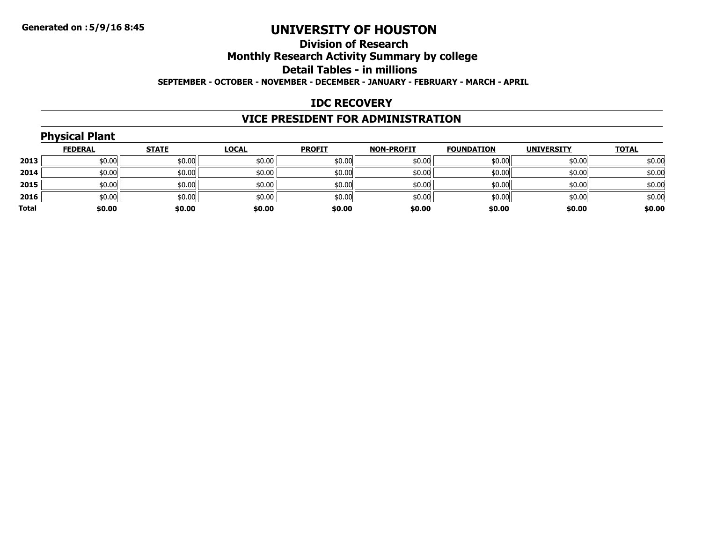#### **Division of ResearchMonthly Research Activity Summary by college Detail Tables - in millions SEPTEMBER - OCTOBER - NOVEMBER - DECEMBER - JANUARY - FEBRUARY - MARCH - APRIL**

#### **IDC RECOVERY**

### **VICE PRESIDENT FOR ADMINISTRATION**

|       | <b>Physical Plant</b> |              |              |               |                   |                   |                   |              |
|-------|-----------------------|--------------|--------------|---------------|-------------------|-------------------|-------------------|--------------|
|       | <b>FEDERAL</b>        | <b>STATE</b> | <b>LOCAL</b> | <b>PROFIT</b> | <b>NON-PROFIT</b> | <b>FOUNDATION</b> | <b>UNIVERSITY</b> | <b>TOTAL</b> |
| 2013  | \$0.00                | \$0.00       | \$0.00       | \$0.00        | \$0.00            | \$0.00            | \$0.00            | \$0.00       |
| 2014  | \$0.00                | \$0.00       | \$0.00       | \$0.00        | \$0.00            | \$0.00            | \$0.00            | \$0.00       |
| 2015  | \$0.00                | \$0.00       | \$0.00       | \$0.00        | \$0.00            | \$0.00            | \$0.00            | \$0.00       |
| 2016  | \$0.00                | \$0.00       | \$0.00       | \$0.00        | \$0.00            | \$0.00            | \$0.00            | \$0.00       |
| Total | \$0.00                | \$0.00       | \$0.00       | \$0.00        | \$0.00            | \$0.00            | \$0.00            | \$0.00       |
|       |                       |              |              |               |                   |                   |                   |              |

## **Physical Plant**